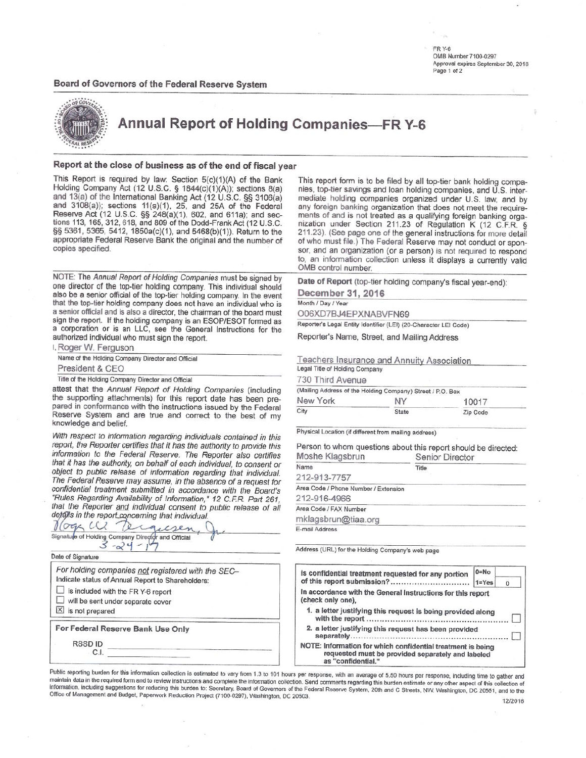FR Y-6 OMB Number 7100-0297 Approval expires September 30, 2018 Page 1 of 2

## Board of Governors of the Federal Reserve System



**Annual Report of Holding Companies-FR Y-6** 

## Report at the close of business as of the end of fiscal year

This Report is required by law: Section 5(c)(1)(A) of the Bank Holding Company Act (12 U.S.C. § 1844(c)(1)(A)); sections 8(a) and 13(a) of the International Banking Act (12 U.S.C. §§ 3106(a) and 3108(a)); sections 11(a)(1), 25, and 25A of the Federal Reserve Act (12 U.S.C. §§ 248(a)(1), 602, and 611a); and sections 113, 165, 312, 618, and 809 of the Dodd-Frank Act (12 U.S.C. §§ 5361, 5365, 5412, 1850a(c)(1), and 5468(b)(1)). Return to the appropriate Federal Reserve Bank the original and the number of copies specified.

NOTE: The Annual Report of Holding Companies must be signed by one director of the top-tier holding company. This individual should also be a senior official of the top-tier holding company. In the event that the top-tier holding company does not have an individual who is a senior official and is also a director, the chairman of the board must sign the report. If the holding company is an ESOP/ESOT formed as a corporation or is an LLC, see the General Instructions for the authorized individual who must sign the report.

| I. Roger W. Ferguson                              |
|---------------------------------------------------|
| Name of the Holding Company Director and Official |
| President & CEO                                   |
|                                                   |

Title of the Holding Company Director and Official

attest that the Annual Report of Holding Companies (including the supporting attachments) for this report date has been prepared in conformance with the instructions issued by the Federal Reserve System and are true and correct to the best of my knowledge and belief.

With respect to information regarding individuals contained in this report, the Reporter certifies that it has the authority to provide this information to the Federal Reserve. The Reporter also certifies that it has the authority, on behalf of each individual, to consent or object to public release of information regarding that individual. The Federal Reserve may assume, in the absence of a request for confidential treatment submitted in accordance with the Board's "Rules Regarding Availability of Information," 12 C.F.R. Part 261. that the Reporter and individual consent to public release of all details in the report concerning that individual

 $\Omega$  $\alpha$ (Oc iguesen Signature of Holding Company Director and Official  $-24$ 

Date of Signature

| For holding companies not registered with the SEC-<br>Indicate status of Annual Report to Shareholders: |  |  |  |  |  |
|---------------------------------------------------------------------------------------------------------|--|--|--|--|--|
| is included with the FR Y-6 report<br>will be sent under separate cover<br>is not prepared              |  |  |  |  |  |
| For Federal Reserve Bank Use Only                                                                       |  |  |  |  |  |
| <b>RSSDID</b><br>CΙ                                                                                     |  |  |  |  |  |

This report form is to be filed by all top-tier bank holding companies, top-tier savings and loan holding companies, and U.S. intermediate holding companies organized under U.S. law, and by any foreign banking organization that does not meet the requirements of and is not treated as a qualifying foreign banking organization under Section 211.23 of Regulation K (12 C.F.R. § 211.23). (See page one of the general instructions for more detail of who must file.) The Federal Reserve may not conduct or sponsor, and an organization (or a person) is not required to respond to, an information collection unless it displays a currently valid OMB control number.

Date of Report (top-tier holding company's fiscal year-end):

December 31, 2016

Month / Day / Year

O06XD7BJ4EPXNABVFN69

Reporter's Legal Entity Identifier (LEI) (20-Character LEI Code)

Reporter's Name, Street, and Mailing Address

Teachers Insurance and Annuity Association Legal Title of Holding Company

730 Third Avenue

| $1.99$ $1.111$ $1.132$ $1.112$ |                                                            |          |  |
|--------------------------------|------------------------------------------------------------|----------|--|
|                                | (Mailing Address of the Holding Company) Street / P.O. Box |          |  |
| New York                       | NY                                                         | 10017    |  |
| City                           | <b>State</b>                                               | Zip Code |  |

Physical Location (if different from mailing address)

Person to whom questions about this report should be directed: Moshe Klagsbrun Senior Director

| Name                                 | Title |
|--------------------------------------|-------|
| 212-913-7757                         |       |
| Area Code / Phone Number / Extension |       |
| 212-916-4966                         |       |
| Area Code / FAX Number               |       |
| mklagsbrun@tiaa.org                  |       |
| E-mail Address                       |       |

Address (URL) for the Holding Company's web page

| Is confidential treatment requested for any portion                              | $0 = No$  |          |
|----------------------------------------------------------------------------------|-----------|----------|
| of this report submission?                                                       | $1 = Yes$ | $\Omega$ |
| In accordance with the General Instructions for this report<br>(check only one), |           |          |
| 1. a letter justifying this request is being provided along                      |           |          |
|                                                                                  |           |          |
| 2. a letter justifying this request has been provided                            |           |          |

Public reporting burden for this information collection is estimated to vary from 1.3 to 101 hours per response, with an average of 5.50 hours per response, including time to gather and maintain data in the required form and to review instructions and complete the information collection. Send comments regarding this burden estimate or any other aspect of this collection of information, including suggestions for reducing this burden to: Secretary, Board of Governors of the Federal Reserve System, 20th and C Streets, NW, Washington, DC 20551, and to the Office of Management and Budget, Paperwork Reduction Project (7100-0297), Washington, DC 20503.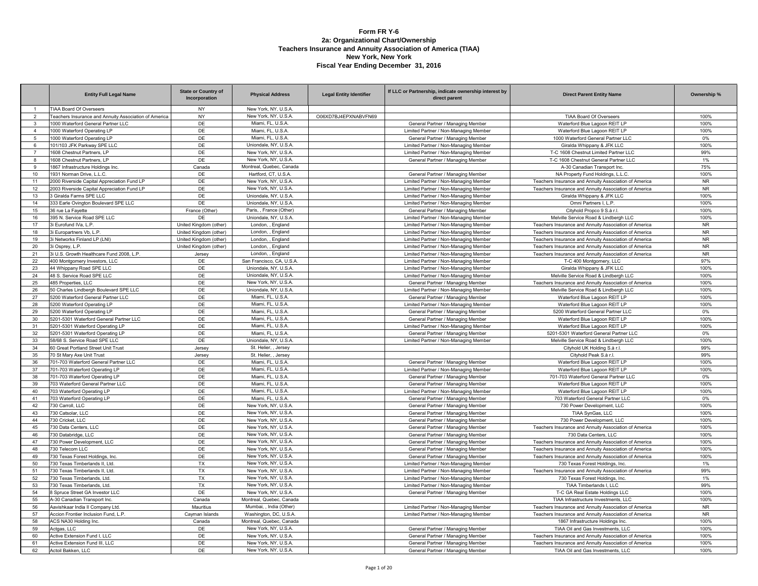### **Form FR Y-6 2a: Organizational Chart/Ownership Teachers Insurance and Annuity Association of America (TIAA) New York, New York Fiscal Year Ending December 31, 2016**

|                 | <b>Entity Full Legal Name</b>                         | <b>State or Country of</b><br>Incorporation | <b>Physical Address</b>  | <b>Legal Entity Identifier</b> | If LLC or Partnership, indicate ownership interest by<br>direct parent | <b>Direct Parent Entity Name</b>                      | Ownership % |
|-----------------|-------------------------------------------------------|---------------------------------------------|--------------------------|--------------------------------|------------------------------------------------------------------------|-------------------------------------------------------|-------------|
|                 | <b>TIAA Board Of Overseers</b>                        | <b>NY</b>                                   | New York, NY, U.S.A.     |                                |                                                                        |                                                       |             |
| $\overline{2}$  | Teachers Insurance and Annuity Association of America | <b>NY</b>                                   | New York, NY, U.S.A.     | O06XD7BJ4EPXNABVFN69           |                                                                        | TIAA Board Of Overseers                               | 100%        |
| $\mathbf{3}$    | 1000 Waterford General Partner LLC                    | DE                                          | Miami, FL, U.S.A.        |                                | General Partner / Managing Member                                      | Waterford Blue Lagoon REIT LP                         | 100%        |
| $\overline{4}$  | 1000 Waterford Operating LP                           | DE                                          | Miami, FL, U.S.A.        |                                | Limited Partner / Non-Managing Member                                  | Waterford Blue Lagoon REIT LP                         | 100%        |
| $5\phantom{.0}$ | 1000 Waterford Operating LP                           | DE                                          | Miami, FL, U.S.A.        |                                | General Partner / Managing Member                                      | 1000 Waterford General Partner LLC                    | $0\%$       |
| 6               | 101/103 JFK Parkway SPE LLC                           | DE                                          | Uniondale, NY, U.S.A     |                                | Limited Partner / Non-Managing Member                                  | Giralda Whippany & JFK LLC                            | 100%        |
| $\overline{7}$  | 1608 Chestnut Partners, LP                            | DE                                          | New York, NY, U.S.A      |                                | Limited Partner / Non-Managing Member                                  | T-C 1608 Chestnut Limited Partner LLC                 | 99%         |
| 8               | 1608 Chestnut Partners, LP                            | DE                                          | New York, NY, U.S.A.     |                                | General Partner / Managing Member                                      | T-C 1608 Chestnut General Partner LLC                 | 1%          |
| 9               | 1867 Infrastructure Holdings Inc.                     | Canada                                      | Montreal, Quebec, Canada |                                |                                                                        | A-30 Canadian Transport Inc.                          | 75%         |
| 10              | 1931 Norman Drive, L.L.C.                             | DE                                          | Hartford, CT, U.S.A.     |                                | General Partner / Managing Member                                      | NA Property Fund Holdings, L.L.C.                     | 100%        |
| 11              | 2000 Riverside Capital Appreciation Fund LP           | DE                                          | New York, NY, U.S.A.     |                                | Limited Partner / Non-Managing Member                                  | Teachers Insurance and Annuity Association of America | <b>NR</b>   |
| 12              | 2003 Riverside Capital Appreciation Fund LP           | DE                                          | New York, NY, U.S.A.     |                                | Limited Partner / Non-Managing Member                                  | Teachers Insurance and Annuity Association of America | <b>NR</b>   |
| 13              | 3 Giralda Farms SPE LLC                               | DE                                          | Uniondale, NY, U.S.A.    |                                | Limited Partner / Non-Managing Member                                  | Giralda Whippany & JFK LLC                            | 100%        |
| 14              | 333 Earle Ovington Boulevard SPE LLC                  | DE                                          | Uniondale, NY, U.S.A.    |                                | Limited Partner / Non-Managing Member                                  | Omni Partners I, L.P.                                 | 100%        |
| 15              | 36 rue La Fayette                                     | France (Other)                              | Paris. . France (Other)  |                                | General Partner / Managing Member                                      | Cityhold Propco 9 S.à r.l.                            | 100%        |
| 16              | 395 N. Service Road SPE LLC                           | DE                                          | Uniondale, NY, U.S.A     |                                | Limited Partner / Non-Managing Member                                  | Melville Service Road & Lindbergh LLC                 | 100%        |
| 17              | 3i Eurofund IVa, L.P.                                 | United Kingdom (other)                      | London, , England        |                                | Limited Partner / Non-Managing Member                                  | Teachers Insurance and Annuity Association of America | <b>NR</b>   |
| 18              | 3i Europartners Vb, L.P.                              | United Kingdom (other)                      | London, , England        |                                | Limited Partner / Non-Managing Member                                  | Teachers Insurance and Annuity Association of America | <b>NR</b>   |
| 19              | 3i Networks Finland LP (LNI)                          | United Kingdom (other)                      | London, , England        |                                | Limited Partner / Non-Managing Member                                  | Teachers Insurance and Annuity Association of America | <b>NR</b>   |
| 20              | 3i Osprey, L.P.                                       | United Kingdom (other)                      | London, , England        |                                | Limited Partner / Non-Managing Member                                  | Teachers Insurance and Annuity Association of America | <b>NR</b>   |
| 21              | 3i U.S. Growth Healthcare Fund 2008. L.P.             | Jersey                                      | London, , England        |                                | Limited Partner / Non-Managing Member                                  | Teachers Insurance and Annuity Association of America | <b>NR</b>   |
| 22              | 400 Montgomery Investors, LLC                         | DE                                          | San Francisco, CA, U.S.A |                                | Limited Partner / Non-Managing Member                                  | T-C 400 Montgomery, LLC                               | 97%         |
| 23              | 44 Whippany Road SPE LLC                              | DE                                          | Uniondale, NY, U.S.A.    |                                | Limited Partner / Non-Managing Member                                  | Giralda Whippany & JFK LLC                            | 100%        |
| 24              | 48 S. Service Road SPE LLC                            | DE                                          | Uniondale, NY, U.S.A.    |                                | Limited Partner / Non-Managing Member                                  | Melville Service Road & Lindbergh LLC                 | 100%        |
| 25              | 485 Properties, LLC                                   | DE                                          | New York, NY, U.S.A.     |                                | General Partner / Managing Member                                      | Teachers Insurance and Annuity Association of America | 100%        |
| 26              | 50 Charles Lindbergh Boulevard SPE LLC                | DE                                          | Uniondale, NY, U.S.A.    |                                | Limited Partner / Non-Managing Member                                  | Melville Service Road & Lindbergh LLC                 | 100%        |
| 27              | 5200 Waterford General Partner LLC                    | DE                                          | Miami, FL, U.S.A         |                                | General Partner / Managing Member                                      | Waterford Blue Lagoon REIT LP                         | 100%        |
| 28              | 5200 Waterford Operating LP                           | DE                                          | Miami, FL, U.S.A.        |                                | Limited Partner / Non-Managing Member                                  | Waterford Blue Lagoon REIT LP                         | 100%        |
| 29              | 5200 Waterford Operating LP                           | DE                                          | Miami, FL, U.S.A.        |                                | General Partner / Managing Member                                      | 5200 Waterford General Partner LLC                    | 0%          |
| 30              | 5201-5301 Waterford General Partner LLC               | DE                                          | Miami, FL, U.S.A.        |                                | General Partner / Managing Member                                      | Waterford Blue Lagoon REIT LP                         | 100%        |
| 31              | 5201-5301 Waterford Operating LP                      | DE                                          | Miami, FL, U.S.A.        |                                | Limited Partner / Non-Managing Member                                  | Waterford Blue Lagoon REIT LP                         | 100%        |
| 32              | 5201-5301 Waterford Operating LP                      | DE                                          | Miami, FL, U.S.A         |                                | General Partner / Managing Member                                      | 5201-5301 Waterford General Partner LLC               | $0\%$       |
| 33              | 58/68 S. Service Road SPE LLC                         | DE                                          | Uniondale, NY, U.S.A     |                                | Limited Partner / Non-Managing Member                                  | Melville Service Road & Lindbergh LLC                 | 100%        |
| 34              | 60 Great Portland Street Unit Trust                   | Jersey                                      | St. Helier, , Jersey     |                                |                                                                        | Cityhold UK Holding S.à r.l.                          | 99%         |
| 35              | 70 St Mary Axe Unit Trust                             | Jersey                                      | St. Helier. . Jersev     |                                |                                                                        | Cityhold Peak S.à r.l.                                | 99%         |
| 36              | 701-703 Waterford General Partner LLC                 | DE                                          | Miami, FL, U.S.A.        |                                | General Partner / Managing Member                                      | Waterford Blue Lagoon REIT LP                         | 100%        |
| 37              | 701-703 Waterford Operating LP                        | DE                                          | Miami, FL, U.S.A         |                                | Limited Partner / Non-Managing Member                                  | Waterford Blue Lagoon REIT LP                         | 100%        |
| 38              | 701-703 Waterford Operating LP                        | DE                                          | Miami, FL, U.S.A.        |                                | General Partner / Managing Member                                      | 701-703 Waterford General Partner LLC                 | $0\%$       |
| 39              | 703 Waterford General Partner LLC                     | DE                                          | Miami, FL, U.S.A.        |                                | General Partner / Managing Member                                      | Waterford Blue Lagoon REIT LP                         | 100%        |
| 40              | 703 Waterford Operating LP                            | DE                                          | Miami, FL, U.S.A.        |                                | Limited Partner / Non-Managing Member                                  | Waterford Blue Lagoon REIT LP                         | 100%        |
| 41              | 703 Waterford Operating LP                            | DE                                          | Miami, FL, U.S.A.        |                                | General Partner / Managing Member                                      | 703 Waterford General Partner LLC                     | $0\%$       |
| 42              | 730 Carroll, LLC                                      | DE                                          | New York, NY, U.S.A      |                                | General Partner / Managing Member                                      | 730 Power Development, LLC                            | 100%        |
| 43              | 730 Catsolar, LLC                                     | DE                                          | New York, NY, U.S.A.     |                                | General Partner / Managing Member                                      | TIAA SynGas, LLC                                      | 100%        |
| 44              | 730 Cricket, LLC                                      | DE                                          | New York, NY, U.S.A.     |                                | General Partner / Managing Member                                      | 730 Power Development, LLC                            | 100%        |
| 45              | 730 Data Centers, LLC                                 | DE                                          | New York, NY, U.S.A.     |                                | General Partner / Managing Member                                      | Teachers Insurance and Annuity Association of America | 100%        |
| 46              | 730 Databridge, LLC                                   | DE                                          | New York, NY, U.S.A.     |                                | General Partner / Managing Member                                      | 730 Data Centers, LLC                                 | 100%        |
| 47              | 730 Power Development, LLC                            | DE                                          | New York, NY, U.S.A.     |                                | General Partner / Managing Member                                      | Teachers Insurance and Annuity Association of America | 100%        |
| 48              | 730 Telecom LLC                                       | DE                                          | New York, NY, U.S.A.     |                                | General Partner / Managing Member                                      | Teachers Insurance and Annuity Association of America | 100%        |
| 49              | 730 Texas Forest Holdings, Inc.                       | DE                                          | New York, NY, U.S.A.     |                                | General Partner / Managing Member                                      | Teachers Insurance and Annuity Association of America | 100%        |
| 50              | 730 Texas Timberlands II. Ltd.                        | <b>TX</b>                                   | New York, NY, U.S.A.     |                                | Limited Partner / Non-Managing Member                                  | 730 Texas Forest Holdings, Inc.                       | $1\%$       |
| 51              | 730 Texas Timberlands II, Ltd.                        | <b>TX</b>                                   | New York, NY, U.S.A.     |                                | Limited Partner / Non-Managing Member                                  | Teachers Insurance and Annuity Association of America | 99%         |
| 52              | 730 Texas Timberlands, Ltd.                           | <b>TX</b>                                   | New York, NY, U.S.A.     |                                | Limited Partner / Non-Managing Member                                  | 730 Texas Forest Holdings, Inc.                       | 1%          |
| 53              | 730 Texas Timberlands, Ltd.                           | <b>TX</b>                                   | New York, NY, U.S.A.     |                                | Limited Partner / Non-Managing Member                                  | TIAA Timberlands I, LLC                               | 99%         |
| 54              | 8 Spruce Street GA Investor LLC                       | DE                                          | New York, NY, U.S.A.     |                                | General Partner / Managing Member                                      | T-C GA Real Estate Holdings LLC                       | 100%        |
| 55              | A-30 Canadian Transport Inc.                          | Canada                                      | Montreal, Quebec, Canada |                                |                                                                        | TIAA Infrastructure Investments. LLC                  | 100%        |
| 56              | Aavishkaar India II Company Ltd                       | Mauritius                                   | Mumbai, , India (Other)  |                                | Limited Partner / Non-Managing Member                                  | Teachers Insurance and Annuity Association of America | <b>NR</b>   |
| 57              | Accion Frontier Inclusion Fund, L.P                   | Cayman Islands                              | Washington, DC, U.S.A.   |                                | Limited Partner / Non-Managing Member                                  | Teachers Insurance and Annuity Association of America | <b>NR</b>   |
| 58              | ACS NA30 Holding Inc.                                 | Canada                                      | Montreal, Quebec, Canada |                                |                                                                        | 1867 Infrastructure Holdings Inc.                     | 100%        |
| 59              | Actgas, LLC                                           | DE                                          | New York, NY, U.S.A.     |                                | General Partner / Managing Member                                      | TIAA Oil and Gas Investments, LLC                     | 100%        |
| 60              | Active Extension Fund I. LLC                          | DE                                          | New York, NY, U.S.A.     |                                | General Partner / Managing Member                                      | Teachers Insurance and Annuity Association of America | 100%        |
| 61              | Active Extension Fund III, LLC                        | DE                                          | New York, NY, U.S.A.     |                                | General Partner / Managing Member                                      | Teachers Insurance and Annuity Association of America | 100%        |
| 62              | Actoil Bakken, LLC                                    | DE                                          | New York, NY, U.S.A.     |                                | General Partner / Managing Member                                      | TIAA Oil and Gas Investments, LLC                     | 100%        |
|                 |                                                       |                                             |                          |                                |                                                                        |                                                       |             |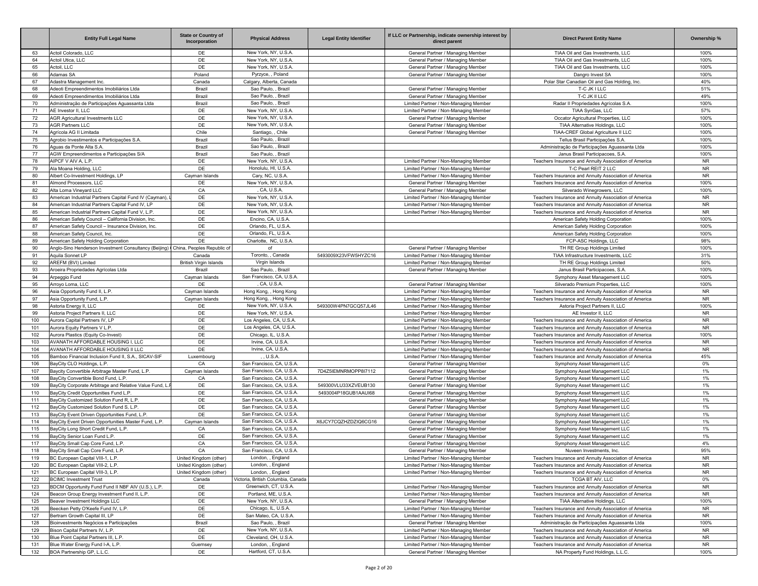|            | <b>Entity Full Legal Name</b>                                                                              | <b>State or Country of</b><br>Incorporation | <b>Physical Address</b>                                | <b>Legal Entity Identifier</b> | If LLC or Partnership, indicate ownership interest by<br>direct parent         | <b>Direct Parent Entity Name</b>                                                                               | Ownership %            |
|------------|------------------------------------------------------------------------------------------------------------|---------------------------------------------|--------------------------------------------------------|--------------------------------|--------------------------------------------------------------------------------|----------------------------------------------------------------------------------------------------------------|------------------------|
| 63         | Actoil Colorado, LLC                                                                                       | DE                                          | New York, NY, U.S.A.                                   |                                | General Partner / Managing Member                                              | TIAA Oil and Gas Investments, LLC                                                                              | 100%                   |
| 64         | Actoil Utica, LLC                                                                                          | DE                                          | New York, NY, U.S.A.                                   |                                | General Partner / Managing Member                                              | TIAA Oil and Gas Investments, LLC                                                                              | 100%                   |
| 65         | Actoil, LLC                                                                                                | DE                                          | New York, NY, U.S.A.                                   |                                | General Partner / Managing Member                                              | TIAA Oil and Gas Investments, LLC                                                                              | 100%                   |
| 66         | Adamas SA                                                                                                  | Poland                                      | Pyrzyce, , Poland                                      |                                | General Partner / Managing Member                                              | Dangro Invest SA                                                                                               | 100%                   |
| 67<br>68   | Adastra Management Inc.<br>Adeoti Empreendimentos Imobiliários Ltda                                        | Canada<br>Brazil                            | Calgary, Alberta, Canada<br>Sao Paulo, , Brazil        |                                | General Partner / Managing Member                                              | Polar Star Canadian Oil and Gas Holding, Inc.                                                                  | 40%<br>51%             |
| 69         | Adeoti Empreendimentos Imobiliários Ltda                                                                   | Brazil                                      | Sao Paulo, , Brazil                                    |                                | General Partner / Managing Member                                              | T-C JK I LLC<br>T-C JK II LLC                                                                                  | 49%                    |
| 70         | Administração de Participações Aquassanta Ltda                                                             | Brazil                                      | Sao Paulo, , Brazil                                    |                                | Limited Partner / Non-Managing Member                                          | Radar II Propriedades Agrícolas S.A.                                                                           | 100%                   |
| 71         | AE Investor II. LLC                                                                                        | DE                                          | New York, NY, U.S.A.                                   |                                | Limited Partner / Non-Managing Member                                          | TIAA SynGas, LLC                                                                                               | 57%                    |
| 72         | <b>AGR Agricultural Investments LLC</b>                                                                    | DE                                          | New York, NY, U.S.A.                                   |                                | General Partner / Managing Member                                              | Occator Agricultural Properties, LLC                                                                           | 100%                   |
| 73         | <b>AGR Partners LLC</b>                                                                                    | DE                                          | New York, NY, U.S.A.                                   |                                | General Partner / Managing Member                                              | TIAA Alternative Holdings, LLC                                                                                 | 100%                   |
| 74         | Agrícola AG II Limitada                                                                                    | Chile                                       | Santiago. . Chile                                      |                                | General Partner / Managing Member                                              | TIAA-CREF Global Agriculture II LLC                                                                            | 100%                   |
| 75         | Agrobio Investimentos e Participações S.A.                                                                 | Brazil                                      | Sao Paulo, , Brazil                                    |                                |                                                                                | Tellus Brasil Participações S.A                                                                                | 100%                   |
| 76         | Aguas da Ponte Alta S.A.                                                                                   | Brazil                                      | Sao Paulo, , Brazil                                    |                                |                                                                                | Administração de Participações Aguassanta Ltda                                                                 | 100%                   |
| 77         | AGW Empreendimentos e Participações S/A                                                                    | Brazil                                      | Sao Paulo, , Brazil                                    |                                |                                                                                | Janus Brasil Participacoes, S.A.                                                                               | 100%                   |
| 78         | AIPCF V AIV A, L.P.                                                                                        | DE                                          | New York, NY, U.S.A.                                   |                                | Limited Partner / Non-Managing Member                                          | Teachers Insurance and Annuity Association of America                                                          | <b>NR</b>              |
| 79         | Ala Moana Holding, LLC                                                                                     | DE                                          | Honolulu, HI, U.S.A.                                   |                                | Limited Partner / Non-Managing Member                                          | T-C Pearl REIT 2 LLC                                                                                           | <b>NR</b>              |
| 80         | Albert Co-Investment Holdings, LP                                                                          | Cayman Islands                              | Cary, NC, U.S.A.                                       |                                | Limited Partner / Non-Managing Member                                          | Teachers Insurance and Annuity Association of America                                                          | <b>NR</b>              |
| 81         | Almond Processors, LLC                                                                                     | DE                                          | New York, NY, U.S.A.                                   |                                | General Partner / Managing Member                                              | Teachers Insurance and Annuity Association of America                                                          | 100%                   |
| 82         | Alta Loma Vineyard LLC                                                                                     | CA                                          | CA, U.S.A.                                             |                                | General Partner / Managing Member                                              | Silverado Winegrowers, LLC                                                                                     | 100%                   |
| 83<br>84   | American Industrial Partners Capital Fund IV (Cayman),<br>American Industrial Partners Capital Fund IV, LP | DE<br>DE                                    | New York, NY, U.S.A.<br>New York, NY, U.S.A.           |                                | Limited Partner / Non-Managing Member<br>Limited Partner / Non-Managing Member | Teachers Insurance and Annuity Association of America<br>Teachers Insurance and Annuity Association of America | <b>NR</b><br><b>NR</b> |
| 85         | American Industrial Partners Capital Fund V, L.P.                                                          | DE                                          | New York, NY, U.S.A.                                   |                                | Limited Partner / Non-Managing Member                                          | Teachers Insurance and Annuity Association of America                                                          | <b>NR</b>              |
| 86         | American Safety Council - California Division, Inc.                                                        | DE                                          | Encino, CA, U.S.A.                                     |                                |                                                                                | American Safety Holding Corporation                                                                            | 100%                   |
| 87         | American Safety Council - Insurance Division, Inc.                                                         | DE                                          | Orlando, FL, U.S.A.                                    |                                |                                                                                | American Safety Holding Corporation                                                                            | 100%                   |
| 88         | American Safety Council, Inc.                                                                              | DE                                          | Orlando, FL, U.S.A.                                    |                                |                                                                                | American Safety Holding Corporation                                                                            | 100%                   |
| 89         | American Safety Holding Corporation                                                                        | DE                                          | Charlotte, NC, U.S.A.                                  |                                |                                                                                | FCP-ASC Holdings, LLC                                                                                          | 98%                    |
| 90         | Anglo-Sino Henderson Investment Consultancy (Beijing)   China, Peoples Republic of                         |                                             | of                                                     |                                | General Partner / Managing Member                                              | TH RE Group Holdings Limited                                                                                   | 100%                   |
| 91         | Aquila Sonnet LP                                                                                           | Canada                                      | Toronto. . Canada                                      | 5493009X23VFW5HYZC16           | Limited Partner / Non-Managing Member                                          | TIAA Infrastructure Investments, LLC                                                                           | 31%                    |
| 92         | AREFM (BVI) Limited                                                                                        | <b>British Virgin Islands</b>               | Virgin Islands                                         |                                | Limited Partner / Non-Managing Member                                          | TH RE Group Holdings Limited                                                                                   | 50%                    |
| 93         | Aroeira Propriedades Agrícolas Ltda                                                                        | Brazil                                      | Sao Paulo, , Brazil                                    |                                | General Partner / Managing Member                                              | Janus Brasil Participacoes, S.A.                                                                               | 100%                   |
| 94         | Arpeggio Fund                                                                                              | Cayman Islands                              | San Francisco, CA, U.S.A.                              |                                |                                                                                | Symphony Asset Management LLC                                                                                  | 100%                   |
| 95         | Arroyo Loma, LLC                                                                                           | DE                                          | CA, U.S.A                                              |                                | General Partner / Managing Member                                              | Silverado Premium Properties, LLC                                                                              | 100%                   |
| 96         | Asia Opportunity Fund II, L.P.                                                                             | Cayman Islands                              | Hong Kong, , Hong Kong                                 |                                | Limited Partner / Non-Managing Member                                          | Teachers Insurance and Annuity Association of America                                                          | <b>NR</b>              |
| 97         | Asia Opportunity Fund, L.P.                                                                                | Cayman Islands                              | Hong Kong, , Hong Kong                                 |                                | Limited Partner / Non-Managing Member                                          | Teachers Insurance and Annuity Association of America                                                          | <b>NR</b>              |
| 98         | Astoria Energy II, LLC                                                                                     | DE                                          | New York, NY, U.S.A.                                   | 549300W4PN7GCQ57JL46           | Limited Partner / Non-Managing Member                                          | Astoria Project Partners II, LLC                                                                               | 100%                   |
| 99<br>100  | Astoria Project Partners II, LLC<br>Aurora Capital Partners IV, LP                                         | DE<br>DE                                    | New York, NY, U.S.A.                                   |                                | Limited Partner / Non-Managing Member                                          | AE Investor II, LLC<br>Teachers Insurance and Annuity Association of America                                   | <b>NR</b><br><b>NR</b> |
| 101        | Aurora Equity Partners V L.P.                                                                              | DE                                          | Los Angeles, CA, U.S.A.<br>Los Angeles, CA, U.S.A.     |                                | Limited Partner / Non-Managing Member<br>Limited Partner / Non-Managing Member | Teachers Insurance and Annuity Association of America                                                          | <b>NR</b>              |
| 102        | Aurora Plastics (Equity Co-Invest)                                                                         | DE                                          | Chicago, IL, U.S.A.                                    |                                | Limited Partner / Non-Managing Member                                          | Teachers Insurance and Annuity Association of America                                                          | 100%                   |
| 103        | AVANATH AFFORDABLE HOUSING I, LLC                                                                          | DE                                          | Irvine, CA, U.S.A.                                     |                                | Limited Partner / Non-Managing Member                                          | Teachers Insurance and Annuity Association of America                                                          | <b>NR</b>              |
| 104        | AVANATH AFFORDABLE HOUSING II LLC                                                                          | DE                                          | Irvine, CA, U.S.A.                                     |                                | Limited Partner / Non-Managing Member                                          | Teachers Insurance and Annuity Association of America                                                          | <b>NR</b>              |
| 105        | Bamboo Financial Inclusion Fund II, S.A., SICAV-SIF                                                        | Luxembourg                                  | U.S.A                                                  |                                | Limited Partner / Non-Managing Member                                          | Teachers Insurance and Annuity Association of America                                                          | 45%                    |
| 106        | BayCity CLO Holdings, L.P.                                                                                 | CA                                          | San Francisco, CA, U.S.A.                              |                                | General Partner / Managing Member                                              | Symphony Asset Management LLC                                                                                  | 0%                     |
| 107        | Baycity Convertible Arbitrage Master Fund, L.P.                                                            | Cayman Islands                              | San Francisco, CA, U.S.A.                              | 7D4Z5IEMNRMOPP8I7112           | General Partner / Managing Member                                              | Symphony Asset Management LLC                                                                                  | 1%                     |
| 108        | BayCity Convertible Bond Fund, L.P.                                                                        | CA                                          | San Francisco, CA, U.S.A.                              |                                | General Partner / Managing Member                                              | Symphony Asset Management LLC                                                                                  | 1%                     |
| 109        | BayCity Corporate Arbitrage and Relative Value Fund, L.                                                    | DE                                          | San Francisco, CA, U.S.A.                              | 549300VLU33XZVEUB130           | General Partner / Managing Member                                              | Symphony Asset Management LLC                                                                                  | $1\%$                  |
| 110        | BayCity Credit Opportunities Fund L.P.                                                                     | DE                                          | San Francisco, CA, U.S.A.                              | 5493004P18GUB1AAUI68           | General Partner / Managing Member                                              | Symphony Asset Management LLC                                                                                  | 1%                     |
| 111        | BayCity Customized Solution Fund R, L.P.                                                                   | DE                                          | San Francisco, CA, U.S.A.                              |                                | General Partner / Managing Member                                              | Symphony Asset Management LLC                                                                                  | 1%                     |
| 112        | BayCity Customized Solution Fund S, L.P.                                                                   | DE                                          | San Francisco, CA, U.S.A.                              |                                | General Partner / Managing Member                                              | Symphony Asset Management LLC                                                                                  | 1%                     |
| 113<br>114 | BayCity Event Driven Opportunities Fund, L.P.<br>BayCity Event Driven Opportunities Master Fund, L.P.      | DE<br>Cayman Islands                        | San Francisco, CA, U.S.A.<br>San Francisco, CA, U.S.A. | X6JCY7CQZHZDZIQ6CG16           | General Partner / Managing Member                                              | Symphony Asset Management LLC<br>Symphony Asset Management LLC                                                 | 1%<br>1%               |
|            |                                                                                                            |                                             | San Francisco, CA, U.S.A.                              |                                | General Partner / Managing Member                                              |                                                                                                                |                        |
| 115<br>116 | BayCity Long Short Credit Fund, L.P.<br>BayCity Senior Loan Fund L.P.                                      | CA<br>DE                                    | San Francisco, CA, U.S.A.                              |                                | General Partner / Managing Member<br>General Partner / Managing Member         | Symphony Asset Management LLC<br>Symphony Asset Management LLC                                                 | 1%<br>1%               |
| 117        | BayCity Small Cap Core Fund, L.P                                                                           | CA                                          | San Francisco, CA, U.S.A.                              |                                | General Partner / Managing Member                                              | Symphony Asset Management LLC                                                                                  | 4%                     |
| 118        | BayCity Small Cap Core Fund, L.P.                                                                          | CA                                          | San Francisco, CA, U.S.A.                              |                                | General Partner / Managing Member                                              | Nuveen Investments, Inc.                                                                                       | 95%                    |
| 119        | BC European Capital VIII-1, L.P                                                                            | United Kingdom (other)                      | London, , England                                      |                                | Limited Partner / Non-Managing Member                                          | Teachers Insurance and Annuity Association of America                                                          | NR.                    |
| 120        | BC European Capital VIII-2, L.P.                                                                           | United Kingdom (other)                      | London, , England                                      |                                | Limited Partner / Non-Managing Member                                          | Teachers Insurance and Annuity Association of America                                                          | <b>NR</b>              |
| 121        | BC European Capital VIII-3, L.P.                                                                           | United Kingdom (other)                      | London, , England                                      |                                | Limited Partner / Non-Managing Member                                          | Teachers Insurance and Annuity Association of America                                                          | <b>NR</b>              |
| 122        | <b>BCIMC Investment Trust</b>                                                                              | Canada                                      | Victoria, British Columbia, Canada                     |                                |                                                                                | TCGA BT AIV. LLC                                                                                               | 0%                     |
| 123        | BDCM Opportunity Fund Fund II NBF AIV (U.S.), L.P.                                                         | DE                                          | Greenwich, CT, U.S.A.                                  |                                | Limited Partner / Non-Managing Member                                          | Teachers Insurance and Annuity Association of America                                                          | <b>NR</b>              |
| 124        | Beacon Group Energy Investment Fund II, L.P.                                                               | DE                                          | Portland, ME, U.S.A.                                   |                                | Limited Partner / Non-Managing Member                                          | Teachers Insurance and Annuity Association of America                                                          | <b>NR</b>              |
| 125        | Beaver Investment Holdings LLC                                                                             | DE                                          | New York, NY, U.S.A.                                   |                                | General Partner / Managing Member                                              | TIAA Alternative Holdings, LLC                                                                                 | 100%                   |
| 126        | Beecken Petty O'Keefe Fund IV, L.P.                                                                        | DE                                          | Chicago, IL, U.S.A.                                    |                                | Limited Partner / Non-Managing Member                                          | Teachers Insurance and Annuity Association of America                                                          | <b>NR</b>              |
| 127        | Bertram Growth Capital III, LP                                                                             | DE                                          | San Mateo, CA, U.S.A.                                  |                                | Limited Partner / Non-Managing Member                                          | Teachers Insurance and Annuity Association of America                                                          | <b>NR</b>              |
| 128<br>129 | Bioinvestments Negócios e Participações<br>Bison Capital Partners IV, L.P.                                 | Brazil<br>DE                                | Sao Paulo, , Brazil<br>New York, NY, U.S.A.            |                                | General Partner / Managing Member<br>Limited Partner / Non-Managing Member     | Administração de Participações Aguassanta Ltda<br>Teachers Insurance and Annuity Association of America        | 100%<br><b>NR</b>      |
| 130        | Blue Point Capital Partners III, L.P.                                                                      | DE                                          | Cleveland, OH, U.S.A.                                  |                                | Limited Partner / Non-Managing Member                                          | Teachers Insurance and Annuity Association of America                                                          | NR                     |
| 131        | Blue Water Energy Fund I-A, L.P.                                                                           | Guernsey                                    | London, , England                                      |                                | Limited Partner / Non-Managing Member                                          | Teachers Insurance and Annuity Association of America                                                          | <b>NR</b>              |
| 132        | BOA Partnership GP, L.L.C.                                                                                 | DE                                          | Hartford, CT, U.S.A.                                   |                                | General Partner / Managing Member                                              | NA Property Fund Holdings, L.L.C.                                                                              | 100%                   |
|            |                                                                                                            |                                             |                                                        |                                |                                                                                |                                                                                                                |                        |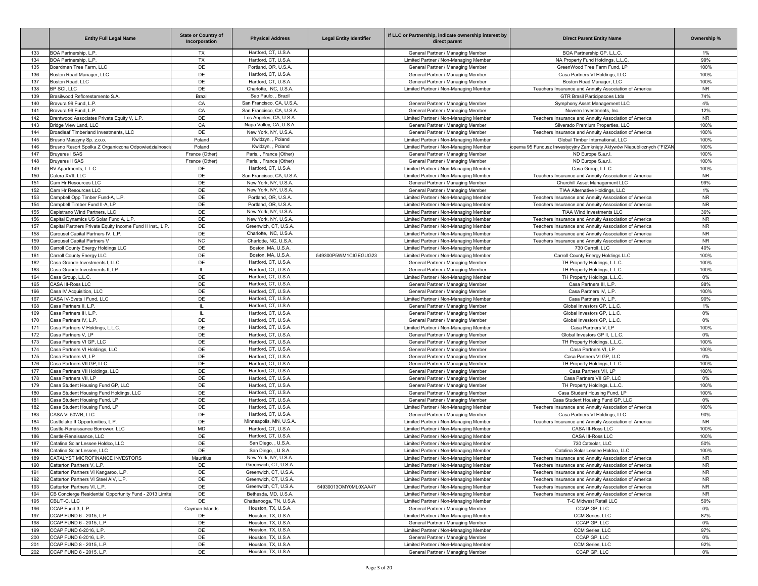|            | <b>Entity Full Legal Name</b>                                 | <b>State or Country of</b><br>Incorporation | <b>Physical Address</b>                         | <b>Legal Entity Identifier</b> | If LLC or Partnership, indicate ownership interest by<br>direct parent         | <b>Direct Parent Entity Name</b>                                                                               | Ownership %     |
|------------|---------------------------------------------------------------|---------------------------------------------|-------------------------------------------------|--------------------------------|--------------------------------------------------------------------------------|----------------------------------------------------------------------------------------------------------------|-----------------|
| 133        | BOA Partnership, L.P.                                         | TX                                          | Hartford, CT, U.S.A.                            |                                | General Partner / Managing Member                                              | BOA Partnership GP, L.L.C.                                                                                     | 1%              |
| 134        | BOA Partnership, L.P.                                         | <b>TX</b>                                   | Hartford, CT, U.S.A.                            |                                | Limited Partner / Non-Managing Member                                          | NA Property Fund Holdings, L.L.C.                                                                              | 99%             |
| 135        | Boardman Tree Farm, LLC                                       | DE                                          | Portland, OR, U.S.A                             |                                | General Partner / Managing Member                                              | GreenWood Tree Farm Fund, LP                                                                                   | 100%            |
| 136        | Boston Road Manager, LLC<br>Boston Road, LLC                  | DE<br>DE                                    | Hartford, CT, U.S.A.<br>Hartford, CT, U.S.A.    |                                | General Partner / Managing Member<br>General Partner / Managing Member         | Casa Partners VI Holdings, LLC                                                                                 | 100%<br>100%    |
| 137<br>138 | BP SCL LLC                                                    | DE                                          | Charlotte, NC, U.S.A.                           |                                | Limited Partner / Non-Managing Member                                          | Boston Road Manager, LLC<br>Teachers Insurance and Annuity Association of America                              | <b>NR</b>       |
| 139        | Brasilwood Reflorestamento S.A.                               | Brazil                                      | Sao Paulo, , Brazil                             |                                |                                                                                | GTR Brasil Participacoes Ltda                                                                                  | 74%             |
| 140        | Bravura 99 Fund, L.P.                                         | CA                                          | San Francisco, CA, U.S.A.                       |                                | General Partner / Managing Member                                              | Symphony Asset Management LLC                                                                                  | 4%              |
| 141        | Bravura 99 Fund, L.P.                                         | CA                                          | San Francisco, CA, U.S.A.                       |                                | General Partner / Managing Member                                              | Nuveen Investments, Inc.                                                                                       | 12%             |
| 142        | Brentwood Associates Private Equity V, L.P.                   | DE                                          | Los Angeles, CA, U.S.A.                         |                                | Limited Partner / Non-Managing Member                                          | Teachers Insurance and Annuity Association of America                                                          | <b>NR</b>       |
| 143        | Bridge View Land, LLC                                         | CA                                          | Napa Valley, CA, U.S.A.                         |                                | General Partner / Managing Member                                              | Silverado Premium Properties, LLC                                                                              | 100%            |
| 144        | Broadleaf Timberland Investments, LLC                         | DE                                          | New York, NY, U.S.A.                            |                                | General Partner / Managing Member                                              | Teachers Insurance and Annuity Association of America                                                          | 100%            |
| 145        | Brusno Maszyny Sp. z.o.o.                                     | Poland                                      | Kwidzyn. . Poland                               |                                | Limited Partner / Non-Managing Member                                          | Global Timber International, LLC                                                                               | 100%            |
| 146        | Brusno Resort Spolka Z Organiczona Odpowiedzialnoscia         | Poland                                      | Kwidzyn, , Poland                               |                                | Limited Partner / Non-Managing Member                                          | opema 95 Fundusz Inwestycyjny Zamknięty Aktywów Niepublicznych ("FIZAN                                         | 100%            |
| 147        | <b>Bruyeres I SAS</b>                                         | France (Other)                              | Paris, , France (Other)                         |                                | General Partner / Managing Member                                              | ND Europe S.a.r.l                                                                                              | 100%            |
| 148<br>149 | <b>Bruyeres II SAS</b>                                        | France (Other)                              | Paris, , France (Other)<br>Hartford, CT, U.S.A. |                                | General Partner / Managing Member                                              | ND Europe S.a.r.l.                                                                                             | 100%<br>100%    |
| 150        | BV Apartments, L.L.C.<br>Calera XVII. LLC                     | DE<br>DE                                    | San Francisco, CA, U.S.A                        |                                | Limited Partner / Non-Managing Member<br>Limited Partner / Non-Managing Member | Casa Group, L.L.C.<br>Teachers Insurance and Annuity Association of America                                    | <b>NR</b>       |
| 151        | Cam Hr Resources LLC                                          | DE                                          | New York, NY, U.S.A                             |                                | General Partner / Managing Member                                              | Churchill Asset Management LLC                                                                                 | 99%             |
| 152        | Cam Hr Resources LLC                                          | DE                                          | New York, NY, U.S.A.                            |                                | General Partner / Managing Member                                              | TIAA Alternative Holdings, LLC                                                                                 | 1%              |
| 153        | Campbell Opp Timber Fund-A, L.P.                              | DE                                          | Portland, OR, U.S.A                             |                                | Limited Partner / Non-Managing Member                                          | Teachers Insurance and Annuity Association of America                                                          | <b>NR</b>       |
| 154        | Campbell Timber Fund II-A, LP                                 | DE                                          | Portland, OR, U.S.A                             |                                | Limited Partner / Non-Managing Member                                          | Teachers Insurance and Annuity Association of America                                                          | <b>NR</b>       |
| 155        | Capistrano Wind Partners, LLC                                 | DE                                          | New York, NY, U.S.A                             |                                | Limited Partner / Non-Managing Member                                          | TIAA Wind Investments LLC                                                                                      | 36%             |
| 156        | Capital Dynamics US Solar Fund A, L.P.                        | DE                                          | New York, NY, U.S.A.                            |                                | Limited Partner / Non-Managing Member                                          | Teachers Insurance and Annuity Association of America                                                          | <b>NR</b>       |
| 157        | Capital Partners Private Equity Income Fund II Inst., L.P.    | DE                                          | Greenwich, CT, U.S.A.                           |                                | Limited Partner / Non-Managing Member                                          | Teachers Insurance and Annuity Association of America                                                          | <b>NR</b>       |
| 158        | Carousel Capital Partners IV, L.P.                            | DE                                          | Charlotte, NC, U.S.A.                           |                                | Limited Partner / Non-Managing Member                                          | Teachers Insurance and Annuity Association of America                                                          | <b>NR</b>       |
| 159        | Carousel Capital Partners V                                   | <b>NC</b>                                   | Charlotte, NC, U.S.A                            |                                | Limited Partner / Non-Managing Member                                          | Teachers Insurance and Annuity Association of America                                                          | <b>NR</b>       |
| 160        | Carroll County Energy Holdings LLC                            | DE                                          | Boston, MA, U.S.A.                              |                                | Limited Partner / Non-Managing Member                                          | 730 Carroll, LLC                                                                                               | 40%             |
| 161        | Carroll County Energy LLC                                     | DE                                          | Boston, MA, U.S.A.                              | 549300P5WM1CIGEGUG23           | Limited Partner / Non-Managing Member                                          | Carroll County Energy Holdings LLC                                                                             | 100%            |
| 162        | Casa Grande Investments I. LLC                                | DE                                          | Hartford, CT, U.S.A.<br>Hartford, CT, U.S.A.    |                                | General Partner / Managing Member                                              | TH Property Holdings, L.L.C.                                                                                   | 100%<br>100%    |
| 163<br>164 | Casa Grande Investments II, LP<br>Casa Group, L.L.C.          | IL.<br>DE                                   | Hartford, CT, U.S.A.                            |                                | General Partner / Managing Member<br>Limited Partner / Non-Managing Member     | TH Property Holdings, L.L.C.<br>TH Property Holdings, L.L.C.                                                   | 0%              |
| 165        | CASA III-Ross LLC                                             | DE                                          | Hartford, CT, U.S.A.                            |                                | General Partner / Managing Member                                              | Casa Partners III, L.P.                                                                                        | 98%             |
| 166        | Casa IV Acquisition, LLC                                      | DE                                          | Hartford, CT, U.S.A.                            |                                | General Partner / Managing Member                                              | Casa Partners IV, L.P                                                                                          | 100%            |
| 167        | CASA IV-Fyets I Fund, LLC                                     | DE                                          | Hartford, CT, U.S.A.                            |                                | Limited Partner / Non-Managing Member                                          | Casa Partners IV, L.P                                                                                          | 90%             |
| 168        | Casa Partners II, L.P.                                        | IL.                                         | Hartford, CT, U.S.A.                            |                                | General Partner / Managing Member                                              | Global Investors GP, L.L.C.                                                                                    | 1%              |
| 169        | Casa Partners III, L.P.                                       | IL.                                         | Hartford, CT, U.S.A.                            |                                | General Partner / Managing Member                                              | Global Investors GP, L.L.C.                                                                                    | 0%              |
| 170        | Casa Partners IV, L.P.                                        | DE                                          | Hartford, CT, U.S.A.                            |                                | General Partner / Managing Member                                              | Global Investors GP, L.L.C.                                                                                    | 0%              |
| 171        | Casa Partners V Holdings, L.L.C.                              | DE                                          | Hartford, CT, U.S.A.                            |                                | Limited Partner / Non-Managing Member                                          | Casa Partners V. LP                                                                                            | 100%            |
| 172        | Casa Partners V. LP                                           | DE                                          | Hartford, CT, U.S.A.                            |                                | General Partner / Managing Member                                              | Global Investors GP II, L.L.C                                                                                  | 0%              |
| 173        | Casa Partners VI GP, LLC                                      | DE                                          | Hartford, CT, U.S.A.                            |                                | General Partner / Managing Member                                              | TH Property Holdings, L.L.C.                                                                                   | 100%            |
| 174        | Casa Partners VI Holdings, LLC                                | DE                                          | Hartford, CT, U.S.A.                            |                                | General Partner / Managing Member                                              | Casa Partners VI, LP                                                                                           | 100%            |
| 175        | Casa Partners VI, LP                                          | DE                                          | Hartford, CT, U.S.A.                            |                                | General Partner / Managing Member                                              | Casa Partners VI GP, LLC                                                                                       | 0%              |
| 176<br>177 | Casa Partners VII GP, LLC<br>Casa Partners VII Holdings, LLC  | DE<br>DE                                    | Hartford, CT, U.S.A.<br>Hartford, CT, U.S.A.    |                                | General Partner / Managing Member<br>General Partner / Managing Member         | TH Property Holdings, L.L.C.<br>Casa Partners VII, LP                                                          | 100%<br>100%    |
| 178        | Casa Partners VII, LP                                         | DE                                          | Hartford, CT, U.S.A.                            |                                | General Partner / Managing Member                                              | Casa Partners VII GP, LLC                                                                                      | 0%              |
| 179        | Casa Student Housing Fund GP, LLC                             | DE                                          | Hartford, CT, U.S.A.                            |                                | General Partner / Managing Member                                              | TH Property Holdings, L.L.C.                                                                                   | 100%            |
| 180        | Casa Student Housing Fund Holdings, LLC                       | DE                                          | Hartford, CT, U.S.A.                            |                                | General Partner / Managing Member                                              | Casa Student Housing Fund, LP                                                                                  | 100%            |
| 181        | Casa Student Housing Fund, LP                                 | DE                                          | Hartford, CT, U.S.A.                            |                                | General Partner / Managing Member                                              | Casa Student Housing Fund GP, LLC                                                                              | 0%              |
| 182        | Casa Student Housing Fund, LP                                 | DE                                          | Hartford, CT, U.S.A.                            |                                | Limited Partner / Non-Managing Member                                          | Teachers Insurance and Annuity Association of America                                                          | 100%            |
| 183        | CASA VI 50WB, LLC                                             | DE                                          | Hartford, CT, U.S.A.                            |                                | General Partner / Managing Member                                              | Casa Partners VI Holdings, LLC                                                                                 | 90%             |
| 184        | Castlelake II Opportunities, L.P.                             | DE                                          | Minneapolis, MN, U.S.A.                         |                                | Limited Partner / Non-Managing Member                                          | Teachers Insurance and Annuity Association of America                                                          | <b>NR</b>       |
| 185        | Castle-Renaissance Borrower, LLC                              | <b>MD</b>                                   | Hartford, CT, U.S.A.                            |                                | Limited Partner / Non-Managing Member                                          | CASA III-Ross LLC                                                                                              | 100%            |
| 186        | Castle-Renaissance, LLC                                       | DE                                          | Hartford, CT, U.S.A.                            |                                | Limited Partner / Non-Managing Member                                          | CASA III-Ross LLC                                                                                              | 100%            |
| 187        | Catalina Solar Lessee Holdco, LLC                             | DE                                          | San Diego, , U.S.A.                             |                                | Limited Partner / Non-Managing Member                                          | 730 Catsolar, LLC                                                                                              | 50%             |
| 188        | Catalina Solar Lessee, LLC                                    | DE                                          | San Diego, , U.S.A.                             |                                | Limited Partner / Non-Managing Member                                          | Catalina Solar Lessee Holdco, LLC                                                                              | 100%            |
| 189<br>190 | CATALYST MICROFINANCE INVESTORS<br>Catterton Partners V, L.P. | Mauritius                                   | New York, NY, U.S.A.                            |                                | Limited Partner / Non-Managing Member<br>Limited Partner / Non-Managing Member | Teachers Insurance and Annuity Association of America<br>Teachers Insurance and Annuity Association of America | NR<br><b>NR</b> |
| 191        | Catterton Partners VI Kangaroo, L.P.                          | DE<br>DE                                    | Greenwich, CT, U.S.A.<br>Greenwich, CT, U.S.A.  |                                | Limited Partner / Non-Managing Member                                          | Teachers Insurance and Annuity Association of America                                                          | <b>NR</b>       |
| 192        | Catterton Partners VI Steel AIV, L.P.                         | DE                                          | Greenwich, CT, U.S.A.                           |                                | Limited Partner / Non-Managing Member                                          | Teachers Insurance and Annuity Association of America                                                          | <b>NR</b>       |
| 193        | Catterton Partners VI. L.P.                                   | DE                                          | Greenwich, CT, U.S.A.                           | 54930013OMY0ML0XAA47           | Limited Partner / Non-Managing Member                                          | Teachers Insurance and Annuity Association of America                                                          | <b>NR</b>       |
| 194        | CB Concierge Residential Opportunity Fund - 2013 Limite       | DE                                          | Bethesda, MD, U.S.A.                            |                                | Limited Partner / Non-Managing Member                                          | Teachers Insurance and Annuity Association of America                                                          | <b>NR</b>       |
| 195        | CBL/T-C, LLC                                                  | DE                                          | Chattanooga, TN, U.S.A.                         |                                | Limited Partner / Non-Managing Member                                          | T-C Midwest Retail LLC                                                                                         | 50%             |
| 196        | CCAP Fund 3, L.P.                                             | Cayman Islands                              | Houston, TX, U.S.A.                             |                                | General Partner / Managing Member                                              | CCAP GP, LLC                                                                                                   | 0%              |
| 197        | CCAP FUND 6 - 2015, L.P.                                      | DE                                          | Houston, TX, U.S.A.                             |                                | Limited Partner / Non-Managing Member                                          | CCM Series, LLC                                                                                                | 87%             |
| 198        | CCAP FUND 6 - 2015, L.P.                                      | DE                                          | Houston, TX, U.S.A.                             |                                | General Partner / Managing Member                                              | CCAP GP, LLC                                                                                                   | $0\%$           |
| 199        | CCAP FUND 6-2016, L.P.                                        | DE                                          | Houston, TX, U.S.A.                             |                                | Limited Partner / Non-Managing Member                                          | CCM Series, LLC                                                                                                | 97%             |
| 200        | CCAP FUND 6-2016, L.P.                                        | DE                                          | Houston, TX, U.S.A.                             |                                | General Partner / Managing Member                                              | CCAP GP, LLC                                                                                                   | 0%              |
| 201        | CCAP FUND 8 - 2015, L.P.                                      | DE                                          | Houston, TX, U.S.A.                             |                                | Limited Partner / Non-Managing Member                                          | CCM Series, LLC                                                                                                | 92%             |
| 202        | CCAP FUND 8 - 2015, L.P.                                      | DE                                          | Houston, TX, U.S.A.                             |                                | General Partner / Managing Member                                              | CCAP GP, LLC                                                                                                   | $0\%$           |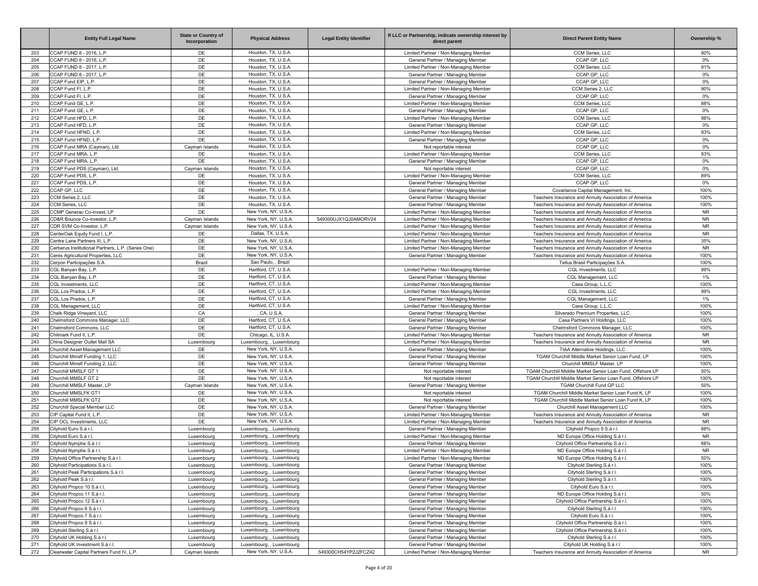|     | <b>Entity Full Legal Name</b>                      | <b>State or Country of</b><br>Incorporation | <b>Physical Address</b>  | <b>Legal Entity Identifier</b> | If LLC or Partnership, indicate ownership interest by<br>direct parent | <b>Direct Parent Entity Name</b>                           | Ownership % |
|-----|----------------------------------------------------|---------------------------------------------|--------------------------|--------------------------------|------------------------------------------------------------------------|------------------------------------------------------------|-------------|
| 203 | CCAP FUND 8 - 2016, L.P                            | DE                                          | Houston, TX, U.S.A.      |                                | Limited Partner / Non-Managing Member                                  | CCM Series, LLC                                            | 90%         |
| 204 | CCAP FUND 8 - 2016, L.P.                           | DE                                          | Houston, TX, U.S.A.      |                                | General Partner / Managing Member                                      | CCAP GP, LLC                                               | 0%          |
| 205 | CCAP FUND 8 - 2017, L.P                            | DE                                          | Houston, TX, U.S.A.      |                                | Limited Partner / Non-Managing Member                                  | CCM Series, LLC                                            | 91%         |
| 206 | CCAP FUND 8 - 2017, L.P.                           | DE                                          | Houston, TX, U.S.A.      |                                | General Partner / Managing Member                                      | CCAP GP. LLC                                               | 0%          |
| 207 | CCAP Fund EIP, L.P.                                | DE                                          | Houston, TX, U.S.A.      |                                | General Partner / Managing Member                                      | CCAP GP. LLC                                               | 0%          |
| 208 | CCAP Fund FI, L.P.                                 | DE                                          | Houston, TX, U.S.A.      |                                | Limited Partner / Non-Managing Member                                  | CCM Series 2, LLC                                          | 90%         |
| 209 | CCAP Fund FI, L.P.                                 | DE                                          | Houston, TX, U.S.A.      |                                | General Partner / Managing Member                                      | CCAP GP, LLC                                               | 0%          |
| 210 | CCAP Fund GE, L.P.                                 | DE                                          | Houston, TX, U.S.A.      |                                | Limited Partner / Non-Managing Member                                  | CCM Series, LLC                                            | 88%         |
| 211 | CCAP Fund GE, L.P.                                 | DE                                          | Houston, TX, U.S.A.      |                                | General Partner / Managing Member                                      | CCAP GP, LLC                                               | 0%          |
| 212 | CCAP Fund HFD, L.P                                 | DE                                          | Houston, TX, U.S.A.      |                                | Limited Partner / Non-Managing Member                                  | CCM Series, LLC                                            | 98%         |
| 213 | CCAP Fund HFD, L.P                                 | DE                                          | Houston, TX, U.S.A.      |                                | General Partner / Managing Member                                      | CCAP GP, LLC                                               | 0%          |
| 214 | CCAP Fund HFND, L.P.                               | DE                                          | Houston, TX, U.S.A.      |                                | Limited Partner / Non-Managing Member                                  | CCM Series, LLC                                            | 93%         |
| 215 | CCAP Fund HFND, L.P.                               | DE                                          | Houston, TX, U.S.A.      |                                | General Partner / Managing Member                                      | CCAP GP, LLC                                               | 0%          |
| 216 | CCAP Fund MRA (Cayman), Ltd.                       | Cayman Islands                              | Houston, TX, U.S.A.      |                                | Not reportable interest                                                | CCAP GP, LLC                                               | 0%          |
| 217 | CCAP Fund MRA, L.P                                 | DE                                          | Houston, TX, U.S.A.      |                                | Limited Partner / Non-Managing Member                                  | CCM Series, LLC                                            | 93%         |
| 218 | CCAP Fund MRA, L.P.                                | DE                                          | Houston, TX, U.S.A.      |                                | General Partner / Managing Member                                      | CCAP GP. LLC                                               | $0\%$       |
| 219 | CCAP Fund PDS (Cayman), Ltd.                       | Cayman Islands                              | Houston, TX, U.S.A.      |                                | Not reportable interest                                                | CCAP GP, LLC                                               | 0%          |
| 220 | CCAP Fund PDS, L.P.                                | DE                                          | Houston, TX, U.S.A.      |                                | Limited Partner / Non-Managing Member                                  | CCM Series, LLC                                            | 89%         |
| 221 | CCAP Fund PDS, L.P.                                | DE                                          | Houston, TX, U.S.A.      |                                | General Partner / Managing Member                                      | CCAP GP, LLC                                               | 0%          |
| 222 | CCAP GP, LLC                                       | DE                                          | Houston, TX, U.S.A.      |                                | General Partner / Managing Member                                      | Covariance Capital Management, Inc.                        | 100%        |
| 223 | CCM Series 2, LLC                                  | DE                                          | Houston, TX, U.S.A.      |                                | General Partner / Managing Member                                      | Teachers Insurance and Annuity Association of America      | 100%        |
| 224 | CCM Series, LLC                                    | DE                                          | Houston, TX, U.S.A.      |                                | General Partner / Managing Member                                      | Teachers Insurance and Annuity Association of America      | 100%        |
| 225 | CCMP Generac Co-invest, LP                         | DE                                          | New York, NY, U.S.A      |                                | Limited Partner / Non-Managing Member                                  | Teachers Insurance and Annuity Association of America      | <b>NR</b>   |
| 226 | CD&R Bounce Co-investor, L.P.                      | Cayman Islands                              | New York, NY, U.S.A      | 549300UJX1QJ0AMORV24           | Limited Partner / Non-Managing Member                                  | Teachers Insurance and Annuity Association of America      | <b>NR</b>   |
| 227 | CDR SVM Co-Investor, L.P.                          | Cayman Islands                              | New York, NY, U.S.A      |                                | Limited Partner / Non-Managing Member                                  | Teachers Insurance and Annuity Association of America      | <b>NR</b>   |
| 228 | CenterOak Equity Fund I, L.P.                      | DE                                          | Dallas, TX, U.S.A.       |                                | Limited Partner / Non-Managing Member                                  | Teachers Insurance and Annuity Association of America      | <b>NR</b>   |
| 229 | Centre Lane Partners III, L.P.                     | DE                                          | New York, NY, U.S.A      |                                | Limited Partner / Non-Managing Member                                  | Teachers Insurance and Annuity Association of America      | 35%         |
| 230 | Cerberus Institutional Partners, L.P. (Series One) | DE                                          | New York, NY, U.S.A      |                                | Limited Partner / Non-Managing Member                                  | Teachers Insurance and Annuity Association of America      | <b>NR</b>   |
| 231 | Ceres Agricultural Properties, LLC                 | DE                                          | New York, NY, U.S.A      |                                | General Partner / Managing Member                                      | Teachers Insurance and Annuity Association of America      | 100%        |
| 232 | Cerpon Participações S.A                           | Brazil                                      | Sao Paulo, , Brazil      |                                |                                                                        | Tellus Brasil Participações S.A                            | 100%        |
| 233 | CGL Banyan Bay, L.P.                               | DE                                          | Hartford, CT, U.S.A.     |                                | Limited Partner / Non-Managing Member                                  | CGL Investments, LLC                                       | 99%         |
| 234 | CGL Banyan Bay, L.P.                               | DE                                          | Hartford, CT, U.S.A.     |                                | General Partner / Managing Member                                      | CGL Management, LLC                                        | 1%          |
| 235 | CGL Investments, LLC                               | DE                                          | Hartford, CT, U.S.A.     |                                | Limited Partner / Non-Managing Member                                  | Casa Group, L.L.C.                                         | 100%        |
| 236 | CGL Los Prados, L.P.                               | DE                                          | Hartford, CT, U.S.A.     |                                | Limited Partner / Non-Managing Member                                  | CGL Investments, LLC                                       | 99%         |
| 237 | CGL Los Prados, L.P.                               | DE                                          | Hartford, CT, U.S.A.     |                                | General Partner / Managing Member                                      | CGL Management, LLC                                        | 1%          |
| 238 | CGL Management, LLC                                | DE                                          | Hartford, CT, U.S.A.     |                                | Limited Partner / Non-Managing Member                                  | Casa Group, L.L.C.                                         | 100%        |
| 239 | Chalk Ridge Vineyard, LLC                          | CA                                          | CA, U.S.A.               |                                | General Partner / Managing Member                                      | Silverado Premium Properties, LLC                          | 100%        |
| 240 | Chelmsford Commons Manager, LLC                    | DE                                          | Hartford, CT, U.S.A.     |                                | General Partner / Managing Member                                      | Casa Partners VI Holdings, LLC                             | 100%        |
| 241 | Chelmsford Commons, LLC                            | DE                                          | Hartford, CT, U.S.A.     |                                | General Partner / Managing Member                                      | Chelmsford Commons Manager, LLC                            | 100%        |
| 242 | Chilmark Fund II, L.P.                             | DE                                          | Chicago, IL, U.S.A.      |                                | Limited Partner / Non-Managing Member                                  | Teachers Insurance and Annuity Association of America      | <b>NR</b>   |
| 243 | China Designer Outlet Mall SA                      | Luxembourg                                  | Luxembourg, , Luxembourg |                                | Limited Partner / Non-Managing Member                                  | Teachers Insurance and Annuity Association of America      | <b>NR</b>   |
| 244 | Churchill Asset Management LLC                     | DE                                          | New York, NY, U.S.A      |                                | General Partner / Managing Member                                      | TIAA Alternative Holdings, LLC                             | 100%        |
| 245 | Churchill Mmslf Funding 1, LLC                     | DE                                          | New York, NY, U.S.A.     |                                | General Partner / Managing Member                                      | TGAM Churchill Middle Market Senior Loan Fund, LP          | 100%        |
| 246 | Churchill Mmslf Funding 2, LLC                     | DE                                          | New York, NY, U.S.A      |                                | General Partner / Managing Member                                      | Churchill MMSLF Master, LP                                 | 100%        |
| 247 | Churchill MMSLF GT 1                               | DE                                          | New York, NY, U.S.A      |                                | Not reportable interest                                                | TGAM Churchill Middle Market Senior Loan Fund, Offshore LP | 50%         |
| 248 | Churchill MMSLF GT 2                               | DE                                          | New York, NY, U.S.A      |                                | Not reportable interest                                                | TGAM Churchill Middle Market Senior Loan Fund, Offshore LP | 100%        |
| 249 | Churchill MMSLF Master, LP                         | Cayman Islands                              | New York, NY, U.S.A      |                                | General Partner / Managing Member                                      | TGAM Churchill Fund GP LLC                                 | 50%         |
| 250 | Churchill MMSLFK GT1                               | DE                                          | New York, NY, U.S.A      |                                | Not reportable interest                                                | TGAM Churchill Middle Market Senior Loan Fund K, LP        | 100%        |
| 251 | Churchill MMSLFK GT2                               | DE                                          | New York, NY, U.S.A      |                                | Not reportable interest                                                | TGAM Churchill Middle Market Senior Loan Fund K, LP        | 100%        |
| 252 | Churchill Special Member LLC                       | DE                                          | New York, NY, U.S.A      |                                | General Partner / Managing Member                                      | Churchill Asset Management LLC                             | 100%        |
| 253 | CIP Capital Fund II, L.P.                          | DE                                          | New York, NY, U.S.A.     |                                | Limited Partner / Non-Managing Member                                  | Teachers Insurance and Annuity Association of America      | <b>NR</b>   |
| 254 | CIP OCL Investments, LLC                           | DE                                          | New York, NY, U.S.A.     |                                | Limited Partner / Non-Managing Member                                  | Teachers Insurance and Annuity Association of America      | <b>NR</b>   |
| 255 | Cityhold Euro S.à r.l.                             | Luxembourg                                  | Luxembourg, , Luxembourg |                                | General Partner / Managing Member                                      | Cityhold Propco 9 S.à r.l                                  | 88%         |
| 256 | Cityhold Euro S.à r.l.                             | Luxembourg                                  | Luxembourg, , Luxembourg |                                | Limited Partner / Non-Managing Member                                  | ND Europe Office Holding S.à r.l.                          | <b>NR</b>   |
| 257 | Cityhold Nymphe S.à r.l.                           | Luxembourg                                  | Luxembourg, , Luxembourg |                                | General Partner / Managing Member                                      | Cityhold Office Partnership S.à r.l                        | 88%         |
| 258 | Cityhold Nymphe S.à r.l.                           | Luxembourg                                  | Luxembourg, , Luxembourg |                                | Limited Partner / Non-Managing Member                                  | ND Europe Office Holding S.à r.l.                          | <b>NR</b>   |
| 259 | Cityhold Office Partnership S.à r.l.               | Luxembourg                                  | Luxembourg, , Luxembourg |                                | Limited Partner / Non-Managing Member                                  | ND Europe Office Holding S.à r.l                           | 50%         |
| 260 | Cityhold Participations S.à r.l.                   | Luxembourg                                  | Luxembourg, , Luxembourg |                                | General Partner / Managing Member                                      | Cityhold Sterling S.à r.l.                                 | 100%        |
| 261 | Cityhold Peak Participations S.à r.l.              | Luxembourg                                  | Luxembourg, , Luxembourg |                                | General Partner / Managing Member                                      | Cityhold Sterling S.à r.l.                                 | 100%        |
| 262 | Cityhold Peak S.à r.l.                             | Luxembourg                                  | Luxembourg, , Luxembourg |                                | General Partner / Managing Member                                      | Cityhold Sterling S.à r.l.                                 | 100%        |
| 263 | Cityhold Propco 10 S.à r.l.                        | Luxembourg                                  | Luxembourg, , Luxembourg |                                | General Partner / Managing Member                                      | Cityhold Euro S.à r.l.                                     | 100%        |
| 264 | Cityhold Propco 11 S.à r.l.                        | Luxembourg                                  | Luxembourg, , Luxembourg |                                | General Partner / Managing Member                                      | ND Europe Office Holding S.à r.l.                          | 50%         |
| 265 | Cityhold Propco 12 S.à r.l.                        | Luxembourg                                  | Luxembourg, , Luxembourg |                                | General Partner / Managing Member                                      | Cityhold Office Partnership S.à r.l.                       | 100%        |
| 266 | Cityhold Propco 6 S.à r.l.                         | Luxembourg                                  | Luxembourg, , Luxembourg |                                | General Partner / Managing Member                                      | Cityhold Sterling S.à r.l.                                 | 100%        |
| 267 | Cityhold Propco 7 S.à r.l.                         | Luxembourg                                  | Luxembourg, , Luxembourg |                                | General Partner / Managing Member                                      | Cityhold Euro S.à r.l.                                     | 100%        |
| 268 | Cityhold Propco 9 S.à r.l.                         | Luxembourg                                  | Luxembourg, , Luxembourg |                                | General Partner / Managing Member                                      | Cityhold Office Partnership S.à r.l.                       | 100%        |
| 269 | Cityhold Sterling S.à r.l.                         | Luxembourg                                  | Luxembourg, , Luxembourg |                                | General Partner / Managing Member                                      | Cityhold Office Partnership S.à r.l.                       | 100%        |
| 270 | Cityhold UK Holding S.à r.l.                       | Luxembourg                                  | Luxembourg, , Luxembourg |                                | General Partner / Managing Member                                      | Cityhold Sterling S.à r.l.                                 | 100%        |
| 271 | Cityhold UK Investment S.à r.l.                    | Luxembourg                                  | Luxembourg, , Luxembourg |                                | General Partner / Managing Member                                      | Cityhold UK Holding S.à r.l.                               | 100%        |
| 272 | Clearwater Capital Partners Fund IV, L.P.          | Cayman Islands                              | New York, NY, U.S.A.     | 549300CH54YP2J2FCZ42           | Limited Partner / Non-Managing Member                                  | Teachers Insurance and Annuity Association of America      | <b>NR</b>   |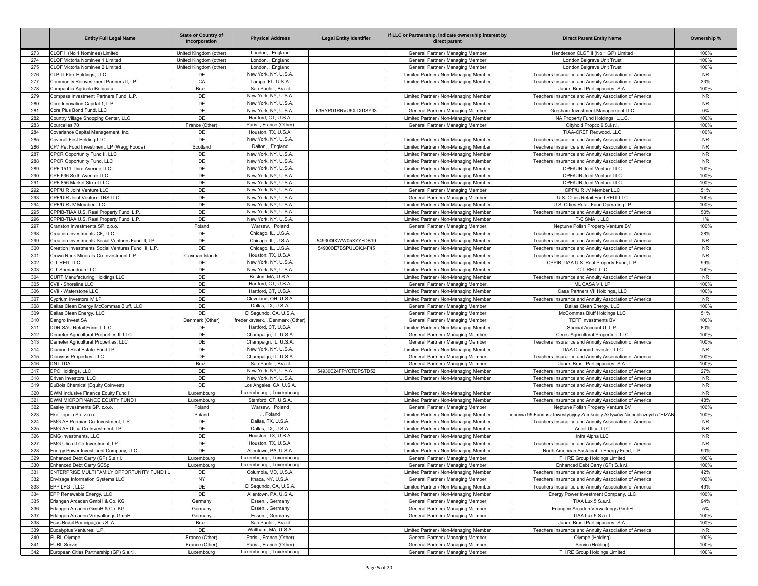|     | <b>Entity Full Legal Name</b>                       | <b>State or Country of</b><br>Incorporation | <b>Physical Address</b>          | <b>Legal Entity Identifier</b> | If LLC or Partnership, indicate ownership interest by<br>direct parent | <b>Direct Parent Entity Name</b>                                       | Ownership % |
|-----|-----------------------------------------------------|---------------------------------------------|----------------------------------|--------------------------------|------------------------------------------------------------------------|------------------------------------------------------------------------|-------------|
| 273 | CLOF II (No 1 Nominee) Limited                      | United Kingdom (other)                      | London, , England                |                                | General Partner / Managing Member                                      | Henderson CLOF II (No 1 GP) Limited                                    | 100%        |
| 274 | CLOF Victoria Nominee 1 Limited                     | United Kingdom (other)                      | London, , England                |                                | General Partner / Managing Member                                      | London Belgrave Unit Trust                                             | 100%        |
| 275 | CLOF Victoria Nominee 2 Limited                     | United Kingdom (other)                      | London, , England                |                                | General Partner / Managing Member                                      | London Belgrave Unit Trust                                             | 100%        |
| 276 | CLP LLFlex Holdings, LLC                            | DE                                          | New York, NY, U.S.A              |                                | Limited Partner / Non-Managing Member                                  | Teachers Insurance and Annuity Association of America                  | <b>NR</b>   |
| 277 | Community Reinvestment Partners II, LP              | CA                                          | Tampa, FL, U.S.A.                |                                | Limited Partner / Non-Managing Member                                  | Teachers Insurance and Annuity Association of America                  | 33%         |
| 278 | Companhia Agrícola Botucatu                         | Brazil                                      | Sao Paulo, , Brazil              |                                |                                                                        | Janus Brasil Participacoes, S.A.                                       | 100%        |
| 279 | Compass Investment Partners Fund, L.P.              | DE                                          | New York, NY, U.S.A              |                                | Limited Partner / Non-Managing Member                                  | Teachers Insurance and Annuity Association of America                  | <b>NR</b>   |
| 280 | Core Innovation Capital 1, L.P.                     | DE                                          | New York, NY, U.S.A.             |                                | Limited Partner / Non-Managing Member                                  | Teachers Insurance and Annuity Association of America                  | <b>NR</b>   |
| 281 | Core Plus Bond Fund, LLC                            | DE                                          | New York, NY, U.S.A              | 63RYP01RRVU5XTXDSY33           | General Partner / Managing Member                                      | Gresham Investment Management LLC                                      | 0%          |
| 282 | Country Village Shopping Center, LLC                | DE                                          | Hartford, CT, U.S.A.             |                                | Limited Partner / Non-Managing Member                                  | NA Property Fund Holdings, L.L.C.                                      | 100%        |
| 283 | Courcelles 70                                       | France (Other)                              | Paris, , France (Other)          |                                | General Partner / Managing Member                                      | Cityhold Propco 9 S.à r.l.                                             | 100%        |
| 284 | Covariance Capital Management, Inc.                 | DE                                          | Houston, TX, U.S.A.              |                                |                                                                        | TIAA-CREF Redwood, LLC                                                 | 100%        |
| 285 | Coverall First Holding LLC                          | DE                                          | New York, NY, U.S.A              |                                | Limited Partner / Non-Managing Member                                  | Teachers Insurance and Annuity Association of America                  | <b>NR</b>   |
| 286 | CP7 Pet Food Investment, LP (Wagg Foods)            | Scotland                                    | Dalton, , England                |                                | Limited Partner / Non-Managing Member                                  | Teachers Insurance and Annuity Association of America                  | <b>NR</b>   |
| 287 | CPCR Opportunity Fund II. LLC                       | DE                                          | New York, NY, U.S.A              |                                | Limited Partner / Non-Managing Member                                  | Teachers Insurance and Annuity Association of America                  | <b>NR</b>   |
| 288 | CPCR Opportunity Fund, LLC                          | DE                                          | New York, NY, U.S.A.             |                                | Limited Partner / Non-Managing Member                                  | Teachers Insurance and Annuity Association of America                  | <b>NR</b>   |
| 289 | CPF 1511 Third Avenue LLC                           | DE                                          | New York, NY, U.S.A              |                                | Limited Partner / Non-Managing Member                                  | CPF/UIR Joint Venture LLC                                              | 100%        |
| 290 | CPF 636 Sixth Avenue LLC                            | DE                                          | New York, NY, U.S.A.             |                                | Limited Partner / Non-Managing Member                                  | CPF/UIR Joint Venture LLC                                              | 100%        |
| 291 | CPF 856 Market Street LLC                           | DE                                          | New York, NY, U.S.A.             |                                | Limited Partner / Non-Managing Member                                  | CPF/UIR Joint Venture LLC                                              | 100%        |
| 292 | CPF/UIR Joint Venture LLC                           | DE                                          | New York, NY, U.S.A.             |                                | General Partner / Managing Member                                      | CPF/UIR JV Member LLC                                                  | 51%         |
| 293 | CPF/UIR Joint Venture TRS LLC                       | DE                                          | New York, NY, U.S.A.             |                                | General Partner / Managing Member                                      | U.S. Cities Retail Fund REIT LLC                                       | 100%        |
| 294 | CPF/UIR JV Member LLC                               | DE                                          | New York, NY, U.S.A              |                                | Limited Partner / Non-Managing Member                                  | U.S. Cities Retail Fund Operating LP                                   | 100%        |
| 295 | CPPIB-TIAA U.S. Real Property Fund, L.P.            | DE                                          | New York, NY, U.S.A              |                                | Limited Partner / Non-Managing Member                                  | Teachers Insurance and Annuity Association of America                  | 50%         |
| 296 | CPPIB-TIAA U.S. Real Property Fund, L.P.            | DE                                          | New York, NY, U.S.A.             |                                | Limited Partner / Non-Managing Member                                  | T-C SMA I, LLC                                                         | 1%          |
| 297 | Cranston Investments SP. z.o.o.                     | Poland                                      | Warsaw, , Poland                 |                                | General Partner / Managing Member                                      | Neptune Polish Property Venture BV                                     | 100%        |
| 298 | Creation Investments CF. LLC                        | DE                                          | Chicago, IL, U.S.A.              |                                | Limited Partner / Non-Managing Member                                  | Teachers Insurance and Annuity Association of America                  | 28%         |
| 299 | Creation Investments Social Ventures Fund II, LP    | DE                                          | Chicago, IL, U.S.A.              | 549300IXWW05XYYFDB19           | Limited Partner / Non-Managing Member                                  |                                                                        | <b>NR</b>   |
|     |                                                     |                                             | Chicago, IL, U.S.A.              | 549300F7BSPULOKJ4F45           |                                                                        | Teachers Insurance and Annuity Association of America                  | <b>NR</b>   |
| 300 | Creation Investments Social Ventures Fund III, L.P. | DE                                          |                                  |                                | Limited Partner / Non-Managing Member                                  | Teachers Insurance and Annuity Association of America                  |             |
| 301 | Crown Rock Minerals Co-Investment L.P.              | Cayman Islands                              | Houston, TX, U.S.A.              |                                | Limited Partner / Non-Managing Member                                  | Teachers Insurance and Annuity Association of America                  | <b>NR</b>   |
| 302 | C-T REIT LLC                                        | DE                                          | New York, NY, U.S.A.             |                                | Limited Partner / Non-Managing Member                                  | CPPIB-TIAA U.S. Real Property Fund, L.P.                               | 99%         |
| 303 | C-T Shenandoah LLC                                  | DE                                          | New York, NY, U.S.A.             |                                | Limited Partner / Non-Managing Member                                  | C-T REIT LLC                                                           | 100%        |
| 304 | <b>CURT Manufacturing Holdings LLC</b>              | DE                                          | Boston, MA, U.S.A.               |                                | Limited Partner / Non-Managing Member                                  | Teachers Insurance and Annuity Association of America                  | <b>NR</b>   |
| 305 | CVII - Shoreline LLC                                | DE                                          | Hartford, CT, U.S.A.             |                                | General Partner / Managing Member                                      | ML CASA VII. LP                                                        | 100%        |
| 306 | CVII - Waterstone LLC                               | DE                                          | Hartford, CT, U.S.A.             |                                | Limited Partner / Non-Managing Member                                  | Casa Partners VII Holdings, LLC                                        | 100%        |
| 307 | Cyprium Investors IV LP                             | DE                                          | Cleveland, OH, U.S.A.            |                                | Limited Partner / Non-Managing Member                                  | Teachers Insurance and Annuity Association of America                  | <b>NR</b>   |
| 308 | Dallas Clean Energy McCommas Bluff, LLC             | DE                                          | Dallas, TX, U.S.A.               |                                | General Partner / Managing Member                                      | Dallas Clean Energy, LLC                                               | 100%        |
| 309 | Dallas Clean Energy, LLC                            | DE                                          | El Segundo, CA, U.S.A.           |                                | General Partner / Managing Member                                      | McCommas Bluff Holdings LLC                                            | 51%         |
| 310 | Dangro Invest SA                                    | Denmark (Other)                             | frederiksværk, , Denmark (Other) |                                | General Partner / Managing Member                                      | <b>TEFF Investments BV</b>                                             | 100%        |
| 311 | DDR-SAU Retail Fund, L.L.C.                         | DE                                          | Hartford, CT, U.S.A.             |                                | Limited Partner / Non-Managing Member                                  | Special Account-U, L.P.                                                | 80%         |
| 312 | Demeter Agricultural Properties II, LLC             | DE                                          | Champaign, IL, U.S.A.            |                                | General Partner / Managing Member                                      | Ceres Agricultural Properties, LLC                                     | 100%        |
| 313 | Demeter Agricultural Properties, LLC                | DE                                          | Champaign, IL, U.S.A.            |                                | General Partner / Managing Member                                      | Teachers Insurance and Annuity Association of America                  | 100%        |
| 314 | Diamond Real Estate Fund LP                         | DE                                          | New York, NY, U.S.A              |                                | Limited Partner / Non-Managing Member                                  | TIAA Diamond Investor, LLC                                             | <b>NR</b>   |
| 315 | Dionysus Properties, LLC                            | DE                                          | Champaign, IL, U.S.A.            |                                | General Partner / Managing Member                                      | Teachers Insurance and Annuity Association of America                  | 100%        |
| 316 | <b>DN LTDA</b>                                      | Brazil                                      | Sao Paulo, , Brazil              |                                | General Partner / Managing Member                                      | Janus Brasil Participacoes, S.A                                        | 100%        |
| 317 | DPC Holdings, LLC                                   | DE                                          | New York, NY, U.S.A              | 54930024FPYCTDPSTD52           | Limited Partner / Non-Managing Member                                  | Teachers Insurance and Annuity Association of America                  | 27%         |
| 318 | Driven Investors, LLC                               | DE                                          | New York, NY, U.S.A.             |                                | Limited Partner / Non-Managing Member                                  | Teachers Insurance and Annuity Association of America                  | <b>NR</b>   |
| 319 | DuBois Chemical (Equity Colnvest)                   | DE                                          | Los Angeles, CA, U.S.A.          |                                |                                                                        | Teachers Insurance and Annuity Association of America                  | <b>NR</b>   |
| 320 | DWM Inclusive Finance Equity Fund II                | Luxembourg                                  | Luxembourg, , Luxembourg         |                                | Limited Partner / Non-Managing Member                                  | Teachers Insurance and Annuity Association of America                  | <b>NR</b>   |
| 321 | DWM MICROFINANCE EQUITY FUND I                      | Luxembourg                                  | Stanford, CT, U.S.A.             |                                | Limited Partner / Non-Managing Member                                  | Teachers Insurance and Annuity Association of America                  | 48%         |
| 322 | Easley Investments SP. z.o.o.                       | Poland                                      | Warsaw, , Poland                 |                                | General Partner / Managing Member                                      | Neptune Polish Property Venture BV                                     | 100%        |
| 323 | Eko Topola Sp. z o.o.                               | Poland                                      | , Poland                         |                                | Limited Partner / Non-Managing Member                                  | opema 95 Fundusz Inwestycyjny Zamknięty Aktywów Niepublicznych ("FIZAN | 100%        |
| 324 | EMG AE Permian Co-Investment, L.P.                  | DE                                          | Dallas, TX, U.S.A.               |                                | Limited Partner / Non-Managing Member                                  | Teachers Insurance and Annuity Association of America                  | <b>NR</b>   |
| 325 | FMG AF Utica Co-Investment, LP                      | DE                                          | Dallas, TX, U.S.A.               |                                | Limited Partner / Non-Managing Member                                  | Actoil Utica, LLC                                                      | <b>NR</b>   |
| 326 | <b>EMG Investments, LLC</b>                         | DE                                          | Houston, TX, U.S.A.              |                                | Limited Partner / Non-Managing Member                                  | Infra Alpha LLC                                                        | <b>NR</b>   |
| 327 | EMG Utica II Co-Investment, LP                      | DE                                          | Houston, TX, U.S.A.              |                                | Limited Partner / Non-Managing Member                                  | Teachers Insurance and Annuity Association of America                  | <b>NR</b>   |
| 328 | Energy Power Investment Company, LLC                | DE                                          | Allentown, PA, U.S.A             |                                | Limited Partner / Non-Managing Member                                  | North American Sustainable Energy Fund, L.P.                           | 90%         |
| 329 | Enhanced Debt Carry (GP) S.à r.l.                   | Luxembourg                                  | Luxembourg, , Luxembourg         |                                | General Partner / Managing Member                                      | TH RE Group Holdings Limited                                           | 100%        |
| 330 | Enhanced Debt Carry SCSp                            | Luxembourg                                  | Luxembourg, , Luxembourg         |                                | General Partner / Managing Member                                      | Enhanced Debt Carry (GP) S.à r.l.                                      | 100%        |
| 331 | ENTERPRISE MULTIFAMILY OPPORTUNITY FUND I L         | DE                                          | Columbia, MD, U.S.A.             |                                | Limited Partner / Non-Managing Member                                  | Teachers Insurance and Annuity Association of America                  | 42%         |
| 332 | Envisage Information Systems LLC                    | <b>NY</b>                                   | Ithaca, NY, U.S.A.               |                                | General Partner / Managing Member                                      | Teachers Insurance and Annuity Association of America                  | 100%        |
| 333 | EPP LFG I, LLC                                      | DE                                          | El Segundo, CA, U.S.A.           |                                | Limited Partner / Non-Managing Member                                  | Teachers Insurance and Annuity Association of America                  | 49%         |
| 334 | EPP Renewable Energy, LLC                           | DE                                          | Allentown, PA, U.S.A.            |                                | Limited Partner / Non-Managing Member                                  | Energy Power Investment Company, LLC                                   | 100%        |
| 335 | Erlangen Arcaden GmbH & Co. KG                      | Germany                                     | Essen, , Germany                 |                                | General Partner / Managing Member                                      | TIAA Lux 5 S.a.r.l.                                                    | 94%         |
| 336 | Erlangen Arcaden GmbH & Co. KG                      | Germany                                     | Essen, Germany                   |                                | General Partner / Managing Member                                      | Erlangen Arcaden Verwaltungs GmbH                                      | 5%          |
| 337 | Erlangen Arcaden Verwaltungs GmbH                   | Germany                                     | Essen, Germany                   |                                | General Partner / Managing Member                                      | TIAA Lux 5 S.a.r.l.                                                    | 100%        |
| 338 | Esus Brasil Participações S. A.                     | Brazil                                      | Sao Paulo, , Brazil              |                                |                                                                        | Janus Brasil Participacoes, S.A.                                       | 100%        |
| 339 | Eucalyptus Ventures, L.P.                           | DE                                          | Waltham, MA, U.S.A.              |                                | Limited Partner / Non-Managing Member                                  | Teachers Insurance and Annuity Association of America                  | <b>NR</b>   |
| 340 | <b>EURL Olympe</b>                                  | France (Other)                              | Paris, , France (Other)          |                                | General Partner / Managing Member                                      | Olympe (Holding)                                                       | 100%        |
| 341 | <b>EURL Servin</b>                                  | France (Other)                              | Paris, , France (Other)          |                                | General Partner / Managing Member                                      | Servin (Holding)                                                       | 100%        |
| 342 | European Cities Partnership (GP) S.a.r.l.           |                                             |                                  |                                |                                                                        |                                                                        |             |
|     |                                                     | Luxembourg                                  | Luxembourg, , Luxembourg         |                                | General Partner / Managing Member                                      | TH RE Group Holdings Limited                                           | 100%        |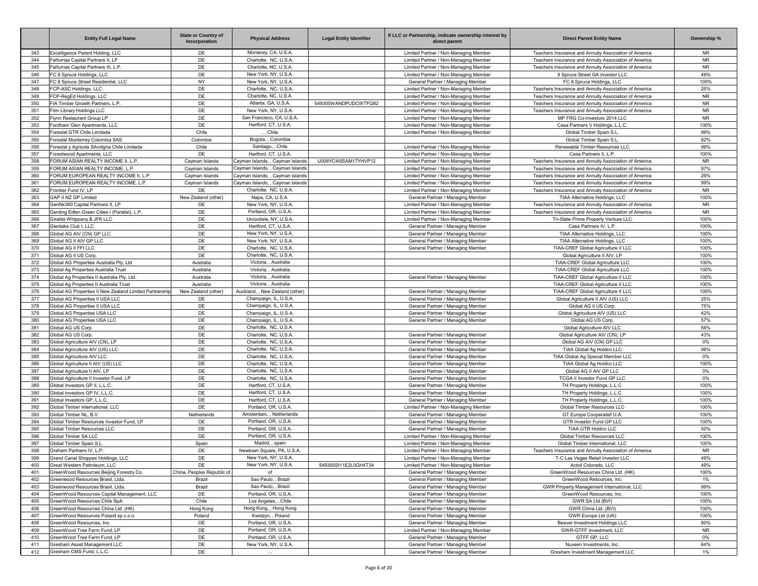|     | <b>Entity Full Legal Name</b>                           | <b>State or Country of</b><br>Incorporation | <b>Physical Address</b>          | <b>Legal Entity Identifier</b> | If LLC or Partnership, indicate ownership interest by<br>direct parent | <b>Direct Parent Entity Name</b>                      | Ownership % |
|-----|---------------------------------------------------------|---------------------------------------------|----------------------------------|--------------------------------|------------------------------------------------------------------------|-------------------------------------------------------|-------------|
| 343 | Excelligence Parent Holding, LLC                        | DE                                          | Monterey, CA, U.S.A.             |                                | Limited Partner / Non-Managing Member                                  | Teachers Insurance and Annuity Association of America | <b>NR</b>   |
| 344 | Falfurrias Capital Partners II. LP                      | DE                                          | Charlotte, NC, U.S.A.            |                                | Limited Partner / Non-Managing Member                                  | Teachers Insurance and Annuity Association of America | <b>NR</b>   |
| 345 | Falfurrias Capital Partners III. L.P                    | DE                                          | Charlotte, NC, U.S.A.            |                                | Limited Partner / Non-Managing Member                                  | Teachers Insurance and Annuity Association of America | <b>NR</b>   |
| 346 | FC 8 Spruce Holdings, LLC                               | DE                                          | New York, NY, U.S.A.             |                                | Limited Partner / Non-Managing Member                                  | 8 Spruce Street GA Investor LLC                       | 49%         |
| 347 | FC 8 Spruce Street Residential, LLC                     | <b>NY</b>                                   | New York, NY, U.S.A.             |                                | General Partner / Managing Member                                      | FC 8 Spruce Holdings, LLC                             | 100%        |
| 348 | FCP-ASC Holdings, LLC                                   | DE                                          | Charlotte, NC, U.S.A.            |                                | Limited Partner / Non-Managing Member                                  | Teachers Insurance and Annuity Association of America | 25%         |
| 349 | FCP-RegEd Holdings, LLC                                 | DE                                          | Charlotte, NC, U.S.A.            |                                | Limited Partner / Non-Managing Member                                  | Teachers Insurance and Annuity Association of America | <b>NR</b>   |
| 350 | FIA Timber Growth Partners, L.P.                        | DE                                          | Atlanta, GA, U.S.A.              | 549300WANDPUDCWTFQ82           | Limited Partner / Non-Managing Member                                  | Teachers Insurance and Annuity Association of America | <b>NR</b>   |
| 351 | Film Library Holdings LLC                               | DE                                          | New York, NY, U.S.A.             |                                | Limited Partner / Non-Managing Member                                  | Teachers Insurance and Annuity Association of America | <b>NR</b>   |
| 352 | Flynn Restaurant Group LP                               | DE                                          | San Francisco, CA, U.S.A         |                                | Limited Partner / Non-Managing Member                                  | MP FRG Co-Investors 2014 LLC                          | <b>NR</b>   |
| 353 | Fordham Glen Apartments, LLC                            | DE                                          | Hartford, CT, U.S.A.             |                                | Limited Partner / Non-Managing Member                                  | Casa Partners V Holdings, L.L.C.                      | 100%        |
| 354 | Forestal GTR Chile Limitada                             | Chile                                       | Chile                            |                                | Limited Partner / Non-Managing Member                                  | Global Timber Spain S.L                               | 99%         |
| 355 | Forestal Monterrey Colombia SAS                         | Colombia                                    | Bogota, , Colombia               |                                |                                                                        | Global Timber Spain S.L                               | 82%         |
| 356 | Forestal y Agricola Silvoligna Chile Limitada           | Chile                                       | Santiago, , Chile                |                                | Limited Partner / Non-Managing Member                                  | Renewable Timber Resources LLC                        | 99%         |
| 357 | Forestwood Apartments, LLC                              | DE                                          | Hartford, CT, U.S.A.             |                                | Limited Partner / Non-Managing Member                                  | Casa Partners II, L.P.                                | 100%        |
| 358 | FORUM ASIAN REALTY INCOME II. L.P.                      | Cayman Islands                              | Cayman Islands, , Cayman Islands | U008YC4I0SAM17YHVP12           | Limited Partner / Non-Managing Member                                  | Teachers Insurance and Annuity Association of America | <b>NR</b>   |
| 359 | FORUM ASIAN REALTY INCOME, L.P                          | Cayman Islands                              | Cayman Islands, , Cayman Islands |                                | Limited Partner / Non-Managing Member                                  | Teachers Insurance and Annuity Association of America | 97%         |
| 360 | FORUM EUROPEAN REALTY INCOME II, L.P                    | Cayman Islands                              | Cayman Islands, , Cayman Islands |                                | Limited Partner / Non-Managing Member                                  | Teachers Insurance and Annuity Association of America | 29%         |
| 361 | FORUM EUROPEAN REALTY INCOME, L.P.                      | Cayman Islands                              | Cayman Islands, , Cayman Islands |                                | Limited Partner / Non-Managing Member                                  | Teachers Insurance and Annuity Association of America | 99%         |
| 362 | Frontier Fund IV, LP                                    | DE                                          | Charlotte, NC, U.S.A             |                                | Limited Partner / Non-Managing Member                                  | Teachers Insurance and Annuity Association of America | <b>NR</b>   |
| 363 | GAP II NZ GP Limited                                    | New Zealand (other)                         | Napa, CA, U.S.A.                 |                                | General Partner / Managing Member                                      | TIAA Alternative Holdings, LLC                        | 100%        |
| 364 | GenNx360 Capital Partners II, LP                        | DE                                          | New York, NY, U.S.A.             |                                | Limited Partner / Non-Managing Member                                  | Teachers Insurance and Annuity Association of America | <b>NR</b>   |
| 365 | Gerding Edlen Green Cities I (Parallel), L.P.           | DE                                          | Portland, OR, U.S.A              |                                | Limited Partner / Non-Managing Member                                  | Teachers Insurance and Annuity Association of America | <b>NR</b>   |
| 366 | Giralda Whippany & JFK LLC                              | DE                                          | Uniondale, NY, U.S.A.            |                                | Limited Partner / Non-Managing Member                                  | Tri-State Prime Property Venture LLC                  | 100%        |
| 367 | Glenlake Club I, LLC                                    | DE                                          | Hartford, CT, U.S.A.             |                                | General Partner / Managing Member                                      | Casa Partners IV, L.P.                                | 100%        |
| 368 | Global AG AIV (CN) GP LLC                               | DE                                          | New York, NY, U.S.A.             |                                | General Partner / Managing Member                                      | TIAA Alternative Holdings, LLC                        | 100%        |
| 369 | Global AG II AIV GP LLC                                 | DE                                          | New York, NY, U.S.A.             |                                | General Partner / Managing Member                                      | TIAA Alternative Holdings, LLC                        | 100%        |
| 370 | Global AG II FFI LLC                                    | DE                                          | Charlotte, NC, U.S.A.            |                                | General Partner / Managing Member                                      | TIAA-CREF Global Agriculture II LLC                   | 100%        |
| 371 | Global AG II US Corp.                                   | DE                                          | Charlotte, NC, U.S.A.            |                                |                                                                        | Global Agriculture II AIV, LP                         | 100%        |
| 372 | Global AG Properties Australia Pty, Ltd                 | Australia                                   | Victoria, , Australia            |                                |                                                                        | TIAA-CREF Global Agriculture LLC                      | 100%        |
| 373 | Global Ag Properties Australia Trust                    | Australia                                   | Victoria. . Australia            |                                |                                                                        | TIAA-CREF Global Agriculture LLC                      | 100%        |
| 374 | Global Ag Properties II Australia Pty, Ltd.             | Australia                                   | Victoria. . Australia            |                                | General Partner / Managing Member                                      | TIAA-CREF Global Agriculture II LLC                   | 100%        |
| 375 | Global Ag Properties II Australia Trust                 | Australia                                   | Victoria. . Australia            |                                |                                                                        | TIAA-CREF Global Agriculture II LLC                   | 100%        |
| 376 | Global AG Properties II New Zealand Limited Partnership | New Zealand (other)                         | Auckland. . New Zealand (other)  |                                | General Partner / Managing Member                                      | TIAA-CREF Global Agriculture II LLC                   | 100%        |
| 377 | Global AG Properties II USA LLC                         | DE                                          | Champaign, IL, U.S.A.            |                                | General Partner / Managing Member                                      | Global Agriculture II AIV (US) LLC                    | 25%         |
| 378 | Global AG Properties II USA LLC                         | DE                                          | Champaign, IL, U.S.A.            |                                | General Partner / Managing Member                                      | Global AG II US Corp                                  | 75%         |
| 379 | Global AG Properties USA LLC                            | DE                                          | Champaign, IL, U.S.A.            |                                | General Partner / Managing Member                                      | Global Agriculture AIV (US) LLC                       | 42%         |
| 380 | Global AG Properties USA LLC                            | DE                                          | Champaign, IL, U.S.A.            |                                | General Partner / Managing Member                                      | Global AG US Corp                                     | 57%         |
| 381 | Global AG US Corp.                                      | DE                                          | Charlotte, NC, U.S.A.            |                                |                                                                        | Global Agriculture AIV LLC                            | 56%         |
| 382 | Global AG US Corp.                                      | DE                                          | Charlotte, NC, U.S.A.            |                                | General Partner / Managing Member                                      | Global Agriculture AIV (CN), LP                       | 43%         |
| 383 | Global Agriculture AIV (CN), LP                         | DE                                          | Charlotte, NC, U.S.A.            |                                | General Partner / Managing Member                                      | Global AG AIV (CN) GP LLC                             | $0\%$       |
| 384 | Global Agriculture AIV (US) LLC                         | DE                                          | Charlotte, NC, U.S.A.            |                                | General Partner / Managing Member                                      | TIAA Global Ag Holdco LLC                             | 98%         |
| 385 | Global Agriculture AIV LLC                              | DE                                          | Charlotte, NC, U.S.A.            |                                | General Partner / Managing Member                                      | TIAA Global Ag Special Member LLC                     | $0\%$       |
| 386 | Global Agriculture II AIV (US) LLC                      | DE                                          | Charlotte, NC, U.S.A.            |                                | General Partner / Managing Member                                      | TIAA Global Ag Holdco LLC                             | 100%        |
| 387 | Global Agriculture II AIV, LP                           | DE                                          | Charlotte, NC, U.S.A.            |                                | General Partner / Managing Member                                      | Global AG II AIV GP LLC                               | 0%          |
| 388 | Global Agriculture II Investor Fund, LP                 | DE                                          | Charlotte, NC, U.S.A.            |                                | General Partner / Managing Member                                      | TCGA II Investor Fund GP LLC                          | 0%          |
| 389 | Global Investors GP II, L.L.C.                          | DE                                          | Hartford, CT, U.S.A.             |                                | General Partner / Managing Member                                      | TH Property Holdings, L.L.C                           | 100%        |
| 390 | Global Investors GP IV, L.L.C.                          | DE                                          | Hartford, CT, U.S.A.             |                                | General Partner / Managing Member                                      | TH Property Holdings, L.L.C.                          | 100%        |
| 391 | Global Investors GP, L.L.C.                             | DE                                          | Hartford, CT, U.S.A.             |                                | General Partner / Managing Member                                      | TH Property Holdings, L.L.C.                          | 100%        |
| 392 | Global Timber International, LLC                        | DE                                          | Portland, OR, U.S.A              |                                | Limited Partner / Non-Managing Member                                  | Global Timber Resources LLC                           | 100%        |
| 393 | Global Timber NL, B.V.                                  | Netherlands                                 | Amsterdam. . Netherlands         |                                | General Partner / Managing Member                                      | GT Europe Cooperatief U.A.                            | 100%        |
| 394 | Global Timber Resources Investor Fund, LP               | DE                                          | Portland, OR, U.S.A              |                                | General Partner / Managing Member                                      | GTR Investor Fund GP LLC                              | 100%        |
| 395 | Global Timber Resources LLC                             | DE                                          | Portland, OR, U.S.A              |                                | General Partner / Managing Member                                      | <b>TIAA GTR Holdco LLC</b>                            | 50%         |
| 396 | Global Timber SA LLC                                    | DE                                          | Portland, OR, U.S.A              |                                | Limited Partner / Non-Managing Member                                  | Global Timber Resources LLC                           | 100%        |
| 397 | Global Timber Spain S.L                                 | Spain                                       | Madrid, , spain                  |                                | Limited Partner / Non-Managing Member                                  | Global Timber International, LLC                      | 100%        |
| 398 | Graham Partners IV, L.P.                                | <b>DE</b>                                   | Newtown Square, PA, U.S.A.       |                                | Limited Partner / Non-Managing Member                                  | Teachers Insurance and Annuity Association of America | <b>NR</b>   |
| 399 | Grand Canal Shoppes Holdings, LLC                       | DE                                          | New York, NY, U.S.A.             |                                | Limited Partner / Non-Managing Member                                  | T-C Las Vegas Retail Investor LLC                     | 49%         |
| 400 | Great Western Petroleum, LLC                            | DE                                          | New York, NY, U.S.A.             | 549300SI11E2L0GH4T34           | Limited Partner / Non-Managing Member                                  | Actoil Colorado, LLC                                  | 49%         |
| 401 | GreenWood Resources Beijing Forestry Co.                | China, Peoples Republic of                  | of                               |                                | General Partner / Managing Member                                      | GreenWood Resources China Ltd. (HK)                   | 100%        |
| 402 | Greenwood Resources Brasil, Ltda.                       | Brazil                                      | Sao Paulo. . Brazil              |                                | General Partner / Managing Member                                      | GreenWood Resources, Inc.                             | 1%          |
| 403 | Greenwood Resources Brasil, Ltda                        | Brazil                                      | Sao Paulo, , Brazil              |                                | General Partner / Managing Member                                      | GWR Property Management International, LLC            | 99%         |
| 404 | GreenWood Resources Capital Management, LLC             | DE                                          | Portland, OR, U.S.A.             |                                | General Partner / Managing Member                                      | GreenWood Resources, Inc.                             | 100%        |
| 405 | GreenWood Resources Chile SpA                           | Chile                                       | Los Angeles, , Chile             |                                | General Partner / Managing Member                                      | GWR SA Ltd (BVI)                                      | 100%        |
| 406 | GreenWood Resources China Ltd. (HK)                     | Hong Kong                                   | Hong Kong, , Hong Kong           |                                | General Partner / Managing Member                                      | GWR China Ltd. (BVI)                                  | 100%        |
| 407 | GreenWood Resources Poland sp z.o.o.                    | Poland                                      | Kwidzyn, , Poland                |                                | General Partner / Managing Member                                      | GWR Europe Ltd (UK)                                   | 100%        |
| 408 | GreenWood Resources, Inc.                               | DE                                          | Portland, OR, U.S.A.             |                                | General Partner / Managing Member                                      | Beaver Investment Holdings LLC                        | 80%         |
| 409 | GreenWood Tree Farm Fund, LP                            | DE                                          | Portland, OR, U.S.A.             |                                | Limited Partner / Non-Managing Member                                  | GWR-GTFF Investment, LLC                              | <b>NR</b>   |
| 410 | GreenWood Tree Farm Fund, LP                            | DE                                          | Portland, OR, U.S.A.             |                                | General Partner / Managing Member                                      | GTFF GP, LLC                                          | 0%          |
| 411 | Gresham Asset Management LLC                            | DE                                          | New York, NY, U.S.A.             |                                | General Partner / Managing Member                                      | Nuveen Investments, Inc.                              | 64%         |
| 412 | Gresham CMS Fund, L.L.C.                                | DE                                          |                                  |                                | General Partner / Managing Member                                      | Gresham Investment Management LLC                     | 1%          |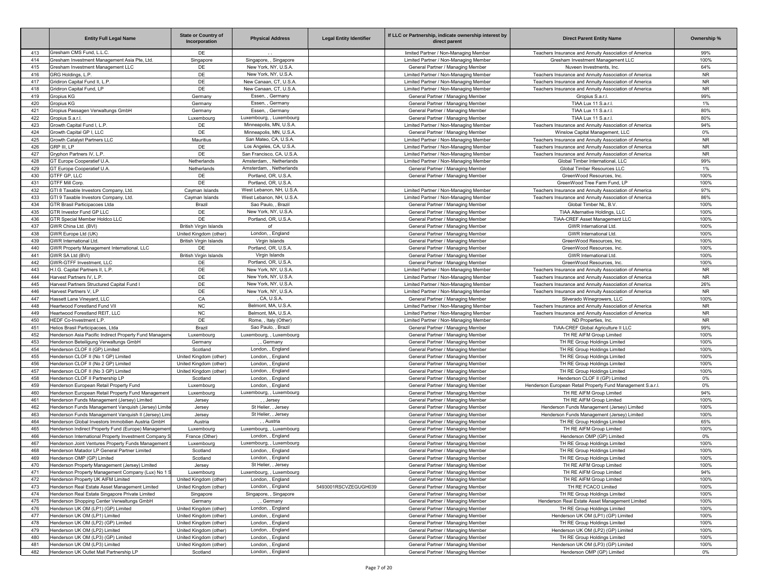|            | <b>Entity Full Legal Name</b>                                                                      | <b>State or Country of</b><br>Incorporation | <b>Physical Address</b>                       | <b>Legal Entity Identifier</b> | If LLC or Partnership, indicate ownership interest by<br>direct parent | <b>Direct Parent Entity Name</b>                                          | Ownership %      |
|------------|----------------------------------------------------------------------------------------------------|---------------------------------------------|-----------------------------------------------|--------------------------------|------------------------------------------------------------------------|---------------------------------------------------------------------------|------------------|
| 413        | Gresham CMS Fund, L.L.C.                                                                           | DE                                          |                                               |                                | limited Partner / Non-Managing Member                                  | Teachers Insurance and Annuity Association of America                     | 99%              |
| 414        | Gresham Investment Management Asia Pte, Ltd.                                                       | Singapore                                   | Singapore, , Singapore                        |                                | Limited Partner / Non-Managing Member                                  | Gresham Investment Management LLC                                         | 100%             |
| 415        | Gresham Investment Management LLC                                                                  | DE                                          | New York, NY, U.S.A                           |                                | General Partner / Managing Member                                      | Nuveen Investments, Inc.                                                  | 64%              |
| 416        | GRG Holdings, L.P.                                                                                 | DE                                          | New York, NY, U.S.A                           |                                | Limited Partner / Non-Managing Member                                  | Teachers Insurance and Annuity Association of America                     | <b>NR</b>        |
| 417        | Gridiron Capital Fund II, L.P.                                                                     | DE                                          | New Canaan, CT, U.S.A.                        |                                | Limited Partner / Non-Managing Member                                  | Teachers Insurance and Annuity Association of America                     | <b>NR</b>        |
| 418<br>419 | Gridiron Capital Fund, LP                                                                          | DE                                          | New Canaan, CT, U.S.A.                        |                                | Limited Partner / Non-Managing Member                                  | Teachers Insurance and Annuity Association of America<br>Gropius S.a.r.l. | <b>NR</b><br>99% |
| 420        | Gropius KG<br>Gropius KG                                                                           | Germany<br>Germany                          | Essen, Germany<br>Essen, Germany              |                                | General Partner / Managing Member<br>General Partner / Managing Member | TIAA Lux 11 S.a.r.l.                                                      | 1%               |
| 421        | Gropius Passagen Verwaltungs GmbH                                                                  | Germany                                     | Essen, Germany                                |                                | General Partner / Managing Member                                      | TIAA Lux 11 S.a.r.l.                                                      | 80%              |
| 422        | Gropius S.a.r.l.                                                                                   | Luxembourg                                  | Luxembourg, , Luxembourg                      |                                | General Partner / Managing Member                                      | TIAA Lux 11 S.a.r.l.                                                      | 80%              |
| 423        | Growth Capital Fund I, L.P.                                                                        | DE                                          | Minneapolis, MN, U.S.A.                       |                                | Limited Partner / Non-Managing Member                                  | Teachers Insurance and Annuity Association of America                     | 94%              |
| 424        | Growth Capital GP I. LLC                                                                           | DE                                          | Minneapolis, MN, U.S.A.                       |                                | General Partner / Managing Member                                      | Winslow Capital Management, LLC                                           | 0%               |
| 425        | Growth Catalyst Partners LLC                                                                       | Mauritius                                   | San Mateo, CA, U.S.A.                         |                                | Limited Partner / Non-Managing Member                                  | Teachers Insurance and Annuity Association of America                     | <b>NR</b>        |
| 426        | GRP III. LP                                                                                        | DE                                          | Los Angeles, CA, U.S.A.                       |                                | Limited Partner / Non-Managing Member                                  | Teachers Insurance and Annuity Association of America                     | <b>NR</b>        |
| 427        | Gryphon Partners IV, L.P.                                                                          | DE                                          | San Francisco, CA, U.S.A                      |                                | Limited Partner / Non-Managing Member                                  | Teachers Insurance and Annuity Association of America                     | <b>NR</b>        |
| 428        | GT Europe Cooperatief U.A.                                                                         | Netherlands                                 | Amsterdam. . Netherlands                      |                                | Limited Partner / Non-Managing Member                                  | Global Timber International, LLC                                          | 99%              |
| 429        | GT Europe Cooperatief U.A.                                                                         | Netherlands                                 | Amsterdam. . Netherlands                      |                                | General Partner / Managing Member                                      | Global Timber Resources LLC                                               | 1%               |
| 430        | <b>GTFF GP, LLC</b>                                                                                | DE                                          | Portland, OR, U.S.A.                          |                                | General Partner / Managing Member                                      | GreenWood Resources, Inc.                                                 | 100%             |
| 431        | <b>GTFF Mill Corp.</b>                                                                             | DE                                          | Portland, OR, U.S.A.                          |                                |                                                                        | GreenWood Tree Farm Fund, LP                                              | 100%             |
| 432        | GTI 8 Taxable Investors Company, Ltd.                                                              | Cayman Islands                              | West Lebanon, NH, U.S.A                       |                                | Limited Partner / Non-Managing Member                                  | Teachers Insurance and Annuity Association of America                     | 97%              |
| 433        | GTI 9 Taxable Investors Company, Ltd.                                                              | Cayman Islands                              | West Lebanon, NH, U.S.A                       |                                | Limited Partner / Non-Managing Member                                  | Teachers Insurance and Annuity Association of America                     | 86%              |
| 434        | <b>GTR Brasil Participacoes Ltda</b>                                                               | Brazil                                      | Sao Paulo. . Brazil                           |                                | General Partner / Managing Member                                      | Global Timber NL, B.V.                                                    | 100%             |
| 435        | GTR Investor Fund GP LLC                                                                           | DE                                          | New York, NY, U.S.A                           |                                | General Partner / Managing Member                                      | TIAA Alternative Holdings, LLC                                            | 100%             |
| 436<br>437 | GTR Special Member Holdco LLC<br>GWR China Ltd. (BVI)                                              | DE<br><b>British Virgin Islands</b>         | Portland, OR, U.S.A.<br>of                    |                                | General Partner / Managing Member                                      | TIAA-CREF Asset Management LLC<br><b>GWR</b> International Ltd            | 100%<br>100%     |
| 438        | GWR Europe Ltd (UK)                                                                                | United Kingdom (other)                      | London, , England                             |                                | General Partner / Managing Member<br>General Partner / Managing Member | <b>GWR</b> International Ltd                                              | 100%             |
| 439        | <b>GWR International Ltd</b>                                                                       | <b>British Virgin Islands</b>               | Virgin Islands                                |                                | General Partner / Managing Member                                      | GreenWood Resources, Inc.                                                 | 100%             |
| 440        | GWR Property Management International, LLC                                                         | DE                                          | Portland, OR, U.S.A.                          |                                | General Partner / Managing Member                                      | GreenWood Resources, Inc.                                                 | 100%             |
| 441        | GWR SA Ltd (BVI)                                                                                   | <b>British Virgin Islands</b>               | Virgin Islands                                |                                | General Partner / Managing Member                                      | <b>GWR International Ltd</b>                                              | 100%             |
| 442        | GWR-GTFF Investment, LLC                                                                           | DE                                          | Portland, OR, U.S.A.                          |                                | General Partner / Managing Member                                      | GreenWood Resources, Inc.                                                 | 100%             |
| 443        | H.I.G. Capital Partners II, L.P.                                                                   | DE                                          | New York, NY, U.S.A                           |                                | Limited Partner / Non-Managing Member                                  | Teachers Insurance and Annuity Association of America                     | <b>NR</b>        |
| 444        | Harvest Partners IV, L.P.                                                                          | DE                                          | New York, NY, U.S.A                           |                                | Limited Partner / Non-Managing Member                                  | Teachers Insurance and Annuity Association of America                     | <b>NR</b>        |
| 445        | Harvest Partners Structured Capital Fund I                                                         | DE                                          | New York, NY, U.S.A                           |                                | Limited Partner / Non-Managing Member                                  | Teachers Insurance and Annuity Association of America                     | 26%              |
| 446        | Harvest Partners V. LP                                                                             | DE                                          | New York, NY, U.S.A                           |                                | Limited Partner / Non-Managing Member                                  | Teachers Insurance and Annuity Association of America                     | <b>NR</b>        |
| 447        | Hassett Lane Vinevard, LLC                                                                         | CA                                          | CA, U.S.A.                                    |                                | General Partner / Managing Member                                      | Silverado Winegrowers, LLC                                                | 100%             |
| 448        | Heartwood Forestland Fund VII                                                                      | <b>NC</b>                                   | Belmont, MA, U.S.A.                           |                                | Limited Partner / Non-Managing Member                                  | Teachers Insurance and Annuity Association of America                     | <b>NR</b>        |
| 449        | Heartwood Forestland REIT, LLC                                                                     | NC                                          | Belmont, MA, U.S.A.                           |                                | Limited Partner / Non-Managing Member                                  | Teachers Insurance and Annuity Association of America                     | <b>NR</b>        |
| 450        | HEDF Co-Investment L.P.                                                                            | DE                                          | Rome, , Italy (Other)                         |                                | Limited Partner / Non-Managing Member                                  | ND Properties, Inc.                                                       | <b>NR</b>        |
| 451        | Helios Brasil Participacoes, Ltda                                                                  | Brazil                                      | Sao Paulo, , Brazil                           |                                | General Partner / Managing Member                                      | TIAA-CREF Global Agriculture II LLC                                       | 99%              |
| 452        | Henderson Asia Pacific Indirect Property Fund Managem                                              | Luxembourg                                  | Luxembourg, , Luxembourg<br>, Germany         |                                | General Partner / Managing Member                                      | TH RE AIFM Group Limited                                                  | 100%<br>100%     |
| 453<br>454 | Henderson Beteiligung Verwaltungs GmbH<br>Henderson CLOF II (GP) Limited                           | Germany<br>Scotland                         | London, , England                             |                                | General Partner / Managing Member<br>General Partner / Managing Member | TH RE Group Holdings Limited<br>TH RE Group Holdings Limited              | 100%             |
| 455        | Henderson CLOF II (No 1 GP) Limited                                                                | United Kingdom (other)                      | London, , England                             |                                | General Partner / Managing Member                                      | TH RE Group Holdings Limited                                              | 100%             |
| 456        | Henderson CLOF II (No 2 GP) Limited                                                                | United Kingdom (other)                      | London, , England                             |                                | General Partner / Managing Member                                      | TH RE Group Holdings Limited                                              | 100%             |
| 457        | Henderson CLOF II (No 3 GP) Limited                                                                | United Kingdom (other)                      | London, , England                             |                                | General Partner / Managing Member                                      | TH RE Group Holdings Limited                                              | 100%             |
| 458        | Henderson CLOF II Partnership LP                                                                   | Scotland                                    | London, , England                             |                                | General Partner / Managing Member                                      | Henderson CLOF II (GP) Limited                                            | 0%               |
| 459        | Henderson European Retail Property Fund                                                            | Luxembourg                                  | London, , England                             |                                | General Partner / Managing Member                                      | Henderson European Retail Property Fund Management S.a.r.l.               | 0%               |
| 460        | Henderson European Retail Property Fund Management                                                 | Luxembourg                                  | Luxembourg, , Luxembourg                      |                                | General Partner / Managing Member                                      | TH RE AIFM Group Limited                                                  | 94%              |
| 461        | Henderson Funds Management (Jersey) Limited                                                        | Jersey                                      | , Jersey                                      |                                | General Partner / Managing Member                                      | TH RE AIFM Group Limited                                                  | 100%             |
| 462        | Henderson Funds Management Vanguish (Jersey) Limite                                                | Jersey                                      | St Helier, , Jersey                           |                                | General Partner / Managing Member                                      | Henderson Funds Management (Jersey) Limited                               | 100%             |
| 463        | Henderson Funds Management Vanquish II (Jersey) Limi                                               | Jersey                                      | St Helier, , Jersey                           |                                | General Partner / Managing Member                                      | Henderson Funds Management (Jersey) Limited                               | 100%             |
| 464        | Henderson Global Investors Immobilien Austria GmbH                                                 | Austria                                     | Austria                                       |                                | General Partner / Managing Member                                      | TH RE Group Holdings Limited                                              | 65%              |
| 465        | Henderson Indirect Property Fund (Europe) Management                                               | Luxembourg                                  | Luxembourg, , Luxembourg                      |                                | General Partner / Managing Member                                      | TH RE AIFM Group Limited                                                  | 100%             |
| 466        | Henderson International Property Investment Company S                                              | France (Other                               | London. . England                             |                                | General Partner / Managing Member                                      | Henderson OMP (GP) Limited                                                | 0%               |
| 467<br>468 | Henderson Joint Ventures Property Funds Management<br>Henderson Matador LP General Partner Limited | Luxembourg<br>Scotland                      | Luxembourg, , Luxembourg<br>London, , England |                                | General Partner / Managing Member<br>General Partner / Managing Member | TH RE Group Holdings Limited<br>TH RE Group Holdings Limited              | 100%<br>100%     |
| 469        |                                                                                                    | Scotland                                    |                                               |                                |                                                                        | TH RE Group Holdings Limited                                              | 100%             |
| 470        | Henderson OMP (GP) Limited<br>Henderson Property Management (Jersey) Limited                       | Jersey                                      | London, , England<br>St Helier, , Jersey      |                                | General Partner / Managing Member<br>General Partner / Managing Member | TH RE AIFM Group Limited                                                  | 100%             |
| 471        | Henderson Property Management Company (Lux) No 1 S                                                 | Luxembourg                                  | Luxembourg, , Luxembourg                      |                                | General Partner / Managing Member                                      | TH RE AIFM Group Limited                                                  | 94%              |
| 472        | Henderson Property UK AIFM Limited                                                                 | United Kingdom (other)                      | London, , England                             |                                | General Partner / Managing Member                                      | TH RE AIFM Group Limited                                                  | 100%             |
| 473        | Henderson Real Estate Asset Management Limited                                                     | United Kingdom (other)                      | London, , England                             | 5493001RSCVZEGUGH039           | General Partner / Managing Member                                      | TH RE FCACO Limited                                                       | 100%             |
| 474        | Henderson Real Estate Singapore Private Limited                                                    | Singapore                                   | Singapore, , Singapore                        |                                | General Partner / Managing Member                                      | TH RE Group Holdings Limited                                              | 100%             |
| 475        | Henderson Shopping Center Verwaltungs GmbH                                                         | Germany                                     | ,, Germany                                    |                                | General Partner / Managing Member                                      | Henderson Real Estate Asset Management Limited                            | 100%             |
| 476        | Henderson UK OM (LP1) (GP) Limited                                                                 | United Kingdom (other)                      | London, , England                             |                                | General Partner / Managing Member                                      | TH RE Group Holdings Limited                                              | 100%             |
| 477        | Henderson UK OM (LP1) Limited                                                                      | United Kingdom (other)                      | London, , England                             |                                | General Partner / Managing Member                                      | Henderson UK OM (LP1) (GP) Limited                                        | 100%             |
| 478        | Henderson UK OM (LP2) (GP) Limited                                                                 | United Kingdom (other)                      | London, , England                             |                                | General Partner / Managing Member                                      | TH RE Group Holdings Limited                                              | 100%             |
| 479        | Henderson UK OM (LP2) Limited                                                                      | United Kingdom (other)                      | London, , England                             |                                | General Partner / Managing Member                                      | Henderson UK OM (LP2) (GP) Limited                                        | 100%             |
| 480        | Henderson UK OM (LP3) (GP) Limited                                                                 | United Kingdom (other)                      | London, , England                             |                                | General Partner / Managing Member                                      | TH RE Group Holdings Limited                                              | 100%             |
| 481        | Henderson UK OM (LP3) Limited                                                                      | United Kingdom (other)                      | London, , England                             |                                | General Partner / Managing Member                                      | Henderson UK OM (LP3) (GP) Limited                                        | 100%             |
| 482        | Henderson UK Outlet Mall Partnership LP                                                            | Scotland                                    | London, , England                             |                                | General Partner / Managing Member                                      | Henderson OMP (GP) Limited                                                | $0\%$            |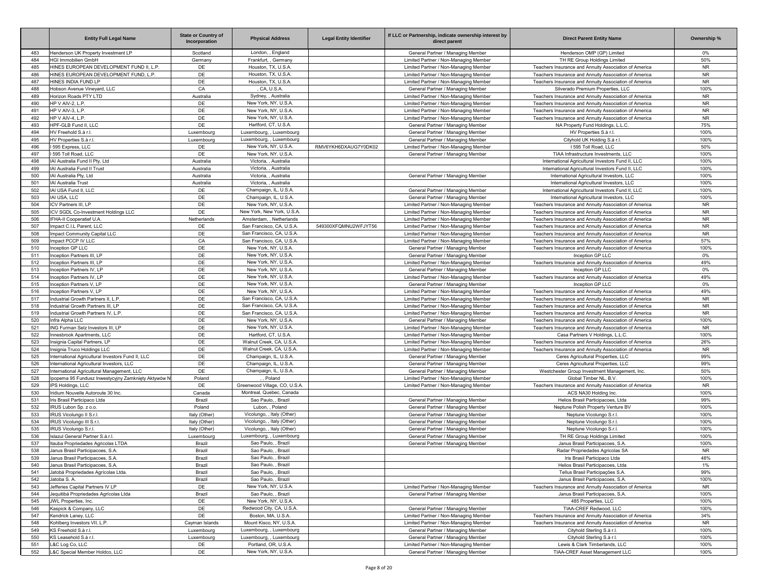|     | <b>Entity Full Legal Name</b>                       | <b>State or Country of</b><br>Incorporation | <b>Physical Address</b>       | <b>Legal Entity Identifier</b> | If LLC or Partnership, indicate ownership interest by<br>direct parent | <b>Direct Parent Entity Name</b>                      | Ownership % |
|-----|-----------------------------------------------------|---------------------------------------------|-------------------------------|--------------------------------|------------------------------------------------------------------------|-------------------------------------------------------|-------------|
| 483 | Henderson UK Property Investment LP                 | Scotland                                    | London, , England             |                                | General Partner / Managing Member                                      | Henderson OMP (GP) Limited                            | $0\%$       |
| 484 | HGI Immobilien GmbH                                 | Germany                                     | Frankfurt, , Germany          |                                | Limited Partner / Non-Managing Member                                  | TH RE Group Holdings Limited                          | 50%         |
| 485 | HINES EUROPEAN DEVELOPMENT FUND II, L.P.            | DE                                          | Houston, TX, U.S.A.           |                                | Limited Partner / Non-Managing Member                                  | Teachers Insurance and Annuity Association of America | <b>NR</b>   |
| 486 | HINES EUROPEAN DEVELOPMENT FUND, L.P.               | DE                                          | Houston, TX, U.S.A.           |                                | Limited Partner / Non-Managing Member                                  | Teachers Insurance and Annuity Association of America | <b>NR</b>   |
| 487 | HINES INDIA FUND LP                                 | DE                                          | Houston, TX, U.S.A.           |                                | Limited Partner / Non-Managing Member                                  | Teachers Insurance and Annuity Association of America | <b>NR</b>   |
| 488 | Hobson Avenue Vineyard, LLC                         | CA                                          | CA, U.S.A.                    |                                | General Partner / Managing Member                                      | Silverado Premium Properties, LLC                     | 100%        |
| 489 | Horizon Roads PTY LTD                               | Australia                                   | Sydney, , Australia           |                                | Limited Partner / Non-Managing Member                                  | Teachers Insurance and Annuity Association of America | <b>NR</b>   |
| 490 | HP V AIV-2, L.P.                                    | DE                                          | New York, NY, U.S.A           |                                | Limited Partner / Non-Managing Member                                  | Teachers Insurance and Annuity Association of America | <b>NR</b>   |
| 491 | HP V AIV-3, L.P.                                    | DE                                          | New York, NY, U.S.A           |                                | Limited Partner / Non-Managing Member                                  | Teachers Insurance and Annuity Association of America | <b>NR</b>   |
| 492 | HP V AIV-4, L.P.                                    | DE                                          | New York, NY, U.S.A           |                                | Limited Partner / Non-Managing Member                                  | Teachers Insurance and Annuity Association of America | <b>NR</b>   |
| 493 | HPF-GLB Fund II, LLC                                | DE                                          | Hartford, CT, U.S.A.          |                                | General Partner / Managing Member                                      | NA Property Fund Holdings, L.L.C.                     | 75%         |
| 494 | HV Freehold S.à r.l.                                | Luxembourg                                  | Luxembourg, , Luxembourg      |                                | General Partner / Managing Member                                      | HV Properties S.à r.l.                                | 100%        |
| 495 | HV Properties S.à r.l.                              | Luxembourg                                  | Luxembourg, , Luxembourg      |                                | General Partner / Managing Member                                      | Cityhold UK Holding S.à r.l                           | 100%        |
| 496 | 1595 Express, LLC                                   | DE                                          | New York, NY, U.S.A           | RMV6YKH6DXAUG7Y0DK02           | Limited Partner / Non-Managing Member                                  | I 595 Toll Road, LLC                                  | 50%         |
| 497 | 595 Toll Road, LLC                                  | DE                                          | New York, NY, U.S.A           |                                | General Partner / Managing Member                                      | TIAA Infrastructure Investments, LLC                  | 100%        |
| 498 | IAI Australia Fund II Pty, Ltd                      | Australia                                   | Victoria, , Australia         |                                |                                                                        | International Agricultural Investors Fund II, LLC     | 100%        |
| 499 | IAI Australia Fund II Trust                         | Australia                                   | Victoria, , Australia         |                                |                                                                        | International Agricultural Investors Fund II, LLC     | 100%        |
| 500 | IAI Australia Pty, Ltd                              | Australia                                   | Victoria, , Australia         |                                | General Partner / Managing Member                                      | International Agricultural Investors, LLC             | 100%        |
| 501 | <b>IAI Australia Trust</b>                          | Australia                                   | Victoria, , Australia         |                                |                                                                        | International Agricultural Investors, LLC             | 100%        |
| 502 | IAI USA Fund II, LLC                                | DE                                          | Champaign, IL, U.S.A          |                                | General Partner / Managing Member                                      | International Agricultural Investors Fund II, LLC     | 100%        |
| 503 | IAI USA, LLC                                        | DE                                          | Champaign, IL, U.S.A          |                                | General Partner / Managing Member                                      | International Agricultural Investors, LLC             | 100%        |
| 504 | ICV Partners III, LP                                | DE                                          | New York, NY, U.S.A           |                                | Limited Partner / Non-Managing Member                                  | Teachers Insurance and Annuity Association of America | <b>NR</b>   |
| 505 | ICV SGDL Co-Investment Holdings LLC                 | DE                                          | New York, New York, U.S.A     |                                | Limited Partner / Non-Managing Member                                  | Teachers Insurance and Annuity Association of America | <b>NR</b>   |
| 506 | IFHA-II Cooperatief U.A                             | Netherlands                                 | Amsterdam, , Netherlands      |                                | Limited Partner / Non-Managing Member                                  | Teachers Insurance and Annuity Association of America | <b>NR</b>   |
| 507 | Impact C.I.L Parent, LLC                            | DE                                          | San Francisco, CA, U.S.A      | 549300XFQMNU2WFJYT56           | Limited Partner / Non-Managing Member                                  | Teachers Insurance and Annuity Association of America | <b>NR</b>   |
| 508 | Impact Community Capital LLC                        | DE                                          | San Francisco, CA, U.S.A      |                                | Limited Partner / Non-Managing Member                                  | Teachers Insurance and Annuity Association of America | <b>NR</b>   |
| 509 | Impact PCCP IV LLC                                  | CA                                          | San Francisco, CA, U.S.A      |                                | Limited Partner / Non-Managing Member                                  | Teachers Insurance and Annuity Association of America | 57%         |
| 510 | Inception GP LLC                                    | DE                                          | New York, NY, U.S.A           |                                | General Partner / Managing Member                                      | Teachers Insurance and Annuity Association of America | 100%        |
| 511 | Inception Partners III, LP                          | DE                                          | New York, NY, U.S.A           |                                | General Partner / Managing Member                                      | Inception GP LLC                                      | 0%          |
| 512 | Inception Partners III, LP                          | DE                                          | New York, NY, U.S.A           |                                | Limited Partner / Non-Managing Member                                  | Teachers Insurance and Annuity Association of America | 49%         |
| 513 | Inception Partners IV, LP                           | DE                                          | New York, NY, U.S.A           |                                | General Partner / Managing Member                                      | Inception GP LLC                                      | 0%          |
| 514 | Inception Partners IV, LP                           | DE                                          | New York, NY, U.S.A           |                                | Limited Partner / Non-Managing Member                                  | Teachers Insurance and Annuity Association of America | 49%         |
| 515 | Inception Partners V, LP                            | DE                                          | New York, NY, U.S.A.          |                                | General Partner / Managing Member                                      | Inception GP LLC                                      | 0%          |
| 516 | Inception Partners V, LP                            | DE                                          | New York, NY, U.S.A.          |                                | Limited Partner / Non-Managing Member                                  | Teachers Insurance and Annuity Association of America | 49%         |
| 517 | Industrial Growth Partners II, L.P.                 | DE                                          | San Francisco, CA, U.S.A.     |                                | Limited Partner / Non-Managing Member                                  | Teachers Insurance and Annuity Association of America | <b>NR</b>   |
| 518 | Industrial Growth Partners III, LP                  | DE                                          | San Francisco, CA, U.S.A.     |                                | Limited Partner / Non-Managing Member                                  | Teachers Insurance and Annuity Association of America | <b>NR</b>   |
| 519 | Industrial Growth Partners IV, L.P.                 | DE                                          | San Francisco, CA, U.S.A.     |                                | Limited Partner / Non-Managing Member                                  | Teachers Insurance and Annuity Association of America | <b>NR</b>   |
| 520 | Infra Alpha LLC                                     | DE                                          | New York, NY, U.S.A           |                                | General Partner / Managing Member                                      | Teachers Insurance and Annuity Association of America | 100%        |
| 521 | ING Furman Selz Investors III, LP                   | DE                                          | New York, NY, U.S.A           |                                | Limited Partner / Non-Managing Member                                  | Teachers Insurance and Annuity Association of America | <b>NR</b>   |
| 522 | Innesbrook Apartments, LLC                          | DE                                          | Hartford, CT, U.S.A.          |                                | Limited Partner / Non-Managing Member                                  | Casa Partners V Holdings, L.L.C                       | 100%        |
| 523 | Insignia Capital Partners, LP                       | DE                                          | Walnut Creek, CA, U.S.A       |                                | Limited Partner / Non-Managing Member                                  | Teachers Insurance and Annuity Association of America | 26%         |
| 524 | Insignia Truco Holdings LLC                         | DE                                          | Walnut Creek, CA, U.S.A       |                                | Limited Partner / Non-Managing Member                                  | Teachers Insurance and Annuity Association of America | <b>NR</b>   |
| 525 | International Agricultural Investors Fund II, LLC   | DE                                          | Champaign, IL, U.S.A.         |                                | General Partner / Managing Member                                      | Ceres Agricultural Properties, LLC                    | 99%         |
| 526 | International Agricultural Investors, LLC           | DE                                          | Champaign, IL, U.S.A.         |                                | General Partner / Managing Member                                      | Ceres Agricultural Properties, LLC                    | 99%         |
| 527 | International Agricultural Management, LLC          | DE                                          | Champaign, IL, U.S.A.         |                                | General Partner / Managing Member                                      | Westchester Group Investment Management, Inc.         | 50%         |
| 528 | Ipopema 95 Fundusz Inwestycyjny Zamknięty Aktywów N | Poland                                      | Poland                        |                                | Limited Partner / Non-Managing Member                                  | Global Timber NL, B.V.                                | 100%        |
| 529 | IPS Holdings, LLC                                   | DE                                          | Greenwood Village, CO, U.S.A. |                                | Limited Partner / Non-Managing Member                                  | Teachers Insurance and Annuity Association of America | NR.         |
| 530 | Iridium Nouvelle Autoroute 30 Inc.                  | Canada                                      | Montreal, Quebec, Canada      |                                |                                                                        | ACS NA30 Holding Inc.                                 | 100%        |
| 531 | Iris Brasil Participaco Ltda                        | Brazil                                      | Sao Paulo, , Brazil           |                                | General Partner / Managing Member                                      | Helios Brasil Participacoes, Ltda                     | 99%         |
| 532 | IRUS Lubon Sp. z o.o.                               | Poland                                      | Lubon. . Poland               |                                | General Partner / Managing Member                                      | Neptune Polish Property Venture BV                    | 100%        |
| 533 | IRUS Vicolungo II S.r.I                             | Italy (Other)                               | Vicolungo, , Italy (Other)    |                                | General Partner / Managing Member                                      | Neptune Vicolungo S.r.l.                              | 100%        |
| 534 | IRUS Vicolungo III S.r.I.                           | Italy (Other)                               | Vicolungo, , Italy (Other)    |                                | General Partner / Managing Member                                      | Neptune Vicolungo S.r.l.                              | 100%        |
| 535 | IRUS Vicolungo S.r.l.                               | Italy (Other)                               | Vicolungo, , Italy (Other)    |                                | General Partner / Managing Member                                      | Neptune Vicolungo S.r.l.                              | 100%        |
| 536 | Islazul General Partner S.à.r.l                     | Luxembourg                                  | Luxembourg. . Luxembourg      |                                | General Partner / Managing Member                                      | TH RE Group Holdings Limited                          | 100%        |
| 537 | Itauba Propriedades Agricolas LTDA                  | Brazil                                      | Sao Paulo, , Brazil           |                                | General Partner / Managing Member                                      | Janus Brasil Participacoes, S.A.                      | 100%        |
| 538 | Janus Brasil Participacoes, S.A.                    | Brazil                                      | Sao Paulo, , Brazil           |                                |                                                                        | Radar Propriedades Agricolas SA                       | <b>NR</b>   |
| 539 | Janus Brasil Participacoes, S.A.                    | Brazil                                      | Sao Paulo, , Brazil           |                                |                                                                        | Iris Brasil Participaco Ltda                          | 48%         |
| 540 | Janus Brasil Participacoes, S.A.                    | Brazil                                      | Sao Paulo, , Brazil           |                                |                                                                        | Helios Brasil Participacoes, Ltda                     | 1%          |
| 541 | Jatobá Propriedades Agrícolas Ltda.                 | Brazil                                      | Sao Paulo, , Brazil           |                                |                                                                        | Tellus Brasil Participações S.A                       | 99%         |
| 542 | Jatoba S. A.                                        | Brazil                                      | Sao Paulo, , Brazil           |                                |                                                                        | Janus Brasil Participacoes, S.A.                      | 100%        |
| 543 | Jefferies Capital Partners IV LP                    | DE                                          | New York, NY, U.S.A.          |                                | Limited Partner / Non-Managing Member                                  | Teachers Insurance and Annuity Association of America | <b>NR</b>   |
| 544 | Jequitibá Propriedades Agrícolas Ltda               | Brazil                                      | Sao Paulo. . Brazil           |                                | General Partner / Managing Member                                      | Janus Brasil Participacoes, S.A.                      | 100%        |
| 545 | JWL Properties, Inc.                                | DE                                          | New York, NY, U.S.A.          |                                |                                                                        | 485 Properties, LLC                                   | 100%        |
| 546 | Kaspick & Company, LLC                              | DE                                          | Redwood City, CA, U.S.A.      |                                | General Partner / Managing Member                                      | TIAA-CREF Redwood, LLC                                | 100%        |
| 547 | Kendrick Laney, LLC                                 | DE                                          | Boston, MA, U.S.A.            |                                | Limited Partner / Non-Managing Member                                  | Teachers Insurance and Annuity Association of America | 34%         |
| 548 | Kohlberg Investors VII, L.P.                        | Cayman Islands                              | Mount Kisco, NY, U.S.A.       |                                | Limited Partner / Non-Managing Member                                  | Teachers Insurance and Annuity Association of America | <b>NR</b>   |
| 549 | KS Freehold S.à r.l.                                | Luxembourg                                  | Luxembourg, , Luxembourg      |                                | General Partner / Managing Member                                      | Cityhold Sterling S.à r.l.                            | 100%        |
| 550 | KS Leasehold S.à r.l.                               | Luxembourg                                  | Luxembourg, , Luxembourg      |                                | General Partner / Managing Member                                      | Cityhold Sterling S.à r.l.                            | 100%        |
| 551 | L&C Log Co, LLC                                     | DE                                          | Portland, OR, U.S.A.          |                                | Limited Partner / Non-Managing Member                                  | Lewis & Clark Timberlands, LLC                        | 100%        |
| 552 | L&C Special Member Holdco, LLC                      | DE                                          | New York, NY, U.S.A.          |                                | General Partner / Managing Member                                      | TIAA-CREF Asset Management LLC                        | 100%        |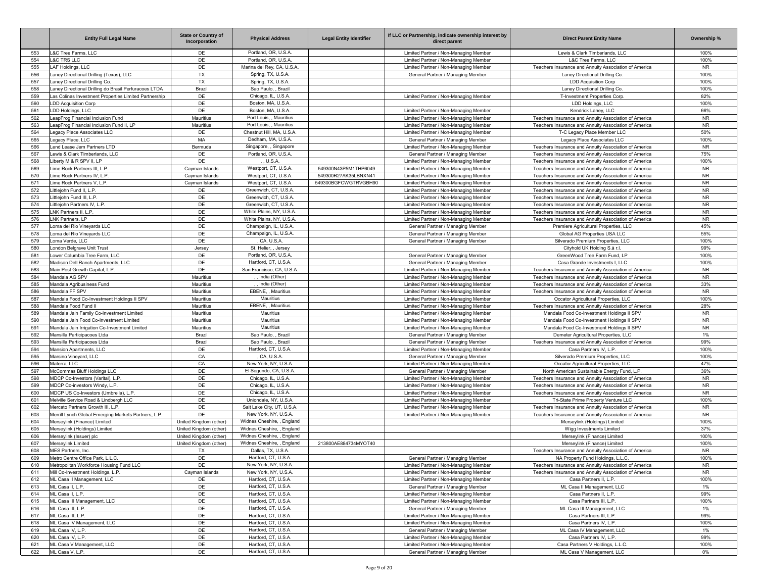|            | <b>Entity Full Legal Name</b>                                                                                  | <b>State or Country of</b><br>Incorporation      | <b>Physical Address</b>                            | <b>Legal Entity Identifier</b> | If LLC or Partnership, indicate ownership interest by<br>direct parent | <b>Direct Parent Entity Name</b>                                                       | Ownership %       |
|------------|----------------------------------------------------------------------------------------------------------------|--------------------------------------------------|----------------------------------------------------|--------------------------------|------------------------------------------------------------------------|----------------------------------------------------------------------------------------|-------------------|
| 553        | L&C Tree Farms, LLC                                                                                            | DE                                               | Portland, OR, U.S.A                                |                                | Limited Partner / Non-Managing Member                                  | Lewis & Clark Timberlands, LLC                                                         | 100%              |
| 554        | <b>L&amp;C TRS LLC</b>                                                                                         | DE                                               | Portland, OR, U.S.A                                |                                | Limited Partner / Non-Managing Member                                  | L&C Tree Farms, LLC                                                                    | 100%              |
| 555        | LAF Holdings, LLC                                                                                              | DE                                               | Marina del Rey, CA, U.S.A.                         |                                | Limited Partner / Non-Managing Member                                  | Teachers Insurance and Annuity Association of America                                  | <b>NR</b>         |
| 556        | Laney Directional Drilling (Texas), LLC                                                                        | <b>TX</b>                                        | Spring, TX, U.S.A.                                 |                                | General Partner / Managing Member                                      | Laney Directional Drilling Co.                                                         | 100%              |
| 557        | Laney Directional Drilling Co.                                                                                 | TX                                               | Spring, TX, U.S.A.<br>Sao Paulo, , Brazil          |                                |                                                                        | <b>LDD Acquisition Corp</b>                                                            | 100%<br>100%      |
| 558<br>559 | Laney Directional Drilling do Brasil Perfuracoes LTDA<br>Las Colinas Investment Properties Limited Partnership | Brazil<br>DE                                     | Chicago, IL, U.S.A                                 |                                | Limited Partner / Non-Managing Member                                  | Laney Directional Drilling Co.<br>T-Investment Properties Corp.                        | 82%               |
| 560        | <b>LDD Acquisition Corp</b>                                                                                    | DE                                               | Boston, MA, U.S.A                                  |                                |                                                                        | LDD Holdings, LLC                                                                      | 100%              |
| 561        | LDD Holdings, LLC                                                                                              | DE                                               | Boston, MA, U.S.A.                                 |                                | Limited Partner / Non-Managing Member                                  | Kendrick Laney, LLC                                                                    | 66%               |
| 562        | LeapFrog Financial Inclusion Fund                                                                              | Mauritius                                        | Port Louis. . Mauritius                            |                                | Limited Partner / Non-Managing Member                                  | Teachers Insurance and Annuity Association of America                                  | <b>NR</b>         |
| 563        | LeapFrog Financial Inclusion Fund II, LP                                                                       | Mauritius                                        | Port Louis. . Mauritius                            |                                | Limited Partner / Non-Managing Member                                  | Teachers Insurance and Annuity Association of America                                  | <b>NR</b>         |
| 564        | Legacy Place Associates LLC                                                                                    | DE                                               | Chestnut Hill, MA, U.S.A.                          |                                | Limited Partner / Non-Managing Member                                  | T-C Legacy Place Member LLC                                                            | 50%               |
| 565        | Legacy Place, LLC                                                                                              | MA                                               | Dedham, MA, U.S.A                                  |                                | General Partner / Managing Member                                      | Legacy Place Associates LLC                                                            | 100%              |
| 566        | Lend Lease Jem Partners LTD                                                                                    | Bermuda                                          | Singapore, , Singapore                             |                                | Limited Partner / Non-Managing Member                                  | Teachers Insurance and Annuity Association of America                                  | <b>NR</b>         |
| 567        | Lewis & Clark Timberlands, LLC                                                                                 | DE                                               | Portland, OR, U.S.A                                |                                | General Partner / Managing Member                                      | Teachers Insurance and Annuity Association of America                                  | 75%               |
| 568        | Liberty M & R SPV II, LP                                                                                       | DE                                               | , U.S.A.                                           |                                | Limited Partner / Non-Managing Member                                  | Teachers Insurance and Annuity Association of America                                  | 100%              |
| 569        | Lime Rock Partners III, L.P.                                                                                   | Cayman Islands                                   | Westport, CT, U.S.A.                               | 549300N43P5M1THP6049           | Limited Partner / Non-Managing Member                                  | Teachers Insurance and Annuity Association of America                                  | <b>NR</b>         |
| 570        | Lime Rock Partners IV, L.P.                                                                                    | Cayman Islands                                   | Westport, CT, U.S.A                                | 549300R27AK35LBNXN41           | Limited Partner / Non-Managing Member                                  | Teachers Insurance and Annuity Association of America                                  | <b>NR</b>         |
| 571        | Lime Rock Partners V. L.P.                                                                                     | Cayman Islands                                   | Westport, CT, U.S.A                                | 549300BGFCWGTRVGBH90           | Limited Partner / Non-Managing Member                                  | Teachers Insurance and Annuity Association of America                                  | <b>NR</b>         |
| 572        | Littlejohn Fund II, L.P.                                                                                       | DE                                               | Greenwich, CT, U.S.A.                              |                                | Limited Partner / Non-Managing Member                                  | Teachers Insurance and Annuity Association of America                                  | <b>NR</b>         |
| 573        | Littlejohn Fund III, L.P.                                                                                      | DE                                               | Greenwich, CT, U.S.A.                              |                                | Limited Partner / Non-Managing Member                                  | Teachers Insurance and Annuity Association of America                                  | <b>NR</b>         |
| 574        | Littlejohn Partners IV, L.P.                                                                                   | DE                                               | Greenwich, CT, U.S.A.                              |                                | Limited Partner / Non-Managing Member                                  | Teachers Insurance and Annuity Association of America                                  | <b>NR</b>         |
| 575        | LNK Partners II, L.P.                                                                                          | DE                                               | White Plains, NY, U.S.A.                           |                                | Limited Partner / Non-Managing Member                                  | Teachers Insurance and Annuity Association of America                                  | <b>NR</b>         |
| 576        | LNK Partners, LP                                                                                               | DE                                               | White Plains, NY, U.S.A.                           |                                | Limited Partner / Non-Managing Member                                  | Teachers Insurance and Annuity Association of America                                  | <b>NR</b>         |
| 577        | Loma del Rio Vineyards LLC                                                                                     | DE                                               | Champaign, IL, U.S.A                               |                                | General Partner / Managing Member                                      | Premiere Agricultural Properties, LLC                                                  | 45%               |
| 578        | Loma del Rio Vineyards LLC                                                                                     | DE                                               | Champaign, IL, U.S.A.                              |                                | General Partner / Managing Member                                      | Global AG Properties USA LLC                                                           | 55%               |
| 579        | Loma Verde, LLC                                                                                                | DE                                               | CA, U.S.A.                                         |                                | General Partner / Managing Member                                      | Silverado Premium Properties, LLC                                                      | 100%              |
| 580        | London Belgrave Unit Trust                                                                                     | Jersey                                           | St. Helier, , Jersey<br>Portland, OR, U.S.A        |                                |                                                                        | Cityhold UK Holding S.à r.l.                                                           | 99%<br>100%       |
| 581<br>582 | Lower Columbia Tree Farm, LLC<br>Madison Dell Ranch Apartments, LLC                                            | DE<br>DE                                         | Hartford, CT, U.S.A.                               |                                | General Partner / Managing Member<br>General Partner / Managing Member | GreenWood Tree Farm Fund, LP<br>Casa Grande Investments I, LLC                         | 100%              |
| 583        | Main Post Growth Capital, L.P.                                                                                 | DE                                               | San Francisco, CA, U.S.A                           |                                | Limited Partner / Non-Managing Member                                  | Teachers Insurance and Annuity Association of America                                  | <b>NR</b>         |
| 584        | Mandala AG SPV                                                                                                 | Mauritius                                        | , India (Other)                                    |                                | Limited Partner / Non-Managing Member                                  | Teachers Insurance and Annuity Association of America                                  | <b>NR</b>         |
| 585        | Mandala Agribusiness Fund                                                                                      | Mauritius                                        | , India (Other)                                    |                                | Limited Partner / Non-Managing Member                                  | Teachers Insurance and Annuity Association of America                                  | 33%               |
| 586        | Mandala FF SPV                                                                                                 | Mauritius                                        | EBENE, , Mauritius                                 |                                | Limited Partner / Non-Managing Member                                  | Teachers Insurance and Annuity Association of America                                  | <b>NR</b>         |
| 587        | Mandala Food Co-Investment Holdings II SPV                                                                     | Mauritius                                        | Mauritius                                          |                                | Limited Partner / Non-Managing Member                                  | Occator Agricultural Properties, LLC                                                   | 100%              |
| 588        | Mandala Food Fund II                                                                                           | Mauritius                                        | EBENE, , Mauritius                                 |                                | Limited Partner / Non-Managing Member                                  | Teachers Insurance and Annuity Association of America                                  | 28%               |
| 589        | Mandala Jain Family Co-Investment Limited                                                                      | Mauritius                                        | Mauritius                                          |                                | Limited Partner / Non-Managing Member                                  | Mandala Food Co-Investment Holdings II SPV                                             | <b>NR</b>         |
| 590        | Mandala Jain Food Co-Investment Limited                                                                        | Mauritius                                        | Mauritius                                          |                                | Limited Partner / Non-Managing Member                                  | Mandala Food Co-Investment Holdings II SPV                                             | <b>NR</b>         |
| 591        | Mandala Jain Irrigation Co-Investment Limited                                                                  | Mauritius                                        | Mauritius                                          |                                | Limited Partner / Non-Managing Member                                  | Mandala Food Co-Investment Holdings II SPV                                             | <b>NR</b>         |
| 592        | Mansilla Participacoes Ltda                                                                                    | Brazil                                           | Sao Paulo, , Brazil                                |                                | General Partner / Managing Member                                      | Demeter Agricultural Properties, LLC                                                   | 1%                |
| 593        | Mansilla Participacoes Ltda                                                                                    | Brazil                                           | Sao Paulo. . Brazil                                |                                | General Partner / Managing Member                                      | Teachers Insurance and Annuity Association of America                                  | 99%               |
| 594        | Mansion Apartments, LLC                                                                                        | DE                                               | Hartford, CT, U.S.A.                               |                                | Limited Partner / Non-Managing Member                                  | Casa Partners IV, L.P.                                                                 | 100%              |
| 595        | Marsino Vineyard, LLC                                                                                          | CA                                               | CA. U.S.A.                                         |                                | General Partner / Managing Member                                      | Silverado Premium Properties, LLC                                                      | 100%              |
| 596        | Materra, LLC                                                                                                   | CA                                               | New York, NY, U.S.A.                               |                                | Limited Partner / Non-Managing Member                                  | Occator Agricultural Properties, LLC                                                   | 47%               |
| 597        | McCommas Bluff Holdings LLC                                                                                    | DE                                               | El Segundo, CA, U.S.A                              |                                | General Partner / Managing Member                                      | North American Sustainable Energy Fund, L.P.                                           | 36%               |
| 598        | MDCP Co-Investors (Varital), L.P.                                                                              | DE                                               | Chicago, IL, U.S.A.                                |                                | Limited Partner / Non-Managing Member                                  | Teachers Insurance and Annuity Association of America                                  | <b>NR</b>         |
| 599        | MDCP Co-investors Windy, L.P.                                                                                  | DE                                               | Chicago, IL, U.S.A.                                |                                | Limited Partner / Non-Managing Member                                  | Teachers Insurance and Annuity Association of America                                  | <b>NR</b>         |
| 600        | MDCP US Co-Investors (Umbrella), L.P.                                                                          | DE                                               | Chicago, IL, U.S.A.                                |                                | Limited Partner / Non-Managing Member                                  | Teachers Insurance and Annuity Association of America                                  | <b>NR</b>         |
| 601        | Melville Service Road & Lindbergh LLC                                                                          | DE                                               | Uniondale, NY, U.S.A.                              |                                | Limited Partner / Non-Managing Member                                  | Tri-State Prime Property Venture LLC                                                   | 100%              |
| 602        | Mercato Partners Growth III, L.P                                                                               | DE                                               | Salt Lake City, UT, U.S.A                          |                                | Limited Partner / Non-Managing Member                                  | Teachers Insurance and Annuity Association of America                                  | <b>NR</b>         |
| 603<br>604 | Merrill Lynch Global Emerging Markets Partners, L.P.<br>Merseylink (Finance) Limited                           | DE                                               | New York, NY, U.S.A.<br>Widnes Cheshire, , England |                                | Limited Partner / Non-Managing Member                                  | Teachers Insurance and Annuity Association of America<br>Merseylink (Holdings) Limited | <b>NR</b><br>100% |
|            | Merseylink (Holdings) Limited                                                                                  | United Kingdom (other)                           | Widnes Cheshire, , England                         |                                |                                                                        |                                                                                        | 37%               |
| 605<br>606 | Merseylink (Issuer) plc                                                                                        | United Kingdom (other)<br>United Kingdom (other) | Widnes Cheshire, , England                         |                                |                                                                        | Wigg Investments Limited<br>Merseylink (Finance) Limited                               | 100%              |
| 607        | Merseylink Limited                                                                                             | United Kingdom (other)                           | Widnes Cheshire, , England                         | 213800AF884734MYOT40           |                                                                        | Mersevlink (Finance) Limited                                                           | 100%              |
| 608        | MES Partners, Inc.                                                                                             | <b>TX</b>                                        | Dallas, TX, U.S.A.                                 |                                |                                                                        | Teachers Insurance and Annuity Association of America                                  | <b>NR</b>         |
| 609        | Metro Centre Office Park, L.L.C.                                                                               | DE                                               | Hartford, CT, U.S.A.                               |                                | General Partner / Managing Member                                      | NA Property Fund Holdings, L.L.C.                                                      | 100%              |
| 610        | Metropolitan Workforce Housing Fund LLC                                                                        | DE                                               | New York, NY, U.S.A.                               |                                | Limited Partner / Non-Managing Member                                  | Teachers Insurance and Annuity Association of America                                  | <b>NR</b>         |
| 611        | Mill Co-Investment Holdings, L.P.                                                                              | Cayman Islands                                   | New York, NY, U.S.A.                               |                                | Limited Partner / Non-Managing Member                                  | Teachers Insurance and Annuity Association of America                                  | <b>NR</b>         |
| 612        | ML Casa II Management, LLC                                                                                     | DE                                               | Hartford, CT, U.S.A.                               |                                | Limited Partner / Non-Managing Member                                  | Casa Partners II, L.P.                                                                 | 100%              |
| 613        | ML Casa II, L.P.                                                                                               | DE                                               | Hartford, CT, U.S.A.                               |                                | General Partner / Managing Member                                      | ML Casa II Management, LLC                                                             | 1%                |
| 614        | ML Casa II, L.P.                                                                                               | DE                                               | Hartford, CT, U.S.A.                               |                                | Limited Partner / Non-Managing Member                                  | Casa Partners II, L.P.                                                                 | 99%               |
| 615        | ML Casa III Management, LLC                                                                                    | DE                                               | Hartford, CT, U.S.A.                               |                                | Limited Partner / Non-Managing Member                                  | Casa Partners III, L.P.                                                                | 100%              |
| 616        | ML Casa III, L.P.                                                                                              | DE                                               | Hartford, CT, U.S.A.                               |                                | General Partner / Managing Member                                      | ML Casa III Management, LLC                                                            | 1%                |
| 617        | ML Casa III, L.P.                                                                                              | DE                                               | Hartford, CT, U.S.A.                               |                                | Limited Partner / Non-Managing Member                                  | Casa Partners III, L.P.                                                                | 99%               |
| 618        | ML Casa IV Management, LLC                                                                                     | DE                                               | Hartford, CT, U.S.A.                               |                                | Limited Partner / Non-Managing Member                                  | Casa Partners IV, L.P.                                                                 | 100%              |
| 619        | ML Casa IV, L.P.                                                                                               | DE                                               | Hartford, CT, U.S.A.                               |                                | General Partner / Managing Member                                      | ML Casa IV Management, LLC                                                             | 1%                |
| 620        | ML Casa IV, L.P.                                                                                               | DE                                               | Hartford, CT, U.S.A.                               |                                | Limited Partner / Non-Managing Member                                  | Casa Partners IV, L.P.                                                                 | 99%               |
| 621        | ML Casa V Management, LLC                                                                                      | DE                                               | Hartford, CT, U.S.A.                               |                                | Limited Partner / Non-Managing Member                                  | Casa Partners V Holdings, L.L.C.                                                       | 100%              |
| 622        | ML Casa V, L.P.                                                                                                | DE                                               | Hartford, CT, U.S.A.                               |                                | General Partner / Managing Member                                      | ML Casa V Management, LLC                                                              | 0%                |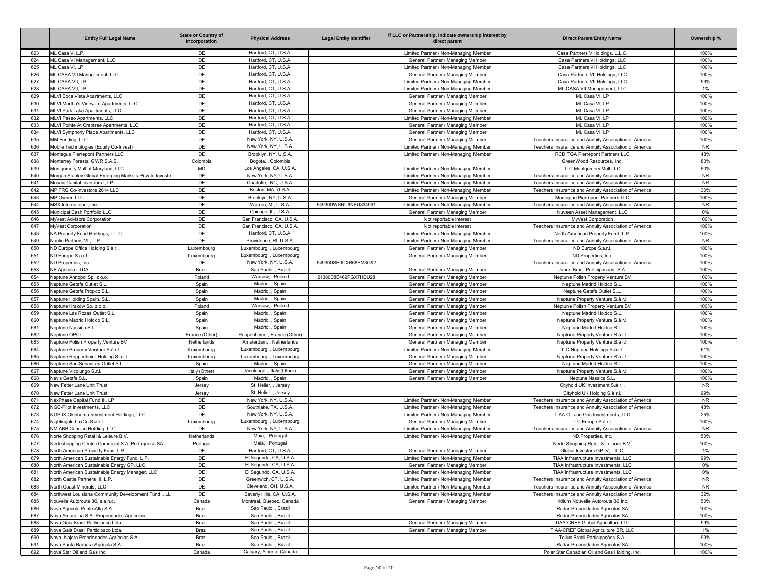|            | <b>Entity Full Legal Name</b>                                                             | <b>State or Country of</b><br>Incorporation | <b>Physical Address</b>                          | <b>Legal Entity Identifier</b> | If LLC or Partnership, indicate ownership interest by<br>direct parent | <b>Direct Parent Entity Name</b>                                                            | Ownership %  |
|------------|-------------------------------------------------------------------------------------------|---------------------------------------------|--------------------------------------------------|--------------------------------|------------------------------------------------------------------------|---------------------------------------------------------------------------------------------|--------------|
| 623        | ML Casa V, L.P.                                                                           | DE                                          | Hartford, CT, U.S.A.                             |                                | Limited Partner / Non-Managing Member                                  | Casa Partners V Holdings, L.L.C.                                                            | 100%         |
| 624        | ML Casa VI Management, LLC                                                                | DE                                          | Hartford, CT, U.S.A.                             |                                | General Partner / Managing Member                                      | Casa Partners VI Holdings, LLC                                                              | 100%         |
| 625        | ML Casa VI. LP                                                                            | DE                                          | Hartford, CT, U.S.A.                             |                                | Limited Partner / Non-Managing Member                                  | Casa Partners VI Holdings, LLC                                                              | 100%         |
| 626        | ML CASA VII Management, LLC                                                               | DE                                          | Hartford, CT, U.S.A.                             |                                | General Partner / Managing Member                                      | Casa Partners VII Holdings, LLC                                                             | 100%         |
| 627        | ML CASA VII, LP                                                                           | DE                                          | Hartford, CT, U.S.A.                             |                                | Limited Partner / Non-Managing Member                                  | Casa Partners VII Holdings, LLC                                                             | 99%          |
| 628        | ML CASA VII. LP<br>MLVI Boca Vista Apartments, LLC                                        | DE<br>DE                                    | Hartford, CT, U.S.A.<br>Hartford, CT, U.S.A.     |                                | Limited Partner / Non-Managing Member                                  | ML CASA VII Management, LLC                                                                 | 1%<br>100%   |
| 629<br>630 | MLVI Martha's Vineyard Apartments, LLC                                                    | DE                                          | Hartford, CT, U.S.A.                             |                                | General Partner / Managing Member<br>General Partner / Managing Member | ML Casa VI, LP<br>ML Casa VI, LP                                                            | 100%         |
| 631        | MLVI Park Lake Apartments, LLC                                                            | DE                                          | Hartford, CT, U.S.A.                             |                                | General Partner / Managing Member                                      | ML Casa VI. LP                                                                              | 100%         |
| 632        | MLVI Paseo Apartments, LLC                                                                | DE                                          | Hartford, CT, U.S.A.                             |                                | Limited Partner / Non-Managing Member                                  | ML Casa VI, LP                                                                              | 100%         |
| 633        | MLVI Pointe At Crabtree Apartments, LLC                                                   | DE                                          | Hartford, CT, U.S.A.                             |                                | General Partner / Managing Member                                      | ML Casa VI, LP                                                                              | 100%         |
| 634        | MLVI Symphony Place Apartments, LLC                                                       | DE                                          | Hartford, CT, U.S.A.                             |                                | General Partner / Managing Member                                      | ML Casa VI. LP                                                                              | 100%         |
| 635        | MM Funding, LLC                                                                           | DE                                          | New York, NY, U.S.A.                             |                                | General Partner / Managing Member                                      | Teachers Insurance and Annuity Association of America                                       | 100%         |
| 636        | Mobile Technologies (Equity Co-Invest)                                                    | DE                                          | New York, NY, U.S.A.                             |                                | Limited Partner / Non-Managing Member                                  | Teachers Insurance and Annuity Association of America                                       | <b>NR</b>    |
| 637        | Montague Pierrepont Partners LLC                                                          | DE                                          | Brooklyn, NY, U.S.A                              |                                | Limited Partner / Non-Managing Member                                  | RCD TGA Pierrepont Partners LLC                                                             | 48%          |
| 638        | Monterrey Forestal GWR S.A.S.                                                             | Colombia                                    | Bogota, , Colombia                               |                                |                                                                        | GreenWood Resources, Inc.                                                                   | 80%          |
| 639        | Montgomery Mall of Maryland, LLC                                                          | <b>MD</b>                                   | Los Angeles, CA, U.S.A.                          |                                | Limited Partner / Non-Managing Member                                  | T-C Montgomery Mall LLC                                                                     | 50%          |
| 640        | Morgan Stanley Global Emerging Markets Private Investn                                    | DE                                          | New York, NY, U.S.A.                             |                                | Limited Partner / Non-Managing Member                                  | Teachers Insurance and Annuity Association of America                                       | <b>NR</b>    |
| 641        | Mosaic Capital Investors I, LP                                                            | DE                                          | Charlotte, NC, U.S.A                             |                                | Limited Partner / Non-Managing Member                                  | Teachers Insurance and Annuity Association of America                                       | <b>NR</b>    |
| 642        | MP FRG Co-Investors 2014 LLC                                                              | DE                                          | Boston, MA, U.S.A.                               |                                | Limited Partner / Non-Managing Member                                  | Teachers Insurance and Annuity Association of America                                       | 30%          |
| 643        | MP Owner, LLC                                                                             | DE                                          | Brooklyn, NY, U.S.A                              |                                | General Partner / Managing Member                                      | Montague Pierrepont Partners LLC                                                            | 100%         |
| 644        | MSX International, Inc.                                                                   | DE                                          | Warren, MI, U.S.A                                | 549300WSNU6NEU834991           | Limited Partner / Non-Managing Member                                  | Teachers Insurance and Annuity Association of America                                       | <b>NR</b>    |
| 645        | Municipal Cash Portfolio LLC                                                              | DE<br>DE                                    | Chicago, IL, U.S.A.<br>San Francisco, CA, U.S.A. |                                | General Partner / Managing Member                                      | Nuveen Asset Management, LLC                                                                | 0%           |
| 646<br>647 | MyVest Advisors Corporation<br>MvVest Corporation                                         | DE                                          | San Francisco, CA, U.S.A                         |                                | Not reportable interest                                                | MyVest Corporation                                                                          | 100%<br>100% |
| 648        | NA Property Fund Holdings, L.L.C.                                                         | DE                                          | Hartford, CT, U.S.A.                             |                                | Not reportable interest<br>Limited Partner / Non-Managing Member       | Teachers Insurance and Annuity Association of America<br>North American Property Fund, L.P. | 100%         |
| 649        | Nautic Partners VII, L.P.                                                                 | DE                                          | Providence, RI, U.S.A.                           |                                | Limited Partner / Non-Managing Member                                  | Teachers Insurance and Annuity Association of America                                       | <b>NR</b>    |
| 650        | ND Europe Office Holding S.à r.l.                                                         | Luxembourg                                  | Luxembourg, , Luxembourg                         |                                | General Partner / Managing Member                                      | ND Europe S.a.r.l.                                                                          | 100%         |
| 651        | ND Europe S.a.r.l.                                                                        | Luxembourg                                  | Luxembourg, , Luxembourg                         |                                | General Partner / Managing Member                                      | ND Properties, Inc.                                                                         | 100%         |
| 652        | ND Properties, Inc.                                                                       | DE                                          | New York, NY, U.S.A                              | 549300SH3CXR68EM3G92           |                                                                        | Teachers Insurance and Annuity Association of America                                       | 100%         |
| 653        | <b>NE Agricola LTDA</b>                                                                   | Brazil                                      | Sao Paulo, , Brazil                              |                                | General Partner / Managing Member                                      | Janus Brasil Participacoes, S.A                                                             | 100%         |
| 654        | Neptune Annopol Sp. z o.o.                                                                | Poland                                      | Warsaw, , Poland                                 | 2138008E469PGX7HDU28           | General Partner / Managing Member                                      | Neptune Polish Property Venture BV                                                          | 100%         |
| 655        | Neptune Getafe Outlet S.L                                                                 | Spain                                       | Madrid, , Spain                                  |                                | General Partner / Managing Member                                      | Neptune Madrid Holdco S.L                                                                   | 100%         |
| 656        | Neptune Getafe Propco S.I                                                                 | Spain                                       | Madrid. . Spain                                  |                                | General Partner / Managing Member                                      | Neptune Getafe Outlet S.L                                                                   | 100%         |
| 657        | Neptune Holding Spain, S.L.                                                               | Spain                                       | Madrid, , Spain                                  |                                | General Partner / Managing Member                                      | Neptune Property Venture S.à r.l.                                                           | 100%         |
| 658        | Neptune Krakow Sp. z o.o.                                                                 | Poland                                      | Warsaw, , Poland                                 |                                | General Partner / Managing Member                                      | Neptune Polish Property Venture BV                                                          | 100%         |
| 659        | Neptune Las Rozas Outlet S.L                                                              | Spain                                       | Madrid, , Spain                                  |                                | General Partner / Managing Member                                      | Neptune Madrid Holdco S.L.                                                                  | 100%         |
| 660        | Neptune Madrid Holdco S.L                                                                 | Spain                                       | Madrid, , Spain                                  |                                | General Partner / Managing Member                                      | Neptune Property Venture S.à r.l.                                                           | 100%         |
| 661        | Neptune Nassica S.L.                                                                      | Spain                                       | Madrid, , Spain<br>Roppenheim, , France (Other)  |                                | General Partner / Managing Member                                      | Neptune Madrid Holdco S.L                                                                   | 100%<br>100% |
| 662<br>663 | Neptune OPCI<br>Neptune Polish Property Venture BV                                        | France (Other)<br>Netherlands               | Amsterdam, , Netherlands                         |                                | General Partner / Managing Member<br>General Partner / Managing Member | Neptune Property Venture S.à r.l.<br>Neptune Property Venture S.à r.l.                      | 100%         |
| 664        | Neptune Property Venture S.à r.l.                                                         | Luxembourg                                  | Luxembourg, , Luxembourg                         |                                | Limited Partner / Non-Managing Member                                  | T-C Neptune Holdings S.à r.l                                                                | 61%          |
| 665        | Neptune Roppenheim Holding S.à r.l                                                        | Luxembourg                                  | Luxembourg, , Luxembourg                         |                                | General Partner / Managing Member                                      | Neptune Property Venture S.à r.l.                                                           | 100%         |
| 666        | Neptune San Sebastian Outlet S.L                                                          | Spain                                       | Madrid, , Spain                                  |                                | General Partner / Managing Member                                      | Neptune Madrid Holdco S.L                                                                   | 100%         |
| 667        | Neptune Vicolungo S.r.l.                                                                  | Italy (Other)                               | Vicolungo, , Italy (Other)                       |                                | General Partner / Managing Member                                      | Neptune Property Venture S.à r.l.                                                           | 100%         |
| 668        | Nevis Getafe S.L                                                                          | Spain                                       | Madrid, , Spain                                  |                                | General Partner / Managing Member                                      | Neptune Nassica S.I                                                                         | 100%         |
| 669        | New Fetter Lane Unit Trust                                                                | Jersey                                      | St. Helier, , Jersey                             |                                |                                                                        | Cityhold UK Investment S.à r.l.                                                             | <b>NR</b>    |
| 670        | New Fetter Lane Unit Trust                                                                | Jersey                                      | St. Helier, , Jersey                             |                                |                                                                        | Cityhold UK Holding S.à r.l.                                                                | 99%          |
| 671        | NexPhase Capital Fund III. LP                                                             | DE                                          | New York, NY, U.S.A                              |                                | Limited Partner / Non-Managing Member                                  | Teachers Insurance and Annuity Association of America                                       | <b>NR</b>    |
| 672        | NGC-Pilot Investments, LLC                                                                | DE                                          | Southlake, TX, U.S.A                             |                                | Limited Partner / Non-Managing Member                                  | Teachers Insurance and Annuity Association of America                                       | 48%          |
| 673        | NGP IX Oklahoma Investment Holdings, LLC                                                  | DE                                          | New York, NY, U.S.A.                             |                                | Limited Partner / Non-Managing Member                                  | TIAA Oil and Gas Investments, LLC                                                           | 25%          |
| 674        | Nightingale LuxCo S.à r.l.                                                                | Luxembourg                                  | Luxembourg, , Luxembourg                         |                                | General Partner / Managing Member                                      | T-C Europe S.à.r.l.                                                                         | 100%         |
| 675        | NM ABB Concise Holding, LLC                                                               | DE                                          | New York, NY, U.S.A.<br>Maia. . Portugal         |                                | Limited Partner / Non-Managing Member                                  | Teachers Insurance and Annuity Association of America                                       | <b>NR</b>    |
| 676        | Norte Shopping Retail & Leisure B.V.<br>Norteshopping Centro Comercial S.A. Portuguese SA | Netherlands                                 | Maia, Portugal                                   |                                | Limited Partner / Non-Managing Member                                  | ND Properties, Inc.<br>Norte Shopping Retail & Leisure B.V.                                 | 50%<br>100%  |
| 677<br>678 | North American Property Fund, L.P.                                                        | Portugal<br>DE                              | Hartford, CT, U.S.A.                             |                                | General Partner / Managing Member                                      | Global Investors GP IV, L.L.C.                                                              | 1%           |
| 679        | North American Sustainable Energy Fund, L.P.                                              | DE                                          | El Segundo, CA, U.S.A.                           |                                | Limited Partner / Non-Managing Member                                  | TIAA Infrastructure Investments, LLC                                                        | 99%          |
| 680        | North American Sustainable Energy GP, LLC                                                 | DE                                          | El Segundo, CA, U.S.A.                           |                                | General Partner / Managing Member                                      | TIAA Infrastructure Investments, LLC                                                        | 0%           |
| 681        | North American Sustainable Energy Manager, LLC                                            | DE                                          | El Segundo, CA, U.S.A.                           |                                | Limited Partner / Non-Managing Member                                  | TIAA Infrastructure Investments, LLC                                                        | $0\%$        |
| 682        | North Castle Partners III, L.P.                                                           | DE                                          | Greenwich, CT, U.S.A.                            |                                | Limited Partner / Non-Managing Member                                  | Teachers Insurance and Annuity Association of America                                       | <b>NR</b>    |
| 683        | North Coast Minerals, LLC                                                                 | DE                                          | Cleveland, OH, U.S.A.                            |                                | Limited Partner / Non-Managing Member                                  | Teachers Insurance and Annuity Association of America                                       | <b>NR</b>    |
| 684        | Northwest Louisiana Community Development Fund I, LL                                      | DE                                          | Beverly Hills, CA, U.S.A.                        |                                | Limited Partner / Non-Managing Member                                  | Teachers Insurance and Annuity Association of America                                       | 32%          |
| 685        | Nouvelle Autoroute 30, s.e.n.c.                                                           | Canada                                      | Montreal, Quebec, Canada                         |                                | General Partner / Managing Member                                      | Iridium Nouvelle Autoroute 30 Inc.                                                          | 50%          |
| 686        | Nova Agricola Ponte Alta S.A.                                                             | Brazil                                      | Sao Paulo, , Brazil                              |                                |                                                                        | Radar Propriedades Agricolas SA                                                             | 100%         |
| 687        | Nova Amaralina S.A. Propriedades Agrícolas                                                | Brazil                                      | Sao Paulo, , Brazil                              |                                |                                                                        | Radar Propriedades Agricolas SA                                                             | 100%         |
| 688        | Nova Gaia Brasil Participaco Ltda.                                                        | Brazil                                      | Sao Paulo, , Brazil                              |                                | General Partner / Managing Member                                      | TIAA-CREF Global Agriculture LLC                                                            | 99%          |
| 689        | Nova Gaia Brasil Participaco Ltda.                                                        | Brazil                                      | Sao Paulo, , Brazil                              |                                | General Partner / Managing Member                                      | TIAA-CREF Global Agriculture BR, LLC                                                        | 1%           |
| 690        | Nova Ibiajara Propriedades Agrícolas S.A.                                                 | Brazil                                      | Sao Paulo, , Brazil                              |                                |                                                                        | Tellus Brasil Participações S.A.                                                            | 99%          |
| 691        | Nova Santa Barbara Agrícola S.A.                                                          | Brazil                                      | Sao Paulo, , Brazil                              |                                |                                                                        | Radar Propriedades Agricolas SA                                                             | 100%         |
| 692        | Nova Star Oil and Gas Inc.                                                                | Canada                                      | Calgary, Alberta, Canada                         |                                |                                                                        | Polar Star Canadian Oil and Gas Holding, Inc.                                               | 100%         |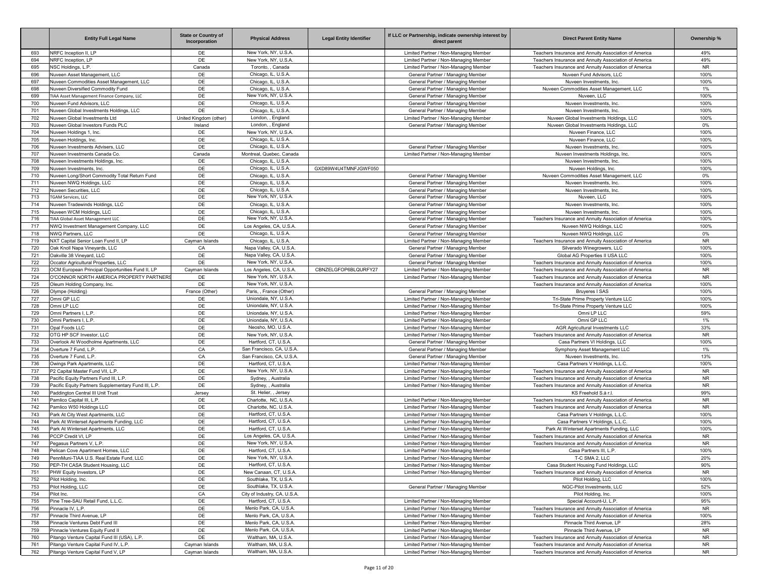|            | <b>Entity Full Legal Name</b>                                               | <b>State or Country of</b><br>Incorporation | <b>Physical Address</b>                        | <b>Legal Entity Identifier</b> | If LLC or Partnership, indicate ownership interest by<br>direct parent         | <b>Direct Parent Entity Name</b>                                                                               | Ownership %            |
|------------|-----------------------------------------------------------------------------|---------------------------------------------|------------------------------------------------|--------------------------------|--------------------------------------------------------------------------------|----------------------------------------------------------------------------------------------------------------|------------------------|
| 693        | NRFC Inception II, LP                                                       | DE                                          | New York, NY, U.S.A.                           |                                | Limited Partner / Non-Managing Member                                          | Teachers Insurance and Annuity Association of America                                                          | 49%                    |
| 694        | NRFC Inception, LP                                                          | DE                                          | New York, NY, U.S.A.                           |                                | Limited Partner / Non-Managing Member                                          | Teachers Insurance and Annuity Association of America                                                          | 49%                    |
| 695        | NSC Holdings, L.P.                                                          | Canada                                      | Toronto, , Canada                              |                                | Limited Partner / Non-Managing Member                                          | Teachers Insurance and Annuity Association of America                                                          | <b>NR</b>              |
| 696        | Nuveen Asset Management, LLC                                                | DE                                          | Chicago, IL, U.S.A.                            |                                | General Partner / Managing Member                                              | Nuveen Fund Advisors, LLC                                                                                      | 100%                   |
| 697        | Nuveen Commodities Asset Management, LLC                                    | DE                                          | Chicago, IL, U.S.A.                            |                                | General Partner / Managing Member                                              | Nuveen Investments, Inc.                                                                                       | 100%                   |
| 698        | Nuveen Diversified Commodity Fund                                           | DE                                          | Chicago, IL, U.S.A.                            |                                | General Partner / Managing Member                                              | Nuveen Commodities Asset Management, LLC                                                                       | 1%                     |
| 699        | TIAA Asset Management Finance Company, LLC                                  | DE                                          | New York, NY, U.S.A.                           |                                | General Partner / Managing Member                                              | Nuveen, LLC                                                                                                    | 100%                   |
| 700        | Nuveen Fund Advisors, LLC                                                   | DE                                          | Chicago, IL, U.S.A.                            |                                | General Partner / Managing Member                                              | Nuveen Investments, Inc.                                                                                       | 100%                   |
| 701        | Nuveen Global Investments Holdings, LLC                                     | DE                                          | Chicago, IL, U.S.A.                            |                                | General Partner / Managing Member                                              | Nuveen Investments, Inc.                                                                                       | 100%                   |
| 702<br>703 | Nuveen Global Investments Ltd<br>Nuveen Global Investors Funds PLC          | United Kingdom (other)<br>Ireland           | London, , England<br>London, , England         |                                | Limited Partner / Non-Managing Member<br>General Partner / Managing Member     | Nuveen Global Investments Holdings, LLC<br>Nuveen Global Investments Holdings, LLC                             | 100%<br>0%             |
| 704        | Nuveen Holdings 1, Inc.                                                     | DE                                          | New York, NY, U.S.A.                           |                                |                                                                                | Nuveen Finance, LLC                                                                                            | 100%                   |
| 705        | Nuveen Holdings, Inc.                                                       | DE                                          | Chicago, IL, U.S.A.                            |                                |                                                                                | Nuveen Finance, LLC                                                                                            | 100%                   |
| 706        | Nuveen Investments Advisers, LLC                                            | DE                                          | Chicago, IL, U.S.A.                            |                                | General Partner / Managing Member                                              | Nuveen Investments, Inc.                                                                                       | 100%                   |
| 707        | Nuveen Investments Canada Co.                                               | Canada                                      | Montreal, Quebec, Canada                       |                                | Limited Partner / Non-Managing Member                                          | Nuveen Investments Holdings, Inc.                                                                              | 100%                   |
| 708        | Nuveen Investments Holdings, Inc.                                           | DE                                          | Chicago, IL, U.S.A.                            |                                |                                                                                | Nuveen Investments, Inc.                                                                                       | 100%                   |
| 709        | Nuveen Investments, Inc.                                                    | DE                                          | Chicago, IL, U.S.A.                            | GXD89W4U4TMNFJGWF050           |                                                                                | Nuveen Holdings, Inc                                                                                           | 100%                   |
| 710        | Nuveen Long/Short Commodity Total Return Fund                               | DE                                          | Chicago, IL, U.S.A.                            |                                | General Partner / Managing Member                                              | Nuveen Commodities Asset Management, LLC                                                                       | $0\%$                  |
| 711        | Nuveen NWQ Holdings, LLC                                                    | DE                                          | Chicago, IL, U.S.A.                            |                                | General Partner / Managing Member                                              | Nuveen Investments, Inc.                                                                                       | 100%                   |
| 712        | Nuveen Securities, LLC                                                      | DE                                          | Chicago, IL, U.S.A.                            |                                | General Partner / Managing Member                                              | Nuveen Investments, Inc.                                                                                       | 100%                   |
| 713        | <b>TGAM Services, LLC</b>                                                   | DE                                          | New York, NY, U.S.A.                           |                                | General Partner / Managing Member                                              | Nuveen, LLC                                                                                                    | 100%                   |
| 714        | Nuveen Tradewinds Holdings, LLC                                             | DE                                          | Chicago, IL, U.S.A.                            |                                | General Partner / Managing Member                                              | Nuveen Investments, Inc.                                                                                       | 100%                   |
| 715        | Nuveen WCM Holdings, LLC                                                    | DE                                          | Chicago, IL, U.S.A.                            |                                | General Partner / Managing Member                                              | Nuveen Investments, Inc.                                                                                       | 100%                   |
| 716        | TIAA Global Asset Management LLC                                            | DE                                          | New York, NY, U.S.A.                           |                                | General Partner / Managing Member                                              | Teachers Insurance and Annuity Association of America                                                          | 100%                   |
| 717        | NWQ Investment Management Company, LLC                                      | DE                                          | Los Angeles, CA, U.S.A.                        |                                | General Partner / Managing Member                                              | Nuveen NWQ Holdings, LLC                                                                                       | 100%                   |
| 718<br>719 | NWQ Partners, LLC<br>NXT Capital Senior Loan Fund II, LP                    | DE                                          | Chicago, IL, U.S.A.<br>Chicago, IL, U.S.A.     |                                | General Partner / Managing Member<br>Limited Partner / Non-Managing Member     | Nuveen NWQ Holdings, LLC                                                                                       | 0%<br><b>NR</b>        |
| 720        | Oak Knoll Napa Vineyards, LLC                                               | Cayman Islands<br>CA                        | Napa Valley, CA, U.S.A.                        |                                | General Partner / Managing Member                                              | Teachers Insurance and Annuity Association of America<br>Silverado Winegrowers, LLC                            | 100%                   |
| 721        | Oakville 38 Vineyard, LLC                                                   | DE                                          | Napa Valley, CA, U.S.A.                        |                                | General Partner / Managing Member                                              | Global AG Properties II USA LLC                                                                                | 100%                   |
| 722        | Occator Agricultural Properties, LLC                                        | DE                                          | New York, NY, U.S.A.                           |                                | General Partner / Managing Member                                              | Teachers Insurance and Annuity Association of America                                                          | 100%                   |
| 723        | OCM European Principal Opportunities Fund II, LP                            | Cayman Islands                              | Los Angeles, CA, U.S.A                         | CBNZELGFOP6BLQURFY27           | Limited Partner / Non-Managing Member                                          | Teachers Insurance and Annuity Association of America                                                          | <b>NR</b>              |
| 724        | O'CONNOR NORTH AMERICA PROPERTY PARTNERS                                    | DE                                          | New York, NY, U.S.A.                           |                                | Limited Partner / Non-Managing Member                                          | Teachers Insurance and Annuity Association of America                                                          | <b>NR</b>              |
| 725        | Oleum Holding Company, Inc.                                                 | DE                                          | New York, NY, U.S.A.                           |                                |                                                                                | Teachers Insurance and Annuity Association of America                                                          | 100%                   |
| 726        | Olympe (Holding)                                                            | France (Other)                              | Paris, , France (Other)                        |                                | General Partner / Managing Member                                              | <b>Bruveres I SAS</b>                                                                                          | 100%                   |
| 727        | Omni GP LLC                                                                 | DE                                          | Uniondale, NY, U.S.A.                          |                                | Limited Partner / Non-Managing Member                                          | Tri-State Prime Property Venture LLC                                                                           | 100%                   |
| 728        | Omni LP LLC                                                                 | DE                                          | Uniondale, NY, U.S.A.                          |                                | Limited Partner / Non-Managing Member                                          | Tri-State Prime Property Venture LLC                                                                           | 100%                   |
| 729        | Omni Partners I. L.P.                                                       | DE                                          | Uniondale, NY, U.S.A.                          |                                | Limited Partner / Non-Managing Member                                          | Omni LP LLC                                                                                                    | 59%                    |
| 730        | Omni Partners I, L.P.                                                       | DE                                          | Uniondale, NY, U.S.A.                          |                                | Limited Partner / Non-Managing Member                                          | Omni GP LLC                                                                                                    | 1%                     |
| 731        | Opal Foods LLC                                                              | DE                                          | Neosho, MO, U.S.A.                             |                                | Limited Partner / Non-Managing Member                                          | AGR Agricultural Investments LLC                                                                               | 33%                    |
| 732        | OTG HP SCF Investor, LLC<br>Overlook At Woodholme Apartments, LLC           | DE<br>DE                                    | New York, NY, U.S.A<br>Hartford, CT, U.S.A.    |                                | Limited Partner / Non-Managing Member                                          | Teachers Insurance and Annuity Association of America<br>Casa Partners VI Holdings, LLC                        | <b>NR</b><br>100%      |
| 733<br>734 | Overture 7 Fund, L.P.                                                       | CA                                          | San Francisco, CA, U.S.A.                      |                                | General Partner / Managing Member<br>General Partner / Managing Member         | Symphony Asset Management LLC                                                                                  | 1%                     |
| 735        | Overture 7 Fund, L.P.                                                       | CA                                          | San Francisco, CA, U.S.A.                      |                                | General Partner / Managing Member                                              | Nuveen Investments, Inc.                                                                                       | 13%                    |
| 736        | Owings Park Apartments, LLC                                                 | DE                                          | Hartford, CT, U.S.A.                           |                                | Limited Partner / Non-Managing Member                                          | Casa Partners V Holdings, L.L.C.                                                                               | 100%                   |
| 737        | P2 Capital Master Fund VII, L.P.                                            | DE                                          | New York, NY, U.S.A.                           |                                | Limited Partner / Non-Managing Member                                          | Teachers Insurance and Annuity Association of America                                                          | <b>NR</b>              |
| 738        | Pacific Equity Partners Fund III, L.P.                                      | DE                                          | Sydney, , Australia                            |                                | Limited Partner / Non-Managing Member                                          | Teachers Insurance and Annuity Association of America                                                          | <b>NR</b>              |
| 739        | Pacific Equity Partners Supplementary Fund III, L.P.                        | DE                                          | Sydney, , Australia                            |                                | Limited Partner / Non-Managing Member                                          | Teachers Insurance and Annuity Association of America                                                          | <b>NR</b>              |
| 740        | Paddington Central III Unit Trust                                           | Jersey                                      | St. Helier, , Jersey                           |                                |                                                                                | KS Freehold S.à r.l.                                                                                           | 99%                    |
| 741        | Pamlico Capital III, L.P.                                                   | DE                                          | Charlotte, NC, U.S.A                           |                                | Limited Partner / Non-Managing Member                                          | Teachers Insurance and Annuity Association of America                                                          | <b>NR</b>              |
| 742        | Pamlico W50 Holdings LLC                                                    | DE                                          | Charlotte, NC, U.S.A                           |                                | Limited Partner / Non-Managing Member                                          | Teachers Insurance and Annuity Association of America                                                          | <b>NR</b>              |
| 743        | Park At City West Apartments, LLC                                           | DE                                          | Hartford, CT, U.S.A.                           |                                | Limited Partner / Non-Managing Member                                          | Casa Partners V Holdings, L.L.C.                                                                               | 100%                   |
| 744        | Park At Winterset Apartments Funding, LLC                                   | DE                                          | Hartford, CT, U.S.A.                           |                                | Limited Partner / Non-Managing Member                                          | Casa Partners V Holdings, L.L.C.                                                                               | 100%                   |
| 745        | Park At Winterset Apartments, LLC                                           | DE                                          | Hartford, CT, U.S.A.                           |                                | Limited Partner / Non-Managing Member                                          | Park At Winterset Apartments Funding, LLC                                                                      | 100%                   |
| 746<br>747 | PCCP Credit VI, LP<br>Pegasus Partners V, L.P.                              | DE<br>DE                                    | Los Angeles, CA, U.S.A<br>New York, NY, U.S.A. |                                | Limited Partner / Non-Managing Member                                          | Teachers Insurance and Annuity Association of America<br>Teachers Insurance and Annuity Association of America | <b>NR</b><br><b>NR</b> |
| 748        | Pelican Cove Apartment Homes, LLC                                           | DE                                          | Hartford, CT, U.S.A.                           |                                | Limited Partner / Non-Managing Member<br>Limited Partner / Non-Managing Member | Casa Partners III, L.P.                                                                                        | 100%                   |
| 749        | PennMuni-TIAA U.S. Real Estate Fund, LLC                                    | DE                                          | New York, NY, U.S.A.                           |                                | Limited Partner / Non-Managing Member                                          | T-C SMA 2, LLC                                                                                                 | 20%                    |
| 750        | PEP-TH CASA Student Housing, LLC                                            | DE                                          | Hartford, CT, U.S.A.                           |                                | Limited Partner / Non-Managing Member                                          | Casa Student Housing Fund Holdings, LLC                                                                        | 90%                    |
| 751        | PHW Equity Investors, LP                                                    | DE                                          | New Canaan, CT, U.S.A.                         |                                | Limited Partner / Non-Managing Member                                          | Teachers Insurance and Annuity Association of America                                                          | <b>NR</b>              |
| 752        | Pilot Holding, Inc.                                                         | DE                                          | Southlake, TX, U.S.A.                          |                                |                                                                                | Pilot Holding, LLC                                                                                             | 100%                   |
| 753        | Pilot Holding, LLC                                                          | DE                                          | Southlake, TX, U.S.A.                          |                                | General Partner / Managing Member                                              | NGC-Pilot Investments, LLC                                                                                     | 52%                    |
| 754        | Pilot Inc.                                                                  | CA                                          | City of Industry, CA, U.S.A.                   |                                |                                                                                | Pilot Holding, Inc.                                                                                            | 100%                   |
| 755        | Pine Tree-SAU Retail Fund, L.L.C.                                           | DE                                          | Hartford, CT, U.S.A.                           |                                | Limited Partner / Non-Managing Member                                          | Special Account-U, L.P.                                                                                        | 95%                    |
| 756        | Pinnacle IV, L.P.                                                           | DE                                          | Menlo Park, CA, U.S.A.                         |                                | Limited Partner / Non-Managing Member                                          | Teachers Insurance and Annuity Association of America                                                          | <b>NR</b>              |
| 757        | Pinnacle Third Avenue, LP                                                   | DE                                          | Menlo Park, CA, U.S.A.                         |                                | Limited Partner / Non-Managing Member                                          | Teachers Insurance and Annuity Association of America                                                          | 100%                   |
| 758        | Pinnacle Ventures Debt Fund III                                             | DE                                          | Menlo Park, CA, U.S.A.                         |                                | Limited Partner / Non-Managing Member                                          | Pinnacle Third Avenue, LP                                                                                      | 28%                    |
| 759        | Pinnacle Ventures Equity Fund II                                            | DE                                          | Menlo Park, CA, U.S.A.                         |                                | Limited Partner / Non-Managing Member                                          | Pinnacle Third Avenue, LP                                                                                      | <b>NR</b>              |
| 760        | Pitango Venture Capital Fund III (USA), L.P.                                | DE                                          | Waltham, MA, U.S.A.                            |                                | Limited Partner / Non-Managing Member                                          | Teachers Insurance and Annuity Association of America                                                          | <b>NR</b>              |
| 761<br>762 | Pitango Venture Capital Fund IV, L.P.<br>Pitango Venture Capital Fund V, LP | Cayman Islands<br>Cayman Islands            | Waltham, MA, U.S.A.<br>Waltham, MA, U.S.A.     |                                | Limited Partner / Non-Managing Member<br>Limited Partner / Non-Managing Member | Teachers Insurance and Annuity Association of America<br>Teachers Insurance and Annuity Association of America | <b>NR</b><br><b>NR</b> |
|            |                                                                             |                                             |                                                |                                |                                                                                |                                                                                                                |                        |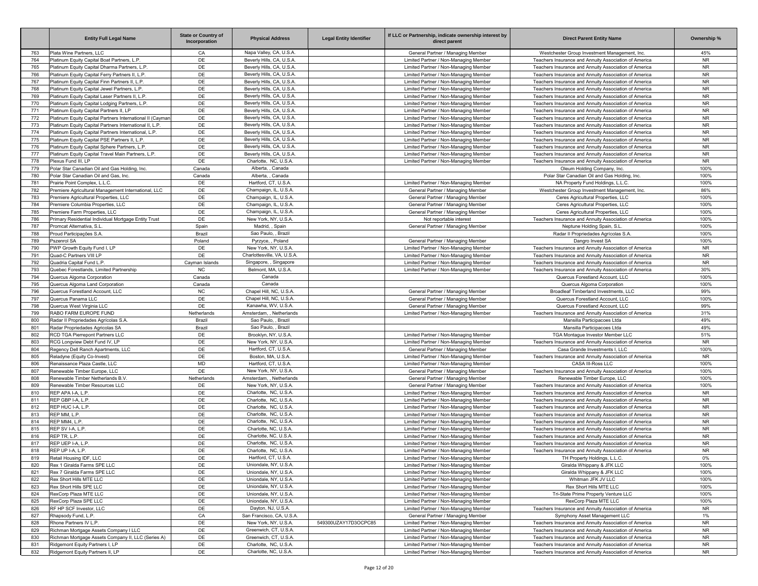|            | <b>Entity Full Legal Name</b>                                                                                        | <b>State or Country of</b><br>Incorporation | <b>Physical Address</b>                                | <b>Legal Entity Identifier</b> | If LLC or Partnership, indicate ownership interest by<br>direct parent         | <b>Direct Parent Entity Name</b>                                                                               | Ownership %            |
|------------|----------------------------------------------------------------------------------------------------------------------|---------------------------------------------|--------------------------------------------------------|--------------------------------|--------------------------------------------------------------------------------|----------------------------------------------------------------------------------------------------------------|------------------------|
| 763        | Plata Wine Partners, LLC                                                                                             | CA                                          | Napa Valley, CA, U.S.A.                                |                                | General Partner / Managing Member                                              | Westchester Group Investment Management, Inc.                                                                  | 45%                    |
| 764        | Platinum Equity Capital Boat Partners, L.P.                                                                          | DE                                          | Beverly Hills, CA, U.S.A.                              |                                | Limited Partner / Non-Managing Member                                          | Teachers Insurance and Annuity Association of America                                                          | <b>NR</b>              |
| 765        | Platinum Equity Capital Dharma Partners, L.P.                                                                        | DE                                          | Beverly Hills, CA, U.S.A.                              |                                | Limited Partner / Non-Managing Member                                          | Teachers Insurance and Annuity Association of America                                                          | <b>NR</b>              |
| 766        | Platinum Equity Capital Ferry Partners II, L.P                                                                       | DE                                          | Beverly Hills, CA, U.S.A.                              |                                | Limited Partner / Non-Managing Member                                          | Teachers Insurance and Annuity Association of America                                                          | <b>NR</b>              |
| 767        | Platinum Equity Capital Finn Partners II, L.P.                                                                       | DE                                          | Beverly Hills, CA, U.S.A.                              |                                | Limited Partner / Non-Managing Member                                          | Teachers Insurance and Annuity Association of America                                                          | <b>NR</b>              |
| 768        | Platinum Equity Capital Jewel Partners, L.P.                                                                         | DE                                          | Beverly Hills, CA, U.S.A.                              |                                | Limited Partner / Non-Managing Member                                          | Teachers Insurance and Annuity Association of America                                                          | <b>NR</b>              |
| 769        | Platinum Equity Capital Laser Partners II, L.P                                                                       | DE                                          | Beverly Hills, CA, U.S.A.                              |                                | Limited Partner / Non-Managing Member                                          | Teachers Insurance and Annuity Association of America                                                          | <b>NR</b>              |
| 770        | Platinum Equity Capital Lodging Partners, L.P.                                                                       | DE                                          | Beverly Hills, CA, U.S.A.                              |                                | Limited Partner / Non-Managing Member                                          | Teachers Insurance and Annuity Association of America                                                          | <b>NR</b>              |
| 771        | Platinum Equity Capital Partners II, LP                                                                              | DE                                          | Beverly Hills, CA, U.S.A.<br>Beverly Hills, CA, U.S.A. |                                | Limited Partner / Non-Managing Member                                          | Teachers Insurance and Annuity Association of America                                                          | <b>NR</b>              |
| 772<br>773 | Platinum Equity Capital Partners International II (Cayman<br>Platinum Equity Capital Partners International II, L.P. | DE<br>DE                                    | Beverly Hills, CA, U.S.A.                              |                                | Limited Partner / Non-Managing Member<br>Limited Partner / Non-Managing Member | Teachers Insurance and Annuity Association of America<br>Teachers Insurance and Annuity Association of America | <b>NR</b><br><b>NR</b> |
| 774        | Platinum Equity Capital Partners International, L.P.                                                                 | DE                                          | Beverly Hills, CA, U.S.A.                              |                                | Limited Partner / Non-Managing Member                                          | Teachers Insurance and Annuity Association of America                                                          | <b>NR</b>              |
| 775        | Platinum Equity Capital PSE Partners II, L.P                                                                         | DE                                          | Beverly Hills, CA, U.S.A.                              |                                | Limited Partner / Non-Managing Member                                          | Teachers Insurance and Annuity Association of America                                                          | <b>NR</b>              |
| 776        | Platinum Equity Capital Sphere Partners, L.P.                                                                        | DE                                          | Beverly Hills, CA, U.S.A.                              |                                | Limited Partner / Non-Managing Member                                          | Teachers Insurance and Annuity Association of America                                                          | <b>NR</b>              |
| 777        | Platinum Equity Capital Travel Main Partners, L.P.                                                                   | DE                                          | Beverly Hills, CA, U.S.A.                              |                                | Limited Partner / Non-Managing Member                                          | Teachers Insurance and Annuity Association of America                                                          | <b>NR</b>              |
| 778        | Plexus Fund III, LP                                                                                                  | DE                                          | Charlotte, NC, U.S.A.                                  |                                | Limited Partner / Non-Managing Member                                          | Teachers Insurance and Annuity Association of America                                                          | <b>NR</b>              |
| 779        | Polar Star Canadian Oil and Gas Holding, Inc.                                                                        | Canada                                      | Alberta, , Canada                                      |                                |                                                                                | Oleum Holding Company, Inc.                                                                                    | 100%                   |
| 780        | Polar Star Canadian Oil and Gas, Inc.                                                                                | Canada                                      | Alberta, , Canada                                      |                                |                                                                                | Polar Star Canadian Oil and Gas Holding, Inc.                                                                  | 100%                   |
| 781        | Prairie Point Complex, L.L.C.                                                                                        | DE                                          | Hartford, CT, U.S.A.                                   |                                | Limited Partner / Non-Managing Member                                          | NA Property Fund Holdings, L.L.C.                                                                              | 100%                   |
| 782        | Premiere Agricultural Management International, LLC                                                                  | DE                                          | Champaign, IL, U.S.A.                                  |                                | General Partner / Managing Member                                              | Westchester Group Investment Management, Inc.                                                                  | 86%                    |
| 783        | Premiere Agricultural Properties, LLC                                                                                | DE                                          | Champaign, IL, U.S.A.                                  |                                | General Partner / Managing Member                                              | Ceres Agricultural Properties, LLC                                                                             | 100%                   |
| 784        | Premiere Columbia Properties, LLC                                                                                    | DE                                          | Champaign, IL, U.S.A.                                  |                                | General Partner / Managing Member                                              | Ceres Agricultural Properties, LLC                                                                             | 100%                   |
| 785        | Premiere Farm Properties, LLC                                                                                        | DE                                          | Champaign, IL, U.S.A.                                  |                                | General Partner / Managing Member                                              | Ceres Agricultural Properties, LLC                                                                             | 100%                   |
| 786        | Primary Residential Individual Mortgage Entity Trust                                                                 | DE                                          | New York, NY, U.S.A.                                   |                                | Not reportable interest                                                        | Teachers Insurance and Annuity Association of America                                                          | 100%                   |
| 787        | Promcat Alternativa, S.L.                                                                                            | Spain                                       | Madrid, , Spain                                        |                                | General Partner / Managing Member                                              | Neptune Holding Spain, S.L                                                                                     | 100%                   |
| 788        | Proud Participações S.A.                                                                                             | Brazil                                      | Sao Paulo, , Brazil                                    |                                |                                                                                | Radar II Propriedades Agrícolas S.A.                                                                           | 100%                   |
| 789        | Pszenrol SA                                                                                                          | Poland                                      | Pyrzyce, , Poland                                      |                                | General Partner / Managing Member                                              | Dangro Invest SA                                                                                               | 100%                   |
| 790        | PWP Growth Equity Fund I, LP<br>Quad-C Partners VIII LP                                                              | DE<br>DE                                    | New York, NY, U.S.A.<br>Charlottesville, VA, U.S.A     |                                | Limited Partner / Non-Managing Member                                          | Teachers Insurance and Annuity Association of America                                                          | <b>NR</b><br><b>NR</b> |
| 791<br>792 | Quadria Capital Fund L.P.                                                                                            | Cayman Islands                              | Singapore, , Singapore                                 |                                | Limited Partner / Non-Managing Member<br>Limited Partner / Non-Managing Member | Teachers Insurance and Annuity Association of America<br>Teachers Insurance and Annuity Association of America | <b>NR</b>              |
| 793        | Quebec Forestlands, Limited Partnership                                                                              | <b>NC</b>                                   | Belmont, MA, U.S.A.                                    |                                | Limited Partner / Non-Managing Member                                          | Teachers Insurance and Annuity Association of America                                                          | 30%                    |
| 794        | Quercus Algoma Corporation                                                                                           | Canada                                      | Canada                                                 |                                |                                                                                | Quercus Forestland Account, LLC                                                                                | 100%                   |
| 795        | Quercus Algoma Land Corporation                                                                                      | Canada                                      | Canada                                                 |                                |                                                                                | Quercus Algoma Corporation                                                                                     | 100%                   |
| 796        | Quercus Forestland Account. LLC                                                                                      | <b>NC</b>                                   | Chapel Hill, NC, U.S.A.                                |                                | General Partner / Managing Member                                              | Broadleaf Timberland Investments, LLC                                                                          | 99%                    |
| 797        | Quercus Panama LLC                                                                                                   | DE                                          | Chapel Hill, NC, U.S.A.                                |                                | General Partner / Managing Member                                              | Quercus Forestland Account, LLC                                                                                | 100%                   |
| 798        | Quercus West Virginia LLC                                                                                            | DE                                          | Kanawha, WV, U.S.A.                                    |                                | General Partner / Managing Member                                              | Quercus Forestland Account, LLC                                                                                | 99%                    |
| 799        | RABO FARM EUROPE FUND                                                                                                | Netherlands                                 | Amsterdam. . Netherlands                               |                                | Limited Partner / Non-Managing Member                                          | Teachers Insurance and Annuity Association of America                                                          | 31%                    |
| 800        | Radar II Propriedades Agrícolas S.A.                                                                                 | Brazil                                      | Sao Paulo, , Brazil                                    |                                |                                                                                | Mansilla Participacoes Ltda                                                                                    | 49%                    |
| 801        | Radar Propriedades Agricolas SA                                                                                      | Brazil                                      | Sao Paulo, , Brazil                                    |                                |                                                                                | Mansilla Participacoes Ltda                                                                                    | 49%                    |
| 802        | RCD TGA Pierrepont Partners LLC                                                                                      | DE                                          | Brooklyn, NY, U.S.A                                    |                                | Limited Partner / Non-Managing Member                                          | TGA Montague Investor Member LLC                                                                               | 51%                    |
| 803        | RCG Longview Debt Fund IV, LP                                                                                        | DE                                          | New York, NY, U.S.A                                    |                                | Limited Partner / Non-Managing Member                                          | Teachers Insurance and Annuity Association of America                                                          | <b>NR</b>              |
| 804        | Regency Dell Ranch Apartments, LLC                                                                                   | DE                                          | Hartford, CT, U.S.A.                                   |                                | General Partner / Managing Member                                              | Casa Grande Investments I, LLC                                                                                 | 100%                   |
| 805        | Reladyne (Equity Co-Invest)                                                                                          | DE                                          | Boston, MA, U.S.A.                                     |                                | Limited Partner / Non-Managing Member                                          | Teachers Insurance and Annuity Association of America                                                          | <b>NR</b>              |
| 806<br>807 | Renaissance Plaza Castle, LLC<br>Renewable Timber Europe, LLC                                                        | MD<br>DE                                    | Hartford, CT, U.S.A.<br>New York, NY, U.S.A.           |                                | Limited Partner / Non-Managing Member<br>General Partner / Managing Member     | CASA III-Ross LLC<br>Teachers Insurance and Annuity Association of America                                     | 100%<br>100%           |
| 808        | Renewable Timber Netherlands B.V.                                                                                    | Netherlands                                 | Amsterdam, , Netherlands                               |                                | General Partner / Managing Member                                              | Renewable Timber Europe, LLC                                                                                   | 100%                   |
| 809        | Renewable Timber Resources LLC                                                                                       | DE                                          | New York, NY, U.S.A.                                   |                                | General Partner / Managing Member                                              | Teachers Insurance and Annuity Association of America                                                          | 100%                   |
| 810        | REP APA I-A, L.P.                                                                                                    | DE                                          | Charlotte, NC, U.S.A.                                  |                                | Limited Partner / Non-Managing Member                                          | Teachers Insurance and Annuity Association of America                                                          | <b>NR</b>              |
| 811        | REP GBP I-A, L.P.                                                                                                    | DE                                          | Charlotte, NC, U.S.A.                                  |                                | Limited Partner / Non-Managing Member                                          | Teachers Insurance and Annuity Association of America                                                          | <b>NR</b>              |
| 812        | REP HUC I-A, L.P.                                                                                                    | DE                                          | Charlotte, NC, U.S.A.                                  |                                | Limited Partner / Non-Managing Member                                          | Teachers Insurance and Annuity Association of America                                                          | <b>NR</b>              |
| 813        | REP MM, L.P.                                                                                                         | DE                                          | Charlotte, NC, U.S.A.                                  |                                | Limited Partner / Non-Managing Member                                          | Teachers Insurance and Annuity Association of America                                                          | <b>NR</b>              |
| 814        | REP MM4, L.P.                                                                                                        | DE                                          | Charlotte, NC, U.S.A.                                  |                                | Limited Partner / Non-Managing Member                                          | Teachers Insurance and Annuity Association of America                                                          | <b>NR</b>              |
| 815        | REP SV I-A, L.P                                                                                                      | DE                                          | Charlotte, NC, U.S.A                                   |                                | Limited Partner / Non-Managing Member                                          | Teachers Insurance and Annuity Association of America                                                          | <b>NR</b>              |
| 816        | REP TR. L.P.                                                                                                         | DE                                          | Charlotte, NC, U.S.A                                   |                                | Limited Partner / Non-Managing Member                                          | Teachers Insurance and Annuity Association of America                                                          | NR.                    |
| 817        | REP UEP I-A, L.P.                                                                                                    | DE                                          | Charlotte, NC, U.S.A.                                  |                                | Limited Partner / Non-Managing Member                                          | Teachers Insurance and Annuity Association of America                                                          | <b>NR</b>              |
| 818        | REP UP I-A, L.P.                                                                                                     | DE                                          | Charlotte, NC, U.S.A.                                  |                                | Limited Partner / Non-Managing Member                                          | Teachers Insurance and Annuity Association of America                                                          | NR.                    |
| 819        | Retail Housing IDF, LLC                                                                                              | DE                                          | Hartford, CT, U.S.A.                                   |                                | Limited Partner / Non-Managing Member                                          | TH Property Holdings, L.L.C.                                                                                   | $0\%$                  |
| 820        | Rex 1 Giralda Farms SPE LLC                                                                                          | DE                                          | Uniondale, NY, U.S.A.                                  |                                | Limited Partner / Non-Managing Member                                          | Giralda Whippany & JFK LLC                                                                                     | 100%                   |
| 821<br>822 | Rex 7 Giralda Farms SPE LLC<br>Rex Short Hills MTE LLC                                                               | DE<br>DE                                    | Uniondale, NY, U.S.A.<br>Uniondale, NY, U.S.A.         |                                | Limited Partner / Non-Managing Member<br>Limited Partner / Non-Managing Member | Giralda Whippany & JFK LLC<br>Whitman JFK JV LLC                                                               | 100%<br>100%           |
| 823        | Rex Short Hills SPE LLC                                                                                              | DE                                          | Uniondale, NY, U.S.A.                                  |                                | Limited Partner / Non-Managing Member                                          | Rex Short Hills MTE LLC                                                                                        | 100%                   |
| 824        | RexCorp Plaza MTE LLC                                                                                                | DE                                          | Uniondale, NY, U.S.A.                                  |                                | Limited Partner / Non-Managing Member                                          | Tri-State Prime Property Venture LLC                                                                           | 100%                   |
| 825        | RexCorp Plaza SPE LLC                                                                                                | DE                                          | Uniondale, NY, U.S.A.                                  |                                | Limited Partner / Non-Managing Member                                          | RexCorp Plaza MTE LLC                                                                                          | 100%                   |
| 826        | RF HP SCF Investor, LLC                                                                                              | DE                                          | Dayton, NJ, U.S.A.                                     |                                | Limited Partner / Non-Managing Member                                          | Teachers Insurance and Annuity Association of America                                                          | <b>NR</b>              |
| 827        | Rhapsody Fund, L.P.                                                                                                  | ${\sf CA}$                                  | San Francisco, CA, U.S.A.                              |                                | General Partner / Managing Member                                              | Symphony Asset Management LLC                                                                                  | 1%                     |
| 828        | Rhone Partners IV L.P.                                                                                               | DE                                          | New York, NY, U.S.A.                                   | 549300UZAY17D3OCPC85           | Limited Partner / Non-Managing Member                                          | Teachers Insurance and Annuity Association of America                                                          | <b>NR</b>              |
| 829        | Richman Mortgage Assets Company I LLC                                                                                | DE                                          | Greenwich, CT, U.S.A                                   |                                | Limited Partner / Non-Managing Member                                          | Teachers Insurance and Annuity Association of America                                                          | <b>NR</b>              |
| 830        | Richman Mortgage Assets Company II, LLC (Series A)                                                                   | DE                                          | Greenwich, CT, U.S.A.                                  |                                | Limited Partner / Non-Managing Member                                          | Teachers Insurance and Annuity Association of America                                                          | <b>NR</b>              |
| 831        | Ridgemont Equity Partners I, LP                                                                                      | DE                                          | Charlotte, NC, U.S.A.                                  |                                | Limited Partner / Non-Managing Member                                          | Teachers Insurance and Annuity Association of America                                                          | <b>NR</b>              |
| 832        | Ridgemont Equity Partners II, LP                                                                                     | DE                                          | Charlotte, NC, U.S.A.                                  |                                | Limited Partner / Non-Managing Member                                          | Teachers Insurance and Annuity Association of America                                                          | <b>NR</b>              |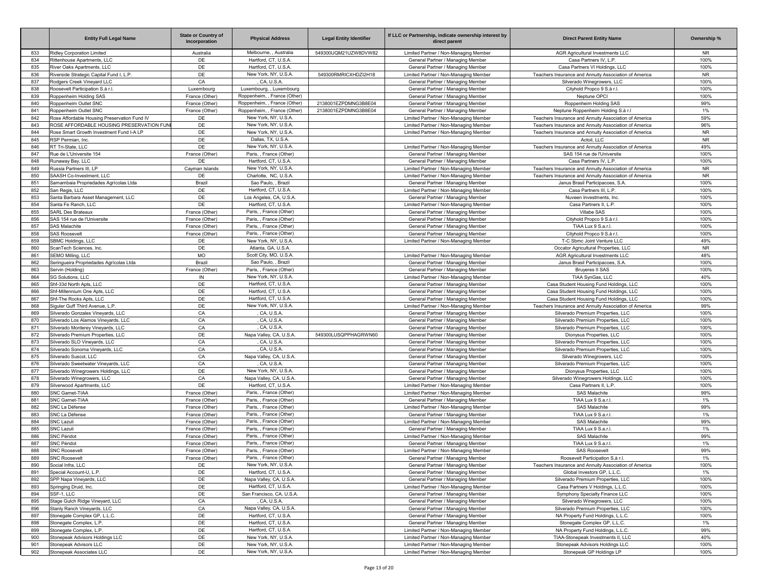|            | <b>Entity Full Legal Name</b>                                         | <b>State or Country of</b><br>Incorporation | <b>Physical Address</b>                                      | <b>Legal Entity Identifier</b>               | If LLC or Partnership, indicate ownership interest by<br>direct parent     | <b>Direct Parent Entity Name</b>                                                            | Ownership %  |
|------------|-----------------------------------------------------------------------|---------------------------------------------|--------------------------------------------------------------|----------------------------------------------|----------------------------------------------------------------------------|---------------------------------------------------------------------------------------------|--------------|
| 833        | Ridley Corporation Limited                                            | Australia                                   | Melbourne, , Australia                                       | 549300UQM21UZW8DVW82                         | Limited Partner / Non-Managing Member                                      | <b>AGR Agricultural Investments LLC</b>                                                     | <b>NR</b>    |
| 834        | Rittenhouse Apartments, LLC                                           | DE                                          | Hartford, CT, U.S.A.                                         |                                              | General Partner / Managing Member                                          | Casa Partners IV, L.P.                                                                      | 100%         |
| 835        | River Oaks Apartments, LLC                                            | DE                                          | Hartford, CT, U.S.A.                                         |                                              | General Partner / Managing Member                                          | Casa Partners VI Holdings, LLC                                                              | 100%         |
| 836        | Riverside Strategic Capital Fund I, L.P.                              | DE                                          | New York, NY, U.S.A.                                         | 549300RMRICXHDZI2H18                         | Limited Partner / Non-Managing Member                                      | Teachers Insurance and Annuity Association of America                                       | <b>NR</b>    |
| 837        | Rodgers Creek Vineyard LLC                                            | CA                                          | CA, U.S.A.                                                   |                                              | General Partner / Managing Member                                          | Silverado Winegrowers, LLC                                                                  | 100%         |
| 838        | Roosevelt Participation S.à r.l.                                      | Luxembourg                                  | Luxembourg, , Luxembourg                                     |                                              | General Partner / Managing Member                                          | Cityhold Propco 9 S.à r.l.                                                                  | 100%         |
| 839        | Roppenheim Holding SAS                                                | France (Other)                              | Roppenheim, , France (Other)                                 |                                              | General Partner / Managing Member                                          | Neptune OPCI                                                                                | 100%         |
| 840<br>841 | Roppenheim Outlet SNC                                                 | France (Other)                              | Roppenheim, , France (Other)<br>Roppenheim, , France (Other) | 2138001EZPDMNG3B8E04<br>2138001EZPDMNG3B8E04 | General Partner / Managing Member                                          | Roppenheim Holding SAS                                                                      | 99%<br>1%    |
| 842        | Roppenheim Outlet SNC<br>Rose Affordable Housing Preservation Fund IV | France (Other)<br>DE                        | New York, NY, U.S.A                                          |                                              | General Partner / Managing Member<br>Limited Partner / Non-Managing Member | Neptune Roppenheim Holding S.à r.l<br>Teachers Insurance and Annuity Association of America | 59%          |
| 843        | ROSE AFFORDABLE HOUSING PRESERVATION FUNI                             | DE                                          | New York, NY, U.S.A                                          |                                              | Limited Partner / Non-Managing Member                                      | Teachers Insurance and Annuity Association of America                                       | 96%          |
| 844        | Rose Smart Growth Investment Fund I-A LP                              | DE                                          | New York, NY, U.S.A                                          |                                              | Limited Partner / Non-Managing Member                                      | Teachers Insurance and Annuity Association of America                                       | <b>NR</b>    |
| 845        | RSP Permian, Inc.                                                     | DE                                          | Dallas, TX, U.S.A.                                           |                                              |                                                                            | Actoil, LLC                                                                                 | <b>NR</b>    |
| 846        | RT Tri-State, LLC                                                     | DE                                          | New York, NY, U.S.A                                          |                                              | Limited Partner / Non-Managing Member                                      | Teachers Insurance and Annuity Association of America                                       | 49%          |
| 847        | Rue de L'Universite 154                                               | France (Other)                              | Paris, , France (Other)                                      |                                              | General Partner / Managing Member                                          | SAS 154 rue de l'Universite                                                                 | 100%         |
| 848        | Runaway Bay, LLC                                                      | DE                                          | Hartford, CT, U.S.A.                                         |                                              | General Partner / Managing Member                                          | Casa Partners IV, L.P                                                                       | 100%         |
| 849        | Russia Partners III, LP                                               | Cayman Islands                              | New York, NY, U.S.A.                                         |                                              | Limited Partner / Non-Managing Member                                      | Teachers Insurance and Annuity Association of America                                       | <b>NR</b>    |
| 850        | SAASH Co-Investment, LLC                                              | DE                                          | Charlotte, NC, U.S.A.                                        |                                              | Limited Partner / Non-Managing Member                                      | Teachers Insurance and Annuity Association of America                                       | <b>NR</b>    |
| 851        | Samambaia Propriedades Agrícolas Ltda                                 | Brazil                                      | Sao Paulo, , Brazil                                          |                                              | General Partner / Managing Member                                          | Janus Brasil Participacoes, S.A.                                                            | 100%         |
| 852        | San Regis, LLC                                                        | DE                                          | Hartford, CT, U.S.A.                                         |                                              | Limited Partner / Non-Managing Member                                      | Casa Partners III, L.P                                                                      | 100%         |
| 853        | Santa Barbara Asset Management, LLC                                   | DE                                          | Los Angeles, CA, U.S.A.                                      |                                              | General Partner / Managing Member                                          | Nuveen Investments, Inc.                                                                    | 100%         |
| 854        | Santa Fe Ranch, LLC                                                   | DE                                          | Hartford, CT, U.S.A.                                         |                                              | Limited Partner / Non-Managing Member                                      | Casa Partners II, L.P.                                                                      | 100%         |
| 855        | <b>SARL Des Brateaux</b>                                              | France (Other)                              | Paris, , France (Other)                                      |                                              | General Partner / Managing Member                                          | Villabe SAS                                                                                 | 100%         |
| 856        | SAS 154 rue de l'Universite                                           | France (Other)                              | Paris. . France (Other)                                      |                                              | General Partner / Managing Member                                          | Cityhold Propco 9 S.à r.l.                                                                  | 100%         |
| 857<br>858 | <b>SAS Malachite</b><br><b>SAS Roosevelt</b>                          | France (Other)                              | Paris, , France (Other)<br>Paris, , France (Other)           |                                              | General Partner / Managing Member<br>General Partner / Managing Member     | TIAA Lux 9 S.a.r.l<br>Cityhold Propco 9 S.à r.l.                                            | 100%<br>100% |
| 859        | SBMC Holdings, LLC                                                    | France (Other)<br>DE                        | New York, NY, U.S.A                                          |                                              | Limited Partner / Non-Managing Member                                      | T-C Sbmc Joint Venture LLC                                                                  | 49%          |
| 860        | ScanTech Sciences, Inc.                                               | DE                                          | Atlanta, GA, U.S.A                                           |                                              |                                                                            | Occator Agricultural Properties, LLC                                                        | <b>NR</b>    |
| 861        | SEMO Milling, LLC                                                     | <b>MO</b>                                   | Scott City, MO, U.S.A                                        |                                              | Limited Partner / Non-Managing Member                                      | AGR Agricultural Investments LLC                                                            | 48%          |
| 862        | Seringueira Propriedades Agrícolas Ltda                               | Brazil                                      | Sao Paulo, , Brazil                                          |                                              | General Partner / Managing Member                                          | Janus Brasil Participacoes, S.A.                                                            | 100%         |
| 863        | Servin (Holding)                                                      | France (Other)                              | Paris, , France (Other)                                      |                                              | General Partner / Managing Member                                          | <b>Bruyeres II SAS</b>                                                                      | 100%         |
| 864        | <b>SG Solutions, LLC</b>                                              | IN                                          | New York, NY, U.S.A                                          |                                              | Limited Partner / Non-Managing Member                                      | TIAA SynGas, LLC                                                                            | 40%          |
| 865        | Shf-33d North Apts, LLC                                               | DE                                          | Hartford, CT, U.S.A.                                         |                                              | General Partner / Managing Member                                          | Casa Student Housing Fund Holdings, LLC                                                     | 100%         |
| 866        | Shf-Millennium One Apts, LLC                                          | DE                                          | Hartford, CT, U.S.A.                                         |                                              | General Partner / Managing Member                                          | Casa Student Housing Fund Holdings, LLC                                                     | 100%         |
| 867        | Shf-The Rocks Apts, LLC                                               | DE                                          | Hartford, CT, U.S.A.                                         |                                              | General Partner / Managing Member                                          | Casa Student Housing Fund Holdings, LLC                                                     | 100%         |
| 868        | Siguler Guff Third Avenue, L.P.                                       | DE                                          | New York, NY, U.S.A.                                         |                                              | Limited Partner / Non-Managing Member                                      | Teachers Insurance and Annuity Association of America                                       | 99%          |
| 869        | Silverado Gonzales Vineyards, LLC                                     | CA                                          | CA, U.S.A                                                    |                                              | General Partner / Managing Member                                          | Silverado Premium Properties, LLC                                                           | 100%         |
| 870        | Silverado Los Alamos Vineyards, LLC                                   | CA                                          | CA, U.S.A                                                    |                                              | General Partner / Managing Member                                          | Silverado Premium Properties, LLC                                                           | 100%         |
| 871        | Silverado Monterey Vineyards, LLC                                     | CA                                          | CA, U.S.A                                                    |                                              | General Partner / Managing Member                                          | Silverado Premium Properties, LLC                                                           | 100%         |
| 872        | Silverado Premium Properties, LLC                                     | DE                                          | Napa Valley, CA, U.S.A.                                      | 549300LUSQPPHAGRWN60                         | General Partner / Managing Member                                          | Dionysus Properties, LLC                                                                    | 100%         |
| 873<br>874 | Silverado SLO Vineyards, LLC<br>Silverado Sonoma Vineyards, LLC       | CA<br>CA                                    | CA, U.S.A<br>CA, U.S.A                                       |                                              | General Partner / Managing Member                                          | Silverado Premium Properties, LLC<br>Silverado Premium Properties, LLC                      | 100%<br>100% |
| 875        | Silverado Suscol, LLC                                                 | CA                                          | Napa Valley, CA, U.S.A.                                      |                                              | General Partner / Managing Member<br>General Partner / Managing Member     | Silverado Winegrowers, LLC                                                                  | 100%         |
| 876        | Silverado Sweetwater Vineyards, LLC                                   | CA                                          | CA. U.S.A.                                                   |                                              | General Partner / Managing Member                                          | Silverado Premium Properties, LLC                                                           | 100%         |
| 877        | Silverado Winegrowers Holdings, LLC                                   | DE                                          | New York, NY, U.S.A.                                         |                                              | General Partner / Managing Member                                          | Dionysus Properties, LLC                                                                    | 100%         |
| 878        | Silverado Winegrowers, LLC                                            | CA                                          | Napa Valley, CA, U.S.A.                                      |                                              | General Partner / Managing Member                                          | Silverado Winegrowers Holdings, LLC                                                         | 100%         |
| 879        | Silverwood Apartments, LLC                                            | DE                                          | Hartford, CT, U.S.A.                                         |                                              | Limited Partner / Non-Managing Member                                      | Casa Partners II, L.P.                                                                      | 100%         |
| 880        | SNC Garnet-TIAA                                                       | France (Other)                              | Paris. . France (Other)                                      |                                              | Limited Partner / Non-Managing Member                                      | <b>SAS Malachite</b>                                                                        | 99%          |
| 881        | SNC Garnet-TIAA                                                       | France (Other)                              | Paris, , France (Other)                                      |                                              | General Partner / Managing Member                                          | TIAA Lux 9 S.a.r.l                                                                          | 1%           |
| 882        | SNC La Défense                                                        | France (Other)                              | Paris, , France (Other)                                      |                                              | Limited Partner / Non-Managing Member                                      | <b>SAS Malachite</b>                                                                        | 99%          |
| 883        | SNC La Défense                                                        | France (Other)                              | Paris, , France (Other)                                      |                                              | General Partner / Managing Member                                          | TIAA Lux 9 S.a.r.l                                                                          | 1%           |
| 884        | <b>SNC Lazuli</b>                                                     | France (Other)                              | Paris, , France (Other)                                      |                                              | Limited Partner / Non-Managing Member                                      | <b>SAS Malachite</b>                                                                        | 99%          |
| 885        | <b>SNC Lazuli</b>                                                     | France (Other)                              | Paris, , France (Other)                                      |                                              | General Partner / Managing Member                                          | TIAA Lux 9 S.a.r.l.                                                                         | 1%           |
| 886        | SNC Péridot                                                           | France (Other)                              | Paris, , France (Other)                                      |                                              | Limited Partner / Non-Managing Member                                      | <b>SAS Malachite</b>                                                                        | 99%          |
| 887<br>888 | <b>SNC Péridot</b>                                                    | France (Other)                              | Paris, , France (Other)<br>Paris, , France (Other)           |                                              | General Partner / Managing Member                                          | TIAA Lux 9 S.a.r.l.                                                                         | 1%<br>99%    |
|            | <b>SNC Roosevelt</b>                                                  | France (Other)                              |                                                              |                                              | Limited Partner / Non-Managing Member                                      | <b>SAS Roosevelt</b>                                                                        |              |
| 889<br>890 | <b>SNC Roosevelt</b><br>Social Infra, LLC                             | France (Other)<br>DE                        | Paris, , France (Other)<br>New York, NY, U.S.A.              |                                              | General Partner / Managing Member<br>General Partner / Managing Member     | Roosevelt Participation S.à r.l.<br>Teachers Insurance and Annuity Association of America   | 1%<br>100%   |
| 891        | Special Account-U, L.P.                                               | DE                                          | Hartford, CT, U.S.A.                                         |                                              | General Partner / Managing Member                                          | Global Investors GP, L.L.C.                                                                 | 1%           |
| 892        | SPP Napa Vineyards, LLC                                               | DE                                          | Napa Valley, CA, U.S.A.                                      |                                              | General Partner / Managing Member                                          | Silverado Premium Properties, LLC                                                           | 100%         |
| 893        | Springing Druid, Inc.                                                 | DE                                          | Hartford, CT, U.S.A.                                         |                                              | Limited Partner / Non-Managing Member                                      | Casa Partners V Holdings, L.L.C.                                                            | 100%         |
| 894        | SSF-1, LLC                                                            | DE                                          | San Francisco, CA, U.S.A.                                    |                                              | General Partner / Managing Member                                          | Symphony Specialty Finance LLC                                                              | 100%         |
| 895        | Stage Gulch Ridge Vineyard, LLC                                       | CA                                          | CA, U.S.A.                                                   |                                              | General Partner / Managing Member                                          | Silverado Winegrowers, LLC                                                                  | 100%         |
| 896        | Stanly Ranch Vineyards, LLC                                           | CA                                          | Napa Valley, CA, U.S.A.                                      |                                              | General Partner / Managing Member                                          | Silverado Premium Properties, LLC                                                           | 100%         |
| 897        | Stonegate Complex GP, L.L.C.                                          | DE                                          | Hartford, CT, U.S.A.                                         |                                              | General Partner / Managing Member                                          | NA Property Fund Holdings, L.L.C.                                                           | 100%         |
| 898        | Stonegate Complex, L.P.                                               | DE                                          | Hartford, CT, U.S.A.                                         |                                              | General Partner / Managing Member                                          | Stonegate Complex GP, L.L.C.                                                                | 1%           |
| 899        | Stonegate Complex, L.P.                                               | DE                                          | Hartford, CT, U.S.A.                                         |                                              | Limited Partner / Non-Managing Member                                      | NA Property Fund Holdings, L.L.C.                                                           | 99%          |
| 900        | Stonepeak Advisors Holdings LLC                                       | DE                                          | New York, NY, U.S.A.                                         |                                              | Limited Partner / Non-Managing Member                                      | TIAA-Stonepeak Investments II, LLC                                                          | 40%          |
| 901        | Stonepeak Advisors LLC                                                | DE                                          | New York, NY, U.S.A.                                         |                                              | Limited Partner / Non-Managing Member                                      | Stonepeak Advisors Holdings LLC                                                             | 100%         |
| 902        | Stonepeak Associates LLC                                              | DE                                          | New York, NY, U.S.A.                                         |                                              | Limited Partner / Non-Managing Member                                      | Stonepeak GP Holdings LP                                                                    | 100%         |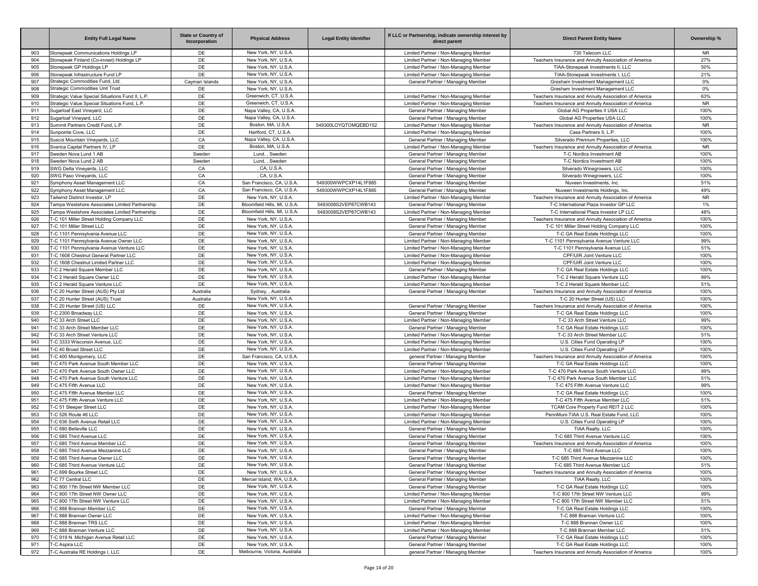|            | <b>Entity Full Legal Name</b>                                          | <b>State or Country of</b><br>Incorporation | <b>Physical Address</b>                             | <b>Legal Entity Identifier</b> | If LLC or Partnership, indicate ownership interest by<br>direct parent     | <b>Direct Parent Entity Name</b>                                                           | Ownership %  |
|------------|------------------------------------------------------------------------|---------------------------------------------|-----------------------------------------------------|--------------------------------|----------------------------------------------------------------------------|--------------------------------------------------------------------------------------------|--------------|
| 903        | Stonepeak Communications Holdings LP                                   | DE                                          | New York, NY, U.S.A                                 |                                | Limited Partner / Non-Managing Member                                      | 730 Telecom LLC                                                                            | NR.          |
| 904        | Stonepeak Finland (Co-invest) Holdings LP                              | DE                                          | New York, NY, U.S.A                                 |                                | Limited Partner / Non-Managing Member                                      | Teachers Insurance and Annuity Association of America                                      | 27%          |
| 905        | Stonepeak GP Holdings LP                                               | DE                                          | New York, NY, U.S.A                                 |                                | Limited Partner / Non-Managing Member                                      | TIAA-Stonepeak Investments II, LLC                                                         | 50%          |
| 906        | Stonepeak Infrastructure Fund LP                                       | DE                                          | New York, NY, U.S.A                                 |                                | Limited Partner / Non-Managing Member                                      | TIAA-Stonepeak Investments I, LLC                                                          | 21%          |
| 907        | Strategic Commodities Fund. Ltd.<br>Strategic Commodities Unit Trust   | Cayman Islands                              | New York, NY, U.S.A                                 |                                | General Partner / Managing Member                                          | Gresham Investment Management LLC                                                          | $0\%$        |
| 908<br>909 | Strategic Value Special Situations Fund II, L.P.                       | DE<br>DE                                    | New York, NY, U.S.A<br>Greenwich, CT, U.S.A.        |                                | Limited Partner / Non-Managing Member                                      | Gresham Investment Management LLC<br>Teachers Insurance and Annuity Association of America | 0%<br>63%    |
| 910        | Strategic Value Special Situations Fund, L.P.                          | DE                                          | Greenwich, CT, U.S.A                                |                                | Limited Partner / Non-Managing Member                                      | Teachers Insurance and Annuity Association of America                                      | <b>NR</b>    |
| 911        | Sugarloaf East Vineyard, LLC                                           | DE                                          | Napa Valley, CA, U.S.A.                             |                                | General Partner / Managing Member                                          | Global AG Properties II USA LLC                                                            | 100%         |
| 912        | Sugarloaf Vineyard, LLC                                                | DE                                          | Napa Valley, CA, U.S.A.                             |                                | General Partner / Managing Member                                          | Global AG Properties USA LLC                                                               | 100%         |
| 913        | Summit Partners Credit Fund, L.P.                                      | DE                                          | Boston, MA, U.S.A                                   | 549300LOYQTOMQEBD152           | Limited Partner / Non-Managing Member                                      | Teachers Insurance and Annuity Association of America                                      | <b>NR</b>    |
| 914        | Sunpointe Cove, LLC                                                    | DE                                          | Hartford, CT, U.S.A.                                |                                | Limited Partner / Non-Managing Member                                      | Casa Partners II, L.P.                                                                     | 100%         |
| 915        | Suscol Mountain Vineyards, LLC                                         | CA                                          | Napa Valley, CA, U.S.A.                             |                                | General Partner / Managing Member                                          | Silverado Premium Properties, LLC                                                          | 100%         |
| 916        | Sverica Capital Partners IV, LP                                        | DE                                          | Boston, MA, U.S.A                                   |                                | Limited Partner / Non-Managing Member                                      | Teachers Insurance and Annuity Association of America                                      | <b>NR</b>    |
| 917        | Sweden Nova Lund 1 AB                                                  | Sweden                                      | Lund. . Sweden                                      |                                | General Partner / Managing Member                                          | T-C Nordics Investment AB                                                                  | 100%         |
| 918        | Sweden Nova Lund 2 AB                                                  | Sweden                                      | Lund, , Sweden                                      |                                | General Partner / Managing Member                                          | T-C Nordics Investment AB                                                                  | 100%         |
| 919        | SWG Delta Vineyards, LLC                                               | CA                                          | , CA, U.S.A.                                        |                                | General Partner / Managing Member                                          | Silverado Winegrowers, LLC                                                                 | 100%         |
| 920        | SWG Paso Vineyards, LLC                                                | CA                                          | CA, U.S.A.                                          |                                | General Partner / Managing Member                                          | Silverado Winegrowers, LLC                                                                 | 100%         |
| 921        | Symphony Asset Management LLC                                          | CA                                          | San Francisco, CA, U.S.A                            | 549300WWPCXP14L1F885           | General Partner / Managing Member                                          | Nuveen Investments, Inc.                                                                   | 51%          |
| 922        | Symphony Asset Management LLC                                          | CA                                          | San Francisco, CA, U.S.A.                           | 549300WWPCXP14L1F885           | General Partner / Managing Member                                          | Nuveen Investments Holdings, Inc.                                                          | 49%          |
| 923        | Tailwind Distinct Investor, LP                                         | DE                                          | New York, NY, U.S.A                                 |                                | Limited Partner / Non-Managing Member                                      | Teachers Insurance and Annuity Association of America                                      | <b>NR</b>    |
| 924        | Tampa Westshore Associates Limited Partnership                         | DE                                          | Bloomfield Hills, MI, U.S.A                         | 5493008S2VEP87CWB143           | General Partner / Managing Member                                          | T-C International Plaza Investor GP LLC                                                    | 1%           |
| 925        | Tampa Westshore Associates Limited Partnership                         | DE                                          | Bloomfield Hills, MI, U.S.A<br>New York, NY, U.S.A. | 5493008S2VEP87CWB143           | Limited Partner / Non-Managing Member                                      | T-C International Plaza Investor LP LLC                                                    | 48%          |
| 926        | T-C 101 Miller Street Holding Company LLC<br>T-C 101 Miller Street LLC | DE<br>DE                                    | New York, NY, U.S.A                                 |                                | General Partner / Managing Member                                          | Teachers Insurance and Annuity Association of America                                      | 100%         |
| 927<br>928 | T-C 1101 Pennsylvania Avenue LLC                                       | DE                                          | New York, NY, U.S.A                                 |                                | General Partner / Managing Member<br>General Partner / Managing Member     | T-C 101 Miller Street Holding Company LLC<br>T-C GA Real Estate Holdings LLC               | 100%<br>100% |
| 929        | T-C 1101 Pennsylvania Avenue Owner LLC                                 | DE                                          | New York, NY, U.S.A                                 |                                | Limited Partner / Non-Managing Member                                      | T-C 1101 Pennsylvania Avenue Venture LLC                                                   | 99%          |
| 930        | T-C 1101 Pennsylvania Avenue Venture LLC                               | DE                                          | New York, NY, U.S.A                                 |                                | Limited Partner / Non-Managing Member                                      | T-C 1101 Pennsylvania Avenue LLC                                                           | 51%          |
| 931        | T-C 1608 Chestnut General Partner LLC                                  | DE                                          | New York, NY, U.S.A                                 |                                | Limited Partner / Non-Managing Member                                      | CPF/UIR Joint Venture LLC                                                                  | 100%         |
| 932        | T-C 1608 Chestnut Limited Partner LLC                                  | DE                                          | New York, NY, U.S.A                                 |                                | Limited Partner / Non-Managing Member                                      | CPF/UIR Joint Venture LLC                                                                  | 100%         |
| 933        | T-C 2 Herald Square Member LLC                                         | DE                                          | New York, NY, U.S.A                                 |                                | General Partner / Managing Member                                          | T-C GA Real Estate Holdings LLC                                                            | 100%         |
| 934        | T-C 2 Herald Square Owner LLC                                          | DE                                          | New York, NY, U.S.A                                 |                                | Limited Partner / Non-Managing Member                                      | T-C 2 Herald Square Venture LLC                                                            | 99%          |
| 935        | T-C 2 Herald Square Venture LLC                                        | DE                                          | New York, NY, U.S.A                                 |                                | Limited Partner / Non-Managing Member                                      | T-C 2 Herald Square Member LLC                                                             | 51%          |
| 936        | T-C 20 Hunter Street (AUS) Ptv Ltd                                     | Australia                                   | Sydney, , Australia                                 |                                | General Partner / Managing Member                                          | Teachers Insurance and Annuity Association of America                                      | 100%         |
| 937        | T-C 20 Hunter Street (AUS) Trust                                       | Australia                                   | New York, NY, U.S.A                                 |                                |                                                                            | T-C 20 Hunter Street (US) LLC                                                              | 100%         |
| 938        | T-C 20 Hunter Street (US) LLC                                          | DE                                          | New York, NY, U.S.A                                 |                                | General Partner / Managing Member                                          | Teachers Insurance and Annuity Association of America                                      | 100%         |
| 939        | T-C 2300 Broadway LLC                                                  | DE                                          | New York, NY, U.S.A                                 |                                | General Partner / Managing Member                                          | T-C GA Real Estate Holdings LLC                                                            | 100%         |
| 940        | T-C 33 Arch Street LLC                                                 | DE                                          | New York, NY, U.S.A                                 |                                | Limited Partner / Non-Managing Member                                      | T-C 33 Arch Street Venture LLC                                                             | 99%          |
| 941        | T-C 33 Arch Street Member LLC                                          | DE                                          | New York, NY, U.S.A                                 |                                | General Partner / Managing Member                                          | T-C GA Real Estate Holdings LLC                                                            | 100%         |
| 942        | T-C 33 Arch Street Venture LLC                                         | DE                                          | New York, NY, U.S.A                                 |                                | Limited Partner / Non-Managing Member                                      | T-C 33 Arch Street Member LLC                                                              | 51%          |
| 943        | T-C 3333 Wisconsin Avenue, LLC                                         | DE                                          | New York, NY, U.S.A                                 |                                | Limited Partner / Non-Managing Member                                      | U.S. Cities Fund Operating LP                                                              | 100%         |
| 944        | T-C 40 Broad Street LLC                                                | DE                                          | New York, NY, U.S.A                                 |                                | Limited Partner / Non-Managing Member                                      | U.S. Cities Fund Operating LP                                                              | 100%         |
| 945        | T-C 400 Montgomery, LLC                                                | DE                                          | San Francisco, CA, U.S.A.                           |                                | general Partner / Managing Member                                          | Teachers Insurance and Annuity Association of America                                      | 100%         |
| 946        | T-C 470 Park Avenue South Member LLC                                   | DE                                          | New York, NY, U.S.A                                 |                                | General Partner / Managing Member                                          | T-C GA Real Estate Holdings LLC                                                            | 100%         |
| 947        | T-C 470 Park Avenue South Owner LLC                                    | DE                                          | New York, NY, U.S.A                                 |                                | Limited Partner / Non-Managing Member                                      | T-C 470 Park Avenue South Venture LLC                                                      | 99%          |
| 948        | T-C 470 Park Avenue South Venture LLC                                  | DE                                          | New York, NY, U.S.A<br>New York, NY, U.S.A.         |                                | Limited Partner / Non-Managing Member                                      | T-C 470 Park Avenue South Member LLC                                                       | 51%          |
| 949<br>950 | T-C 475 Fifth Avenue LLC                                               | DE                                          | New York, NY, U.S.A                                 |                                | Limited Partner / Non-Managing Member                                      | T-C 475 Fifth Avenue Venture LLC                                                           | 99%          |
| 951        | T-C 475 Fifth Avenue Member LLC<br>T-C 475 Fifth Avenue Venture LLC    | DE<br>DE                                    | New York, NY, U.S.A                                 |                                | General Partner / Managing Member<br>Limited Partner / Non-Managing Member | T-C GA Real Estate Holdings LLC<br>T-C 475 Fifth Avenue Member LLC                         | 100%<br>51%  |
| 952        | T-C 51 Sleeper Street LLC                                              | DE                                          | New York, NY, U.S.A                                 |                                | Limited Partner / Non-Managing Member                                      | TCAM Core Property Fund REIT 2 LLC                                                         | 100%         |
| 953        | T-C 526 Route 46 LLC                                                   | DE                                          | New York, NY, U.S.A                                 |                                | Limited Partner / Non-Managing Member                                      | PennMuni-TIAA U.S. Real Estate Fund, LLC                                                   | 100%         |
| 954        | T-C 636 Sixth Avenue Retail LLC                                        | DE                                          | New York, NY, U.S.A                                 |                                | Limited Partner / Non-Managing Member                                      | U.S. Cities Fund Operating LP                                                              | 100%         |
| 955        | T-C 680 Belleville LLC                                                 | DE                                          | New York, NY, U.S.A                                 |                                | General Partner / Managing Member                                          | TIAA Realty, LLC                                                                           | 100%         |
| 956        | T-C 685 Third Avenue LLC                                               | DE                                          | New York, NY, U.S.A                                 |                                | General Partner / Managing Member                                          | T-C 685 Third Avenue Venture LLC                                                           | 100%         |
| 957        | T-C 685 Third Avenue Member LLC                                        | DE                                          | New York, NY, U.S.A                                 |                                | General Partner / Managing Member                                          | Teachers Insurance and Annuity Association of America                                      | 100%         |
| 958        | T-C 685 Third Avenue Mezzanine LLC                                     | DE                                          | New York, NY, U.S.A                                 |                                | General Partner / Managing Member                                          | T-C 685 Third Avenue LLC                                                                   | 100%         |
| 959        | T-C 685 Third Avenue Owner LLC                                         | DE                                          | New York, NY, U.S.A.                                |                                | General Partner / Managing Member                                          | T-C 685 Third Avenue Mezzanine LLC                                                         | 100%         |
| 960        | T-C 685 Third Avenue Venture LLC                                       | DE                                          | New York, NY, U.S.A.                                |                                | General Partner / Managing Member                                          | T-C 685 Third Avenue Member LLC                                                            | 51%          |
| 961        | T-C 699 Bourke Street LLC                                              | DE                                          | New York, NY, U.S.A.                                |                                | General Partner / Managing Member                                          | Teachers Insurance and Annuity Association of America                                      | 100%         |
| 962        | T-C 77 Central LLC                                                     | DE                                          | Mercer Island, WA, U.S.A.                           |                                | General Partner / Managing Member                                          | TIAA Realty, LLC                                                                           | 100%         |
| 963        | T-C 800 17th Street NW Member LLC                                      | DE                                          | New York, NY, U.S.A.                                |                                | General Partner / Managing Member                                          | T-C GA Real Estate Holdings LLC                                                            | 100%         |
| 964        | T-C 800 17th Street NW Owner LLC                                       | DE                                          | New York, NY, U.S.A.                                |                                | Limited Partner / Non-Managing Member                                      | T-C 800 17th Street NW Venture LLC                                                         | 99%          |
| 965        | T-C 800 17th Street NW Venture LLC                                     | DE                                          | New York, NY, U.S.A.                                |                                | Limited Partner / Non-Managing Member                                      | T-C 800 17th Street NW Member LLC                                                          | 51%          |
| 966        | T-C 888 Brannan Member LLC                                             | DE                                          | New York, NY, U.S.A.                                |                                | General Partner / Managing Member                                          | T-C GA Real Estate Holdings LLC                                                            | 100%         |
| 967        | T-C 888 Brannan Owner LLC                                              | DE                                          | New York, NY, U.S.A.                                |                                | Limited Partner / Non-Managing Member                                      | T-C 888 Brannan Venture LLC                                                                | 100%         |
| 968        | T-C 888 Brannan TRS LLC                                                | DE                                          | New York, NY, U.S.A.                                |                                | Limited Partner / Non-Managing Member                                      | T-C 888 Brannan Owner LLC                                                                  | 100%         |
| 969        | T-C 888 Brannan Venture LLC                                            | DE                                          | New York, NY, U.S.A.                                |                                | Limited Partner / Non-Managing Member                                      | T-C 888 Brannan Member LLC                                                                 | 51%          |
| 970        | T-C 919 N. Michigan Avenue Retail LLC                                  | DE                                          | New York, NY, U.S.A.                                |                                | General Partner / Managing Member                                          | T-C GA Real Estate Holdings LLC                                                            | 100%         |
| 971        | T-C Aspira LLC                                                         | DE                                          | New York, NY, U.S.A.                                |                                | General Partner / Managing Member                                          | T-C GA Real Estate Holdings LLC                                                            | 100%         |
| 972        | T-C Australia RE Holdings I, LLC                                       | DE                                          | Melbourne, Victoria, Australia                      |                                | general Partner / Managing Member                                          | Teachers Insurance and Annuity Association of America                                      | 100%         |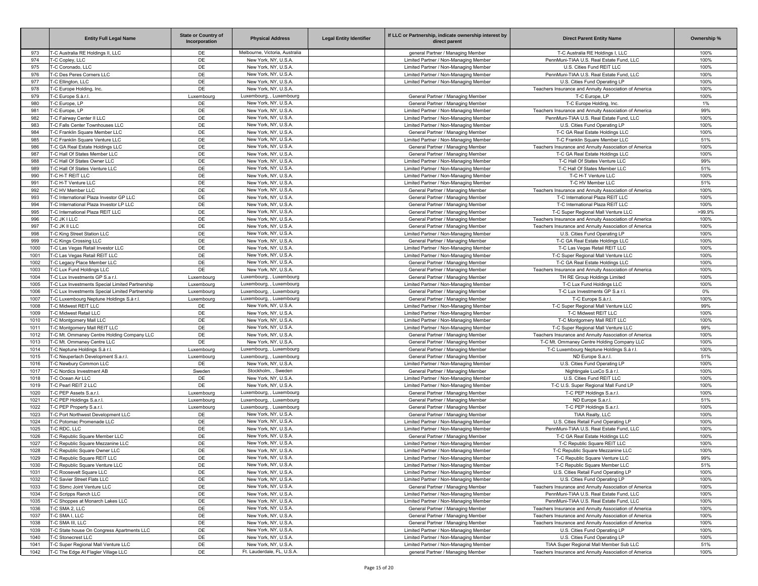|              | <b>Entity Full Legal Name</b>                                                      | <b>State or Country of</b><br>Incorporation | <b>Physical Address</b>                              | <b>Legal Entity Identifier</b> | If LLC or Partnership, indicate ownership interest by<br>direct parent         | <b>Direct Parent Entity Name</b>                                                                  | Ownership %    |
|--------------|------------------------------------------------------------------------------------|---------------------------------------------|------------------------------------------------------|--------------------------------|--------------------------------------------------------------------------------|---------------------------------------------------------------------------------------------------|----------------|
| 973          | T-C Australia RE Holdings II, LLC                                                  | DE                                          | Melbourne, Victoria, Australia                       |                                | general Partner / Managing Member                                              | T-C Australia RE Holdings I, LLC                                                                  | 100%           |
| 974          | T-C Copley, LLC                                                                    | DE                                          | New York, NY, U.S.A                                  |                                | Limited Partner / Non-Managing Member                                          | PennMuni-TIAA U.S. Real Estate Fund, LLC                                                          | 100%           |
| 975          | T-C Coronado, LLC                                                                  | DE                                          | New York, NY, U.S.A                                  |                                | Limited Partner / Non-Managing Member                                          | U.S. Cities Fund REIT LLC                                                                         | 100%           |
| 976<br>977   | T-C Des Peres Corners LLC<br>T-C Ellington, LLC                                    | DE<br>DE                                    | New York, NY, U.S.A<br>New York, NY, U.S.A           |                                | Limited Partner / Non-Managing Member<br>Limited Partner / Non-Managing Member | PennMuni-TIAA U.S. Real Estate Fund, LLC<br>U.S. Cities Fund Operating LP                         | 100%<br>100%   |
| 978          | T-C Europe Holding, Inc.                                                           | DE                                          | New York, NY, U.S.A                                  |                                |                                                                                | Teachers Insurance and Annuity Association of America                                             | 100%           |
| 979          | T-C Europe S.à.r.l.                                                                | Luxembourg                                  | Luxembourg. . Luxembourg                             |                                | General Partner / Managing Member                                              | T-C Europe, LP                                                                                    | 100%           |
| 980          | T-C Europe, LP                                                                     | DE                                          | New York, NY, U.S.A                                  |                                | General Partner / Managing Member                                              | T-C Europe Holding, Inc.                                                                          | 1%             |
| 981          | T-C Europe, LP                                                                     | DE                                          | New York, NY, U.S.A                                  |                                | Limited Partner / Non-Managing Member                                          | Teachers Insurance and Annuity Association of America                                             | 99%            |
| 982          | T-C Fairway Center II LLC                                                          | DE                                          | New York, NY, U.S.A                                  |                                | Limited Partner / Non-Managing Member                                          | PennMuni-TIAA U.S. Real Estate Fund, LLC                                                          | 100%           |
| 983          | T-C Falls Center Townhouses LLC                                                    | DE                                          | New York, NY, U.S.A<br>New York, NY, U.S.A           |                                | Limited Partner / Non-Managing Member                                          | U.S. Cities Fund Operating LP                                                                     | 100%           |
| 984<br>985   | T-C Franklin Square Member LLC<br>T-C Franklin Square Venture LLC                  | DE<br>DE                                    | New York, NY, U.S.A                                  |                                | General Partner / Managing Member<br>Limited Partner / Non-Managing Member     | T-C GA Real Estate Holdings LLC<br>T-C Franklin Square Member LLC                                 | 100%<br>51%    |
| 986          | T-C GA Real Estate Holdings LLC                                                    | DE                                          | New York, NY, U.S.A                                  |                                | General Partner / Managing Member                                              | Teachers Insurance and Annuity Association of America                                             | 100%           |
| 987          | T-C Hall Of States Member LLC                                                      | DE                                          | New York, NY, U.S.A                                  |                                | General Partner / Managing Member                                              | T-C GA Real Estate Holdings LLC                                                                   | 100%           |
| 988          | T-C Hall Of States Owner LLC                                                       | DE                                          | New York, NY, U.S.A                                  |                                | Limited Partner / Non-Managing Member                                          | T-C Hall Of States Venture LLC                                                                    | 99%            |
| 989          | T-C Hall Of States Venture LLC                                                     | DE                                          | New York, NY, U.S.A                                  |                                | Limited Partner / Non-Managing Member                                          | T-C Hall Of States Member LLC                                                                     | 51%            |
| 990          | T-C H-T REIT LLC                                                                   | DE                                          | New York, NY, U.S.A                                  |                                | Limited Partner / Non-Managing Member                                          | T-C H-T Venture LLC                                                                               | 100%           |
| 991          | T-C H-T Venture LLC                                                                | DE                                          | New York, NY, U.S.A                                  |                                | Limited Partner / Non-Managing Member                                          | T-C HV Member LLC                                                                                 | 51%            |
| 992          | T-C HV Member LLC                                                                  | DE                                          | New York, NY, U.S.A                                  |                                | General Partner / Managing Member                                              | Teachers Insurance and Annuity Association of America                                             | 100%           |
| 993          | T-C International Plaza Investor GP LLC                                            | DE                                          | New York, NY, U.S.A                                  |                                | General Partner / Managing Member                                              | T-C International Plaza REIT LLC                                                                  | 100%           |
| 994<br>995   | T-C International Plaza Investor LP LLC<br>T-C International Plaza REIT LLC        | DE<br>DE                                    | New York, NY, U.S.A<br>New York, NY, U.S.A           |                                | General Partner / Managing Member<br>General Partner / Managing Member         | T-C International Plaza REIT LLC<br>T-C Super Regional Mall Venture LLC                           | 100%<br>>99.9% |
| 996          | T-C JK I LLC                                                                       | DE                                          | New York, NY, U.S.A                                  |                                | General Partner / Managing Member                                              | Teachers Insurance and Annuity Association of America                                             | 100%           |
| 997          | T-C JK II LLC                                                                      | DE                                          | New York, NY, U.S.A                                  |                                | General Partner / Managing Member                                              | Teachers Insurance and Annuity Association of America                                             | 100%           |
| 998          | T-C King Street Station LLC                                                        | DE                                          | New York, NY, U.S.A                                  |                                | Limited Partner / Non-Managing Member                                          | U.S. Cities Fund Operating LP                                                                     | 100%           |
| 999          | T-C Kings Crossing LLC                                                             | DE                                          | New York, NY, U.S.A                                  |                                | General Partner / Managing Member                                              | T-C GA Real Estate Holdings LLC                                                                   | 100%           |
| 1000         | T-C Las Vegas Retail Investor LLC                                                  | DE                                          | New York, NY, U.S.A                                  |                                | Limited Partner / Non-Managing Member                                          | T-C Las Vegas Retail REIT LLC                                                                     | 100%           |
| 1001         | T-C Las Vegas Retail REIT LLC                                                      | DE                                          | New York, NY, U.S.A                                  |                                | Limited Partner / Non-Managing Member                                          | T-C Super Regional Mall Venture LLC                                                               | 100%           |
| 1002         | T-C Legacy Place Member LLC                                                        | DE                                          | New York, NY, U.S.A                                  |                                | General Partner / Managing Member                                              | T-C GA Real Estate Holdings LLC                                                                   | 100%           |
| 1003         | T-C Lux Fund Holdings LLC                                                          | DE                                          | New York, NY, U.S.A                                  |                                | General Partner / Managing Member                                              | Teachers Insurance and Annuity Association of America                                             | 100%           |
| 1004<br>1005 | T-C Lux Investments GP S.a r.l.<br>T-C Lux Investments Special Limited Partnership | Luxembourg                                  | Luxembourg, , Luxembourg<br>Luxembourg, , Luxembourg |                                | General Partner / Managing Member                                              | TH RE Group Holdings Limited<br>T-C Lux Fund Holdings LLC                                         | 100%<br>100%   |
| 1006         | T-C Lux Investments Special Limited Partnership                                    | Luxembourg<br>Luxembourg                    | Luxembourg, , Luxembourg                             |                                | Limited Partner / Non-Managing Member<br>General Partner / Managing Member     | T-C Lux Investments GP S.a r.l                                                                    | 0%             |
| 1007         | T-C Luxembourg Neptune Holdings S.à r.l.                                           | Luxembourg                                  | Luxembourg, , Luxembourg                             |                                | General Partner / Managing Member                                              | T-C Europe S.à.r.                                                                                 | 100%           |
| 1008         | T-C Midwest REIT LLC                                                               | DE                                          | New York, NY, U.S.A                                  |                                | Limited Partner / Non-Managing Member                                          | T-C Super Regional Mall Venture LLC                                                               | 99%            |
| 1009         | T-C Midwest Retail LLC                                                             | DE                                          | New York, NY, U.S.A                                  |                                | Limited Partner / Non-Managing Member                                          | T-C Midwest REIT LLC                                                                              | 100%           |
| 1010         | T-C Montgomery Mall LLC                                                            | DE                                          | New York, NY, U.S.A                                  |                                | Limited Partner / Non-Managing Member                                          | T-C Montgomery Mall REIT LLC                                                                      | 100%           |
| 1011         | T-C Montgomery Mall REIT LLC                                                       | DE                                          | New York, NY, U.S.A                                  |                                | Limited Partner / Non-Managing Member                                          | T-C Super Regional Mall Venture LLC                                                               | 99%            |
| 1012         | T-C Mt. Ommaney Centre Holding Company LLC                                         | DE                                          | New York, NY, U.S.A                                  |                                | General Partner / Managing Member                                              | Teachers Insurance and Annuity Association of America                                             | 100%           |
| 1013         | T-C Mt. Ommaney Centre LLC                                                         | DE                                          | New York, NY, U.S.A<br>Luxembourg, , Luxembourg      |                                | General Partner / Managing Member                                              | T-C Mt. Ommaney Centre Holding Company LLC                                                        | 100%           |
| 1014<br>1015 | T-C Neptune Holdings S.à r.l.<br>T-C Neuperlach Development S.a.r.l.               | Luxembourg<br>Luxembourg                    | Luxembourg, , Luxembourg                             |                                | General Partner / Managing Member<br>General Partner / Managing Member         | T-C Luxembourg Neptune Holdings S.à r.l<br>ND Europe S.a.r.l.                                     | 100%<br>51%    |
| 1016         | T-C Newbury Common LLC                                                             | DE                                          | New York, NY, U.S.A                                  |                                | Limited Partner / Non-Managing Member                                          | U.S. Cities Fund Operating LP                                                                     | 100%           |
| 1017         | T-C Nordics Investment AB                                                          | Sweden                                      | Stockholm. . Sweden                                  |                                | General Partner / Managing Member                                              | Nightingale LuxCo S.à r.l.                                                                        | 100%           |
| 1018         | T-C Ocean Air LLC                                                                  | DE                                          | New York, NY, U.S.A                                  |                                | Limited Partner / Non-Managing Member                                          | U.S. Cities Fund REIT LLC                                                                         | 100%           |
| 1019         | T-C Pearl REIT 2 LLC                                                               | DE                                          | New York, NY, U.S.A.                                 |                                | Limited Partner / Non-Managing Member                                          | T-C U.S. Super Regional Mall Fund LP                                                              | 100%           |
| 1020         | T-C PEP Assets S.a.r.l.                                                            | Luxembourg                                  | Luxembourg, , Luxembourg                             |                                | General Partner / Managing Member                                              | T-C PEP Holdings S.a.r.l.                                                                         | 100%           |
| 1021         | T-C PEP Holdings S.a.r.l.                                                          | Luxembourg                                  | Luxembourg, , Luxembourg                             |                                | General Partner / Managing Member                                              | ND Europe S.a.r.l                                                                                 | 51%            |
| 1022         | T-C PEP Property S.a.r.l.                                                          | Luxembourg                                  | Luxembourg, , Luxembourg                             |                                | General Partner / Managing Member                                              | T-C PEP Holdings S.a.r.l.                                                                         | 100%           |
| 1023<br>1024 | T-C Port Northwest Development LLC<br>T-C Potomac Promenade LLC                    | DE<br>DE                                    | New York, NY, U.S.A<br>New York, NY, U.S.A           |                                | General Partner / Managing Member<br>Limited Partner / Non-Managing Member     | TIAA Realty, LLC<br>U.S. Cities Retail Fund Operating LP                                          | 100%<br>100%   |
| 1025         | T-C RDC. LLC                                                                       | DE                                          | New York, NY, U.S.A                                  |                                | Limited Partner / Non-Managing Member                                          | PennMuni-TIAA U.S. Real Estate Fund, LLC                                                          | 100%           |
| 1026         | T-C Republic Square Member LLC                                                     | DE                                          | New York, NY, U.S.A                                  |                                | General Partner / Managing Member                                              | T-C GA Real Estate Holdings LLC                                                                   | 100%           |
| 1027         | T-C Republic Square Mezzanine LLC                                                  | DE                                          | New York, NY, U.S.A                                  |                                | Limited Partner / Non-Managing Member                                          | T-C Republic Square REIT LLC                                                                      | 100%           |
| 1028         | T-C Republic Square Owner LLC                                                      | DE                                          | New York, NY, U.S.A                                  |                                | Limited Partner / Non-Managing Member                                          | T-C Republic Square Mezzanine LLC                                                                 | 100%           |
| 1029         | T-C Republic Square REIT LLC                                                       | DE                                          | New York, NY, U.S.A.                                 |                                | Limited Partner / Non-Managing Member                                          | T-C Republic Square Venture LLC                                                                   | 99%            |
| 1030         | T-C Republic Square Venture LLC                                                    | DE                                          | New York, NY, U.S.A.                                 |                                | Limited Partner / Non-Managing Member                                          | T-C Republic Square Member LLC                                                                    | 51%            |
| 1031         | T-C Roosevelt Square LLC                                                           | DE                                          | New York, NY, U.S.A.                                 |                                | Limited Partner / Non-Managing Member                                          | U.S. Cities Retail Fund Operating LP                                                              | 100%           |
| 1032         | T-C Savier Street Flats LLC                                                        | DE                                          | New York, NY, U.S.A.                                 |                                | Limited Partner / Non-Managing Member                                          | U.S. Cities Fund Operating LP                                                                     | 100%           |
| 1033         | T-C Sbmc Joint Venture LLC                                                         | DE<br>DE                                    | New York, NY, U.S.A.<br>New York, NY, U.S.A.         |                                | General Partner / Managing Member<br>Limited Partner / Non-Managing Member     | Teachers Insurance and Annuity Association of America<br>PennMuni-TIAA U.S. Real Estate Fund, LLC | 100%<br>100%   |
| 1034<br>1035 | T-C Scripps Ranch LLC<br>T-C Shoppes at Monarch Lakes LLC                          | DE                                          | New York, NY, U.S.A.                                 |                                | Limited Partner / Non-Managing Member                                          | PennMuni-TIAA U.S. Real Estate Fund, LLC                                                          | 100%           |
| 1036         | T-C SMA 2, LLC                                                                     | DE                                          | New York, NY, U.S.A.                                 |                                | General Partner / Managing Member                                              | Teachers Insurance and Annuity Association of America                                             | 100%           |
| 1037         | T-C SMA I, LLC                                                                     | DE                                          | New York, NY, U.S.A.                                 |                                | General Partner / Managing Member                                              | Teachers Insurance and Annuity Association of America                                             | 100%           |
| 1038         | T-C SMA III. LLC                                                                   | DE                                          | New York, NY, U.S.A.                                 |                                | General Partner / Managing Member                                              | Teachers Insurance and Annuity Association of America                                             | 100%           |
| 1039         | T-C State house On Congress Apartments LLC                                         | DE                                          | New York, NY, U.S.A.                                 |                                | Limited Partner / Non-Managing Member                                          | U.S. Cities Fund Operating LP                                                                     | 100%           |
| 1040         | T-C Stonecrest LLC                                                                 | DE                                          | New York, NY, U.S.A.                                 |                                | Limited Partner / Non-Managing Member                                          | U.S. Cities Fund Operating LP                                                                     | 100%           |
| 1041         | T-C Super Regional Mall Venture LLC                                                | DE                                          | New York, NY, U.S.A.                                 |                                | Limited Partner / Non-Managing Member                                          | TIAA Super Regional Mall Member Sub LLC                                                           | 51%            |
| 1042         | T-C The Edge At Flagler Village LLC                                                | DE                                          | Ft. Lauderdale, FL, U.S.A.                           |                                | general Partner / Managing Member                                              | Teachers Insurance and Annuity Association of America                                             | 100%           |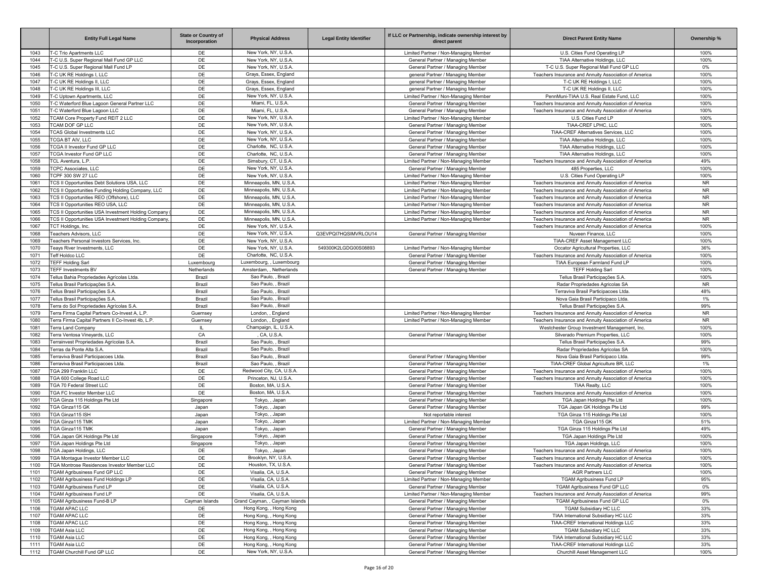|              | <b>Entity Full Legal Name</b>                                                        | <b>State or Country of</b><br>Incorporation | <b>Physical Address</b>                          | <b>Legal Entity Identifier</b> | If LLC or Partnership, indicate ownership interest by<br>direct parent         | <b>Direct Parent Entity Name</b>                                                                               | Ownership %            |
|--------------|--------------------------------------------------------------------------------------|---------------------------------------------|--------------------------------------------------|--------------------------------|--------------------------------------------------------------------------------|----------------------------------------------------------------------------------------------------------------|------------------------|
| 1043         | T-C Trio Apartments LLC                                                              | DE                                          | New York, NY, U.S.A.                             |                                | Limited Partner / Non-Managing Member                                          | U.S. Cities Fund Operating LP                                                                                  | 100%                   |
| 1044         | T-C U.S. Super Regional Mall Fund GP LLC                                             | DE                                          | New York, NY, U.S.A                              |                                | General Partner / Managing Member                                              | TIAA Alternative Holdings, LLC                                                                                 | 100%                   |
| 1045         | T-C U.S. Super Regional Mall Fund LP                                                 | DE                                          | New York, NY, U.S.A.                             |                                | General Partner / Managing Member                                              | T-C U.S. Super Regional Mall Fund GP LLC                                                                       | 0%                     |
| 1046         | T-C UK RE Holdings I, LLC                                                            | DE                                          | Grays, Essex, England                            |                                | general Partner / Managing Member                                              | Teachers Insurance and Annuity Association of America                                                          | 100%                   |
| 1047         | T-C UK RE Holdings II, LLC                                                           | DE<br>DE                                    | Grays, Essex, England<br>Gravs, Essex, England   |                                | general Partner / Managing Member                                              | T-C UK RE Holdings I, LLC                                                                                      | 100%<br>100%           |
| 1048<br>1049 | T-C UK RE Holdings III, LLC<br>T-C Uptown Apartments, LLC                            | DE                                          | New York, NY, U.S.A                              |                                | general Partner / Managing Member<br>Limited Partner / Non-Managing Member     | T-C UK RE Holdings II, LLC<br>PennMuni-TIAA U.S. Real Estate Fund, LLC                                         | 100%                   |
| 1050         | T-C Waterford Blue Lagoon General Partner LLC                                        | DE                                          | Miami, FL, U.S.A                                 |                                | General Partner / Managing Member                                              | Teachers Insurance and Annuity Association of America                                                          | 100%                   |
| 1051         | T-C Waterford Blue Lagoon LLC                                                        | DE                                          | Miami, FL, U.S.A.                                |                                | General Partner / Managing Member                                              | Teachers Insurance and Annuity Association of America                                                          | 100%                   |
| 1052         | TCAM Core Property Fund REIT 2 LLC                                                   | DE                                          | New York, NY, U.S.A                              |                                | Limited Partner / Non-Managing Member                                          | U.S. Cities Fund LP                                                                                            | 100%                   |
| 1053         | TCAM DOF GP LLC                                                                      | DE                                          | New York, NY, U.S.A                              |                                | General Partner / Managing Member                                              | TIAA-CREF LPHC, LLC                                                                                            | 100%                   |
| 1054         | <b>TCAS Global Investments LLC</b>                                                   | DE                                          | New York, NY, U.S.A.                             |                                | General Partner / Managing Member                                              | <b>TIAA-CREF Alternatives Services, LLC</b>                                                                    | 100%                   |
| 1055         | TCGA BT AIV, LLC                                                                     | DE                                          | New York, NY, U.S.A                              |                                | General Partner / Managing Member                                              | TIAA Alternative Holdings, LLC                                                                                 | 100%                   |
| 1056         | TCGA II Investor Fund GP LLC                                                         | DE                                          | Charlotte, NC, U.S.A.                            |                                | General Partner / Managing Member                                              | <b>TIAA Alternative Holdings, LLC</b>                                                                          | 100%                   |
| 1057         | <b>TCGA Investor Fund GP LLC</b>                                                     | DE                                          | Charlotte, NC, U.S.A                             |                                | General Partner / Managing Member                                              | TIAA Alternative Holdings, LLC                                                                                 | 100%                   |
| 1058         | TCL Aventura, L.P.                                                                   | DE                                          | Simsbury, CT, U.S.A.                             |                                | Limited Partner / Non-Managing Member                                          | Teachers Insurance and Annuity Association of America                                                          | 49%                    |
| 1059         | <b>TCPC Associates, LLC</b>                                                          | DE                                          | New York, NY, U.S.A                              |                                | General Partner / Managing Member                                              | 485 Properties, LLC                                                                                            | 100%                   |
| 1060         | <b>TCPF 300 SW 27 LLC</b>                                                            | DE                                          | New York, NY, U.S.A.                             |                                | Limited Partner / Non-Managing Member                                          | U.S. Cities Fund Operating LP                                                                                  | 100%                   |
| 1061         | TCS II Opportunities Debt Solutions USA, LLC                                         | DE                                          | Minneapolis, MN, U.S.A                           |                                | Limited Partner / Non-Managing Member                                          | Teachers Insurance and Annuity Association of America                                                          | <b>NR</b>              |
| 1062         | TCS II Opportunities Funding Holding Company, LLC                                    | DE                                          | Minneapolis, MN, U.S.A<br>Minneapolis, MN, U.S.A |                                | Limited Partner / Non-Managing Member                                          | Teachers Insurance and Annuity Association of America                                                          | <b>NR</b>              |
| 1063         | TCS II Opportunities REO (Offshore), LLC<br><b>TCS II Opportunities REO USA, LLC</b> | DE<br>DE                                    | Minneapolis, MN, U.S.A                           |                                | Limited Partner / Non-Managing Member<br>Limited Partner / Non-Managing Member | Teachers Insurance and Annuity Association of America<br>Teachers Insurance and Annuity Association of America | <b>NR</b><br><b>NR</b> |
| 1064<br>1065 | TCS II Opportunities USA Investment Holding Company                                  | DE                                          | Minneapolis, MN, U.S.A                           |                                | Limited Partner / Non-Managing Member                                          | Teachers Insurance and Annuity Association of America                                                          | <b>NR</b>              |
| 1066         | TCS II Opportunities USA Investment Holding Company,                                 | DE                                          | Minneapolis, MN, U.S.A                           |                                | Limited Partner / Non-Managing Member                                          | Teachers Insurance and Annuity Association of America                                                          | <b>NR</b>              |
| 1067         | TCT Holdings, Inc.                                                                   | DE                                          | New York, NY, U.S.A                              |                                |                                                                                | Teachers Insurance and Annuity Association of America                                                          | 100%                   |
| 1068         | Teachers Advisors, LLC                                                               | DE                                          | New York, NY, U.S.A                              | Q3EVPQI7HQSIMVRLOU14           | General Partner / Managing Member                                              | Nuveen Finance, LLC                                                                                            | 100%                   |
| 1069         | Teachers Personal Investors Services, Inc.                                           | DE                                          | New York, NY, U.S.A                              |                                |                                                                                | TIAA-CREF Asset Management LLC                                                                                 | 100%                   |
| 1070         | Teays River Investments, LLC                                                         | DE                                          | New York, NY, U.S.A.                             | 549300K2LGDG00S08893           | Limited Partner / Non-Managing Member                                          | Occator Agricultural Properties, LLC                                                                           | 36%                    |
| 1071         | Teff Holdco LLC                                                                      | DE                                          | Charlotte, NC, U.S.A.                            |                                | General Partner / Managing Member                                              | Teachers Insurance and Annuity Association of America                                                          | 100%                   |
| 1072         | <b>TEFF Holding Sarl</b>                                                             | Luxembourg                                  | Luxembourg, , Luxembourg                         |                                | General Partner / Managing Member                                              | TIAA European Farmland Fund LP                                                                                 | 100%                   |
| 1073         | <b>TEFF Investments BV</b>                                                           | Netherlands                                 | Amsterdam. . Netherlands                         |                                | General Partner / Managing Member                                              | <b>TEFF Holding Sarl</b>                                                                                       | 100%                   |
| 1074         | Tellus Bahia Propriedades Agrícolas Ltda                                             | Brazil                                      | Sao Paulo, , Brazil                              |                                |                                                                                | Tellus Brasil Participações S.A.                                                                               | 100%                   |
| 1075         | Tellus Brasil Participações S.A.                                                     | Brazil                                      | Sao Paulo, , Brazil                              |                                |                                                                                | Radar Propriedades Agricolas SA                                                                                | <b>NR</b>              |
| 1076         | Tellus Brasil Participações S.A.                                                     | Brazil                                      | Sao Paulo, , Brazil                              |                                |                                                                                | Terraviva Brasil Participacoes Ltda                                                                            | 48%                    |
| 1077         | Tellus Brasil Participações S.A.                                                     | Brazil                                      | Sao Paulo, , Brazil                              |                                |                                                                                | Nova Gaia Brasil Participaco Ltda                                                                              | 1%                     |
| 1078         | Terra do Sol Propriedades Agrícolas S.A.                                             | Brazil                                      | Sao Paulo, , Brazil                              |                                |                                                                                | Tellus Brasil Participações S.A.                                                                               | 99%                    |
| 1079         | Terra Firma Capital Partners Co-Invest A. L.P.                                       | Guernsey                                    | London, , England                                |                                | Limited Partner / Non-Managing Member                                          | Teachers Insurance and Annuity Association of America                                                          | <b>NR</b>              |
| 1080         | Terra Firma Capital Partners II Co-Invest 4b, L.P.                                   | Guernsey                                    | London, , England                                |                                | Limited Partner / Non-Managing Member                                          | Teachers Insurance and Annuity Association of America                                                          | <b>NR</b>              |
| 1081         | Terra Land Company                                                                   | IL                                          | Champaign, IL, U.S.A.<br>. CA. U.S.A.            |                                |                                                                                | Westchester Group Investment Management, Inc.                                                                  | 100%                   |
| 1082<br>1083 | Terra Ventosa Vineyards, LLC<br>Terrainvest Propriedades Agrícolas S.A.              | CA<br>Brazil                                | Sao Paulo. . Brazil                              |                                | General Partner / Managing Member                                              | Silverado Premium Properties, LLC<br>Tellus Brasil Participações S.A.                                          | 100%<br>99%            |
| 1084         | Terras da Ponte Alta S.A.                                                            | Brazil                                      | Sao Paulo. . Brazil                              |                                |                                                                                | Radar Propriedades Agricolas SA                                                                                | 100%                   |
| 1085         | Terraviva Brasil Participacoes Ltda                                                  | Brazil                                      | Sao Paulo. . Brazil                              |                                | General Partner / Managing Member                                              | Nova Gaia Brasil Participaco Ltda                                                                              | 99%                    |
| 1086         | Terraviva Brasil Participacoes Ltda                                                  | Brazil                                      | Sao Paulo, , Brazil                              |                                | General Partner / Managing Member                                              | TIAA-CREF Global Agriculture BR, LLC                                                                           | 1%                     |
| 1087         | TGA 299 Franklin LLC                                                                 | DE                                          | Redwood City, CA, U.S.A                          |                                | General Partner / Managing Member                                              | Teachers Insurance and Annuity Association of America                                                          | 100%                   |
| 1088         | TGA 600 College Road LLC                                                             | DE                                          | Princeton, NJ, U.S.A                             |                                | General Partner / Managing Member                                              | Teachers Insurance and Annuity Association of America                                                          | 100%                   |
| 1089         | TGA 70 Federal Street LLC                                                            | DE                                          | Boston, MA, U.S.A                                |                                | General Partner / Managing Member                                              | TIAA Realty, LLC                                                                                               | 100%                   |
| 1090         | TGA FC Investor Member LLC                                                           | DE                                          | Boston, MA, U.S.A                                |                                | General Partner / Managing Member                                              | Teachers Insurance and Annuity Association of America                                                          | 100%                   |
| 1091         | TGA Ginza 115 Holdings Pte Ltd                                                       | Singapore                                   | Tokyo, , Japan                                   |                                | General Partner / Managing Member                                              | TGA Japan Holdings Pte Ltd                                                                                     | 100%                   |
| 1092         | TGA Ginza115 GK                                                                      | Japan                                       | Tokvo., Japan                                    |                                | General Partner / Managing Member                                              | TGA Japan GK Holdings Pte Ltd                                                                                  | 99%                    |
| 1093         | TGA Ginza115 ISH                                                                     | Japan                                       | Tokyo, , Japan                                   |                                | Not reportable interest                                                        | TGA Ginza 115 Holdings Pte Ltd                                                                                 | 100%                   |
| 1094         | TGA Ginza115 TMK                                                                     | Japan                                       | Tokvo., Japan                                    |                                | Limited Partner / Non-Managing Member                                          | TGA Ginza115 GK                                                                                                | 51%                    |
| 1095         | TGA Ginza115 TMK                                                                     | Japan                                       | Tokyo, , Japan                                   |                                | General Partner / Managing Member                                              | TGA Ginza 115 Holdings Pte Ltd                                                                                 | 49%                    |
| 1096         | TGA Japan GK Holdings Pte Ltd                                                        | Singapore                                   | Tokyo, , Japan                                   |                                | General Partner / Managing Member                                              | TGA Japan Holdings Pte Ltd                                                                                     | 100%<br>100%           |
| 1097         | TGA Japan Holdings Pte Ltd                                                           | Singapore                                   | Tokyo, , Japan<br>Tokvo. . Japan                 |                                | General Partner / Managing Member<br>General Partner / Managing Member         | TGA Japan Holdings, LLC<br>Teachers Insurance and Annuity Association of America                               | 100%                   |
| 1098         | TGA Japan Holdings, LLC                                                              | DE                                          |                                                  |                                |                                                                                |                                                                                                                |                        |
| 1099<br>1100 | TGA Montague Investor Member LLC<br>TGA Montrose Residences Investor Member LLC      | DE<br>DE                                    | Brooklyn, NY, U.S.A.<br>Houston, TX, U.S.A.      |                                | General Partner / Managing Member<br>General Partner / Managing Member         | Teachers Insurance and Annuity Association of America<br>Teachers Insurance and Annuity Association of America | 100%<br>100%           |
| 1101         | TGAM Agribusiness Fund GP LLC                                                        | DE                                          | Visalia, CA, U.S.A.                              |                                | General Partner / Managing Member                                              | <b>AGR Partners LLC</b>                                                                                        | 100%                   |
| 1102         | TGAM Agribusiness Fund Holdings LP                                                   | DE                                          | Visalia, CA, U.S.A.                              |                                | Limited Partner / Non-Managing Member                                          | TGAM Agribusiness Fund LP                                                                                      | 95%                    |
| 1103         | TGAM Agribusiness Fund LP                                                            | DE                                          | Visalia, CA, U.S.A.                              |                                | General Partner / Managing Member                                              | TGAM Agribusiness Fund GP LLC                                                                                  | 0%                     |
| 1104         | TGAM Agribusiness Fund LP                                                            | DE                                          | Visalia, CA, U.S.A.                              |                                | Limited Partner / Non-Managing Member                                          | Teachers Insurance and Annuity Association of America                                                          | 99%                    |
| 1105         | TGAM Agribusiness Fund-B LP                                                          | Cayman Islands                              | Grand Cayman, , Cayman Islands                   |                                | General Partner / Managing Member                                              | TGAM Agribusiness Fund GP LLC                                                                                  | 0%                     |
| 1106         | <b>TGAM APAC LLC</b>                                                                 | DE                                          | Hong Kong, , Hong Kong                           |                                | General Partner / Managing Member                                              | <b>TGAM Subsidiary HC LLC</b>                                                                                  | 33%                    |
| 1107         | TGAM APAC LLC                                                                        | DE                                          | Hong Kong, , Hong Kong                           |                                | General Partner / Managing Member                                              | TIAA International Subsidiary HC LLC                                                                           | 33%                    |
| 1108         | TGAM APAC LLC                                                                        | DE                                          | Hong Kong, , Hong Kong                           |                                | General Partner / Managing Member                                              | TIAA-CREF International Holdings LLC                                                                           | 33%                    |
| 1109         | TGAM Asia LLC                                                                        | DE                                          | Hong Kong, , Hong Kong                           |                                | General Partner / Managing Member                                              | TGAM Subsidiary HC LLC                                                                                         | 33%                    |
| 1110         | TGAM Asia LLC                                                                        | DE                                          | Hong Kong, , Hong Kong                           |                                | General Partner / Managing Member                                              | TIAA International Subsidiary HC LLC                                                                           | 33%                    |
| 1111         | TGAM Asia LLC                                                                        | DE                                          | Hong Kong, , Hong Kong                           |                                | General Partner / Managing Member                                              | TIAA-CREF International Holdings LLC                                                                           | 33%                    |
| 1112         | TGAM Churchill Fund GP LLC                                                           | DE                                          | New York, NY, U.S.A.                             |                                | General Partner / Managing Member                                              | Churchill Asset Management LLC                                                                                 | 100%                   |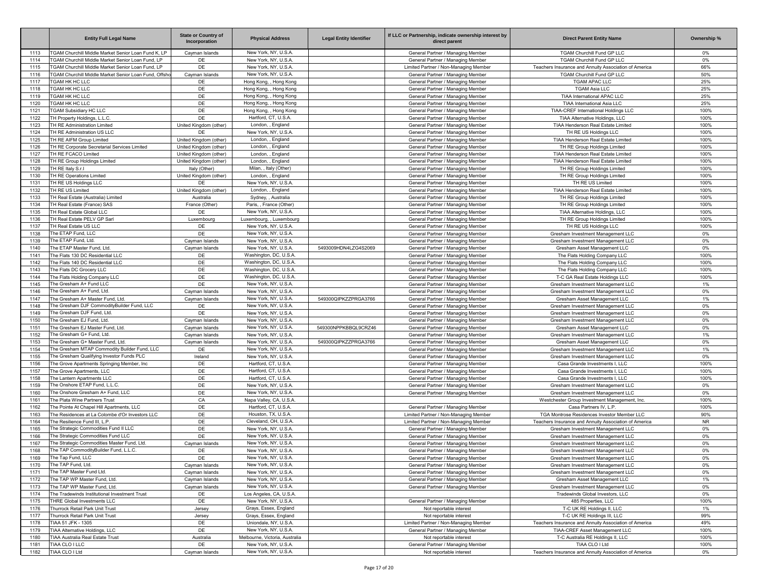|              | <b>Entity Full Legal Name</b>                                | <b>State or Country of</b><br>Incorporation | <b>Physical Address</b>                               | <b>Legal Entity Identifier</b> | If LLC or Partnership, indicate ownership interest by<br>direct parent | <b>Direct Parent Entity Name</b>                                    | Ownership %  |
|--------------|--------------------------------------------------------------|---------------------------------------------|-------------------------------------------------------|--------------------------------|------------------------------------------------------------------------|---------------------------------------------------------------------|--------------|
| 1113         | TGAM Churchill Middle Market Senior Loan Fund K. LP          | Cayman Islands                              | New York, NY, U.S.A                                   |                                | General Partner / Managing Member                                      | TGAM Churchill Fund GP LLC                                          | $0\%$        |
| 1114         | <b>TGAM Churchill Middle Market Senior Loan Fund, LP</b>     | DE                                          | New York, NY, U.S.A                                   |                                | General Partner / Managing Member                                      | TGAM Churchill Fund GP LLC                                          | 0%           |
| 1115         | <b>TGAM Churchill Middle Market Senior Loan Fund, LP</b>     | DE                                          | New York, NY, U.S.A                                   |                                | Limited Partner / Non-Managing Member                                  | Teachers Insurance and Annuity Association of America               | 66%          |
| 1116         | <b>FGAM Churchill Middle Market Senior Loan Fund, Offsho</b> | Cayman Islands                              | New York, NY, U.S.A                                   |                                | General Partner / Managing Member                                      | TGAM Churchill Fund GP LLC                                          | 50%          |
| 1117         | TGAM HK HC LLC                                               | DE                                          | Hong Kong, , Hong Kong                                |                                | General Partner / Managing Member                                      | <b>TGAM APAC LLC</b>                                                | 25%          |
| 1118         | <b>TGAM HK HC LLC</b>                                        | DE<br>DE                                    | Hong Kong, , Hong Kong                                |                                | General Partner / Managing Member                                      | <b>TGAM Asia LLC</b>                                                | 25%          |
| 1119<br>1120 | <b>TGAM HK HC LLC</b><br><b>TGAM HK HC LLC</b>               | DE                                          | Hong Kong, , Hong Kong<br>Hong Kong, , Hong Kong      |                                | General Partner / Managing Member<br>General Partner / Managing Member | TIAA International APAC LLC<br>TIAA International Asia LLC          | 25%<br>25%   |
| 1121         | <b>TGAM Subsidiary HC LLC</b>                                | DE                                          | Hong Kong, , Hong Kong                                |                                | General Partner / Managing Member                                      | TIAA-CREF International Holdings LLC                                | 100%         |
| 1122         | TH Property Holdings, L.L.C.                                 | DE                                          | Hartford, CT, U.S.A.                                  |                                | General Partner / Managing Member                                      | TIAA Alternative Holdings, LLC                                      | 100%         |
| 1123         | TH RE Administration Limited                                 | United Kingdom (other)                      | London, , England                                     |                                | General Partner / Managing Member                                      | TIAA Henderson Real Estate Limited                                  | 100%         |
| 1124         | TH RE Administration US LLC                                  | DE                                          | New York, NY, U.S.A                                   |                                | General Partner / Managing Member                                      | TH RE US Holdings LLC                                               | 100%         |
| 1125         | TH RE AIFM Group Limited                                     | United Kingdom (other)                      | London, , England                                     |                                | General Partner / Managing Member                                      | TIAA Henderson Real Estate Limited                                  | 100%         |
| 1126         | TH RE Corporate Secretarial Services Limited                 | United Kingdom (other)                      | London, , England                                     |                                | General Partner / Managing Member                                      | TH RE Group Holdings Limited                                        | 100%         |
| 1127         | TH RE FCACO Limited                                          | United Kingdom (other)                      | London, , England                                     |                                | General Partner / Managing Member                                      | TIAA Henderson Real Estate Limited                                  | 100%         |
| 1128         | TH RE Group Holdings Limited                                 | United Kingdom (other)                      | London, , England                                     |                                | General Partner / Managing Member                                      | TIAA Henderson Real Estate Limited                                  | 100%         |
| 1129         | TH RE Italy S.r.I                                            | Italy (Other)                               | Milan, , Italy (Other)                                |                                | General Partner / Managing Member                                      | TH RE Group Holdings Limited                                        | 100%         |
| 1130         | TH RE Operations Limited                                     | United Kingdom (other)                      | London, , England                                     |                                | General Partner / Managing Member                                      | TH RE Group Holdings Limited                                        | 100%         |
| 1131         | TH RE US Holdings LLC                                        | DE                                          | New York, NY, U.S.A                                   |                                | General Partner / Managing Member                                      | TH RE US Limited                                                    | 100%         |
| 1132         | TH RE US Limited                                             | United Kingdom (other)                      | London, , England                                     |                                | General Partner / Managing Member                                      | TIAA Henderson Real Estate Limited                                  | 100%         |
| 1133         | TH Real Estate (Australia) Limited                           | Australia                                   | Sydney, , Australia                                   |                                | General Partner / Managing Member                                      | TH RE Group Holdings Limited                                        | 100%         |
| 1134         | TH Real Estate (France) SAS                                  | France (Other)<br>DE                        | Paris, , France (Other)                               |                                | General Partner / Managing Member                                      | TH RE Group Holdings Limited                                        | 100%         |
| 1135<br>1136 | TH Real Estate Global LLC<br>TH Real Estate PELV GP Sarl     |                                             | New York, NY, U.S.A<br>Luxembourg, , Luxembourg       |                                | General Partner / Managing Member<br>General Partner / Managing Member | TIAA Alternative Holdings, LLC<br>TH RE Group Holdings Limited      | 100%<br>100% |
| 1137         | TH Real Estate US LLC                                        | Luxembourg<br>DE                            | New York, NY, U.S.A                                   |                                | General Partner / Managing Member                                      | TH RE US Holdings LLC                                               | 100%         |
| 1138         | The ETAP Fund, LLC                                           | DE                                          | New York, NY, U.S.A                                   |                                | General Partner / Managing Member                                      | Gresham Investment Management LLC                                   | 0%           |
| 1139         | The ETAP Fund, Ltd.                                          | Cayman Islands                              | New York, NY, U.S.A                                   |                                | General Partner / Managing Member                                      | Gresham Investment Management LLC                                   | 0%           |
| 1140         | The ETAP Master Fund, Ltd.                                   | Cayman Islands                              | New York, NY, U.S.A                                   | 5493009HDN4LZG4S2069           | General Partner / Managing Member                                      | Gresham Asset Management LLC                                        | 0%           |
| 1141         | The Flats 130 DC Residential LLC                             | DE                                          | Washington, DC, U.S.A                                 |                                | General Partner / Managing Member                                      | The Flats Holding Company LLC                                       | 100%         |
| 1142         | The Flats 140 DC Residential LLC                             | DE                                          | Washington, DC, U.S.A                                 |                                | General Partner / Managing Member                                      | The Flats Holding Company LLC                                       | 100%         |
| 1143         | The Flats DC Grocery LLC                                     | DE                                          | Washington, DC, U.S.A                                 |                                | General Partner / Managing Member                                      | The Flats Holding Company LLC                                       | 100%         |
| 1144         | The Flats Holding Company LLC                                | DE                                          | Washington, DC, U.S.A                                 |                                | General Partner / Managing Member                                      | T-C GA Real Estate Holdings LLC                                     | 100%         |
| 1145         | The Gresham A+ Fund LLC                                      | DE                                          | New York, NY, U.S.A                                   |                                | General Partner / Managing Member                                      | Gresham Investment Management LLC                                   | 1%           |
| 1146         | The Gresham A+ Fund, Ltd.                                    | Cayman Islands                              | New York, NY, U.S.A                                   |                                | General Partner / Managing Member                                      | Gresham Investment Management LLC                                   | 0%           |
| 1147         | The Gresham A+ Master Fund, Ltd                              | Cayman Islands                              | New York, NY, U.S.A                                   | 549300QIPKZZPRGA3766           | General Partner / Managing Member                                      | Gresham Asset Management LLC                                        | 1%           |
| 1148         | The Gresham DJF CommodityBuilder Fund, LLC                   | DE                                          | New York, NY, U.S.A                                   |                                | General Partner / Managing Member                                      | Gresham Investment Management LLC                                   | 0%           |
| 1149         | The Gresham DJF Fund, Ltd.                                   | DE                                          | New York, NY, U.S.A                                   |                                | General Partner / Managing Member                                      | Gresham Investment Management LLC                                   | 0%           |
| 1150         | The Gresham EJ Fund, Ltd.                                    | Cayman Islands                              | New York, NY, U.S.A                                   |                                | General Partner / Managing Member                                      | Gresham Investment Management LLC                                   | 0%           |
| 1151         | The Gresham EJ Master Fund, Ltd.                             | Cayman Islands                              | New York, NY, U.S.A                                   | 549300NPPKBBQL9CRZ46           | General Partner / Managing Member                                      | Gresham Asset Management LLC                                        | 0%           |
| 1152         | The Gresham G+ Fund, Ltd.                                    | Cayman Islands                              | New York, NY, U.S.A                                   |                                | General Partner / Managing Member                                      | Gresham Investment Management LLC                                   | 1%           |
| 1153         | The Gresham G+ Master Fund, Ltd                              | Cayman Islands                              | New York, NY, U.S.A                                   | 549300QIPKZZPRGA3766           | General Partner / Managing Member                                      | Gresham Asset Management LLC                                        | 0%           |
| 1154         | The Gresham MTAP Commodity Builder Fund, LLC                 | DE                                          | New York, NY, U.S.A                                   |                                | General Partner / Managing Member                                      | Gresham Investment Management LLC                                   | 1%           |
| 1155         | The Gresham Qualifying Investor Funds PLC                    | Ireland                                     | New York, NY, U.S.A                                   |                                | General Partner / Managing Member                                      | Gresham Investment Management LLC                                   | 0%           |
| 1156         | The Grove Apartments Springing Member, Inc                   | DE                                          | Hartford, CT, U.S.A.                                  |                                | General Partner / Managing Member                                      | Casa Grande Investments I, LLC                                      | 100%         |
| 1157         | The Grove Apartments, LLC                                    | DE<br>DE                                    | Hartford, CT, U.S.A.<br>Hartford, CT, U.S.A.          |                                | General Partner / Managing Member                                      | Casa Grande Investments I, LLC                                      | 100%         |
| 1158<br>1159 | The Lantern Apartments LLC<br>The Onshore ETAP Fund, L.L.C.  | DE                                          | New York, NY, U.S.A                                   |                                | General Partner / Managing Member                                      | Casa Grande Investments I, LLC<br>Gresham Investment Management LLC | 100%<br>0%   |
| 1160         | The Onshore Gresham A+ Fund, LLC                             | DE                                          | New York, NY, U.S.A                                   |                                | General Partner / Managing Member<br>General Partner / Managing Member | Gresham Investment Management LLC                                   | 0%           |
| 1161         | The Plata Wine Partners Trust                                | CA                                          | Napa Valley, CA, U.S.A                                |                                |                                                                        | Westchester Group Investment Management, Inc.                       | 100%         |
| 1162         | The Pointe At Chapel Hill Apartments, LLC                    | DE                                          | Hartford, CT, U.S.A                                   |                                | General Partner / Managing Member                                      | Casa Partners IV, L.P.                                              | 100%         |
| 1163         | The Residences at La Colombe d'Or Investors LLC              | DE                                          | Houston, TX, U.S.A.                                   |                                | Limited Partner / Non-Managing Member                                  | TGA Montrose Residences Investor Member LLC                         | 90%          |
| 1164         | The Resilience Fund III, L.P.                                | DE                                          | Cleveland, OH, U.S.A                                  |                                | Limited Partner / Non-Managing Member                                  | Teachers Insurance and Annuity Association of America               | <b>NR</b>    |
| 1165         | The Strategic Commodities Fund II LLC                        | DE                                          | New York, NY, U.S.A                                   |                                | General Partner / Managing Member                                      | Gresham Investment Management LLC                                   | 0%           |
| 1166         | The Strategic Commodities Fund LLC                           | DE                                          | New York, NY, U.S.A                                   |                                | General Partner / Managing Member                                      | Gresham Investment Management LLC                                   | 0%           |
| 1167         | The Strategic Commodities Master Fund, Ltd.                  | Cavman Islands                              | New York, NY, U.S.A                                   |                                | General Partner / Managing Member                                      | Gresham Investment Management LLC                                   | 0%           |
| 1168         | The TAP CommodityBuilder Fund, L.L.C                         | DE                                          | New York, NY, U.S.A                                   |                                | General Partner / Managing Member                                      | Gresham Investment Management LLC                                   | 0%           |
| 1169         | The Tap Fund, LLC                                            | DE                                          | New York, NY, U.S.A.                                  |                                | General Partner / Managing Member                                      | Gresham Investment Management LLC                                   | 0%           |
| 1170         | The TAP Fund, Ltd.                                           | Cayman Islands                              | New York, NY, U.S.A.                                  |                                | General Partner / Managing Member                                      | Gresham Investment Management LLC                                   | 0%           |
| 1171         | The TAP Master Fund Ltd.                                     | Cayman Islands                              | New York, NY, U.S.A.                                  |                                | General Partner / Managing Member                                      | Gresham Investment Management LLC                                   | 0%           |
| 1172         | The TAP WP Master Fund, Ltd.                                 | Cayman Islands                              | New York, NY, U.S.A.                                  |                                | General Partner / Managing Member                                      | Gresham Asset Management LLC                                        | 1%           |
| 1173         | The TAP WP Master Fund, Ltd.                                 | Cayman Islands                              | New York, NY, U.S.A.                                  |                                | General Partner / Managing Member                                      | Gresham Investment Management LLC                                   | $0\%$        |
| 1174         | The Tradewinds Institutional Investment Trust                | DE                                          | Los Angeles, CA, U.S.A.                               |                                |                                                                        | Tradewinds Global Investors, LLC                                    | $0\%$        |
| 1175         | THRE Global Investments LLC                                  | DE                                          | New York, NY, U.S.A.                                  |                                | General Partner / Managing Member                                      | 485 Properties, LLC                                                 | 100%         |
| 1176         | Thurrock Retail Park Unit Trust                              | Jersey                                      | Grays, Essex, England                                 |                                | Not reportable interest                                                | T-C UK RE Holdings II, LLC                                          | 1%           |
| 1177         | Thurrock Retail Park Unit Trust                              | Jersey                                      | Grays, Essex, England                                 |                                | Not reportable interest                                                | T-C UK RE Holdings III, LLC                                         | 99%          |
| 1178         | TIAA 51 JFK - 1305                                           | DE                                          | Uniondale, NY, U.S.A.                                 |                                | Limited Partner / Non-Managing Member                                  | Teachers Insurance and Annuity Association of America               | 49%          |
| 1179         | TIAA Alternative Holdings, LLC                               | DE                                          | New York, NY, U.S.A.                                  |                                | General Partner / Managing Member                                      | TIAA-CREF Asset Management LLC                                      | 100%         |
| 1180<br>1181 | TIAA Australia Real Estate Trust<br>TIAA CLO I LLC           | Australia<br>DE                             | Melbourne, Victoria, Australia<br>New York, NY, U.S.A |                                | Not reportable interest<br>General Partner / Managing Member           | T-C Australia RE Holdings II, LLC<br>TIAA CLO I Ltd                 | 100%<br>100% |
| 1182         | TIAA CLO I Ltd                                               | Cayman Islands                              | New York, NY, U.S.A.                                  |                                | Not reportable interest                                                | Teachers Insurance and Annuity Association of America               | $0\%$        |
|              |                                                              |                                             |                                                       |                                |                                                                        |                                                                     |              |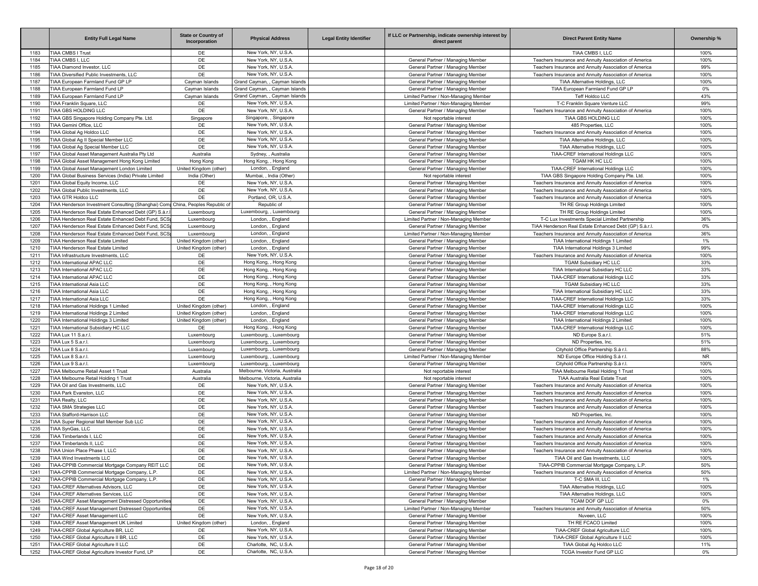|              | <b>Entity Full Legal Name</b>                                                                              | <b>State or Country of</b><br>Incorporation | <b>Physical Address</b>                                    | <b>Legal Entity Identifier</b> | If LLC or Partnership, indicate ownership interest by<br>direct parent     | <b>Direct Parent Entity Name</b>                                                                               | Ownership %  |
|--------------|------------------------------------------------------------------------------------------------------------|---------------------------------------------|------------------------------------------------------------|--------------------------------|----------------------------------------------------------------------------|----------------------------------------------------------------------------------------------------------------|--------------|
| 1183         | TIAA CMBS I Trust                                                                                          | DE                                          | New York, NY, U.S.A.                                       |                                |                                                                            | TIAA CMBS I, LLC                                                                                               | 100%         |
| 1184         | TIAA CMBS I, LLC                                                                                           | DE                                          | New York, NY, U.S.A.                                       |                                | General Partner / Managing Member                                          | Teachers Insurance and Annuity Association of America                                                          | 100%         |
| 1185         | TIAA Diamond Investor, LLC                                                                                 | DE                                          | New York, NY, U.S.A                                        |                                | General Partner / Managing Member                                          | Teachers Insurance and Annuity Association of America                                                          | 99%          |
| 1186         | TIAA Diversified Public Investments, LLC<br>TIAA European Farmland Fund GP LP                              | DE                                          | New York, NY, U.S.A.<br>Grand Cayman, , Cayman Islands     |                                | General Partner / Managing Member                                          | Teachers Insurance and Annuity Association of America                                                          | 100%         |
| 1187<br>1188 | TIAA European Farmland Fund LP                                                                             | Cayman Islands<br>Cayman Islands            | Grand Cayman. . Cayman Islands                             |                                | General Partner / Managing Member<br>General Partner / Managing Member     | TIAA Alternative Holdings, LLC<br>TIAA European Farmland Fund GP LP                                            | 100%<br>0%   |
| 1189         | TIAA European Farmland Fund LP                                                                             | Cayman Islands                              | Grand Cayman, , Cayman Islands                             |                                | Limited Partner / Non-Managing Member                                      | Teff Holdco LLC                                                                                                | 43%          |
| 1190         | TIAA Franklin Square, LLC                                                                                  | DE                                          | New York, NY, U.S.A.                                       |                                | Limited Partner / Non-Managing Member                                      | T-C Franklin Square Venture LLC                                                                                | 99%          |
| 1191         | TIAA GBS HOLDING LLC                                                                                       | DE                                          | New York, NY, U.S.A.                                       |                                | General Partner / Managing Member                                          | Teachers Insurance and Annuity Association of America                                                          | 100%         |
| 1192         | TIAA GBS Singapore Holding Company Pte. Ltd.                                                               | Singapore                                   | Singapore, , Singapore                                     |                                | Not reportable interest                                                    | TIAA GBS HOLDING LLC                                                                                           | 100%         |
| 1193         | TIAA Gemini Office, LLC                                                                                    | DE                                          | New York, NY, U.S.A                                        |                                | General Partner / Managing Member                                          | 485 Properties, LLC                                                                                            | 100%         |
| 1194         | TIAA Global Ag Holdco LLC                                                                                  | DE                                          | New York, NY, U.S.A.                                       |                                | General Partner / Managing Member                                          | Teachers Insurance and Annuity Association of America                                                          | 100%         |
| 1195         | TIAA Global Ag II Special Member LLC                                                                       | DE                                          | New York, NY, U.S.A.                                       |                                | General Partner / Managing Member                                          | TIAA Alternative Holdings, LLC                                                                                 | 100%         |
| 1196<br>1197 | TIAA Global Ag Special Member LLC<br>TIAA Global Asset Management Australia Pty Ltd                        | DE<br>Australia                             | New York, NY, U.S.A.<br>Sydney, , Australia                |                                | General Partner / Managing Member                                          | TIAA Alternative Holdings, LLC                                                                                 | 100%<br>100% |
| 1198         | TIAA Global Asset Management Hong Kong Limited                                                             | Hong Kong                                   | Hong Kong, , Hong Kong                                     |                                | General Partner / Managing Member<br>General Partner / Managing Member     | TIAA-CREF International Holdings LLC<br>TGAM HK HC LLC                                                         | 100%         |
| 1199         | TIAA Global Asset Management London Limited                                                                | United Kingdom (other)                      | London, , England                                          |                                | General Partner / Managing Member                                          | TIAA-CREF International Holdings LLC                                                                           | 100%         |
| 1200         | TIAA Global Business Services (India) Private Limited                                                      | India (Other)                               | Mumbai, , India (Other)                                    |                                | Not reportable interest                                                    | TIAA GBS Singapore Holding Company Pte. Ltd.                                                                   | 100%         |
| 1201         | TIAA Global Equity Income, LLC                                                                             | DE                                          | New York, NY, U.S.A                                        |                                | General Partner / Managing Member                                          | Teachers Insurance and Annuity Association of America                                                          | 100%         |
| 1202         | TIAA Global Public Investments, LLC                                                                        | DE                                          | New York, NY, U.S.A.                                       |                                | General Partner / Managing Member                                          | Teachers Insurance and Annuity Association of America                                                          | 100%         |
| 1203         | TIAA GTR Holdco LLC                                                                                        | DE                                          | Portland, OR, U.S.A                                        |                                | General Partner / Managing Member                                          | Teachers Insurance and Annuity Association of America                                                          | 100%         |
| 1204         | TIAA Henderson Investment Consulting (Shanghai) Comp China, Peoples Republic of                            |                                             | Republic of                                                |                                | General Partner / Managing Member                                          | TH RE Group Holdings Limited                                                                                   | 100%         |
| 1205         | TIAA Henderson Real Estate Enhanced Debt (GP) S.à.r.                                                       | Luxembourg                                  | Luxembourg, , Luxembourg                                   |                                | General Partner / Managing Member                                          | TH RE Group Holdings Limited                                                                                   | 100%         |
| 1206<br>1207 | TIAA Henderson Real Estate Enhanced Debt Fund, SCS;<br>TIAA Henderson Real Estate Enhanced Debt Fund, SCS; | Luxembourg<br>Luxembourg                    | London, , England                                          |                                | Limited Partner / Non-Managing Member<br>General Partner / Managing Member | T-C Lux Investments Special Limited Partnership<br>TIAA Henderson Real Estate Enhanced Debt (GP) S.à.r.l.      | 36%<br>$0\%$ |
| 1208         | TIAA Henderson Real Estate Enhanced Debt Fund, SCSp                                                        | Luxembourg                                  | London, , England<br>London, , England                     |                                | Limited Partner / Non-Managing Member                                      | Teachers Insurance and Annuity Association of America                                                          | 36%          |
| 1209         | TIAA Henderson Real Estate Limited                                                                         | United Kingdom (other)                      | London, , England                                          |                                | General Partner / Managing Member                                          | TIAA International Holdings 1 Limited                                                                          | 1%           |
| 1210         | TIAA Henderson Real Estate Limited                                                                         | United Kingdom (other)                      | London, , England                                          |                                | General Partner / Managing Member                                          | TIAA International Holdings 3 Limited                                                                          | 99%          |
| 1211         | TIAA Infrastructure Investments, LLC                                                                       | DE                                          | New York, NY, U.S.A                                        |                                | General Partner / Managing Member                                          | Teachers Insurance and Annuity Association of America                                                          | 100%         |
| 1212         | TIAA International APAC LLC                                                                                | DE                                          | Hong Kong, , Hong Kong                                     |                                | General Partner / Managing Member                                          | <b>TGAM Subsidiary HC LLC</b>                                                                                  | 33%          |
| 1213         | TIAA International APAC LLC                                                                                | DE                                          | Hong Kong, , Hong Kong                                     |                                | General Partner / Managing Member                                          | TIAA International Subsidiary HC LLC                                                                           | 33%          |
| 1214         | TIAA International APAC LLC                                                                                | DE                                          | Hong Kong, , Hong Kong                                     |                                | General Partner / Managing Member                                          | TIAA-CREF International Holdings LLC                                                                           | 33%          |
| 1215         | TIAA International Asia LLC                                                                                | DE                                          | Hong Kong, , Hong Kong                                     |                                | General Partner / Managing Member                                          | <b>TGAM Subsidiary HC LLC</b>                                                                                  | 33%          |
| 1216         | TIAA International Asia LLC<br><b>TIAA International Asia LLC</b>                                          | DE<br>DE                                    | Hong Kong, , Hong Kong<br>Hong Kong, , Hong Kong           |                                | General Partner / Managing Member                                          | TIAA International Subsidiary HC LLC<br><b>TIAA-CREF International Holdings LLC</b>                            | 33%<br>33%   |
| 1217<br>1218 | TIAA International Holdings 1 Limited                                                                      | United Kingdom (other)                      | London, , England                                          |                                | General Partner / Managing Member<br>General Partner / Managing Member     | TIAA-CREF International Holdings LLC                                                                           | 100%         |
| 1219         | TIAA International Holdings 2 Limited                                                                      | United Kingdom (other)                      | London, , England                                          |                                | General Partner / Managing Member                                          | TIAA-CREF International Holdings LLC                                                                           | 100%         |
| 1220         | TIAA International Holdings 3 Limited                                                                      | United Kingdom (other)                      | London, , England                                          |                                | General Partner / Managing Member                                          | TIAA International Holdings 2 Limited                                                                          | 100%         |
| 1221         | TIAA International Subsidiary HC LLC                                                                       | DE                                          | Hong Kong, , Hong Kong                                     |                                | General Partner / Managing Member                                          | TIAA-CREF International Holdings LLC                                                                           | 100%         |
| 1222         | TIAA Lux 11 S.a.r.l                                                                                        | Luxembourg                                  | Luxembourg, , Luxembourg                                   |                                | General Partner / Managing Member                                          | ND Europe S.a.r.l                                                                                              | 51%          |
| 1223         | TIAA Lux 5 S.a.r.l.                                                                                        | Luxembourg                                  | Luxembourg, , Luxembourg                                   |                                | General Partner / Managing Member                                          | ND Properties, Inc.                                                                                            | 51%          |
| 1224         | TIAA Lux 8 S.a.r.l.                                                                                        | Luxembourg                                  | Luxembourg, , Luxembourg                                   |                                | General Partner / Managing Member                                          | Cityhold Office Partnership S.à r.l.                                                                           | 88%          |
| 1225         | TIAA Lux 8 S.a.r.l.                                                                                        | Luxembourg                                  | Luxembourg, , Luxembourg                                   |                                | Limited Partner / Non-Managing Member                                      | ND Europe Office Holding S.à r.l.                                                                              | <b>NR</b>    |
| 1226<br>1227 | TIAA Lux 9 S.a.r.l.<br>TIAA Melbourne Retail Asset 1 Trust                                                 | Luxembourg<br>Australia                     | Luxembourg, , Luxembourg<br>Melbourne, Victoria, Australia |                                | General Partner / Managing Member<br>Not reportable interest               | Cityhold Office Partnership S.à r.l.<br>TIAA Melbourne Retail Holding 1 Trust                                  | 100%<br>100% |
| 1228         | TIAA Melbourne Retail Holding 1 Trust                                                                      | Australia                                   | Melbourne, Victoria, Australia                             |                                | Not reportable interest                                                    | <b>TIAA Australia Real Estate Trust</b>                                                                        | 100%         |
| 1229         | TIAA Oil and Gas Investments, LLC                                                                          | DE                                          | New York, NY, U.S.A.                                       |                                | General Partner / Managing Member                                          | Teachers Insurance and Annuity Association of America                                                          | 100%         |
| 1230         | TIAA Park Evanston, LLC                                                                                    | DE                                          | New York, NY, U.S.A                                        |                                | General Partner / Managing Member                                          | Teachers Insurance and Annuity Association of America                                                          | 100%         |
| 1231         | TIAA Realty, LLC                                                                                           | DE                                          | New York, NY, U.S.A                                        |                                | General Partner / Managing Member                                          | Teachers Insurance and Annuity Association of America                                                          | 100%         |
| 1232         | TIAA SMA Strategies LLC                                                                                    | DE                                          | New York, NY, U.S.A                                        |                                | General Partner / Managing Member                                          | Teachers Insurance and Annuity Association of America                                                          | 100%         |
| 1233         | TIAA Stafford-Harrison LLC                                                                                 | DE                                          | New York, NY, U.S.A.                                       |                                | General Partner / Managing Member                                          | ND Properties, Inc.                                                                                            | 100%         |
| 1234         | TIAA Super Regional Mall Member Sub LLC                                                                    | DE                                          | New York, NY, U.S.A.                                       |                                | General Partner / Managing Member                                          | Teachers Insurance and Annuity Association of America                                                          | 100%         |
| 1235<br>1236 | TIAA SynGas, LLC<br>TIAA Timberlands I, LLC                                                                | DE<br>DE                                    | New York, NY, U.S.A<br>New York, NY, U.S.A.                |                                | General Partner / Managing Member<br>General Partner / Managing Member     | Teachers Insurance and Annuity Association of America<br>Teachers Insurance and Annuity Association of America | 100%<br>100% |
| 1237         | TIAA Timberlands II, LLC                                                                                   | DE                                          | New York, NY, U.S.A.                                       |                                | General Partner / Managing Member                                          | Teachers Insurance and Annuity Association of America                                                          | 100%         |
| 1238         | TIAA Union Place Phase I. LLC                                                                              | DE                                          | New York, NY, U.S.A.                                       |                                | General Partner / Managing Member                                          | Teachers Insurance and Annuity Association of America                                                          | 100%         |
| 1239         | TIAA Wind Investments LLC                                                                                  | DE                                          | New York, NY, U.S.A.                                       |                                | General Partner / Managing Member                                          | TIAA Oil and Gas Investments, LLC                                                                              | 100%         |
| 1240         | TIAA-CPPIB Commercial Mortgage Company REIT LLC                                                            | DE                                          | New York, NY, U.S.A.                                       |                                | General Partner / Managing Member                                          | TIAA-CPPIB Commercial Mortgage Company, L.P.                                                                   | 50%          |
| 1241         | TIAA-CPPIB Commercial Mortgage Company, L.P.                                                               | DE                                          | New York, NY, U.S.A.                                       |                                | Limited Partner / Non-Managing Member                                      | Teachers Insurance and Annuity Association of America                                                          | 50%          |
| 1242         | TIAA-CPPIB Commercial Mortgage Company, L.P.                                                               | DE                                          | New York, NY, U.S.A.                                       |                                | General Partner / Managing Member                                          | T-C SMA III, LLC                                                                                               | 1%           |
| 1243         | TIAA-CREF Alternatives Advisors, LLC                                                                       | DE                                          | New York, NY, U.S.A.                                       |                                | General Partner / Managing Member                                          | TIAA Alternative Holdings, LLC                                                                                 | 100%         |
| 1244         | TIAA-CREF Alternatives Services, LLC                                                                       | DE                                          | New York, NY, U.S.A.                                       |                                | General Partner / Managing Member                                          | TIAA Alternative Holdings, LLC                                                                                 | 100%         |
| 1245         | TIAA-CREF Asset Management Distressed Opportunities                                                        | DE                                          | New York, NY, U.S.A.<br>New York, NY, U.S.A.               |                                | General Partner / Managing Member                                          | TCAM DOF GP LLC                                                                                                | $0\%$        |
| 1246<br>1247 | TIAA-CREF Asset Management Distressed Opportunities<br>TIAA-CREF Asset Management LLC                      | DE<br>DE                                    | New York, NY, U.S.A.                                       |                                | Limited Partner / Non-Managing Member<br>General Partner / Managing Member | Teachers Insurance and Annuity Association of America<br>Nuveen, LLC                                           | 50%<br>100%  |
| 1248         | TIAA-CREF Asset Management UK Limited                                                                      | United Kingdom (other)                      | London, , England                                          |                                | General Partner / Managing Member                                          | TH RE FCACO Limited                                                                                            | 100%         |
| 1249         | TIAA-CREF Global Agriculture BR, LLC                                                                       | DE                                          | New York, NY, U.S.A.                                       |                                | General Partner / Managing Member                                          | TIAA-CREF Global Agriculture LLC                                                                               | 100%         |
| 1250         | TIAA-CREF Global Agriculture II BR, LLC                                                                    | DE                                          | New York, NY, U.S.A.                                       |                                | General Partner / Managing Member                                          | TIAA-CREF Global Agriculture II LLC                                                                            | 100%         |
| 1251         | TIAA-CREF Global Agriculture II LLC                                                                        | DE                                          | Charlotte, NC, U.S.A.                                      |                                | General Partner / Managing Member                                          | TIAA Global Ag Holdco LLC                                                                                      | 11%          |
| 1252         | TIAA-CREF Global Agriculture Investor Fund, LP                                                             | DE                                          | Charlotte, NC, U.S.A.                                      |                                | General Partner / Managing Member                                          | TCGA Investor Fund GP LLC                                                                                      | $0\%$        |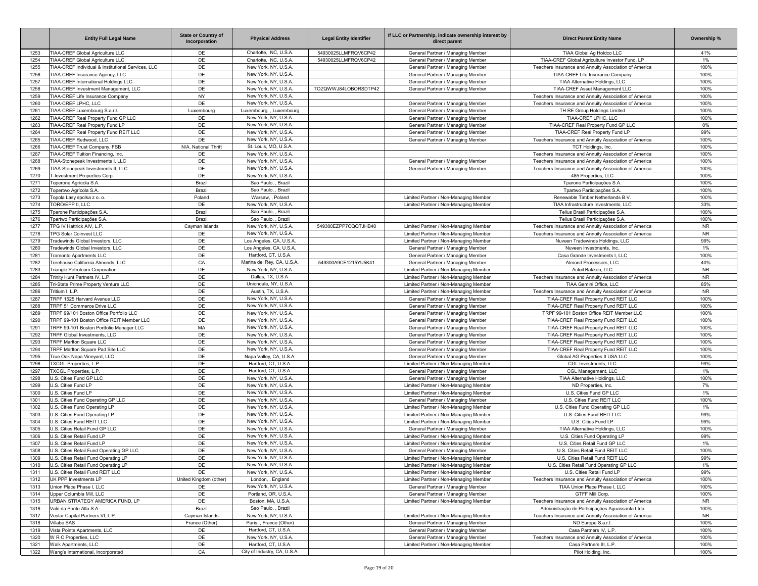|              | <b>Entity Full Legal Name</b>                                              | <b>State or Country of</b><br>Incorporation | <b>Physical Address</b>                          | <b>Legal Entity Identifier</b> | If LLC or Partnership, indicate ownership interest by<br>direct parent         | <b>Direct Parent Entity Name</b>                                                                        | Ownership %       |
|--------------|----------------------------------------------------------------------------|---------------------------------------------|--------------------------------------------------|--------------------------------|--------------------------------------------------------------------------------|---------------------------------------------------------------------------------------------------------|-------------------|
| 1253         | TIAA-CREF Global Agriculture LLC                                           | DE                                          | Charlotte, NC, U.S.A                             | 54930025LLMFRQV6CP42           | General Partner / Managing Member                                              | TIAA Global Ag Holdco LLC                                                                               | 41%               |
| 1254         | TIAA-CREF Global Agriculture LLC                                           | DE                                          | Charlotte, NC, U.S.A                             | 54930025LLMFRQV6CP42           | General Partner / Managing Member                                              | TIAA-CREF Global Agriculture Investor Fund, LP                                                          | 1%                |
| 1255         | TIAA-CREF Individual & Institutional Services, LLC                         | DE                                          | New York, NY, U.S.A                              |                                | General Partner / Managing Member                                              | Teachers Insurance and Annuity Association of America                                                   | 100%              |
| 1256         | <b>TIAA-CREF Insurance Agency, LLC</b>                                     | DE                                          | New York, NY, U.S.A                              |                                | General Partner / Managing Member                                              | TIAA-CREF Life Insurance Company                                                                        | 100%              |
| 1257         | TIAA-CREF International Holdings LLC                                       | DE                                          | New York, NY, U.S.A                              |                                | General Partner / Managing Member                                              | TIAA Alternative Holdings, LLC                                                                          | 100%              |
| 1258         | TIAA-CREF Investment Management, LLC                                       | DE                                          | New York, NY, U.S.A                              | TOZQWWJ84LOBORSDTP42           | General Partner / Managing Member                                              | TIAA-CREF Asset Management LLC                                                                          | 100%              |
| 1259         | TIAA-CREF Life Insurance Company                                           | <b>NY</b>                                   | New York, NY, U.S.A.                             |                                |                                                                                | Teachers Insurance and Annuity Association of America                                                   | 100%              |
| 1260         | TIAA-CREF LPHC, LLC                                                        | DE                                          | New York, NY, U.S.A.                             |                                | General Partner / Managing Member                                              | Teachers Insurance and Annuity Association of America                                                   | 100%              |
| 1261         | TIAA-CREF Luxembourg S.a.r.l.                                              | Luxembourg                                  | Luxembourg, , Luxembourg<br>New York, NY, U.S.A. |                                | General Partner / Managing Member                                              | TH RE Group Holdings Limited                                                                            | 100%              |
| 1262<br>1263 | TIAA-CREF Real Property Fund GP LLC<br>TIAA-CREF Real Property Fund LP     | DE<br>DE                                    | New York, NY, U.S.A                              |                                | General Partner / Managing Member<br>General Partner / Managing Member         | TIAA-CREF LPHC, LLC<br>TIAA-CREF Real Property Fund GP LLC                                              | 100%<br>0%        |
| 1264         | TIAA-CREF Real Property Fund REIT LLC                                      | DE                                          | New York, NY, U.S.A                              |                                | General Partner / Managing Member                                              | TIAA-CREF Real Property Fund LP                                                                         | 99%               |
| 1265         | TIAA-CREF Redwood, LLC                                                     | DE                                          | New York, NY, U.S.A                              |                                | General Partner / Managing Member                                              | Teachers Insurance and Annuity Association of America                                                   | 100%              |
| 1266         | TIAA-CREF Trust Company, FSB                                               | N/A. National Thrift                        | St. Louis, MO, U.S.A                             |                                |                                                                                | TCT Holdings, Inc.                                                                                      | 100%              |
| 1267         | TIAA-CREF Tuition Financing, Inc.                                          | DE                                          | New York, NY, U.S.A                              |                                |                                                                                | Teachers Insurance and Annuity Association of America                                                   | 100%              |
| 1268         | TIAA-Stonepeak Investments I, LLC                                          | DE                                          | New York, NY, U.S.A                              |                                | General Partner / Managing Member                                              | Teachers Insurance and Annuity Association of America                                                   | 100%              |
| 1269         | TIAA-Stonepeak Investments II, LLC                                         | DE                                          | New York, NY, U.S.A                              |                                | General Partner / Managing Member                                              | Teachers Insurance and Annuity Association of America                                                   | 100%              |
| 1270         | T-Investment Properties Corp.                                              | DE                                          | New York, NY, U.S.A                              |                                |                                                                                | 485 Properties, LLC                                                                                     | 100%              |
| 1271         | Toperone Agrícola S.A.                                                     | Brazil                                      | Sao Paulo, , Brazil                              |                                |                                                                                | Tparone Participações S.A                                                                               | 100%              |
| 1272         | Topertwo Agrícola S.A.                                                     | Brazil                                      | Sao Paulo, , Brazil                              |                                |                                                                                | Tpartwo Participações S.A                                                                               | 100%              |
| 1273         | Topola Lasy spolka z o. o.                                                 | Poland                                      | Warsaw, , Poland                                 |                                | Limited Partner / Non-Managing Member                                          | Renewable Timber Netherlands B.V                                                                        | 100%              |
| 1274         | TORO/EPP II. LLC                                                           | DE                                          | New York, NY, U.S.A                              |                                | Limited Partner / Non-Managing Member                                          | TIAA Infrastructure Investments, LLC                                                                    | 33%               |
| 1275         | Tparone Participações S.A                                                  | Brazil                                      | Sao Paulo, , Brazil                              |                                |                                                                                | Tellus Brasil Participações S.A                                                                         | 100%              |
| 1276         | Tpartwo Participações S.A.                                                 | Brazil                                      | Sao Paulo, , Brazil                              |                                |                                                                                | Tellus Brasil Participações S.A.                                                                        | 100%              |
| 1277         | TPG IV Hattrick AIV, L.P.                                                  | Cayman Islands                              | New York, NY, U.S.A                              | 549300EZPP7CQQTJHB40           | Limited Partner / Non-Managing Member                                          | Teachers Insurance and Annuity Association of America                                                   | <b>NR</b>         |
| 1278         | <b>TPG Solar Coinvest LLC</b>                                              | DE                                          | New York, NY, U.S.A                              |                                | Limited Partner / Non-Managing Member                                          | Teachers Insurance and Annuity Association of America                                                   | <b>NR</b>         |
| 1279         | <b>Tradewinds Global Investors, LLC</b>                                    | DE                                          | Los Angeles, CA, U.S.A                           |                                | Limited Partner / Non-Managing Member                                          | Nuveen Tradewinds Holdings, LLC                                                                         | 99%               |
| 1280         | Tradewinds Global Investors, LLC                                           | DE                                          | Los Angeles, CA, U.S.A.                          |                                | General Partner / Managing Member                                              | Nuveen Investments, Inc.                                                                                | 1%                |
| 1281         | Tramonto Apartments LLC                                                    | DE                                          | Hartford, CT, U.S.A.                             |                                | General Partner / Managing Member                                              | Casa Grande Investments LLLC                                                                            | 100%              |
| 1282         | Treehouse California Almonds, LLC<br><b>Triangle Petroleum Corporation</b> | CA<br>DE                                    | Marina del Rey, CA, U.S.A<br>New York, NY, U.S.A | 549300A9CE1215YU5K41           | General Partner / Managing Member                                              | Almond Processors, LLC                                                                                  | 40%<br><b>NR</b>  |
| 1283<br>1284 | Trinity Hunt Partners IV, L.P.                                             | DE                                          | Dallas, TX, U.S.A.                               |                                | Limited Partner / Non-Managing Member<br>Limited Partner / Non-Managing Member | Actoil Bakken, LLC<br>Teachers Insurance and Annuity Association of America                             | <b>NR</b>         |
| 1285         | Tri-State Prime Property Venture LLC                                       | DE                                          | Uniondale, NY, U.S.A                             |                                | Limited Partner / Non-Managing Member                                          | TIAA Gemini Office, LLC                                                                                 | 85%               |
| 1286         | Tritium I. L.P.                                                            | DE                                          | Austin, TX, U.S.A.                               |                                | Limited Partner / Non-Managing Member                                          | Teachers Insurance and Annuity Association of America                                                   | <b>NR</b>         |
| 1287         | TRPF 1525 Harvard Avenue LLC                                               | DE                                          | New York, NY, U.S.A                              |                                | General Partner / Managing Member                                              | TIAA-CREF Real Property Fund REIT LLC                                                                   | 100%              |
| 1288         | TRPF 51 Commerce Drive LLC                                                 | DE                                          | New York, NY, U.S.A                              |                                | General Partner / Managing Member                                              | TIAA-CREF Real Property Fund REIT LLC                                                                   | 100%              |
| 1289         | TRPF 99/101 Boston Office Portfolio LLC                                    | DE                                          | New York, NY, U.S.A                              |                                | General Partner / Managing Member                                              | TRPF 99-101 Boston Office REIT Member LLC                                                               | 100%              |
| 1290         | TRPF 99-101 Boston Office REIT Member LLC                                  | DE                                          | New York, NY, U.S.A                              |                                | General Partner / Managing Member                                              | TIAA-CREF Real Property Fund REIT LLC                                                                   | 100%              |
| 1291         | TRPF 99-101 Boston Portfolio Manager LLC                                   | MA                                          | New York, NY, U.S.A                              |                                | General Partner / Managing Member                                              | TIAA-CREF Real Property Fund REIT LLC                                                                   | 100%              |
| 1292         | TRPF Global Investments, LLC                                               | DE                                          | New York, NY, U.S.A                              |                                | General Partner / Managing Member                                              | TIAA-CREF Real Property Fund REIT LLC                                                                   | 100%              |
| 1293         | TRPF Marlton Square LLC                                                    | DE                                          | New York, NY, U.S.A                              |                                | General Partner / Managing Member                                              | TIAA-CREF Real Property Fund REIT LLC                                                                   | 100%              |
| 1294         | TRPF Marlton Square Pad Site LLC                                           | DE                                          | New York, NY, U.S.A                              |                                | General Partner / Managing Member                                              | TIAA-CREF Real Property Fund REIT LLC                                                                   | 100%              |
| 1295         | True Oak Napa Vineyard, LLC                                                | DE                                          | Napa Valley, CA, U.S.A                           |                                | General Partner / Managing Member                                              | Global AG Properties II USA LLC                                                                         | 100%              |
| 1296         | TXCGL Properties, L.P.                                                     | DE                                          | Hartford, CT, U.S.A.                             |                                | Limited Partner / Non-Managing Member                                          | CGL Investments, LLC                                                                                    | 99%               |
| 1297         | TXCGL Properties, L.P.                                                     | DE                                          | Hartford, CT, U.S.A.                             |                                | General Partner / Managing Member                                              | CGL Management, LLC                                                                                     | 1%                |
| 1298         | U.S. Cities Fund GP LLC                                                    | DE                                          | New York, NY, U.S.A                              |                                | General Partner / Managing Member                                              | TIAA Alternative Holdings, LLC                                                                          | 100%              |
| 1299         | U.S. Cities Fund LP<br>U.S. Cities Fund LP                                 | DE<br>DE                                    | New York, NY, U.S.A<br>New York, NY, U.S.A       |                                | Limited Partner / Non-Managing Member                                          | ND Properties, Inc.                                                                                     | 7%                |
| 1300<br>1301 | U.S. Cities Fund Operating GP LLC                                          | DE                                          | New York, NY, U.S.A                              |                                | Limited Partner / Non-Managing Member<br>General Partner / Managing Member     | U.S. Cities Fund GP LLC<br>U.S. Cities Fund REIT LLC                                                    | 1%<br>100%        |
| 1302         | U.S. Cities Fund Operating LP                                              | DE                                          | New York, NY, U.S.A                              |                                | Limited Partner / Non-Managing Member                                          | U.S. Cities Fund Operating GP LLC                                                                       | 1%                |
| 1303         | U.S. Cities Fund Operating LP                                              | DE                                          | New York, NY, U.S.A                              |                                | Limited Partner / Non-Managing Member                                          | U.S. Cities Fund REIT LLC                                                                               | 99%               |
| 1304         | U.S. Cities Fund REIT LLC                                                  | DE                                          | New York, NY, U.S.A                              |                                | Limited Partner / Non-Managing Member                                          | U.S. Cities Fund LP                                                                                     | 99%               |
| 1305         | U.S. Cities Retail Fund GP LLC                                             | DE                                          | New York, NY, U.S.A                              |                                | General Partner / Managing Member                                              | TIAA Alternative Holdings, LLC                                                                          | 100%              |
| 1306         | U.S. Cities Retail Fund LP                                                 | DE                                          | New York, NY, U.S.A                              |                                | Limited Partner / Non-Managing Member                                          | U.S. Cities Fund Operating LP                                                                           | 99%               |
| 1307         | U.S. Cities Retail Fund LP                                                 | DE                                          | New York, NY, U.S.A                              |                                | Limited Partner / Non-Managing Member                                          | U.S. Cities Retail Fund GP LLC                                                                          | 1%                |
| 1308         | U.S. Cities Retail Fund Operating GP LLC                                   | DE                                          | New York, NY, U.S.A                              |                                | General Partner / Managing Member                                              | U.S. Cities Retail Fund REIT LLC                                                                        | 100%              |
| 1309         | U.S. Cities Retail Fund Operating LP                                       | DE                                          | New York, NY, U.S.A.                             |                                | Limited Partner / Non-Managing Member                                          | U.S. Cities Retail Fund REIT LLC                                                                        | 99%               |
| 1310         | U.S. Cities Retail Fund Operating LP                                       | DE                                          | New York, NY, U.S.A.                             |                                | Limited Partner / Non-Managing Member                                          | U.S. Cities Retail Fund Operating GP LLC                                                                | 1%                |
| 1311         | U.S. Cities Retail Fund REIT LLC                                           | DE                                          | New York, NY, U.S.A.                             |                                | Limited Partner / Non-Managing Member                                          | U.S. Cities Retail Fund LP                                                                              | 99%               |
| 1312         | UK PPP Investments LP                                                      | United Kingdom (other)                      | London, , England                                |                                | Limited Partner / Non-Managing Member                                          | Teachers Insurance and Annuity Association of America                                                   | 100%              |
| 1313         | Union Place Phase I, LLC                                                   | DE                                          | New York, NY, U.S.A.                             |                                | General Partner / Managing Member                                              | TIAA Union Place Phase I, LLC                                                                           | 100%              |
| 1314         | Upper Columbia Mill, LLC                                                   | DE                                          | Portland, OR, U.S.A.                             |                                | General Partner / Managing Member                                              | GTFF Mill Corp.                                                                                         | 100%              |
| 1315         | URBAN STRATEGY AMERICA FUND, LP                                            | DE                                          | Boston, MA, U.S.A.                               |                                | Limited Partner / Non-Managing Member                                          | Teachers Insurance and Annuity Association of America                                                   | <b>NR</b>         |
| 1316<br>1317 | Vale da Ponte Alta S.A.<br>Vestar Capital Partners VI, L.P.                | Brazil<br>Cayman Islands                    | Sao Paulo, , Brazil<br>New York, NY, U.S.A.      |                                | Limited Partner / Non-Managing Member                                          | Administração de Participações Aguassanta Ltda<br>Teachers Insurance and Annuity Association of America | 100%<br><b>NR</b> |
| 1318         | Villabe SAS                                                                | France (Other)                              | Paris, , France (Other)                          |                                | General Partner / Managing Member                                              | ND Europe S.a.r.l.                                                                                      | 100%              |
| 1319         | Vista Pointe Apartments, LLC                                               | DE                                          | Hartford, CT, U.S.A.                             |                                | General Partner / Managing Member                                              | Casa Partners IV, L.P.                                                                                  | 100%              |
| 1320         | W R C Properties, LLC                                                      | DE                                          | New York, NY, U.S.A.                             |                                | General Partner / Managing Member                                              | Teachers Insurance and Annuity Association of America                                                   | 100%              |
| 1321         | Walk Apartments, LLC                                                       | DE                                          | Hartford, CT, U.S.A.                             |                                | Limited Partner / Non-Managing Member                                          | Casa Partners III, L.P.                                                                                 | 100%              |
| 1322         | Wang's International, Incorporated                                         | CA                                          | City of Industry, CA, U.S.A.                     |                                |                                                                                | Pilot Holding, Inc.                                                                                     | 100%              |
|              |                                                                            |                                             |                                                  |                                |                                                                                |                                                                                                         |                   |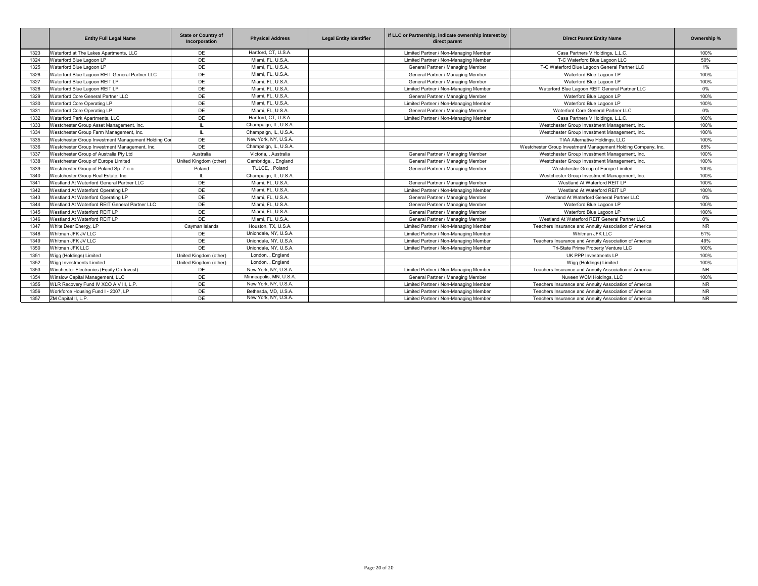|      | <b>Entity Full Legal Name</b>                       | <b>State or Country of</b><br>Incorporation | <b>Physical Address</b> | <b>Legal Entity Identifier</b> | If LLC or Partnership, indicate ownership interest by<br>direct parent | <b>Direct Parent Entity Name</b>                              | Ownership % |
|------|-----------------------------------------------------|---------------------------------------------|-------------------------|--------------------------------|------------------------------------------------------------------------|---------------------------------------------------------------|-------------|
| 1323 | Waterford at The Lakes Apartments, LLC              | DE                                          | Hartford, CT, U.S.A.    |                                | Limited Partner / Non-Managing Member                                  | Casa Partners V Holdings, L.L.C.                              | 100%        |
| 1324 | Waterford Blue Lagoon LP                            | DE                                          | Miami, FL, U.S.A.       |                                | Limited Partner / Non-Managing Member                                  | T-C Waterford Blue Lagoon LLC                                 | 50%         |
| 1325 | Waterford Blue Lagoon LP                            | DE                                          | Miami, FL, U.S.A.       |                                | General Partner / Managing Member                                      | T-C Waterford Blue Lagoon General Partner LLC                 | 1%          |
| 1326 | Waterford Blue Lagoon REIT General Partner LLC      | DE                                          | Miami, FL, U.S.A.       |                                | General Partner / Managing Member                                      | Waterford Blue Lagoon LP                                      | 100%        |
| 1327 | Waterford Blue Lagoon REIT LP                       | DE                                          | Miami, FL, U.S.A.       |                                | General Partner / Managing Member                                      | Waterford Blue Lagoon LP                                      | 100%        |
| 1328 | Waterford Blue Lagoon REIT LP                       | DE                                          | Miami, FL, U.S.A.       |                                | Limited Partner / Non-Managing Member                                  | Waterford Blue Lagoon REIT General Partner LLC                | 0%          |
| 1329 | Waterford Core General Partner LLC                  | DE                                          | Miami, FL, U.S.A.       |                                | General Partner / Managing Member                                      | Waterford Blue Lagoon LP                                      | 100%        |
| 1330 | Waterford Core Operating LP                         | DE                                          | Miami, FL, U.S.A.       |                                | Limited Partner / Non-Managing Member                                  | Waterford Blue Lagoon LP                                      | 100%        |
| 1331 | Waterford Core Operating LP                         | DE                                          | Miami, FL, U.S.A.       |                                | General Partner / Managing Member                                      | Waterford Core General Partner LLC                            | 0%          |
| 1332 | Waterford Park Apartments, LLC                      | DE                                          | Hartford, CT, U.S.A.    |                                | Limited Partner / Non-Managing Member                                  | Casa Partners V Holdings, L.L.C.                              | 100%        |
| 1333 | Westchester Group Asset Management, Inc.            | $\mathbf{L}$                                | Champaign, IL, U.S.A.   |                                |                                                                        | Westchester Group Investment Management, Inc.                 | 100%        |
| 1334 | Westchester Group Farm Management, Inc.             | $\mathbf{H}$                                | Champaign, IL, U.S.A.   |                                |                                                                        | Westchester Group Investment Management, Inc.                 | 100%        |
| 1335 | Westchester Group Investment Management Holding Cor | DE                                          | New York, NY, U.S.A.    |                                |                                                                        | TIAA Alternative Holdings, LLC                                | 100%        |
| 1336 | Westchester Group Investment Management, Inc.       | DE                                          | Champaign, IL, U.S.A.   |                                |                                                                        | Westchester Group Investment Management Holding Company, Inc. | 85%         |
| 1337 | Westchester Group of Australia Pty Ltd              | Australia                                   | Victoria. . Australia   |                                | General Partner / Managing Member                                      | Westchester Group Investment Management, Inc.                 | 100%        |
| 1338 | Westchester Group of Europe Limited                 | United Kingdom (other)                      | Cambridge, , England    |                                | General Partner / Managing Member                                      | Westchester Group Investment Management, Inc.                 | 100%        |
| 1339 | Westchester Group of Poland Sp. Z.o.o.              | Poland                                      | TULCE, , Poland         |                                | General Partner / Managing Member                                      | Westchester Group of Europe Limited                           | 100%        |
| 1340 | Westchester Group Real Estate, Inc.                 | IL.                                         | Champaign, IL, U.S.A.   |                                |                                                                        | Westchester Group Investment Management, Inc.                 | 100%        |
| 1341 | Westland At Waterford General Partner LLC           | DE                                          | Miami, FL, U.S.A.       |                                | General Partner / Managing Member                                      | Westland At Waterford REIT LP                                 | 100%        |
| 1342 | Westland At Waterford Operating LP                  | DE                                          | Miami, FL, U.S.A.       |                                | Limited Partner / Non-Managing Member                                  | Westland At Waterford REIT LP                                 | 100%        |
| 1343 | Westland At Waterford Operating LP                  | DE                                          | Miami, FL, U.S.A.       |                                | General Partner / Managing Member                                      | Westland At Waterford General Partner LLC                     | $0\%$       |
| 1344 | Westland At Waterford REIT General Partner LLC      | DE                                          | Miami, FL, U.S.A.       |                                | General Partner / Managing Member                                      | Waterford Blue Lagoon LP                                      | 100%        |
| 1345 | Westland At Waterford REIT LP                       | DE                                          | Miami, FL, U.S.A.       |                                | General Partner / Managing Member                                      | Waterford Blue Lagoon LP                                      | 100%        |
| 1346 | Westland At Waterford REIT LP                       | DE                                          | Miami, FL, U.S.A.       |                                | General Partner / Managing Member                                      | Westland At Waterford REIT General Partner LLC                | 0%          |
| 1347 | White Deer Energy, LP                               | Cayman Islands                              | Houston, TX, U.S.A.     |                                | Limited Partner / Non-Managing Member                                  | Teachers Insurance and Annuity Association of America         | <b>NR</b>   |
| 1348 | Whitman JFK JV LLC                                  | DE                                          | Uniondale, NY, U.S.A.   |                                | Limited Partner / Non-Managing Member                                  | Whitman JFK LLC                                               | 51%         |
| 1349 | Whitman JFK JV LLC                                  | DE                                          | Uniondale, NY, U.S.A.   |                                | Limited Partner / Non-Managing Member                                  | Teachers Insurance and Annuity Association of America         | 49%         |
| 1350 | Whitman JFK LLC                                     | DE                                          | Uniondale, NY, U.S.A.   |                                | Limited Partner / Non-Managing Member                                  | Tri-State Prime Property Venture LLC                          | 100%        |
| 1351 | Wigg (Holdings) Limited                             | United Kingdom (other)                      | London, , England       |                                |                                                                        | UK PPP Investments LP                                         | 100%        |
| 1352 | Wigg Investments Limited                            | United Kingdom (other)                      | London, , England       |                                |                                                                        | Wigg (Holdings) Limited                                       | 100%        |
| 1353 | Winchester Electronics (Equity Co-Invest)           | DE                                          | New York, NY, U.S.A.    |                                | Limited Partner / Non-Managing Member                                  | Teachers Insurance and Annuity Association of America         | <b>NR</b>   |
| 1354 | Winslow Capital Management, LLC                     | DE                                          | Minneapolis, MN, U.S.A. |                                | General Partner / Managing Member                                      | Nuveen WCM Holdings, LLC                                      | 100%        |
| 1355 | WLR Recovery Fund IV XCO AIV III, L.P.              | DE                                          | New York, NY, U.S.A.    |                                | Limited Partner / Non-Managing Member                                  | Teachers Insurance and Annuity Association of America         | <b>NR</b>   |
| 1356 | Workforce Housing Fund I - 2007, LP                 | DE                                          | Bethesda, MD, U.S.A.    |                                | Limited Partner / Non-Managing Member                                  | Teachers Insurance and Annuity Association of America         | <b>NR</b>   |
| 1357 | ZM Capital II, L.P.                                 | DE                                          | New York, NY, U.S.A.    |                                | Limited Partner / Non-Managing Member                                  | Teachers Insurance and Annuity Association of America         | <b>NR</b>   |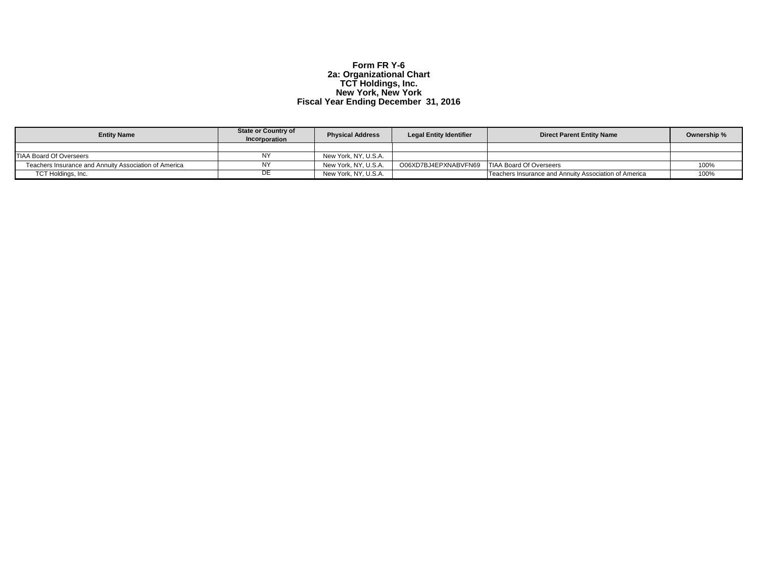## **Form FR Y-6 2a: Organizational Chart TCT Holdings, Inc. New York, New York Fiscal Year Ending December 31, 2016**

| <b>Entity Name</b>                                    | <b>State or Country of</b><br><b>Incorporation</b> | <b>Physical Address</b> | <b>Legal Entity Identifier</b> | <b>Direct Parent Entity Name</b>                      | Ownership % |
|-------------------------------------------------------|----------------------------------------------------|-------------------------|--------------------------------|-------------------------------------------------------|-------------|
|                                                       |                                                    |                         |                                |                                                       |             |
| <b>TIAA Board Of Overseers</b>                        |                                                    | New York, NY, U.S.A.    |                                |                                                       |             |
| Teachers Insurance and Annuity Association of America |                                                    | New York, NY, U.S.A.    | O06XD7BJ4EPXNABVFN69           | <b>TIAA Board Of Overseers</b>                        | 100%        |
| TCT Holdings, Inc.                                    | DE.                                                | New York, NY, U.S.A.    |                                | Teachers Insurance and Annuity Association of America | 100%        |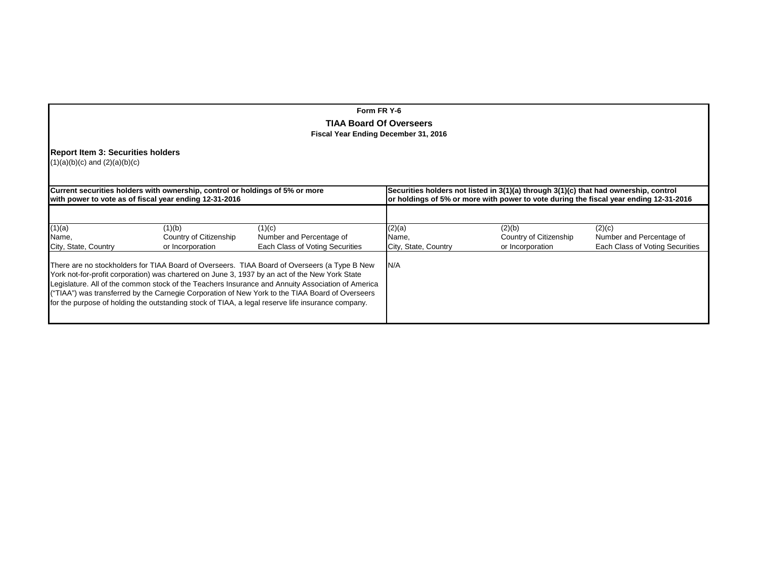## **Form FR Y-6**

## **TIAA Board Of Overseers Fiscal Year Ending December 31, 2016**

## **Report Item 3: Securities holders**

(1)(a)(b)(c) and (2)(a)(b)(c)

|                                         | Current securities holders with ownership, control or holdings of 5% or more<br>with power to vote as of fiscal year ending 12-31-2016 |                                                                                                                                                                                                                                                                                                                                                                                                                                                                                 | Securities holders not listed in 3(1)(a) through 3(1)(c) that had ownership, control<br>or holdings of 5% or more with power to vote during the fiscal year ending 12-31-2016 |                                                      |                                                                       |  |  |
|-----------------------------------------|----------------------------------------------------------------------------------------------------------------------------------------|---------------------------------------------------------------------------------------------------------------------------------------------------------------------------------------------------------------------------------------------------------------------------------------------------------------------------------------------------------------------------------------------------------------------------------------------------------------------------------|-------------------------------------------------------------------------------------------------------------------------------------------------------------------------------|------------------------------------------------------|-----------------------------------------------------------------------|--|--|
| (1)(a)<br>Name,<br>City, State, Country | (1)(b)<br>Country of Citizenship<br>or Incorporation                                                                                   | (1)(c)<br>Number and Percentage of<br>Each Class of Voting Securities<br>There are no stockholders for TIAA Board of Overseers. TIAA Board of Overseers (a Type B New<br>York not-for-profit corporation) was chartered on June 3, 1937 by an act of the New York State<br>Legislature. All of the common stock of the Teachers Insurance and Annuity Association of America<br>("TIAA") was transferred by the Carnegie Corporation of New York to the TIAA Board of Overseers | (2)(a)<br>Name,<br>City, State, Country<br>N/A                                                                                                                                | (2)(b)<br>Country of Citizenship<br>or Incorporation | (2)(c)<br>Number and Percentage of<br>Each Class of Voting Securities |  |  |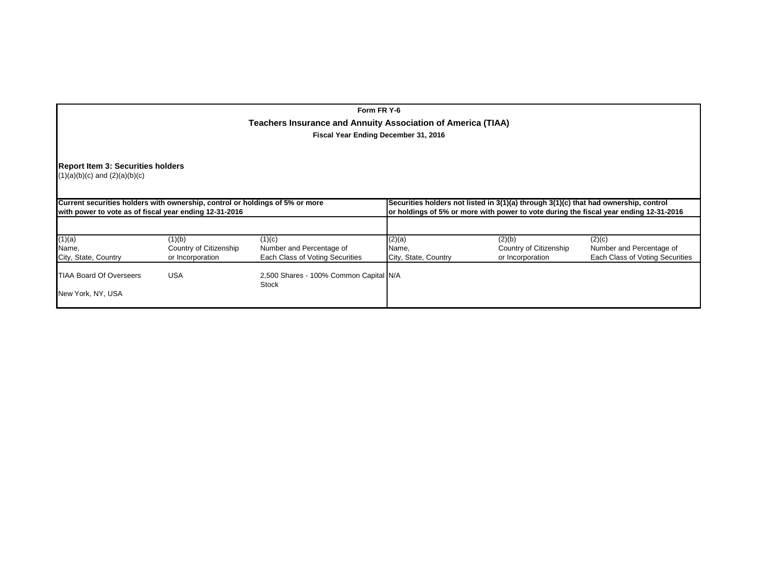## **Form FR Y-6 Teachers Insurance and Annuity Association of America (TIAA) Fiscal Year Ending December 31, 2016**

## **Report Item 3: Securities holders**

(1)(a)(b)(c) and (2)(a)(b)(c)

| Current securities holders with ownership, control or holdings of 5% or more<br>with power to vote as of fiscal year ending 12-31-2016 |                        |                                                        | Securities holders not listed in 3(1)(a) through 3(1)(c) that had ownership, control<br>or holdings of 5% or more with power to vote during the fiscal year ending 12-31-2016 |                        |                                 |  |  |  |
|----------------------------------------------------------------------------------------------------------------------------------------|------------------------|--------------------------------------------------------|-------------------------------------------------------------------------------------------------------------------------------------------------------------------------------|------------------------|---------------------------------|--|--|--|
|                                                                                                                                        |                        |                                                        |                                                                                                                                                                               |                        |                                 |  |  |  |
| (1)(a)                                                                                                                                 | (1)(b)                 | (1)(c)                                                 | (2)(a)                                                                                                                                                                        | (2)(b)                 | (2)(c)                          |  |  |  |
| Name.                                                                                                                                  | Country of Citizenship | Number and Percentage of                               | Name.                                                                                                                                                                         | Country of Citizenship | Number and Percentage of        |  |  |  |
| City, State, Country                                                                                                                   | or Incorporation       | Each Class of Voting Securities                        | City, State, Country                                                                                                                                                          | or Incorporation       | Each Class of Voting Securities |  |  |  |
| <b>TIAA Board Of Overseers</b>                                                                                                         | USA                    | 2,500 Shares - 100% Common Capital N/A<br><b>Stock</b> |                                                                                                                                                                               |                        |                                 |  |  |  |
| New York, NY, USA                                                                                                                      |                        |                                                        |                                                                                                                                                                               |                        |                                 |  |  |  |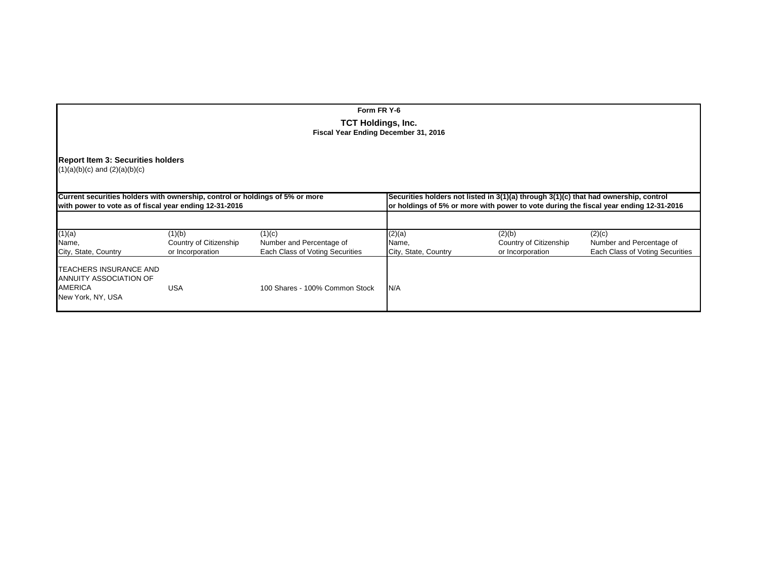# **Report Item 3: Securities holders**  $(1)(a)(b)(c)$  and  $(2)(a)(b)(c)$ **Current securities holders with ownership, control or holdings of 5% or more**<br> **a** Securities holders not listed in 3(1)(a) through 3(1)(c) that had ownership, control<br> **b** or holdings of 5% or more with power to vote dur **with power to vote as of fiscal year ending 12-31-2016 or holdings of 5% or more with power to vote during the fiscal year ending 12-31-2016** (1)(a) (1)(b) (1)(c) (2)(a) (2)(b) (2)(c) Name, Country of Citizenship Number and Percentage of Name, Country Country of Citizenship Number and Percentage of<br>
City, State, Country City, State, Country of Incorporation Each Class of Voting Securities City, State, C Each Class of Voting Securities TEACHERS INSURANCE AND ANNUITY ASSOCIATION OF AMERICAUSA 100 Shares - 100% Common Stock  $N/A$ New York, NY, USA **Form FR Y-6TCT Holdings, Inc. Fiscal Year Ending December 31, 2016**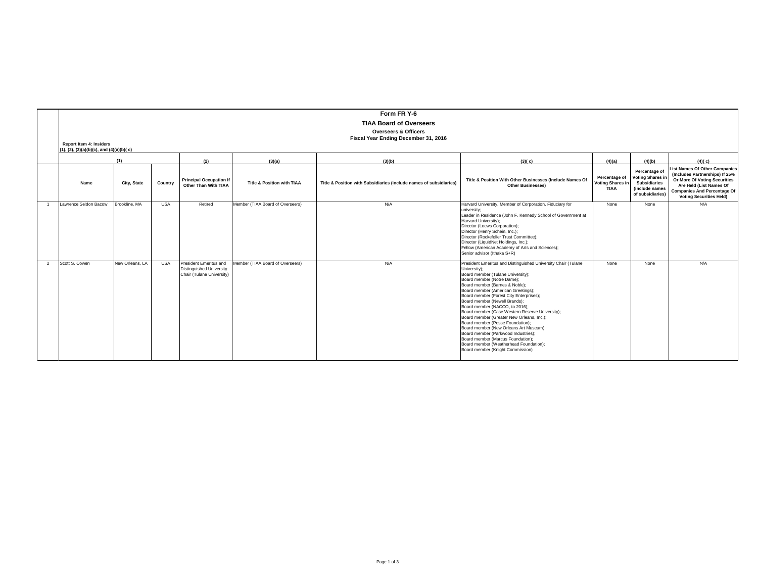|                |                                              |                 |            |                                                                                        |                                       | Form FR Y-6                                                        |                                                                                                                                                                                                                                                                                                                                                                                                                                                                                                                                                                                                                                                                                |                                                         |                                                                                                       |                                                                                                                                                                                                           |
|----------------|----------------------------------------------|-----------------|------------|----------------------------------------------------------------------------------------|---------------------------------------|--------------------------------------------------------------------|--------------------------------------------------------------------------------------------------------------------------------------------------------------------------------------------------------------------------------------------------------------------------------------------------------------------------------------------------------------------------------------------------------------------------------------------------------------------------------------------------------------------------------------------------------------------------------------------------------------------------------------------------------------------------------|---------------------------------------------------------|-------------------------------------------------------------------------------------------------------|-----------------------------------------------------------------------------------------------------------------------------------------------------------------------------------------------------------|
|                |                                              |                 |            |                                                                                        |                                       | <b>TIAA Board of Overseers</b>                                     |                                                                                                                                                                                                                                                                                                                                                                                                                                                                                                                                                                                                                                                                                |                                                         |                                                                                                       |                                                                                                                                                                                                           |
|                |                                              |                 |            |                                                                                        |                                       | <b>Overseers &amp; Officers</b>                                    |                                                                                                                                                                                                                                                                                                                                                                                                                                                                                                                                                                                                                                                                                |                                                         |                                                                                                       |                                                                                                                                                                                                           |
|                | <b>Report Item 4: Insiders</b>               |                 |            |                                                                                        |                                       | Fiscal Year Ending December 31, 2016                               |                                                                                                                                                                                                                                                                                                                                                                                                                                                                                                                                                                                                                                                                                |                                                         |                                                                                                       |                                                                                                                                                                                                           |
|                | $(1), (2), (3)(a)(b)(c),$ and $(4)(a)(b)(c)$ |                 |            |                                                                                        |                                       |                                                                    |                                                                                                                                                                                                                                                                                                                                                                                                                                                                                                                                                                                                                                                                                |                                                         |                                                                                                       |                                                                                                                                                                                                           |
|                |                                              | (1)             |            | (2)                                                                                    | (3)(a)                                | (3)(b)                                                             | (3)(c)                                                                                                                                                                                                                                                                                                                                                                                                                                                                                                                                                                                                                                                                         | (4)(a)                                                  | (4)(b)                                                                                                | (4)(c)                                                                                                                                                                                                    |
|                | Name                                         | City, State     | Country    | <b>Principal Occupation If</b><br>Other Than With TIAA                                 | <b>Title &amp; Position with TIAA</b> | Title & Position with Subsidiaries (include names of subsidiaries) | Title & Position With Other Businesses (Include Names Of<br><b>Other Businesses)</b>                                                                                                                                                                                                                                                                                                                                                                                                                                                                                                                                                                                           | Percentage of<br><b>Voting Shares in</b><br><b>TIAA</b> | Percentage of<br><b>Voting Shares in</b><br><b>Subsidiaries</b><br>(include names<br>of subsidiaries) | <b>List Names Of Other Companies</b><br>(Includes Partnerships) If 25%<br>Or More Of Voting Securities<br>Are Held (List Names Of<br><b>Companies And Percentage Of</b><br><b>Voting Securities Held)</b> |
| $\overline{1}$ | Lawrence Seldon Bacow                        | Brookline, MA   | <b>USA</b> | Retired                                                                                | Member (TIAA Board of Overseers)      | N/A                                                                | Harvard University, Member of Corporation, Fiduciary for<br>university:<br>Leader in Residence (John F. Kennedy School of Government at<br>Harvard University);<br>Director (Loews Corporation);<br>Director (Henry Schein, Inc.);<br>Director (Rockefeller Trust Committee);<br>Director (LiquidNet Holdings, Inc.);<br>Fellow (American Academy of Arts and Sciences);<br>Senior advisor (Ithaka S+R)                                                                                                                                                                                                                                                                        | None                                                    | None                                                                                                  | N/A                                                                                                                                                                                                       |
| $\mathcal{L}$  | Scott S. Cowen                               | New Orleans, LA | <b>USA</b> | President Emeritus and<br><b>Distinguished University</b><br>Chair (Tulane University) | Member (TIAA Board of Overseers)      | N/A                                                                | President Emeritus and Distinguished University Chair (Tulane<br>University);<br>Board member (Tulane University);<br>Board member (Notre Dame);<br>Board member (Barnes & Noble);<br>Board member (American Greetings);<br>Board member (Forest City Enterprises);<br>Board member (Newell Brands):<br>Board member (NACCO, to 2016);<br>Board member (Case Western Reserve University);<br>Board member (Greater New Orleans, Inc.);<br>Board member (Posse Foundation):<br>Board member (New Orleans Art Museum);<br>Board member (Parkwood Industries):<br>Board member (Marcus Foundation);<br>Board member (Weatherhead Foundation);<br>Board member (Knight Commission) | None                                                    | None                                                                                                  | N/A                                                                                                                                                                                                       |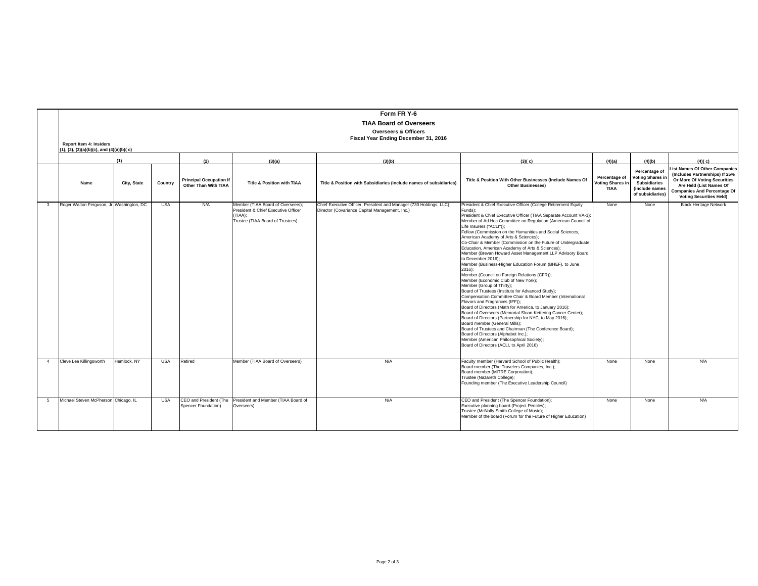|                |                                              |             |            |                                                        |                                                                                                                         | Form FR Y-6                                                                                                           |                                                                                                                                                                                                                                                                                                                                                                                                                                                                                                                                                                                                                                                                                                                                                                                                                                                                                                                                                                                                                                                                                                                                                                                                                                                                                                                          |                                                 |                                                                                                       |                                                                                                                                                                                                   |
|----------------|----------------------------------------------|-------------|------------|--------------------------------------------------------|-------------------------------------------------------------------------------------------------------------------------|-----------------------------------------------------------------------------------------------------------------------|--------------------------------------------------------------------------------------------------------------------------------------------------------------------------------------------------------------------------------------------------------------------------------------------------------------------------------------------------------------------------------------------------------------------------------------------------------------------------------------------------------------------------------------------------------------------------------------------------------------------------------------------------------------------------------------------------------------------------------------------------------------------------------------------------------------------------------------------------------------------------------------------------------------------------------------------------------------------------------------------------------------------------------------------------------------------------------------------------------------------------------------------------------------------------------------------------------------------------------------------------------------------------------------------------------------------------|-------------------------------------------------|-------------------------------------------------------------------------------------------------------|---------------------------------------------------------------------------------------------------------------------------------------------------------------------------------------------------|
|                |                                              |             |            |                                                        |                                                                                                                         | <b>TIAA Board of Overseers</b>                                                                                        |                                                                                                                                                                                                                                                                                                                                                                                                                                                                                                                                                                                                                                                                                                                                                                                                                                                                                                                                                                                                                                                                                                                                                                                                                                                                                                                          |                                                 |                                                                                                       |                                                                                                                                                                                                   |
|                |                                              |             |            |                                                        |                                                                                                                         | <b>Overseers &amp; Officers</b>                                                                                       |                                                                                                                                                                                                                                                                                                                                                                                                                                                                                                                                                                                                                                                                                                                                                                                                                                                                                                                                                                                                                                                                                                                                                                                                                                                                                                                          |                                                 |                                                                                                       |                                                                                                                                                                                                   |
|                | <b>Report Item 4: Insiders</b>               |             |            |                                                        |                                                                                                                         | Fiscal Year Ending December 31, 2016                                                                                  |                                                                                                                                                                                                                                                                                                                                                                                                                                                                                                                                                                                                                                                                                                                                                                                                                                                                                                                                                                                                                                                                                                                                                                                                                                                                                                                          |                                                 |                                                                                                       |                                                                                                                                                                                                   |
|                | $(1), (2), (3)(a)(b)(c),$ and $(4)(a)(b)(c)$ |             |            |                                                        |                                                                                                                         |                                                                                                                       |                                                                                                                                                                                                                                                                                                                                                                                                                                                                                                                                                                                                                                                                                                                                                                                                                                                                                                                                                                                                                                                                                                                                                                                                                                                                                                                          |                                                 |                                                                                                       |                                                                                                                                                                                                   |
|                |                                              |             |            |                                                        |                                                                                                                         |                                                                                                                       |                                                                                                                                                                                                                                                                                                                                                                                                                                                                                                                                                                                                                                                                                                                                                                                                                                                                                                                                                                                                                                                                                                                                                                                                                                                                                                                          |                                                 |                                                                                                       |                                                                                                                                                                                                   |
|                |                                              | (1)         |            | (2)                                                    | (3)(a)                                                                                                                  | (3)(b)                                                                                                                | (3)(c)                                                                                                                                                                                                                                                                                                                                                                                                                                                                                                                                                                                                                                                                                                                                                                                                                                                                                                                                                                                                                                                                                                                                                                                                                                                                                                                   | (4)(a)                                          | (4)(b)                                                                                                | (4)(c)                                                                                                                                                                                            |
|                | Name                                         | City, State | Country    | <b>Principal Occupation If</b><br>Other Than With TIAA | <b>Title &amp; Position with TIAA</b>                                                                                   | Title & Position with Subsidiaries (include names of subsidiaries)                                                    | Title & Position With Other Businesses (Include Names Of<br><b>Other Businesses)</b>                                                                                                                                                                                                                                                                                                                                                                                                                                                                                                                                                                                                                                                                                                                                                                                                                                                                                                                                                                                                                                                                                                                                                                                                                                     | Percentage of<br>Voting Shares i<br><b>TIAA</b> | Percentage of<br><b>Voting Shares in</b><br><b>Subsidiaries</b><br>(include names<br>of subsidiaries) | ist Names Of Other Companies<br>(Includes Partnerships) If 25%<br>Or More Of Voting Securities<br>Are Held (List Names Of<br><b>Companies And Percentage Of</b><br><b>Voting Securities Held)</b> |
| $\mathbf{3}$   | Roger Walton Ferguson, Jr. Washington, DC    |             | <b>USA</b> | N/A                                                    | Member (TIAA Board of Overseers):<br>President & Chief Executive Officer<br>(TIAA):<br>Trustee (TIAA Board of Trustees) | Chief Executive Officer, President and Manager (730 Holdings, LLC);<br>Director (Covariance Capital Management, Inc.) | President & Chief Executive Officer (College Retirement Equity<br>Funds):<br>President & Chief Executive Officer (TIAA Separate Account VA-1);<br>Member of Ad Hoc Committee on Regulation (American Council of<br>Life Insurers ("ACLI"));<br>Fellow (Commission on the Humanities and Social Sciences,<br>American Academy of Arts & Sciences);<br>Co-Chair & Member (Commission on the Future of Undergraduate<br>Education, American Academy of Arts & Sciences);<br>Member (Brevan Howard Asset Management LLP Advisory Board,<br>to December 2016);<br>Member (Business-Higher Education Forum (BHEF), to June<br>$2016$ :<br>Member (Council on Foreign Relations (CFR));<br>Member (Economic Club of New York);<br>Member (Group of Thirty);<br>Board of Trustees (Institute for Advanced Study);<br>Compensation Committee Chair & Board Member (International<br>Flavors and Fragrances (IFF)):<br>Board of Directors (Math for America, to January 2016);<br>Board of Overseers (Memorial Sloan-Kettering Cancer Center);<br>Board of Directors (Partnership for NYC, to May 2016);<br>Board member (General Mills);<br>Board of Trustees and Chairman (The Conference Board);<br>Board of Directors (Alphabet Inc.);<br>Member (American Philosophical Society);<br>Board of Directors (ACLI, to April 2016) | None                                            | None                                                                                                  | <b>Black Heritage Network</b>                                                                                                                                                                     |
| $\overline{4}$ | Cleve Lee Killingsworth                      | Hemlock, NY | <b>USA</b> | Retired                                                | Member (TIAA Board of Overseers)                                                                                        | N/A                                                                                                                   | Faculty member (Harvard School of Public Health):<br>Board member (The Travelers Companies, Inc.);<br>Board member (MITRE Corporation);<br>Trustee (Nazareth College);<br>Founding member (The Executive Leadership Council)                                                                                                                                                                                                                                                                                                                                                                                                                                                                                                                                                                                                                                                                                                                                                                                                                                                                                                                                                                                                                                                                                             | None                                            | None                                                                                                  | N/A                                                                                                                                                                                               |
| -5             | Michael Steven McPherson Chicago, IL         |             | <b>USA</b> | Spencer Foundation)                                    | CEO and President (The President and Member (TIAA Board of<br>Overseers)                                                | N/A                                                                                                                   | CEO and President (The Spencer Foundation);<br>Executive planning board (Project Pericles);<br>Trustee (McNally Smith College of Music);<br>Member of the board (Forum for the Future of Higher Education)                                                                                                                                                                                                                                                                                                                                                                                                                                                                                                                                                                                                                                                                                                                                                                                                                                                                                                                                                                                                                                                                                                               | None                                            | None                                                                                                  | N/A                                                                                                                                                                                               |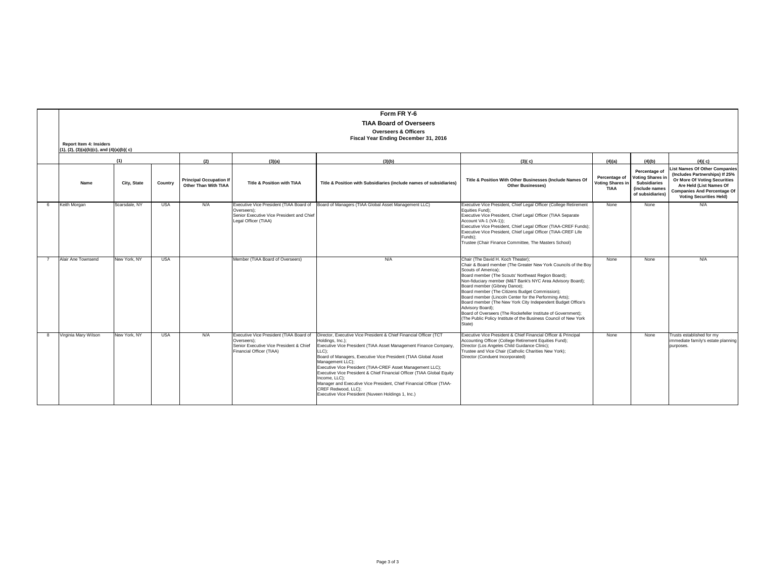|    |                                                                            |               |            |                                                        |                                                                                                                               | Form FR Y-6<br><b>TIAA Board of Overseers</b>                                                                                                                                                                                                                                                                                                                                                                                                                                                                                                                          |                                                                                                                                                                                                                                                                                                                                                                                                                                                                                                                                                                                                                               |                                                  |                                                                                                       |                                                                                                                                                                                                   |
|----|----------------------------------------------------------------------------|---------------|------------|--------------------------------------------------------|-------------------------------------------------------------------------------------------------------------------------------|------------------------------------------------------------------------------------------------------------------------------------------------------------------------------------------------------------------------------------------------------------------------------------------------------------------------------------------------------------------------------------------------------------------------------------------------------------------------------------------------------------------------------------------------------------------------|-------------------------------------------------------------------------------------------------------------------------------------------------------------------------------------------------------------------------------------------------------------------------------------------------------------------------------------------------------------------------------------------------------------------------------------------------------------------------------------------------------------------------------------------------------------------------------------------------------------------------------|--------------------------------------------------|-------------------------------------------------------------------------------------------------------|---------------------------------------------------------------------------------------------------------------------------------------------------------------------------------------------------|
|    |                                                                            |               |            |                                                        |                                                                                                                               | <b>Overseers &amp; Officers</b>                                                                                                                                                                                                                                                                                                                                                                                                                                                                                                                                        |                                                                                                                                                                                                                                                                                                                                                                                                                                                                                                                                                                                                                               |                                                  |                                                                                                       |                                                                                                                                                                                                   |
|    |                                                                            |               |            |                                                        |                                                                                                                               | Fiscal Year Ending December 31, 2016                                                                                                                                                                                                                                                                                                                                                                                                                                                                                                                                   |                                                                                                                                                                                                                                                                                                                                                                                                                                                                                                                                                                                                                               |                                                  |                                                                                                       |                                                                                                                                                                                                   |
|    | <b>Report Item 4: Insiders</b><br>(1), (2), (3)(a)(b)(c), and (4)(a)(b)(c) |               |            |                                                        |                                                                                                                               |                                                                                                                                                                                                                                                                                                                                                                                                                                                                                                                                                                        |                                                                                                                                                                                                                                                                                                                                                                                                                                                                                                                                                                                                                               |                                                  |                                                                                                       |                                                                                                                                                                                                   |
|    |                                                                            | (1)           |            | (2)                                                    | (3)(a)                                                                                                                        | (3)(b)                                                                                                                                                                                                                                                                                                                                                                                                                                                                                                                                                                 | (3)(c)                                                                                                                                                                                                                                                                                                                                                                                                                                                                                                                                                                                                                        | (4)(a)                                           | (4)(b)                                                                                                | (4)(c)                                                                                                                                                                                            |
|    | Name                                                                       | City, State   | Country    | <b>Principal Occupation If</b><br>Other Than With TIAA | Title & Position with TIAA                                                                                                    | Title & Position with Subsidiaries (include names of subsidiaries)                                                                                                                                                                                                                                                                                                                                                                                                                                                                                                     | Title & Position With Other Businesses (Include Names Of<br><b>Other Businesses)</b>                                                                                                                                                                                                                                                                                                                                                                                                                                                                                                                                          | Percentage of<br>Voting Shares in<br><b>TIAA</b> | Percentage of<br><b>Voting Shares in</b><br><b>Subsidiaries</b><br>(include names<br>of subsidiaries) | ist Names Of Other Companies<br>(Includes Partnerships) If 25%<br>Or More Of Voting Securities<br>Are Held (List Names Of<br><b>Companies And Percentage Of</b><br><b>Voting Securities Held)</b> |
| -6 | Keith Morgan                                                               | Scarsdale, NY | <b>USA</b> | N/A                                                    | Executive Vice President (TIAA Board of<br>Overseers):<br>Senior Executive Vice President and Chief<br>Legal Officer (TIAA)   | Board of Managers (TIAA Global Asset Management LLC)                                                                                                                                                                                                                                                                                                                                                                                                                                                                                                                   | Executive Vice President, Chief Legal Officer (College Retirement<br>Equities Fund):<br>Executive Vice President, Chief Legal Officer (TIAA Separate<br>Account VA-1 (VA-1));<br>Executive Vice President, Chief Legal Officer (TIAA-CREF Funds);<br>Executive Vice President, Chief Legal Officer (TIAA-CREF Life<br>Funds):<br>Trustee (Chair Finance Committee, The Masters School)                                                                                                                                                                                                                                        | None                                             | None                                                                                                  | N/A                                                                                                                                                                                               |
|    | Alair Ane Townsend                                                         | New York, NY  | <b>USA</b> |                                                        | Member (TIAA Board of Overseers)                                                                                              | N/A                                                                                                                                                                                                                                                                                                                                                                                                                                                                                                                                                                    | Chair (The David H. Koch Theater);<br>Chair & Board member (The Greater New York Councils of the Boy<br>Scouts of America):<br>Board member (The Scouts' Northeast Region Board);<br>Non-fiduciary member (M&T Bank's NYC Area Advisory Board);<br>Board member (Gibney Dance);<br>Board member (The Citizens Budget Commission);<br>Board member (Lincoln Center for the Performing Arts);<br>Board member (The New York City Independent Budget Office's<br>Advisory Board):<br>Board of Overseers (The Rockefeller Institute of Government);<br>(The Public Policy Institute of the Business Council of New York<br>State) | None                                             | None                                                                                                  | N/A                                                                                                                                                                                               |
| -8 | Virginia Mary Wilson                                                       | New York, NY  | <b>USA</b> | N/A                                                    | Executive Vice President (TIAA Board of<br>Overseers):<br>Senior Executive Vice President & Chief<br>Financial Officer (TIAA) | Director, Executive Vice President & Chief Financial Officer (TCT<br>Holdings, Inc.);<br>Executive Vice President (TIAA Asset Management Finance Company,<br>LLC);<br>Board of Managers, Executive Vice President (TIAA Global Asset<br>Management LLC);<br>Executive Vice President (TIAA-CREF Asset Management LLC);<br>Executive Vice President & Chief Financial Officer (TIAA Global Equity<br>Income, LLC):<br>Manager and Executive Vice President, Chief Financial Officer (TIAA-<br>CREF Redwood, LLC):<br>Executive Vice President (Nuveen Holdings 1, Inc.) | Executive Vice President & Chief Financial Officer & Principal<br>Accounting Officer (College Retirement Equities Fund);<br>Director (Los Angeles Child Guidance Clinic);<br>Trustee and Vice Chair (Catholic Charities New York);<br>Director (Conduent Incorporated)                                                                                                                                                                                                                                                                                                                                                        | None                                             | None                                                                                                  | Trusts established for my<br>immediate family's estate planning<br>purposes.                                                                                                                      |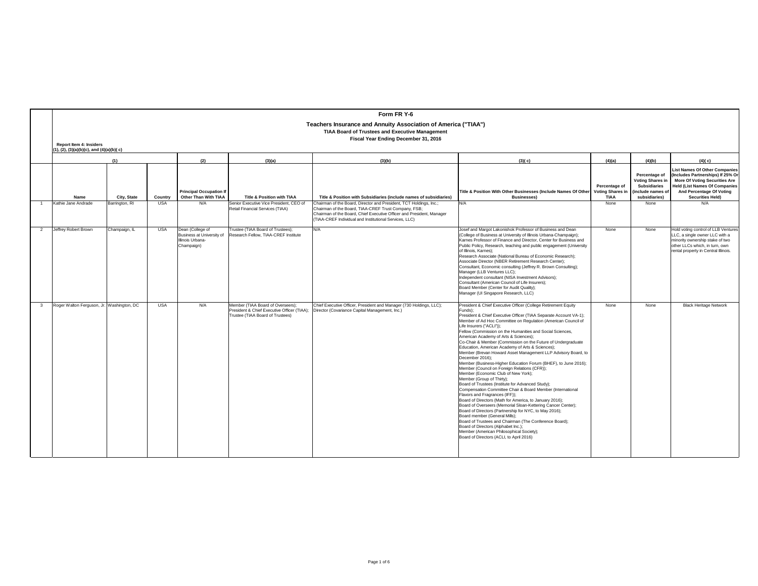|                         |                                                                         |                |            |                                                                                 |                                                                                                                      | Form FR Y-6                                                                                                                                                                                                                                                   |                                                                                                                                                                                                                                                                                                                                                                                                                                                                                                                                                                                                                                                                                                                                                                                                                                                                                                                                                                                                                                                                                                                                                                                                                                                                                                                     |                                                         |                                                                                                      |                                                                                                                                                                                                                  |  |
|-------------------------|-------------------------------------------------------------------------|----------------|------------|---------------------------------------------------------------------------------|----------------------------------------------------------------------------------------------------------------------|---------------------------------------------------------------------------------------------------------------------------------------------------------------------------------------------------------------------------------------------------------------|---------------------------------------------------------------------------------------------------------------------------------------------------------------------------------------------------------------------------------------------------------------------------------------------------------------------------------------------------------------------------------------------------------------------------------------------------------------------------------------------------------------------------------------------------------------------------------------------------------------------------------------------------------------------------------------------------------------------------------------------------------------------------------------------------------------------------------------------------------------------------------------------------------------------------------------------------------------------------------------------------------------------------------------------------------------------------------------------------------------------------------------------------------------------------------------------------------------------------------------------------------------------------------------------------------------------|---------------------------------------------------------|------------------------------------------------------------------------------------------------------|------------------------------------------------------------------------------------------------------------------------------------------------------------------------------------------------------------------|--|
|                         |                                                                         |                |            |                                                                                 |                                                                                                                      | Teachers Insurance and Annuity Association of America ("TIAA")                                                                                                                                                                                                |                                                                                                                                                                                                                                                                                                                                                                                                                                                                                                                                                                                                                                                                                                                                                                                                                                                                                                                                                                                                                                                                                                                                                                                                                                                                                                                     |                                                         |                                                                                                      |                                                                                                                                                                                                                  |  |
|                         |                                                                         |                |            |                                                                                 |                                                                                                                      | <b>TIAA Board of Trustees and Executive Management</b><br>Fiscal Year Ending December 31, 2016                                                                                                                                                                |                                                                                                                                                                                                                                                                                                                                                                                                                                                                                                                                                                                                                                                                                                                                                                                                                                                                                                                                                                                                                                                                                                                                                                                                                                                                                                                     |                                                         |                                                                                                      |                                                                                                                                                                                                                  |  |
|                         | Report Item 4: Insiders<br>$(1), (2), (3)(a)(b)(c),$ and $(4)(a)(b)(c)$ |                |            |                                                                                 |                                                                                                                      |                                                                                                                                                                                                                                                               |                                                                                                                                                                                                                                                                                                                                                                                                                                                                                                                                                                                                                                                                                                                                                                                                                                                                                                                                                                                                                                                                                                                                                                                                                                                                                                                     |                                                         |                                                                                                      |                                                                                                                                                                                                                  |  |
|                         |                                                                         | (1)            |            | (2)                                                                             | (3)(a)                                                                                                               | (3)(b)                                                                                                                                                                                                                                                        | (3)(c)                                                                                                                                                                                                                                                                                                                                                                                                                                                                                                                                                                                                                                                                                                                                                                                                                                                                                                                                                                                                                                                                                                                                                                                                                                                                                                              | (4)(a)                                                  | (4)(b)                                                                                               | (4)(c)                                                                                                                                                                                                           |  |
|                         | Name                                                                    | City, State    | Country    | <b>Principal Occupation If</b><br>Other Than With TIAA                          | Title & Position with TIAA                                                                                           | Title & Position with Subsidiaries (include names of subsidiaries)                                                                                                                                                                                            | Title & Position With Other Businesses (Include Names Of Other<br><b>Businesses)</b>                                                                                                                                                                                                                                                                                                                                                                                                                                                                                                                                                                                                                                                                                                                                                                                                                                                                                                                                                                                                                                                                                                                                                                                                                                | Percentage of<br><b>Voting Shares in</b><br><b>TIAA</b> | Percentage of<br><b>Voting Shares in</b><br><b>Subsidiaries</b><br>include names of<br>subsidiaries) | <b>List Names Of Other Companies</b><br>(Includes Partnerships) If 25% Or<br><b>More Of Voting Securities Are</b><br><b>Held (List Names Of Companies</b><br>And Percentage Of Voting<br><b>Securities Held)</b> |  |
|                         | Kathie Jane Andrade                                                     | Barrington, RI | <b>USA</b> | N/A                                                                             | Senior Executive Vice President, CEO of<br>Retail Financial Services (TIAA)                                          | Chairman of the Board, Director and President, TCT Holdings, Inc.:<br>Chairman of the Board, TIAA-CREF Trust Company, FSB;<br>Chairman of the Board, Chief Executive Officer and President, Manager<br>(TIAA-CREF Individual and Institutional Services, LLC) | N/A                                                                                                                                                                                                                                                                                                                                                                                                                                                                                                                                                                                                                                                                                                                                                                                                                                                                                                                                                                                                                                                                                                                                                                                                                                                                                                                 | None                                                    | None                                                                                                 | N/A                                                                                                                                                                                                              |  |
| $\overline{2}$          | Jeffrey Robert Brown                                                    | Champaign, IL  | <b>USA</b> | Dean (College of<br>Business at University of<br>Illinois Urbana-<br>Champaign) | Trustee (TIAA Board of Trustees):<br>Research Fellow, TIAA-CREF Institute                                            | N/A                                                                                                                                                                                                                                                           | Josef and Margot Lakonishok Professor of Business and Dean<br>(College of Business at University of Illinois Urbana-Champaign);<br>Karnes Professor of Finance and Director, Center for Business and<br>Public Policy, Research, teaching and public engagement (University<br>of Illinois, Karnes):<br>Research Associate (National Bureau of Economic Research);<br>Associate Director (NBER Retirement Research Center);<br>Consultant, Economic consulting (Jeffrey R. Brown Consulting);<br>Manager (LLB Ventures LLC);<br>Independent consultant (NISA Investment Advisors);<br>Consultant (American Council of Life Insurers);<br>Board Member (Center for Audit Quality):<br>Manager (UI Singapore Research, LLC)                                                                                                                                                                                                                                                                                                                                                                                                                                                                                                                                                                                           | None                                                    | None                                                                                                 | Hold voting control of LLB Ventures<br>LLC, a single owner LLC with a<br>minority ownership stake of two<br>other LLCs which, in turn, own<br>rental property in Central Illinois.                               |  |
| $\overline{\mathbf{3}}$ | Roger Walton Ferguson, Jr. Washington, DC                               |                | <b>USA</b> | N/A                                                                             | Member (TIAA Board of Overseers):<br>President & Chief Executive Officer (TIAA):<br>Trustee (TIAA Board of Trustees) | Chief Executive Officer, President and Manager (730 Holdings, LLC);<br>Director (Covariance Capital Management, Inc.)                                                                                                                                         | President & Chief Executive Officer (College Retirement Equity<br>Funds):<br>President & Chief Executive Officer (TIAA Separate Account VA-1);<br>Member of Ad Hoc Committee on Regulation (American Council of<br>Life Insurers ("ACLI")):<br>Fellow (Commission on the Humanities and Social Sciences,<br>American Academy of Arts & Sciences);<br>Co-Chair & Member (Commission on the Future of Undergraduate<br>Education, American Academy of Arts & Sciences);<br>Member (Brevan Howard Asset Management LLP Advisory Board, to<br>December 2016);<br>Member (Business-Higher Education Forum (BHEF), to June 2016);<br>Member (Council on Foreign Relations (CFR));<br>Member (Economic Club of New York):<br>Member (Group of Thirty);<br>Board of Trustees (Institute for Advanced Study);<br>Compensation Committee Chair & Board Member (International<br>Flavors and Fragrances (IFF));<br>Board of Directors (Math for America, to January 2016):<br>Board of Overseers (Memorial Sloan-Kettering Cancer Center);<br>Board of Directors (Partnership for NYC, to May 2016);<br>Board member (General Mills);<br>Board of Trustees and Chairman (The Conference Board);<br>Board of Directors (Alphabet Inc.):<br>Member (American Philosophical Society);<br>Board of Directors (ACLI, to April 2016) | None                                                    | None                                                                                                 | <b>Black Heritage Network</b>                                                                                                                                                                                    |  |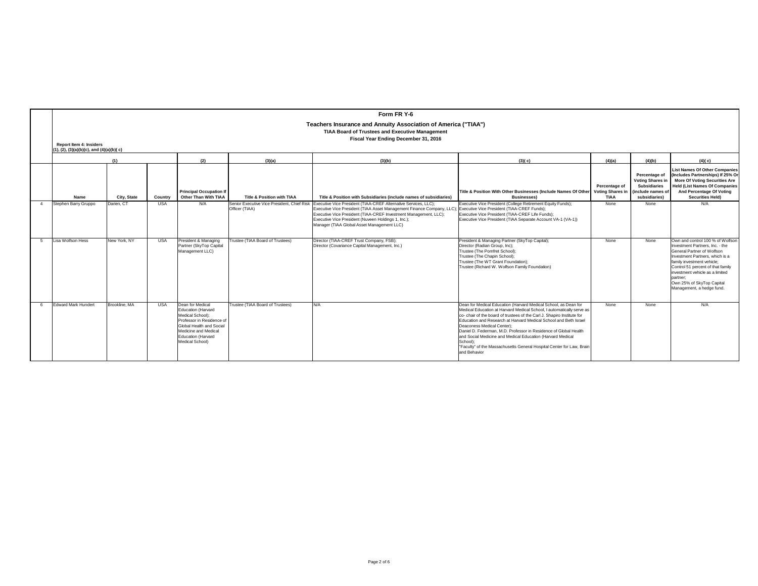|                |                                                                                                                                                                                                                                                    |               |            |                                                                                                                                                                                      |                                       | Form FR Y-6                                                                                                                                                                                                                                                                                                                                                                                                |                                                                                                                                                                                                                                                                                                                                                                                                                                                                                                                                                              |                                                         |                                                                                                       |                                                                                                                                                                                                                                                                                                                  |  |  |  |
|----------------|----------------------------------------------------------------------------------------------------------------------------------------------------------------------------------------------------------------------------------------------------|---------------|------------|--------------------------------------------------------------------------------------------------------------------------------------------------------------------------------------|---------------------------------------|------------------------------------------------------------------------------------------------------------------------------------------------------------------------------------------------------------------------------------------------------------------------------------------------------------------------------------------------------------------------------------------------------------|--------------------------------------------------------------------------------------------------------------------------------------------------------------------------------------------------------------------------------------------------------------------------------------------------------------------------------------------------------------------------------------------------------------------------------------------------------------------------------------------------------------------------------------------------------------|---------------------------------------------------------|-------------------------------------------------------------------------------------------------------|------------------------------------------------------------------------------------------------------------------------------------------------------------------------------------------------------------------------------------------------------------------------------------------------------------------|--|--|--|
|                | Teachers Insurance and Annuity Association of America ("TIAA")<br><b>TIAA Board of Trustees and Executive Management</b><br>Fiscal Year Ending December 31, 2016<br><b>Report Item 4: Insiders</b><br>$(1), (2), (3)(a)(b)(c),$ and $(4)(a)(b)(c)$ |               |            |                                                                                                                                                                                      |                                       |                                                                                                                                                                                                                                                                                                                                                                                                            |                                                                                                                                                                                                                                                                                                                                                                                                                                                                                                                                                              |                                                         |                                                                                                       |                                                                                                                                                                                                                                                                                                                  |  |  |  |
|                |                                                                                                                                                                                                                                                    | (1)           |            | (2)                                                                                                                                                                                  | (3)(a)                                | (3)(b)                                                                                                                                                                                                                                                                                                                                                                                                     | (3)(c)                                                                                                                                                                                                                                                                                                                                                                                                                                                                                                                                                       | (4)(a)                                                  | (4)(b)                                                                                                | (4)(c)                                                                                                                                                                                                                                                                                                           |  |  |  |
|                | Name                                                                                                                                                                                                                                               | City, State   | Country    | <b>Principal Occupation If</b><br>Other Than With TIAA                                                                                                                               | <b>Title &amp; Position with TIAA</b> | Title & Position with Subsidiaries (include names of subsidiaries)                                                                                                                                                                                                                                                                                                                                         | Title & Position With Other Businesses (Include Names Of Other<br><b>Businesses)</b>                                                                                                                                                                                                                                                                                                                                                                                                                                                                         | Percentage of<br><b>Voting Shares in</b><br><b>TIAA</b> | Percentage of<br><b>Voting Shares in</b><br><b>Subsidiaries</b><br>(include names of<br>subsidiaries) | <b>List Names Of Other Companies</b><br>(Includes Partnerships) If 25% Or<br><b>More Of Voting Securities Are</b><br><b>Held (List Names Of Companies</b><br>And Percentage Of Voting<br><b>Securities Held)</b>                                                                                                 |  |  |  |
| $\overline{4}$ | Stephen Barry Gruppo                                                                                                                                                                                                                               | Darien, CT    | <b>USA</b> | N/A                                                                                                                                                                                  | Officer (TIAA)                        | Senior Executive Vice President, Chief Risk Executive Vice President (TIAA-CREF Alternative Services, LLC);<br>Executive Vice President (TIAA Asset Management Finance Company, LLC); Executive Vice President (TIAA-CREF Funds);<br>Executive Vice President (TIAA-CREF Investment Management, LLC);<br>Executive Vice President (Nuveen Holdings 1, Inc.);<br>Manager (TIAA Global Asset Management LLC) | Executive Vice President (College Retirement Equity Funds);<br>Executive Vice President (TIAA-CREF Life Funds);<br>Executive Vice President (TIAA Separate Account VA-1 (VA-1))                                                                                                                                                                                                                                                                                                                                                                              | None                                                    | None                                                                                                  | N/A                                                                                                                                                                                                                                                                                                              |  |  |  |
| 5              | Lisa Wolfson Hess                                                                                                                                                                                                                                  | New York, NY  | <b>USA</b> | President & Managing<br>Partner (SkyTop Capital<br>Management LLC)                                                                                                                   | Trustee (TIAA Board of Trustees)      | Director (TIAA-CREF Trust Company, FSB);<br>Director (Covariance Capital Management, Inc.)                                                                                                                                                                                                                                                                                                                 | President & Managing Partner (SkyTop Capital);<br>Director (Radian Group, Inc);<br>Trustee (The Pomfret School):<br>Trustee (The Chapin School):<br>Trustee (The WT Grant Foundation);<br>Trustee (Richard W. Wolfson Family Foundation)                                                                                                                                                                                                                                                                                                                     | <b>None</b>                                             | None                                                                                                  | Own and control 100 % of Wolfson<br>Investment Partners, Inc. - the<br>General Partner of Wolfson<br>Investment Partners, which is a<br>family investment vehicle;<br>Control 51 percent of that family<br>investment vehicle as a limited<br>partner:<br>Own 25% of SkyTop Capital<br>Management, a hedge fund. |  |  |  |
| -6             | <b>Fdward Mark Hundert</b>                                                                                                                                                                                                                         | Brookline, MA | <b>USA</b> | Dean for Medical<br>Education (Harvard<br>Medical School):<br>Professor in Residence of<br>Global Health and Social<br>Medicine and Medical<br>Education (Harvard<br>Medical School) | Trustee (TIAA Board of Trustees)      | N/A                                                                                                                                                                                                                                                                                                                                                                                                        | Dean for Medical Education (Harvard Medical School, as Dean for<br>Medical Education at Harvard Medical School, I automatically serve as<br>co- chair of the board of trustees of the Carl J. Shapiro Institute for<br>Education and Research at Harvard Medical School and Beth Israel<br>Deaconess Medical Center):<br>Daniel D. Federman, M.D. Professor in Residence of Global Health<br>and Social Medicine and Medical Education (Harvard Medical<br>School):<br>"Faculty" of the Massachusetts General Hospital Center for Law, Brain<br>and Behavior | None                                                    | None                                                                                                  | N/A                                                                                                                                                                                                                                                                                                              |  |  |  |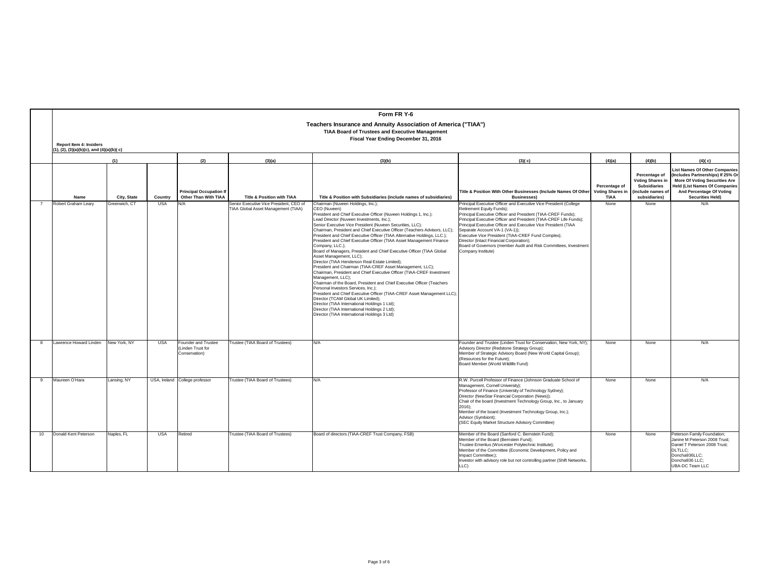|    |                         |                                                                                                                                                                                                                  |            |                                                                  |                                                                                | Form FR Y-6                                                                                                                                                                                                                                                                                                                                                                                                                                                                                                                                                                                                                                                                                                                                                                                                                                                                                                                                                                                                                                                                                                                                                                            |                                                                                                                                                                                                                                                                                                                                                                                                                                                                                                                                     |                                                    |                                                                                               |                                                                                                                                                                                                 |  |  |  |
|----|-------------------------|------------------------------------------------------------------------------------------------------------------------------------------------------------------------------------------------------------------|------------|------------------------------------------------------------------|--------------------------------------------------------------------------------|----------------------------------------------------------------------------------------------------------------------------------------------------------------------------------------------------------------------------------------------------------------------------------------------------------------------------------------------------------------------------------------------------------------------------------------------------------------------------------------------------------------------------------------------------------------------------------------------------------------------------------------------------------------------------------------------------------------------------------------------------------------------------------------------------------------------------------------------------------------------------------------------------------------------------------------------------------------------------------------------------------------------------------------------------------------------------------------------------------------------------------------------------------------------------------------|-------------------------------------------------------------------------------------------------------------------------------------------------------------------------------------------------------------------------------------------------------------------------------------------------------------------------------------------------------------------------------------------------------------------------------------------------------------------------------------------------------------------------------------|----------------------------------------------------|-----------------------------------------------------------------------------------------------|-------------------------------------------------------------------------------------------------------------------------------------------------------------------------------------------------|--|--|--|
|    | Report Item 4: Insiders | Teachers Insurance and Annuity Association of America ("TIAA")<br><b>TIAA Board of Trustees and Executive Management</b><br>Fiscal Year Ending December 31, 2016<br>$(1), (2), (3)(a)(b)(c),$ and $(4)(a)(b)(c)$ |            |                                                                  |                                                                                |                                                                                                                                                                                                                                                                                                                                                                                                                                                                                                                                                                                                                                                                                                                                                                                                                                                                                                                                                                                                                                                                                                                                                                                        |                                                                                                                                                                                                                                                                                                                                                                                                                                                                                                                                     |                                                    |                                                                                               |                                                                                                                                                                                                 |  |  |  |
|    |                         |                                                                                                                                                                                                                  |            |                                                                  |                                                                                |                                                                                                                                                                                                                                                                                                                                                                                                                                                                                                                                                                                                                                                                                                                                                                                                                                                                                                                                                                                                                                                                                                                                                                                        |                                                                                                                                                                                                                                                                                                                                                                                                                                                                                                                                     |                                                    |                                                                                               |                                                                                                                                                                                                 |  |  |  |
|    |                         | (1)                                                                                                                                                                                                              |            | (2)<br><b>Principal Occupation If</b>                            | (3)(a)                                                                         | (3)(b)                                                                                                                                                                                                                                                                                                                                                                                                                                                                                                                                                                                                                                                                                                                                                                                                                                                                                                                                                                                                                                                                                                                                                                                 | (3)(c)<br>Title & Position With Other Businesses (Include Names Of Other                                                                                                                                                                                                                                                                                                                                                                                                                                                            | (4)(a)<br>Percentage of<br><b>Voting Shares in</b> | (4)(b)<br>Percentage of<br><b>Voting Shares in</b><br><b>Subsidiaries</b><br>include names of | (4)(c)<br><b>List Names Of Other Companies</b><br>(Includes Partnerships) If 25% Or<br><b>More Of Voting Securities Are</b><br><b>Held (List Names Of Companies</b><br>And Percentage Of Voting |  |  |  |
|    | Name                    | City, State                                                                                                                                                                                                      | Country    | Other Than With TIAA                                             | <b>Title &amp; Position with TIAA</b>                                          | Title & Position with Subsidiaries (include names of subsidiaries)                                                                                                                                                                                                                                                                                                                                                                                                                                                                                                                                                                                                                                                                                                                                                                                                                                                                                                                                                                                                                                                                                                                     | <b>Businesses</b> )                                                                                                                                                                                                                                                                                                                                                                                                                                                                                                                 | <b>TIAA</b>                                        | subsidiaries)                                                                                 | <b>Securities Held)</b>                                                                                                                                                                         |  |  |  |
|    | Robert Graham Learv     | Greenwich, CT                                                                                                                                                                                                    | <b>USA</b> | N/A                                                              | Senior Executive Vice President, CEO of<br>TIAA Global Asset Management (TIAA) | Chairman (Nuveen Holdings, Inc.):<br>CEO (Nuveen)<br>President and Chief Executive Officer (Nuveen Holdings 1, Inc.);<br>Lead Director (Nuveen Investments, Inc.):<br>Senior Executive Vice President (Nuveen Securities, LLC);<br>Chairman, President and Chief Executive Officer (Teachers Advisors, LLC);<br>President and Chief Executive Officer (TIAA Alternative Holdings, LLC.);<br>President and Chief Executive Officer (TIAA Asset Management Finance<br>Company, LLC.);<br>Board of Managers, President and Chief Executive Officer (TIAA Global<br>Asset Management, LLC):<br>Director (TIAA Henderson Real Estate Limited);<br>President and Chairman (TIAA-CREF Asset Management, LLC);<br>Chairman, President and Chief Executive Officer (TIAA-CREF Investment<br>Management, LLC);<br>Chairman of the Board, President and Chief Executive Officer (Teachers<br>Personal Investors Services, Inc.):<br>President and Chief Executive Officer (TIAA-CREF Asset Management LLC)<br>Director (TCAM Global UK Limited)<br>Director (TIAA International Holdings 1 Ltd);<br>Director (TIAA International Holdings 2 Ltd);<br>Director (TIAA International Holdings 3 Ltd) | Principal Executive Officer and Executive Vice President (College<br>Retirement Equity Funds);<br>Principal Executive Officer and President (TIAA-CREF Funds);<br>Principal Executive Officer and President (TIAA-CREF Life Funds):<br>Principal Executive Officer and Executive Vice President (TIAA<br>Separate Account VA-1 (VA-1));<br>Executive Vice President (TIAA-CREF Fund Complex);<br>Director (Intact Financial Corporation);<br>Board of Governors (member Audit and Risk Committees, Investment<br>Company Institute) | None                                               | None                                                                                          | N/A                                                                                                                                                                                             |  |  |  |
| 8  | awrence Howard Linden   | New York, NY                                                                                                                                                                                                     | <b>USA</b> | <b>Founder and Trustee</b><br>(Linden Trust for<br>Conservation) | Trustee (TIAA Board of Trustees)                                               | N/A                                                                                                                                                                                                                                                                                                                                                                                                                                                                                                                                                                                                                                                                                                                                                                                                                                                                                                                                                                                                                                                                                                                                                                                    | Founder and Trustee (Linden Trust for Conservation, New York, NY):<br>Advisory Director (Redstone Strategy Group);<br>Member of Strategic Advisory Board (New World Capital Group);<br>(Resources for the Future);<br>Board Member (World Wildlife Fund)                                                                                                                                                                                                                                                                            | None                                               | None                                                                                          | N/A                                                                                                                                                                                             |  |  |  |
| 9  | Maureen O'Hara          | Lansing, NY                                                                                                                                                                                                      |            | USA, Ireland College professor                                   | Trustee (TIAA Board of Trustees)                                               | N/A                                                                                                                                                                                                                                                                                                                                                                                                                                                                                                                                                                                                                                                                                                                                                                                                                                                                                                                                                                                                                                                                                                                                                                                    | R.W. Purcell Professor of Finance (Johnson Graduate School of<br>Management, Cornell University):<br>Professor of Finance (University of Technology Sydney);<br>Director (NewStar Financial Corporation (News));<br>Chair of the board (Investment Technology Group, Inc., to January<br>$2016$ :<br>Member of the board (Investment Technology Group, Inc.);<br>Advisor (Symbiont);<br>(SEC Equity Market Structure Advisory Committee)                                                                                            | None                                               | None                                                                                          | N/A                                                                                                                                                                                             |  |  |  |
| 10 | Donald Kent Peterson    | Naples, FL                                                                                                                                                                                                       | <b>USA</b> | Retired                                                          | Trustee (TIAA Board of Trustees)                                               | Board of directors (TIAA-CREF Trust Company, FSB)                                                                                                                                                                                                                                                                                                                                                                                                                                                                                                                                                                                                                                                                                                                                                                                                                                                                                                                                                                                                                                                                                                                                      | Member of the Board (Sanford C. Bernstein Fund):<br>Member of the Board (Bernstein Fund);<br>Trustee Emeritus (Worcester Polytechnic Institute);<br>Member of the Committee (Economic Development, Policy and<br>Impact Committee;);<br>Investor with advisory role but not controlling partner (Shift Networks,<br>LLC)                                                                                                                                                                                                            | None                                               | None                                                                                          | Peterson Family Foundation;<br>Janine M Peterson 2008 Trust:<br>Daniel T Peterson 2008 Trust:<br><b>DLTLLC:</b><br>Doncha936LLC;<br>Doncha936 LLC;<br><b>UBA-DC Team LLC</b>                    |  |  |  |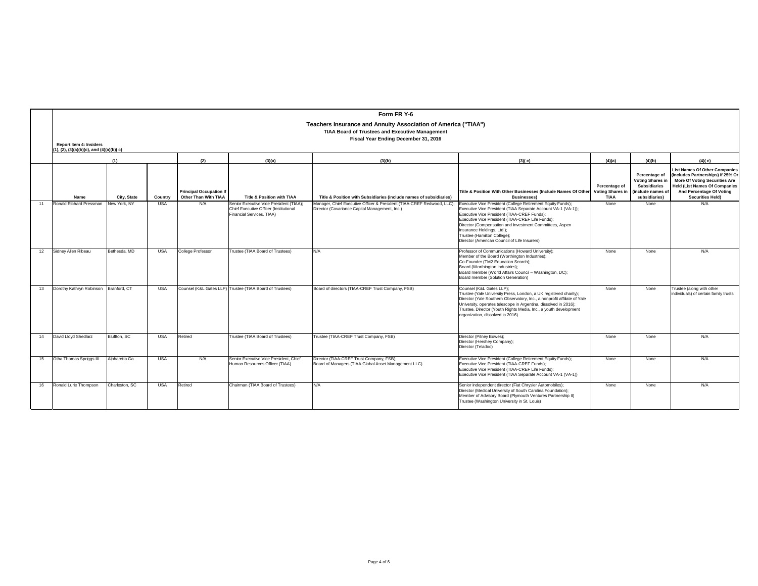|    |                                |                                                                                                                                                                                                                  |            |                                                        |                                                                                                                | Form FR Y-6                                                                                                              |                                                                                                                                                                                                                                                                                                                                                                                                         |                                                         |                                                                                                       |                                                                                                                                                                                                                  |  |  |  |  |  |
|----|--------------------------------|------------------------------------------------------------------------------------------------------------------------------------------------------------------------------------------------------------------|------------|--------------------------------------------------------|----------------------------------------------------------------------------------------------------------------|--------------------------------------------------------------------------------------------------------------------------|---------------------------------------------------------------------------------------------------------------------------------------------------------------------------------------------------------------------------------------------------------------------------------------------------------------------------------------------------------------------------------------------------------|---------------------------------------------------------|-------------------------------------------------------------------------------------------------------|------------------------------------------------------------------------------------------------------------------------------------------------------------------------------------------------------------------|--|--|--|--|--|
|    | <b>Report Item 4: Insiders</b> | Teachers Insurance and Annuity Association of America ("TIAA")<br><b>TIAA Board of Trustees and Executive Management</b><br>Fiscal Year Ending December 31, 2016<br>$(1), (2), (3)(a)(b)(c),$ and $(4)(a)(b)(c)$ |            |                                                        |                                                                                                                |                                                                                                                          |                                                                                                                                                                                                                                                                                                                                                                                                         |                                                         |                                                                                                       |                                                                                                                                                                                                                  |  |  |  |  |  |
|    |                                | (1)                                                                                                                                                                                                              |            | (2)                                                    | (3)(a)                                                                                                         | (3)(b)                                                                                                                   | (3)(c)                                                                                                                                                                                                                                                                                                                                                                                                  | (4)(a)                                                  | (4)(b)                                                                                                | (4)(c)                                                                                                                                                                                                           |  |  |  |  |  |
|    | Name                           | City, State                                                                                                                                                                                                      | Country    | <b>Principal Occupation If</b><br>Other Than With TIAA | <b>Title &amp; Position with TIAA</b>                                                                          | Title & Position with Subsidiaries (include names of subsidiaries)                                                       | Title & Position With Other Businesses (Include Names Of Other<br><b>Businesses)</b>                                                                                                                                                                                                                                                                                                                    | Percentage of<br><b>Voting Shares in</b><br><b>TIAA</b> | Percentage of<br><b>Voting Shares in</b><br><b>Subsidiaries</b><br>(include names of<br>subsidiaries) | <b>List Names Of Other Companies</b><br>(Includes Partnerships) If 25% Or<br><b>More Of Voting Securities Are</b><br><b>Held (List Names Of Companies</b><br>And Percentage Of Voting<br><b>Securities Held)</b> |  |  |  |  |  |
| 11 | Ronald Richard Pressman        | New York, NY                                                                                                                                                                                                     | <b>USA</b> | N/A                                                    | Senior Executive Vice President (TIAA);<br>Chief Executive Officer (Institutional<br>Financial Services, TIAA) | Manager, Chief Executive Officer & President (TIAA-CREF Redwood, LLC);<br>Director (Covariance Capital Management, Inc.) | Executive Vice President (College Retirement Equity Funds);<br>Executive Vice President (TIAA Separate Account VA-1 (VA-1));<br>Executive Vice President (TIAA-CREF Funds):<br>Executive Vice President (TIAA-CREF Life Funds);<br>Director (Compensation and Investment Committees, Aspen<br>Insurance Holdings, Ltd.):<br>Trustee (Hamilton College);<br>Director (American Council of Life Insurers) | None                                                    | None                                                                                                  | N/A                                                                                                                                                                                                              |  |  |  |  |  |
|    | Sidney Allen Ribeau<br>12      | Bethesda, MD                                                                                                                                                                                                     | <b>USA</b> | College Professor                                      | Trustee (TIAA Board of Trustees)                                                                               | N/A                                                                                                                      | Professor of Communications (Howard University):<br>Member of the Board (Worthington Industries);<br>Co-Founder (TM2 Education Search);<br>Board (Worthington Industries);<br>Board member (World Affairs Council - Washington, DC);<br>Board member (Solution Generation)                                                                                                                              | None                                                    | None                                                                                                  | N/A                                                                                                                                                                                                              |  |  |  |  |  |
| 13 | Dorothy Kathryn Robinson       | Branford, CT                                                                                                                                                                                                     | <b>USA</b> |                                                        | Counsel (K&L Gates LLP) Trustee (TIAA Board of Trustees)                                                       | Board of directors (TIAA-CREF Trust Company, FSB)                                                                        | Counsel (K&L Gates LLP);<br>Trustee (Yale University Press, London, a UK registered charity);<br>Director (Yale Southern Observatory, Inc., a nonprofit affiliate of Yale<br>University, operates telescope in Argentina, dissolved in 2016);<br>Trustee, Director (Youth Rights Media, Inc., a youth development<br>organization, dissolved in 2016)                                                   | None                                                    | None                                                                                                  | Trustee (along with other<br>individuals) of certain family trusts                                                                                                                                               |  |  |  |  |  |
|    | David Lloyd Shedlarz<br>14     | Bluffton, SC                                                                                                                                                                                                     | <b>USA</b> | Retired                                                | Trustee (TIAA Board of Trustees)                                                                               | Trustee (TIAA-CREF Trust Company, FSB)                                                                                   | Director (Pitney Bowes);<br>Director (Hershey Company);<br>Director (Teladoc)                                                                                                                                                                                                                                                                                                                           | None                                                    | None                                                                                                  | N/A                                                                                                                                                                                                              |  |  |  |  |  |
|    | Otha Thomas Spriggs III<br>15  | Alpharetta Ga                                                                                                                                                                                                    | <b>USA</b> | N/A                                                    | Senior Executive Vice President, Chief<br>Human Resources Officer (TIAA)                                       | Director (TIAA-CREF Trust Company, FSB):<br>Board of Managers (TIAA Global Asset Management LLC)                         | Executive Vice President (College Retirement Equity Funds);<br>Executive Vice President (TIAA-CREF Funds);<br>Executive Vice President (TIAA-CREF Life Funds);<br>Executive Vice President (TIAA Separate Account VA-1 (VA-1))                                                                                                                                                                          | None                                                    | None                                                                                                  | N/A                                                                                                                                                                                                              |  |  |  |  |  |
|    | Ronald Lurie Thompson<br>16    | Charleston, SC                                                                                                                                                                                                   | <b>USA</b> | Retired                                                | Chairman (TIAA Board of Trustees)                                                                              | N/A                                                                                                                      | Senior independent director (Fiat Chrysler Automobiles);<br>Director (Medical University of South Carolina Foundation);<br>Member of Advisory Board (Plymouth Ventures Partnership II)<br>Trustee (Washington University in St. Louis)                                                                                                                                                                  | None                                                    | None                                                                                                  | N/A                                                                                                                                                                                                              |  |  |  |  |  |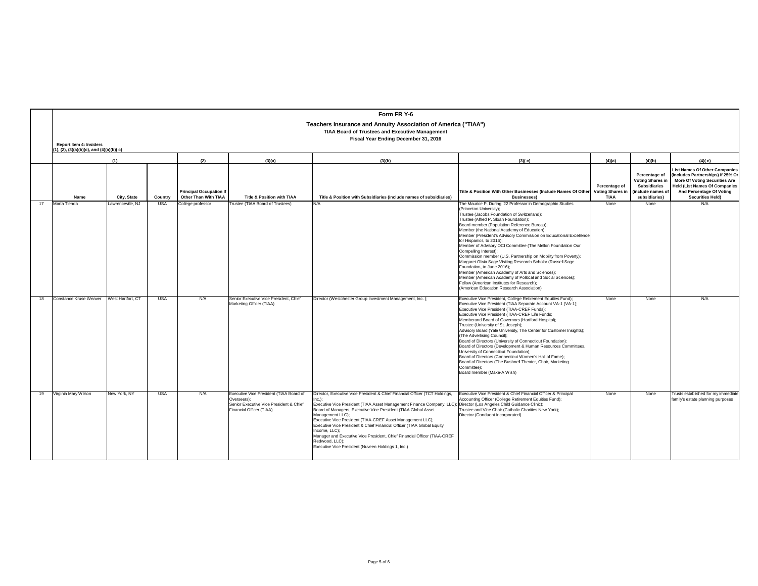|    |                                              | Form FR Y-6<br>Teachers Insurance and Annuity Association of America ("TIAA")<br><b>TIAA Board of Trustees and Executive Management</b><br>Fiscal Year Ending December 31, 2016<br><b>Report Item 4: Insiders</b> |            |                                                        |                                                                                                                               |                                                                                                                                                                                                                                                                                                                                                                                                                                                                                                                                                                                                                     |                                                                                                                                                                                                                                                                                                                                                                                                                                                                                                                                                                                                                                                                                                                                                                                                                                                   |                                                         |                                                                                                       |                                                                                                                                                                                                           |  |  |  |
|----|----------------------------------------------|-------------------------------------------------------------------------------------------------------------------------------------------------------------------------------------------------------------------|------------|--------------------------------------------------------|-------------------------------------------------------------------------------------------------------------------------------|---------------------------------------------------------------------------------------------------------------------------------------------------------------------------------------------------------------------------------------------------------------------------------------------------------------------------------------------------------------------------------------------------------------------------------------------------------------------------------------------------------------------------------------------------------------------------------------------------------------------|---------------------------------------------------------------------------------------------------------------------------------------------------------------------------------------------------------------------------------------------------------------------------------------------------------------------------------------------------------------------------------------------------------------------------------------------------------------------------------------------------------------------------------------------------------------------------------------------------------------------------------------------------------------------------------------------------------------------------------------------------------------------------------------------------------------------------------------------------|---------------------------------------------------------|-------------------------------------------------------------------------------------------------------|-----------------------------------------------------------------------------------------------------------------------------------------------------------------------------------------------------------|--|--|--|
|    | $(1), (2), (3)(a)(b)(c),$ and $(4)(a)(b)(c)$ |                                                                                                                                                                                                                   |            |                                                        |                                                                                                                               |                                                                                                                                                                                                                                                                                                                                                                                                                                                                                                                                                                                                                     |                                                                                                                                                                                                                                                                                                                                                                                                                                                                                                                                                                                                                                                                                                                                                                                                                                                   |                                                         |                                                                                                       |                                                                                                                                                                                                           |  |  |  |
|    |                                              | (1)                                                                                                                                                                                                               |            | (2)                                                    | (3)(a)                                                                                                                        | (3)(b)                                                                                                                                                                                                                                                                                                                                                                                                                                                                                                                                                                                                              | (3)(c)                                                                                                                                                                                                                                                                                                                                                                                                                                                                                                                                                                                                                                                                                                                                                                                                                                            | (4)(a)                                                  | (4)(b)                                                                                                | (4)(c)                                                                                                                                                                                                    |  |  |  |
|    | Name                                         | City, State                                                                                                                                                                                                       | Country    | <b>Principal Occupation If</b><br>Other Than With TIAA | Title & Position with TIAA                                                                                                    | Title & Position with Subsidiaries (include names of subsidiaries)                                                                                                                                                                                                                                                                                                                                                                                                                                                                                                                                                  | Title & Position With Other Businesses (Include Names Of Other<br><b>Businesses)</b>                                                                                                                                                                                                                                                                                                                                                                                                                                                                                                                                                                                                                                                                                                                                                              | Percentage of<br><b>Voting Shares in</b><br><b>TIAA</b> | Percentage of<br><b>Voting Shares in</b><br><b>Subsidiaries</b><br>(include names of<br>subsidiaries) | <b>List Names Of Other Companies</b><br>(Includes Partnerships) If 25% Or<br><b>More Of Voting Securities Are</b><br><b>Held (List Names Of Companies</b><br>And Percentage Of Voting<br>Securities Held) |  |  |  |
| 17 | Marta Tienda                                 | Lawrenceville, NJ                                                                                                                                                                                                 | <b>USA</b> | College professor                                      | Trustee (TIAA Board of Trustees)                                                                                              | N/A                                                                                                                                                                                                                                                                                                                                                                                                                                                                                                                                                                                                                 | The Maurice P. During '22 Professor in Demographic Studies<br>(Princeton University);<br>Trustee (Jacobs Foundation of Switzerland);<br>Trustee (Alfred P. Sloan Foundation);<br>Board member (Population Reference Bureau);<br>Member (the National Academy of Education):<br>Member (President's Advisory Commission on Educational Excellence<br>for Hispanics, to 2016);<br>Member of Advisory OCI Committee (The Mellon Foundation Our<br>Compelling Interest);<br>Commission member (U.S. Partnership on Mobility from Poverty);<br>Margaret Olivia Sage Visiting Research Scholar (Russell Sage<br>Foundation, to June 2016);<br>Member (American Academy of Arts and Sciences);<br>Member (American Academy of Political and Social Sciences);<br>Fellow (American Institutes for Research);<br>(American Education Research Association) | None                                                    | None                                                                                                  | N/A                                                                                                                                                                                                       |  |  |  |
| 18 | Constance Kruse Weaver                       | West Hartfort, CT                                                                                                                                                                                                 | <b>USA</b> | N/A                                                    | Senior Executive Vice President, Chief<br>Marketing Officer (TIAA)                                                            | Director (Westchester Group Investment Management, Inc.);                                                                                                                                                                                                                                                                                                                                                                                                                                                                                                                                                           | Executive Vice President, College Retirement Equities Fund);<br>Executive Vice President (TIAA Separate Account VA-1 (VA-1);<br>Executive Vice President (TIAA-CREF Funds):<br>Executive Vice President (TIAA-CREF Life Funds;<br>Memberand Board of Governors (Hartford Hospital):<br>Trustee (University of St. Joseph);<br>Advisory Board (Yale University, The Center for Customer Insights);<br>(The Advertising Council);<br>Board of Directors (University of Connecticut Foundation):<br>Board of Directors (Development & Human Resources Committees,<br>University of Connecticut Foundation);<br>Board of Directors (Connecticut Women's Hall of Fame);<br>Board of Directors (The Bushnell Theater, Chair, Marketing<br>Committee):<br>Board member (Make-A Wish)                                                                     | None                                                    | None                                                                                                  | N/A                                                                                                                                                                                                       |  |  |  |
| 19 | Virginia Mary Wilson                         | New York, NY                                                                                                                                                                                                      | <b>USA</b> | N/A                                                    | Executive Vice President (TIAA Board of<br>Overseers):<br>Senior Executive Vice President & Chief<br>Financial Officer (TIAA) | Director, Executive Vice President & Chief Financial Officer (TCT Holdings,<br>$Inc.$ ):<br>Executive Vice President (TIAA Asset Management Finance Company, LLC); Director (Los Angeles Child Guidance Clinic);<br>Board of Managers, Executive Vice President (TIAA Global Asset<br>Management LLC):<br>Executive Vice President (TIAA-CREF Asset Management LLC);<br>Executive Vice President & Chief Financial Officer (TIAA Global Equity<br>Income, LLC);<br>Manager and Executive Vice President, Chief Financial Officer (TIAA-CREF<br>Redwood, LLC);<br>Executive Vice President (Nuveen Holdings 1, Inc.) | Executive Vice President & Chief Financial Officer & Principal<br>Accounting Officer (College Retirement Equities Fund):<br>Trustee and Vice Chair (Catholic Charities New York);<br>Director (Conduent Incorporated)                                                                                                                                                                                                                                                                                                                                                                                                                                                                                                                                                                                                                             | None                                                    | None                                                                                                  | Trusts established for my immediate<br>family's estate planning purposes                                                                                                                                  |  |  |  |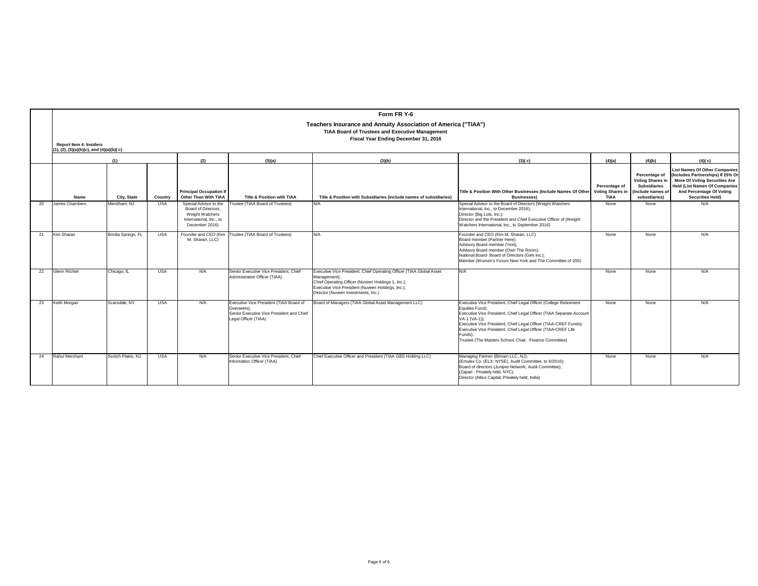|    |                                | Form FR Y-6                                                                                                                                                      |            |                                                                                                               |                                                                                                                             |                                                                                                                                                                                                                                        |                                                                                                                                                                                                                                                                                                                                                                                         |                                                         |                                                                                                       |                                                                                                                                                                                                                  |  |  |  |  |
|----|--------------------------------|------------------------------------------------------------------------------------------------------------------------------------------------------------------|------------|---------------------------------------------------------------------------------------------------------------|-----------------------------------------------------------------------------------------------------------------------------|----------------------------------------------------------------------------------------------------------------------------------------------------------------------------------------------------------------------------------------|-----------------------------------------------------------------------------------------------------------------------------------------------------------------------------------------------------------------------------------------------------------------------------------------------------------------------------------------------------------------------------------------|---------------------------------------------------------|-------------------------------------------------------------------------------------------------------|------------------------------------------------------------------------------------------------------------------------------------------------------------------------------------------------------------------|--|--|--|--|
|    |                                | Teachers Insurance and Annuity Association of America ("TIAA")<br><b>TIAA Board of Trustees and Executive Management</b><br>Fiscal Year Ending December 31, 2016 |            |                                                                                                               |                                                                                                                             |                                                                                                                                                                                                                                        |                                                                                                                                                                                                                                                                                                                                                                                         |                                                         |                                                                                                       |                                                                                                                                                                                                                  |  |  |  |  |
|    | <b>Report Item 4: Insiders</b> | $(1), (2), (3)(a)(b)(c),$ and $(4)(a)(b)(c)$                                                                                                                     |            |                                                                                                               |                                                                                                                             |                                                                                                                                                                                                                                        |                                                                                                                                                                                                                                                                                                                                                                                         |                                                         |                                                                                                       |                                                                                                                                                                                                                  |  |  |  |  |
|    | (1)                            |                                                                                                                                                                  |            | (2)                                                                                                           | (3)(a)                                                                                                                      | (3)(b)                                                                                                                                                                                                                                 | (3)(c)                                                                                                                                                                                                                                                                                                                                                                                  | (4)(a)                                                  | (4)(b)                                                                                                | (4)(c)                                                                                                                                                                                                           |  |  |  |  |
|    | Name                           | City, State                                                                                                                                                      | Country    | <b>Principal Occupation If</b><br>Other Than With TIAA                                                        | <b>Title &amp; Position with TIAA</b>                                                                                       | Title & Position with Subsidiaries (include names of subsidiaries)                                                                                                                                                                     | Title & Position With Other Businesses (Include Names Of Other<br><b>Businesses)</b>                                                                                                                                                                                                                                                                                                    | Percentage of<br><b>Voting Shares in</b><br><b>TIAA</b> | Percentage of<br><b>Voting Shares in</b><br><b>Subsidiaries</b><br>(include names of<br>subsidiaries) | <b>List Names Of Other Companies</b><br>(Includes Partnerships) If 25% Or<br><b>More Of Voting Securities Are</b><br><b>Held (List Names Of Companies</b><br>And Percentage Of Voting<br><b>Securities Held)</b> |  |  |  |  |
| 20 | James Chambers                 | Mendham, NJ                                                                                                                                                      | <b>USA</b> | Special Advisor to the<br>Board of Directors.<br>Weight Watchers<br>International, Inc., to<br>December 2016) | Trustee (TIAA Board of Trustees)                                                                                            | N/A                                                                                                                                                                                                                                    | Special Advisor to the Board of Directors (Weight Watchers<br>International, Inc., to December 2016):<br>Director (Big Lots, Inc.);<br>Director and the President and Chief Executive Officer of (Weight<br>Watchers International, Inc., to September 2016)                                                                                                                            | None                                                    | None                                                                                                  | N/A                                                                                                                                                                                                              |  |  |  |  |
| 21 | Kim Sharan                     | Bonita Springs, FL                                                                                                                                               | <b>USA</b> | M. Sharan, LLC)                                                                                               | Founder and CEO (Kim   Trustee (TIAA Board of Trustees)                                                                     | N/A                                                                                                                                                                                                                                    | Founder and CEO (Kim M. Sharan, LLC)<br>Board member (Partner Here);<br>Advisory Board member (Yext);<br>Advisory Board member (Own The Room);<br>National Board-Board of Directors (Girls Inc.);<br>Member (Women's Forum New York and The Committee of 200)                                                                                                                           | None                                                    | None                                                                                                  | N/A                                                                                                                                                                                                              |  |  |  |  |
| 22 | <b>Glenn Richter</b>           | Chicago, IL                                                                                                                                                      | <b>USA</b> | N/A                                                                                                           | Senior Executive Vice President, Chief<br>Administrative Officer (TIAA)                                                     | Executive Vice President, Chief Operating Officer (TIAA Global Asset<br>Management);<br>Chief Operating Officer (Nuveen Holdings 1, Inc.);<br>Executive Vice President (Nuveen Holdings, Inc.);<br>Director (Nuveen Investments, Inc.) | N/A                                                                                                                                                                                                                                                                                                                                                                                     | None                                                    | None                                                                                                  | N/A                                                                                                                                                                                                              |  |  |  |  |
| 23 | Keith Morgan                   | Scarsdale, NY                                                                                                                                                    | <b>USA</b> | N/A                                                                                                           | Executive Vice President (TIAA Board of<br>Overseers):<br>Senior Executive Vice President and Chief<br>Legal Officer (TIAA) | Board of Managers (TIAA Global Asset Management LLC)                                                                                                                                                                                   | Executive Vice President, Chief Legal Officer (College Retirement<br>Equities Fund):<br>Executive Vice President, Chief Legal Officer (TIAA Separate Account<br>VA-1 (VA-1)):<br>Executive Vice President, Chief Legal Officer (TIAA-CREF Funds);<br>Executive Vice President, Chief Legal Officer (TIAA-CREF Life<br>Funds):<br>Trustee (The Masters School, Chair, Finance Committee) | None                                                    | None                                                                                                  | N/A                                                                                                                                                                                                              |  |  |  |  |
| 24 | Rahul Merchant                 | Scotch Plains, NJ                                                                                                                                                | <b>USA</b> | N/A                                                                                                           | Senior Executive Vice President, Chief<br>Information Officer (TIAA)                                                        | Chief Executive Officer and President (TIAA GBS Holding LLC)                                                                                                                                                                           | Managing Partner (Binram LLC, NJ);<br>(Emulex Co. (ELX: NYSE), Audit Committee, to 6/2016);<br>Board of directors (Juniper Network, Audit Committee);<br>(Zapari - Privately held, NYC);<br>Director (Altico Capital, Privately held, India)                                                                                                                                            | None                                                    | None                                                                                                  | N/A                                                                                                                                                                                                              |  |  |  |  |